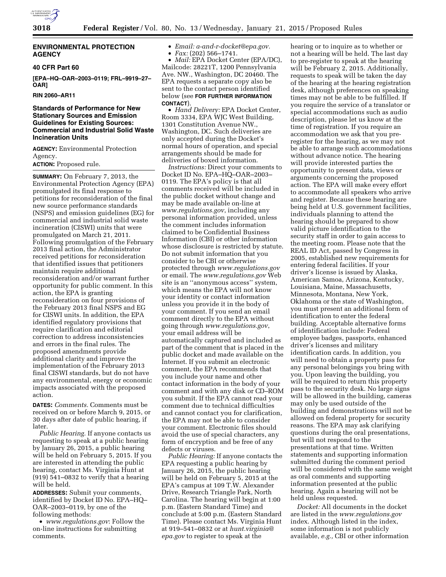

# **ENVIRONMENTAL PROTECTION AGENCY**

# **40 CFR Part 60**

**[EPA–HQ–OAR–2003–0119; FRL–9919–27– OAR]** 

**RIN 2060–AR11** 

# **Standards of Performance for New Stationary Sources and Emission Guidelines for Existing Sources: Commercial and Industrial Solid Waste Incineration Units**

**AGENCY:** Environmental Protection Agency.

# **ACTION:** Proposed rule.

**SUMMARY:** On February 7, 2013, the Environmental Protection Agency (EPA) promulgated its final response to petitions for reconsideration of the final new source performance standards (NSPS) and emission guidelines (EG) for commercial and industrial solid waste incineration (CISWI) units that were promulgated on March 21, 2011. Following promulgation of the February 2013 final action, the Administrator received petitions for reconsideration that identified issues that petitioners maintain require additional reconsideration and/or warrant further opportunity for public comment. In this action, the EPA is granting reconsideration on four provisions of the February 2013 final NSPS and EG for CISWI units. In addition, the EPA identified regulatory provisions that require clarification and editorial correction to address inconsistencies and errors in the final rules. The proposed amendments provide additional clarity and improve the implementation of the February 2013 final CISWI standards, but do not have any environmental, energy or economic impacts associated with the proposed action.

**DATES:** *Comments.* Comments must be received on or before March 9, 2015, or 30 days after date of public hearing, if later.

*Public Hearing.* If anyone contacts us requesting to speak at a public hearing by January 26, 2015, a public hearing will be held on February 5, 2015. If you are interested in attending the public hearing, contact Ms. Virginia Hunt at (919) 541–0832 to verify that a hearing will be held.

**ADDRESSES:** Submit your comments, identified by Docket ID No. EPA–HQ– OAR–2003–0119, by one of the following methods:

• *[www.regulations.gov](http://www.regulations.gov)*: Follow the on-line instructions for submitting comments.

• *Email: [a-and-r-docket@epa.gov.](mailto:a-and-r-docket@epa.gov)*  • *Fax:* (202) 566–1741.

• *Mail:* EPA Docket Center (EPA/DC), Mailcode: 28221T, 1200 Pennsylvania Ave. NW., Washington, DC 20460. The EPA requests a separate copy also be sent to the contact person identified below (see **FOR FURTHER INFORMATION CONTACT**).

• *Hand Delivery:* EPA Docket Center, Room 3334, EPA WJC West Building, 1301 Constitution Avenue NW., Washington, DC. Such deliveries are only accepted during the Docket's normal hours of operation, and special arrangements should be made for deliveries of boxed information.

*Instructions:* Direct your comments to Docket ID No. EPA–HQ–OAR–2003– 0119. The EPA's policy is that all comments received will be included in the public docket without change and may be made available on-line at *[www.regulations.gov](http://www.regulations.gov)*, including any personal information provided, unless the comment includes information claimed to be Confidential Business Information (CBI) or other information whose disclosure is restricted by statute. Do not submit information that you consider to be CBI or otherwise protected through *[www.regulations.gov](http://www.regulations.gov)*  or email. The *[www.regulations.gov](http://www.regulations.gov)* Web site is an ''anonymous access'' system, which means the EPA will not know your identity or contact information unless you provide it in the body of your comment. If you send an email comment directly to the EPA without going through *[www.regulations.gov](http://www.regulations.gov)*, your email address will be automatically captured and included as part of the comment that is placed in the public docket and made available on the Internet. If you submit an electronic comment, the EPA recommends that you include your name and other contact information in the body of your comment and with any disk or CD–ROM you submit. If the EPA cannot read your comment due to technical difficulties and cannot contact you for clarification, the EPA may not be able to consider your comment. Electronic files should avoid the use of special characters, any form of encryption and be free of any defects or viruses.

*Public Hearing:* If anyone contacts the EPA requesting a public hearing by January 26, 2015, the public hearing will be held on February 5, 2015 at the EPA's campus at 109 T.W. Alexander Drive, Research Triangle Park, North Carolina. The hearing will begin at 1:00 p.m. (Eastern Standard Time) and conclude at 5:00 p.m. (Eastern Standard Time). Please contact Ms. Virginia Hunt at 919–541–0832 or at *[hunt.virginia@](mailto:hunt.virginia@epa.gov) [epa.gov](mailto:hunt.virginia@epa.gov)* to register to speak at the

hearing or to inquire as to whether or not a hearing will be held. The last day to pre-register to speak at the hearing will be February 2, 2015. Additionally, requests to speak will be taken the day of the hearing at the hearing registration desk, although preferences on speaking times may not be able to be fulfilled. If you require the service of a translator or special accommodations such as audio description, please let us know at the time of registration. If you require an accommodation we ask that you preregister for the hearing, as we may not be able to arrange such accommodations without advance notice. The hearing will provide interested parties the opportunity to present data, views or arguments concerning the proposed action. The EPA will make every effort to accommodate all speakers who arrive and register. Because these hearing are being held at U.S. government facilities, individuals planning to attend the hearing should be prepared to show valid picture identification to the security staff in order to gain access to the meeting room. Please note that the REAL ID Act, passed by Congress in 2005, established new requirements for entering federal facilities. If your driver's license is issued by Alaska, American Samoa, Arizona, Kentucky, Louisiana, Maine, Massachusetts, Minnesota, Montana, New York, Oklahoma or the state of Washington, you must present an additional form of identification to enter the federal building. Acceptable alternative forms of identification include: Federal employee badges, passports, enhanced driver's licenses and military identification cards. In addition, you will need to obtain a property pass for any personal belongings you bring with you. Upon leaving the building, you will be required to return this property pass to the security desk. No large signs will be allowed in the building, cameras may only be used outside of the building and demonstrations will not be allowed on federal property for security reasons. The EPA may ask clarifying questions during the oral presentations, but will not respond to the presentations at that time. Written statements and supporting information submitted during the comment period will be considered with the same weight as oral comments and supporting information presented at the public hearing. Again a hearing will not be held unless requested.

*Docket:* All documents in the docket are listed in the *[www.regulations.gov](http://www.regulations.gov)*  index. Although listed in the index, some information is not publicly available, *e.g.,* CBI or other information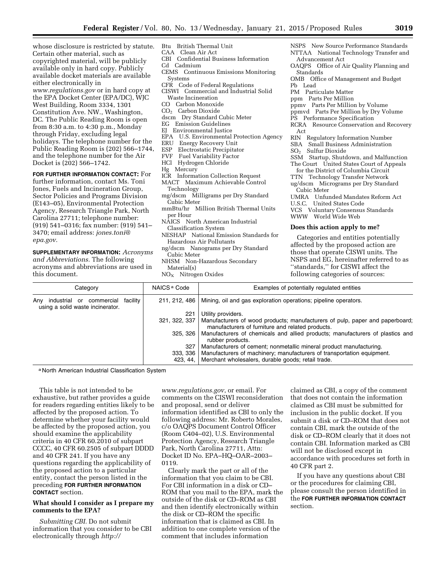whose disclosure is restricted by statute. Certain other material, such as copyrighted material, will be publicly available only in hard copy. Publicly available docket materials are available either electronically in *[www.regulations.gov](http://www.regulations.gov)* or in hard copy at the EPA Docket Center (EPA/DC), WJC West Building, Room 3334, 1301 Constitution Ave. NW., Washington, DC. The Public Reading Room is open from 8:30 a.m. to 4:30 p.m., Monday through Friday, excluding legal holidays. The telephone number for the Public Reading Room is (202) 566–1744, and the telephone number for the Air Docket is (202) 566–1742.

**FOR FURTHER INFORMATION CONTACT:** For further information, contact Ms. Toni Jones, Fuels and Incineration Group, Sector Policies and Programs Division (E143–05), Environmental Protection Agency, Research Triangle Park, North Carolina 27711; telephone number: (919) 541–0316; fax number: (919) 541– 3470; email address: *[jones.toni@](mailto:jones.toni@epa.gov) [epa.gov.](mailto:jones.toni@epa.gov)* 

**SUPPLEMENTARY INFORMATION:** *Acronyms and Abbreviations.* The following acronyms and abbreviations are used in this document.

- Btu British Thermal Unit
- CAA Clean Air Act
- CBI Confidential Business Information
- Cd Cadmium
- CEMS Continuous Emissions Monitoring Systems
- CFR Code of Federal Regulations
- CISWI Commercial and Industrial Solid
- Waste Incineration
- CO Carbon Monoxide
- CO2 Carbon Dioxide
- dscm Dry Standard Cubic Meter
- EG Emission Guidelines
- EJ Environmental Justice
- EPA U.S. Environmental Protection Agency<br>ERU Energy Recovery Unit
- Energy Recovery Unit
- 
- ESP Electrostatic Precipitator<br>FVF Fuel Variability Factor Fuel Variability Factor
- HCl Hydrogen Chloride
- Hg Mercury
- ICR Information Collection Request
- MACT Maximum Achievable Control Technology
- mg/dscm Milligrams per Dry Standard Cubic Meter
- mmBtu/hr Million British Thermal Units per Hour
- NAICS North American Industrial Classification System
- NESHAP National Emission Standards for Hazardous Air Pollutants
- ng/dscm Nanograms per Dry Standard Cubic Meter
- NHSM Non-Hazardous Secondary Material(s)
- $NO<sub>x</sub>$  Nitrogen Oxides

Standards OMB Office of Management and Budget Pb Lead PM Particulate Matter ppm Parts Per Million ppmv Parts Per Million by Volume ppmvd Parts Per Million by Dry Volume PS Performance Specification RCRA Resource Conservation and Recovery Act RIN Regulatory Information Number SBA Small Business Administration SO<sub>2</sub> Sulfur Dioxide SSM Startup, Shutdown, and Malfunction The Court United States Court of Appeals for the District of Columbia Circuit TTN Technology Transfer Network ug/dscm Micrograms per Dry Standard Cubic Meter UMRA Unfunded Mandates Reform Act U.S.C. United States Code VCS Voluntary Consensus Standards WWW World Wide Web **Does this action apply to me?** 

NSPS New Source Performance Standards NTTAA National Technology Transfer and

OAQPS Office of Air Quality Planning and

Advancement Act

Categories and entities potentially affected by the proposed action are those that operate CISWI units. The NSPS and EG, hereinafter referred to as ''standards,'' for CISWI affect the following categories of sources:

| Category                                                                  | NAICS <sup>a</sup> Code   | Examples of potentially regulated entities                                                                                       |
|---------------------------------------------------------------------------|---------------------------|----------------------------------------------------------------------------------------------------------------------------------|
| commercial<br>industrial<br>or<br>Anv<br>using a solid waste incinerator. | 211, 212, 486<br>facilitv | Mining, oil and gas exploration operations; pipeline operators.                                                                  |
|                                                                           | 221                       | Utility providers.                                                                                                               |
|                                                                           | 321, 322, 337             | Manufacturers of wood products; manufacturers of pulp, paper and paperboard;<br>manufacturers of furniture and related products. |
|                                                                           | 325, 326                  | Manufacturers of chemicals and allied products; manufacturers of plastics and<br>rubber products.                                |
|                                                                           | 327                       | Manufacturers of cement; nonmetallic mineral product manufacturing.                                                              |
|                                                                           | 333, 336                  | Manufacturers of machinery; manufacturers of transportation equipment.                                                           |
|                                                                           | 423, 44,                  | Merchant wholesalers, durable goods; retail trade.                                                                               |

a North American Industrial Classification System

This table is not intended to be exhaustive, but rather provides a guide for readers regarding entities likely to be affected by the proposed action. To determine whether your facility would be affected by the proposed action, you should examine the applicability criteria in 40 CFR 60.2010 of subpart CCCC, 40 CFR 60.2505 of subpart DDDD and 40 CFR 241. If you have any questions regarding the applicability of the proposed action to a particular entity, contact the person listed in the preceding **FOR FURTHER INFORMATION CONTACT** section.

# **What should I consider as I prepare my comments to the EPA?**

*Submitting CBI.* Do not submit information that you consider to be CBI electronically through *[http://](http://www.regulations.gov)*

*[www.regulations.gov](http://www.regulations.gov)*, or email. For comments on the CISWI reconsideration and proposal, send or deliver information identified as CBI to only the following address: Mr. Roberto Morales, c/o OAQPS Document Control Officer (Room C404–02), U.S. Environmental Protection Agency, Research Triangle Park, North Carolina 27711, Attn: Docket ID No. EPA–HQ–OAR–2003– 0119.

Clearly mark the part or all of the information that you claim to be CBI. For CBI information in a disk or CD– ROM that you mail to the EPA, mark the outside of the disk or CD–ROM as CBI and then identify electronically within the disk or CD–ROM the specific information that is claimed as CBI. In addition to one complete version of the comment that includes information

claimed as CBI, a copy of the comment that does not contain the information claimed as CBI must be submitted for inclusion in the public docket. If you submit a disk or CD–ROM that does not contain CBI, mark the outside of the disk or CD–ROM clearly that it does not contain CBI. Information marked as CBI will not be disclosed except in accordance with procedures set forth in 40 CFR part 2.

If you have any questions about CBI or the procedures for claiming CBI, please consult the person identified in the **FOR FURTHER INFORMATION CONTACT** section.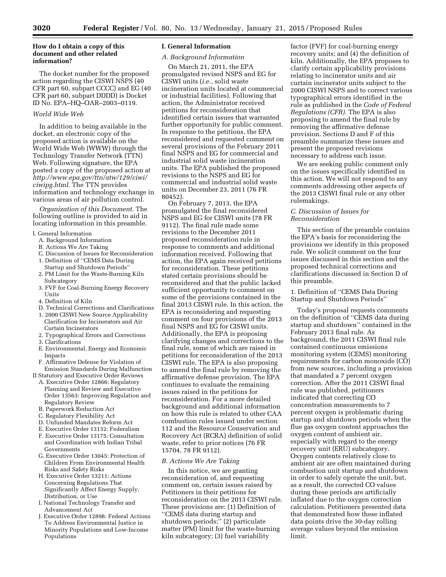# **How do I obtain a copy of this document and other related information?**

The docket number for the proposed action regarding the CISWI NSPS (40 CFR part 60, subpart CCCC) and EG (40 CFR part 60, subpart DDDD) is Docket ID No. EPA–HQ–OAR–2003–0119.

# *World Wide Web*

In addition to being available in the docket, an electronic copy of the proposed action is available on the World Wide Web (WWW) through the Technology Transfer Network (TTN) Web. Following signature, the EPA posted a copy of the proposed action at *[http://www.epa.gov/ttn/atw/129/ciwi/](http://www.epa.gov/ttn/atw/129/ciwi/ciwipg.html) [ciwipg.html](http://www.epa.gov/ttn/atw/129/ciwi/ciwipg.html)*. The TTN provides information and technology exchange in various areas of air pollution control.

*Organization of this Document.* The following outline is provided to aid in locating information in this preamble.

- I. General Information
	- A. Background Information
	- B. Actions We Are Taking
	- C. Discussion of Issues for Reconsideration
	- 1. Definition of ''CEMS Data During Startup and Shutdown Periods''
	- 2. PM Limit for the Waste-Burning Kiln Subcategory
	- 3. FVF for Coal-Burning Energy Recovery Units
	- 4. Definition of Kiln
	- D. Technical Corrections and Clarifications
	- 1. 2000 CISWI New Source Applicability Clarification for Incinerators and Air Curtain Incinerators
	- 2. Typographical Errors and Corrections
	- 3. Clarifications
	- E. Environmental, Energy and Economic Impacts
	- F. Affirmative Defense for Violation of Emission Standards During Malfunction
- II Statutory and Executive Order Reviews
	- A. Executive Order 12866: Regulatory Planning and Review and Executive Order 13563: Improving Regulation and Regulatory Review
	- B. Paperwork Reduction Act
	- C. Regulatory Flexibility Act
	- D. Unfunded Mandates Reform Act
	- E. Executive Order 13132: Federalism
	- F. Executive Order 13175: Consultation and Coordination with Indian Tribal Governments
	- G. Executive Order 13045: Protection of Children From Environmental Health Risks and Safety Risks
	- H. Executive Order 13211: Actions Concerning Regulations That Significantly Affect Energy Supply, Distribution, or Use
	- I. National Technology Transfer and Advancement Act
	- J. Executive Order 12898: Federal Actions To Address Environmental Justice in Minority Populations and Low-Income Populations

# **I. General Information**

# *A. Background Information*

On March 21, 2011, the EPA promulgated revised NSPS and EG for CISWI units (*i.e.,* solid waste incineration units located at commercial or industrial facilities). Following that action, the Administrator received petitions for reconsideration that identified certain issues that warranted further opportunity for public comment. In response to the petitions, the EPA reconsidered and requested comment on several provisions of the February 2011 final NSPS and EG for commercial and industrial solid waste incineration units. The EPA published the proposed revisions to the NSPS and EG for commercial and industrial solid waste units on December 23, 2011 (76 FR 80452).

On February 7, 2013, the EPA promulgated the final reconsidered NSPS and EG for CISWI units (78 FR 9112). The final rule made some revisions to the December 2011 proposed reconsideration rule in response to comments and additional information received. Following that action, the EPA again received petitions for reconsideration. These petitions stated certain provisions should be reconsidered and that the public lacked sufficient opportunity to comment on some of the provisions contained in the final 2013 CISWI rule. In this action, the EPA is reconsidering and requesting comment on four provisions of the 2013 final NSPS and EG for CISWI units. Additionally, the EPA is proposing clarifying changes and corrections to the final rule, some of which are raised in petitions for reconsideration of the 2013 CISWI rule. The EPA is also proposing to amend the final rule by removing the affirmative defense provision. The EPA continues to evaluate the remaining issues raised in the petitions for reconsideration. For a more detailed background and additional information on how this rule is related to other CAA combustion rules issued under section 112 and the Resource Conservation and Recovery Act (RCRA) definition of solid waste, refer to prior notices (76 FR 15704, 78 FR 9112).

### *B. Actions We Are Taking*

In this notice, we are granting reconsideration of, and requesting comment on, certain issues raised by Petitioners in their petitions for reconsideration on the 2013 CISWI rule. These provisions are: (1) Definition of ''CEMS data during startup and shutdown periods;'' (2) particulate matter (PM) limit for the waste-burning kiln subcategory; (3) fuel variability

factor (FVF) for coal-burning energy recovery units; and (4) the definition of kiln. Additionally, the EPA proposes to clarify certain applicability provisions relating to incinerator units and air curtain incinerator units subject to the 2000 CISWI NSPS and to correct various typographical errors identified in the rule as published in the *Code of Federal Regulations (CFR).* The EPA is also proposing to amend the final rule by removing the affirmative defense provision. Sections D and F of this preamble summarize these issues and present the proposed revisions necessary to address each issue.

We are seeking public comment only on the issues specifically identified in this action. We will not respond to any comments addressing other aspects of the 2013 CISWI final rule or any other rulemakings.

# *C. Discussion of Issues for Reconsideration*

This section of the preamble contains the EPA's basis for reconsidering the provisions we identify in this proposed rule. We solicit comment on the four issues discussed in this section and the proposed technical corrections and clarifications discussed in Section D of this preamble.

# 1. Definition of ''CEMS Data During Startup and Shutdown Periods''

Today's proposal requests comments on the definition of ''CEMS data during startup and shutdown'' contained in the February 2013 final rule. As background, the 2011 CISWI final rule contained continuous emissions monitoring system (CEMS) monitoring requirements for carbon monoxide (CO) from new sources, including a provision that mandated a 7 percent oxygen correction. After the 2011 CISWI final rule was published, petitioners indicated that correcting CO concentration measurements to 7 percent oxygen is problematic during startup and shutdown periods when the flue gas oxygen content approaches the oxygen content of ambient air, especially with regard to the energy recovery unit (ERU) subcategory. Oxygen contents relatively close to ambient air are often maintained during combustion unit startup and shutdown in order to safely operate the unit, but, as a result, the corrected CO values during these periods are artificially inflated due to the oxygen correction calculation. Petitioners presented data that demonstrated how these inflated data points drive the 30-day rolling average values beyond the emission limit.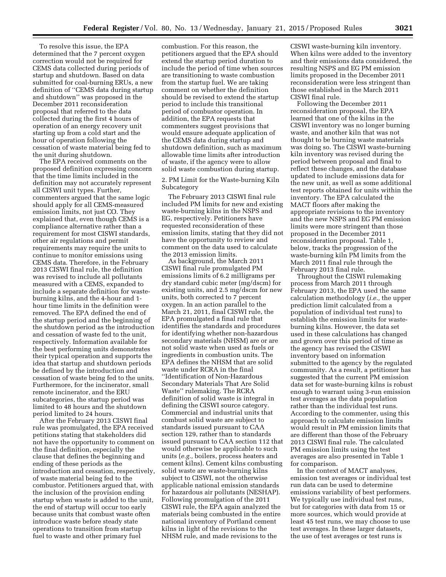To resolve this issue, the EPA determined that the 7 percent oxygen correction would not be required for CEMS data collected during periods of startup and shutdown. Based on data submitted for coal-burning ERUs, a new definition of ''CEMS data during startup and shutdown'' was proposed in the December 2011 reconsideration proposal that referred to the data collected during the first 4 hours of operation of an energy recovery unit starting up from a cold start and the hour of operation following the cessation of waste material being fed to the unit during shutdown.

The EPA received comments on the proposed definition expressing concern that the time limits included in the definition may not accurately represent all CISWI unit types. Further, commenters argued that the same logic should apply for all CEMS-measured emission limits, not just CO. They explained that, even though CEMS is a compliance alternative rather than a requirement for most CISWI standards, other air regulations and permit requirements may require the units to continue to monitor emissions using CEMS data. Therefore, in the February 2013 CISWI final rule, the definition was revised to include all pollutants measured with a CEMS, expanded to include a separate definition for wasteburning kilns, and the 4-hour and 1 hour time limits in the definition were removed. The EPA defined the end of the startup period and the beginning of the shutdown period as the introduction and cessation of waste fed to the unit, respectively. Information available for the best performing units demonstrates their typical operation and supports the idea that startup and shutdown periods be defined by the introduction and cessation of waste being fed to the units. Furthermore, for the incinerator, small remote incinerator, and the ERU subcategories, the startup period was limited to 48 hours and the shutdown period limited to 24 hours.

After the February 2013 CISWI final rule was promulgated, the EPA received petitions stating that stakeholders did not have the opportunity to comment on the final definition, especially the clause that defines the beginning and ending of these periods as the introduction and cessation, respectively, of waste material being fed to the combustor. Petitioners argued that, with the inclusion of the provision ending startup when waste is added to the unit, the end of startup will occur too early because units that combust waste often introduce waste before steady state operations to transition from startup fuel to waste and other primary fuel

combustion. For this reason, the petitioners argued that the EPA should extend the startup period duration to include the period of time when sources are transitioning to waste combustion from the startup fuel. We are taking comment on whether the definition should be revised to extend the startup period to include this transitional period of combustor operation. In addition, the EPA requests that commenters suggest provisions that would ensure adequate application of the CEMS data during startup and shutdown definition, such as maximum allowable time limits after introduction of waste, if the agency were to allow solid waste combustion during startup.

2. PM Limit for the Waste-burning Kiln Subcategory

The February 2013 CISWI final rule included PM limits for new and existing waste-burning kilns in the NSPS and EG, respectively. Petitioners have requested reconsideration of these emission limits, stating that they did not have the opportunity to review and comment on the data used to calculate the 2013 emission limits.

As background, the March 2011 CISWI final rule promulgated PM emissions limits of 6.2 milligrams per dry standard cubic meter (mg/dscm) for existing units, and 2.5 mg/dscm for new units, both corrected to 7 percent oxygen. In an action parallel to the March 21, 2011, final CISWI rule, the EPA promulgated a final rule that identifies the standards and procedures for identifying whether non-hazardous secondary materials (NHSM) are or are not solid waste when used as fuels or ingredients in combustion units. The EPA defines the NHSM that are solid waste under RCRA in the final ''Identification of Non-Hazardous Secondary Materials That Are Solid Waste'' rulemaking. The RCRA definition of solid waste is integral in defining the CISWI source category. Commercial and industrial units that combust solid waste are subject to standards issued pursuant to CAA section 129, rather than to standards issued pursuant to CAA section 112 that would otherwise be applicable to such units (*e.g.,* boilers, process heaters and cement kilns). Cement kilns combusting solid waste are waste-burning kilns subject to CISWI, not the otherwise applicable national emission standards for hazardous air pollutants (NESHAP). Following promulgation of the 2011 CISWI rule, the EPA again analyzed the materials being combusted in the entire national inventory of Portland cement kilns in light of the revisions to the NHSM rule, and made revisions to the

CISWI waste-burning kiln inventory. When kilns were added to the inventory and their emissions data considered, the resulting NSPS and EG PM emission limits proposed in the December 2011 reconsideration were less stringent than those established in the March 2011 CISWI final rule.

Following the December 2011 reconsideration proposal, the EPA learned that one of the kilns in the CISWI inventory was no longer burning waste, and another kiln that was not thought to be burning waste materials was doing so. The CISWI waste-burning kiln inventory was revised during the period between proposal and final to reflect these changes, and the database updated to include emissions data for the new unit, as well as some additional test reports obtained for units within the inventory. The EPA calculated the MACT floors after making the appropriate revisions to the inventory and the new NSPS and EG PM emission limits were more stringent than those proposed in the December 2011 reconsideration proposal. Table 1, below, tracks the progression of the waste-burning kiln PM limits from the March 2011 final rule through the February 2013 final rule.

Throughout the CISWI rulemaking process from March 2011 through February 2013, the EPA used the same calculation methodology (*i.e.,* the upper prediction limit calculated from a population of individual test runs) to establish the emission limits for wasteburning kilns. However, the data set used in these calculations has changed and grown over this period of time as the agency has revised the CISWI inventory based on information submitted to the agency by the regulated community. As a result, a petitioner has suggested that the current PM emission data set for waste-burning kilns is robust enough to warrant using 3-run emission test averages as the data population rather than the individual test runs. According to the commenter, using this approach to calculate emission limits would result in PM emission limits that are different than those of the February 2013 CISWI final rule. The calculated PM emission limits using the test averages are also presented in Table 1 for comparison.

In the context of MACT analyses, emission test averages or individual test run data can be used to determine emissions variability of best performers. We typically use individual test runs, but for categories with data from 15 or more sources, which would provide at least 45 test runs, we may choose to use test averages. In these larger datasets, the use of test averages or test runs is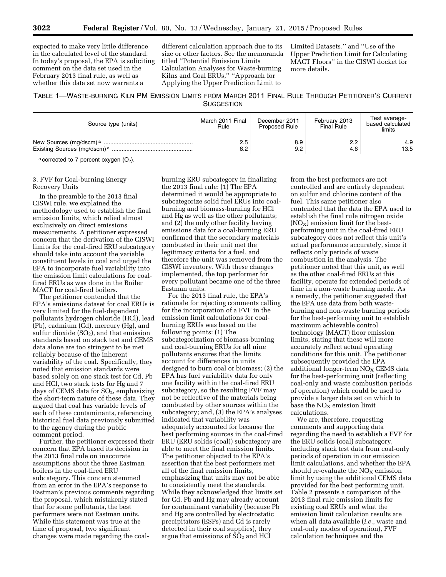expected to make very little difference in the calculated level of the standard. In today's proposal, the EPA is soliciting comment on the data set used in the February 2013 final rule, as well as whether this data set now warrants a

different calculation approach due to its size or other factors. See the memoranda titled ''Potential Emission Limits Calculation Analyses for Waste-burning Kilns and Coal ERUs,'' ''Approach for Applying the Upper Prediction Limit to

Limited Datasets,'' and ''Use of the Upper Prediction Limit for Calculating MACT Floors'' in the CISWI docket for more details.

# TABLE 1—WASTE-BURNING KILN PM EMISSION LIMITS FROM MARCH 2011 FINAL RULE THROUGH PETITIONER'S CURRENT **SUGGESTION**

| Source type (units)                                                           | March 2011 Final<br>Rule | December 2011<br><b>Proposed Rule</b> | February 2013<br><b>Final Rule</b> | Test average-<br>based calculated<br>limits |
|-------------------------------------------------------------------------------|--------------------------|---------------------------------------|------------------------------------|---------------------------------------------|
| New Sources (mg/dscm) <sup>a</sup><br>Existing Sources (mg/dscm) <sup>a</sup> | 2.5<br>6.2               | 8.9<br>9.2                            | 2.2<br>4.6                         | 4.9<br>13.5                                 |

 $a$  corrected to 7 percent oxygen  $(O_2)$ .

# 3. FVF for Coal-burning Energy Recovery Units

In the preamble to the 2013 final CISWI rule, we explained the methodology used to establish the final emission limits, which relied almost exclusively on direct emissions measurements. A petitioner expressed concern that the derivation of the CISWI limits for the coal-fired ERU subcategory should take into account the variable constituent levels in coal and urged the EPA to incorporate fuel variability into the emission limit calculations for coalfired ERUs as was done in the Boiler MACT for coal-fired boilers.

The petitioner contended that the EPA's emissions dataset for coal ERUs is very limited for the fuel-dependent pollutants hydrogen chloride (HCl), lead (Pb), cadmium (Cd), mercury (Hg), and sulfur dioxide  $(SO<sub>2</sub>)$ , and that emission standards based on stack test and CEMS data alone are too stringent to be met reliably because of the inherent variability of the coal. Specifically, they noted that emission standards were based solely on one stack test for Cd, Pb and HCl, two stack tests for Hg and 7 days of CEMS data for SO<sub>2</sub>, emphasizing the short-term nature of these data. They argued that coal has variable levels of each of these contaminants, referencing historical fuel data previously submitted to the agency during the public comment period.

Further, the petitioner expressed their concern that EPA based its decision in the 2013 final rule on inaccurate assumptions about the three Eastman boilers in the coal-fired ERU subcategory. This concern stemmed from an error in the EPA's response to Eastman's previous comments regarding the proposal, which mistakenly stated that for some pollutants, the best performers were not Eastman units. While this statement was true at the time of proposal, two significant changes were made regarding the coal-

burning ERU subcategory in finalizing the 2013 final rule: (1) The EPA determined it would be appropriate to subcategorize solid fuel ERUs into coalburning and biomass-burning for HCl and Hg as well as the other pollutants; and (2) the only other facility having emissions data for a coal-burning ERU confirmed that the secondary materials combusted in their unit met the legitimacy criteria for a fuel, and therefore the unit was removed from the CISWI inventory. With these changes implemented, the top performer for every pollutant became one of the three Eastman units.

For the 2013 final rule, the EPA's rationale for rejecting comments calling for the incorporation of a FVF in the emission limit calculations for coalburning ERUs was based on the following points: (1) The subcategorization of biomass-burning and coal-burning ERUs for all nine pollutants ensures that the limits account for differences in units designed to burn coal or biomass; (2) the EPA has fuel variability data for only one facility within the coal-fired ERU subcategory, so the resulting FVF may not be reflective of the materials being combusted by other sources within the subcategory; and, (3) the EPA's analyses indicated that variability was adequately accounted for because the best performing sources in the coal-fired ERU (ERU solids (coal)) subcategory are able to meet the final emission limits. The petitioner objected to the EPA's assertion that the best performers met all of the final emission limits, emphasizing that units may not be able to consistently meet the standards. While they acknowledged that limits set for Cd, Pb and Hg may already account for contaminant variability (because Pb and Hg are controlled by electrostatic precipitators (ESPs) and Cd is rarely detected in their coal supplies), they argue that emissions of  $SO<sub>2</sub>$  and HCl

from the best performers are not controlled and are entirely dependent on sulfur and chlorine content of the fuel. This same petitioner also contended that the data the EPA used to establish the final rule nitrogen oxide  $(NO_X)$  emission limit for the bestperforming unit in the coal-fired ERU subcategory does not reflect this unit's actual performance accurately, since it reflects only periods of waste combustion in the analysis. The petitioner noted that this unit, as well as the other coal-fired ERUs at this facility, operate for extended periods of time in a non-waste burning mode. As a remedy, the petitioner suggested that the EPA use data from both wasteburning and non-waste burning periods for the best-performing unit to establish maximum achievable control technology (MACT) floor emission limits, stating that these will more accurately reflect actual operating conditions for this unit. The petitioner subsequently provided the EPA additional longer-term  $NO<sub>X</sub>$  CEMS data for the best-performing unit (reflecting coal-only and waste combustion periods of operation) which could be used to provide a larger data set on which to base the  $NO<sub>x</sub>$  emission limit calculations.

We are, therefore, requesting comments and supporting data regarding the need to establish a FVF for the ERU solids (coal) subcategory, including stack test data from coal-only periods of operation in our emission limit calculations, and whether the EPA should re-evaluate the  $NO<sub>x</sub>$  emission limit by using the additional CEMS data provided for the best performing unit. Table 2 presents a comparison of the 2013 final rule emission limits for existing coal ERUs and what the emission limit calculation results are when all data available (*i.e.,* waste and coal-only modes of operation), FVF calculation techniques and the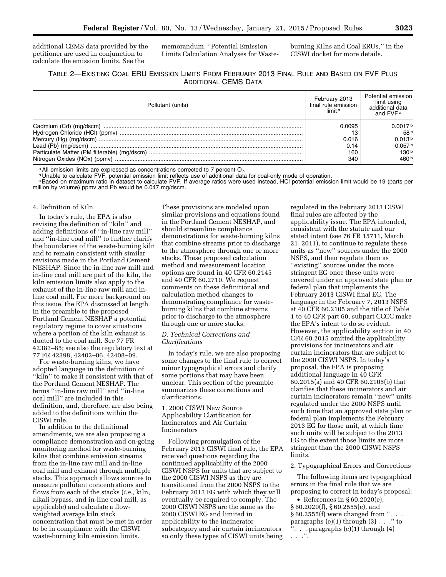additional CEMS data provided by the petitioner are used in conjunction to calculate the emission limits. See the

memorandum, ''Potential Emission Limits Calculation Analyses for Wasteburning Kilns and Coal ERUs,'' in the CISWI docket for more details.

| Pollutant (units)            | February 2013<br>final rule emission<br>limit <sup>a</sup> | Potential emission<br>limit using<br>additional data<br>and FVF <sub>a</sub> |
|------------------------------|------------------------------------------------------------|------------------------------------------------------------------------------|
| Cadmium (Cd) (mg/dscm)       | 0.0095                                                     | 0.0017b                                                                      |
|                              |                                                            | 58 <sup>c</sup>                                                              |
|                              | 0.016                                                      | 0.013b                                                                       |
|                              | 0.14                                                       | 0.057c                                                                       |
|                              | 160                                                        | 130 <sup>b</sup>                                                             |
| Nitrogen Oxides (NOx) (ppmv) | 340                                                        | 460 <sup>b</sup>                                                             |

a All emission limits are expressed as concentrations corrected to 7 percent O<sub>2</sub>.<br><sup>b</sup> Unable to calculate FVF, potential emission limit reflects use of additional data for coal-only mode of operation.

cBased on maximum ratio in dataset to calculate FVF. If average ratios were used instead, HCl potential emission limit would be 19 (parts per million by volume) ppmv and Pb would be 0.047 mg/dscm.

#### 4. Definition of Kiln

In today's rule, the EPA is also revising the definition of ''kiln'' and adding definitions of ''in-line raw mill'' and ''in-line coal mill'' to further clarify the boundaries of the waste-burning kiln and to remain consistent with similar revisions made in the Portland Cement NESHAP. Since the in-line raw mill and in-line coal mill are part of the kiln, the kiln emission limits also apply to the exhaust of the in-line raw mill and inline coal mill. For more background on this issue, the EPA discussed at length in the preamble to the proposed Portland Cement NESHAP a potential regulatory regime to cover situations where a portion of the kiln exhaust is ducted to the coal mill. See 77 FR 42383–85; see also the regulatory text at 77 FR 42398, 42402–06, 42408–09.

For waste-burning kilns, we have adopted language in the definition of "kiln" to make it consistent with that of the Portland Cement NESHAP. The terms ''in-line raw mill'' and ''in-line coal mill'' are included in this definition, and, therefore, are also being added to the definitions within the CISWI rule.

In addition to the definitional amendments, we are also proposing a compliance demonstration and on-going monitoring method for waste-burning kilns that combine emission streams from the in-line raw mill and in-line coal mill and exhaust through multiple stacks. This approach allows sources to measure pollutant concentrations and flows from each of the stacks (*i.e.,* kiln, alkali bypass, and in-line coal mill, as applicable) and calculate a flowweighted average kiln stack concentration that must be met in order to be in compliance with the CISWI waste-burning kiln emission limits.

These provisions are modeled upon similar provisions and equations found in the Portland Cement NESHAP, and should streamline compliance demonstrations for waste-burning kilns that combine streams prior to discharge to the atmosphere through one or more stacks. These proposed calculation method and measurement location options are found in 40 CFR 60.2145 and 40 CFR 60.2710. We request comments on these definitional and calculation method changes to demonstrating compliance for wasteburning kilns that combine streams prior to discharge to the atmosphere through one or more stacks.

# *D. Technical Corrections and Clarifications*

In today's rule, we are also proposing some changes to the final rule to correct minor typographical errors and clarify some portions that may have been unclear. This section of the preamble summarizes these corrections and clarifications.

# 1. 2000 CISWI New Source Applicability Clarification for Incinerators and Air Curtain Incinerators

Following promulgation of the February 2013 CISWI final rule, the EPA received questions regarding the continued applicability of the 2000 CISWI NSPS for units that are subject to the 2000 CISWI NSPS as they are transitioned from the 2000 NSPS to the February 2013 EG with which they will eventually be required to comply. The 2000 CISWI NSPS are the same as the 2000 CISWI EG and limited in applicability to the incinerator subcategory and air curtain incinerators so only these types of CISWI units being

regulated in the February 2013 CISWI final rules are affected by the applicability issue. The EPA intended, consistent with the statute and our stated intent (see 76 FR 15711, March 21, 2011), to continue to regulate these units as ''new'' sources under the 2000 NSPS, and then regulate them as ''existing'' sources under the more stringent EG once these units were covered under an approved state plan or federal plan that implements the February 2013 CISWI final EG. The language in the February 7, 2013 NSPS at 40 CFR 60.2105 and the title of Table 1 to 40 CFR part 60, subpart CCCC make the EPA's intent to do so evident. However, the applicability section in 40 CFR 60.2015 omitted the applicability provisions for incinerators and air curtain incinerators that are subject to the 2000 CISWI NSPS. In today's proposal, the EPA is proposing additional language in 40 CFR 60.2015(a) and 40 CFR 60.2105(b) that clarifies that these incinerators and air curtain incinerators remain ''new'' units regulated under the 2000 NSPS until such time that an approved state plan or federal plan implements the February 2013 EG for those unit, at which time such units will be subject to the 2013 EG to the extent those limits are more stringent than the 2000 CISWI NSPS limits.

# 2. Typographical Errors and Corrections

The following items are typographical errors in the final rule that we are proposing to correct in today's proposal:

• References in § 60.2020(e), § 60.2020(f), § 60.2555(e), and  $§ 60.2555(f)$  were changed from "... paragraphs (e)(1) through (3) . . .'' to ''. . . paragraphs (e)(1) through (4) . . .''.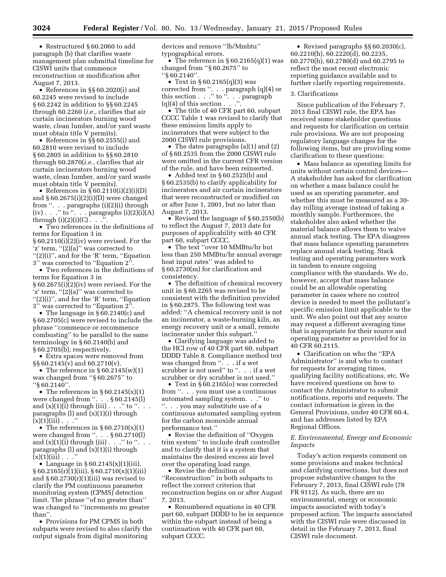• Restructured § 60.2060 to add paragraph (b) that clarifies waste management plan submittal timeline for CISWI units that commence reconstruction or modification after August 7, 2013.

• References in §§ 60.2020(i) and 60.2245 were revised to include § 60.2242 in addition to §§ 60.2245 through 60.2260 (*i.e.,* clarifies that air curtain incinerators burning wood waste, clean lumber, and/or yard waste must obtain title V permits).

• References in §§ 60.2555(i) and 60.2810 were revised to include § 60.2805 in addition to §§ 60.2810 through 60.2870(*i.e.,* clarifies that air curtain incinerators burning wood waste, clean lumber, and/or yard waste must obtain title V permits).

• References in  $\overline{\S}$  60.2110(i)(2)(i)(D) and  $§ 60.2675(i)(2)(i)(D)$  were changed from ''. . . paragraphs (i)(2)(i) through  $(iv) . . . ''$  to  $\cdot \cdot . . .$  paragraphs  $(i)(2)(i)(A)$ through (i)(2)(i)(C)  $\cdot \cdot \cdot$ .

• Two references in the definitions of terms for Equation 3 in § 60.2110(i)(2)(iv) were revised. For the 'z' term, ''(2)(a)'' was corrected to ''(2)(i)'', and for the 'R' term, ''Equation 3'' was corrected to ''Equation 2''.

• Two references in the definitions of terms for Equation 3 in § 60.2675(i)(2)(iv) were revised. For the 'z' term, ''(2)(a)'' was corrected to ''(2)(i)'', and for the 'R' term, ''Equation 3'' was corrected to ''Equation 2''.

• The language in §60.2140(c) and § 60.2705(c) were revised to include the phrase ''commence or recommence combusting'' to be parallel to the same terminology in § 60.2140(b) and § 60.2705(b), respectively.

• Extra spaces were removed from §§ 60.2145(v) and 60.2710(v).

• The reference in  $\S 60.2145(w)(1)$ was changed from ''§ 60.2675'' to ''§ 60.2140''.

• The references in  $\S 60.2145(x)(1)$ were changed from ''. . . § 60.2145(l) and  $(x)(1)(i)$  through  $(iii)$ . . ." to ". . paragraphs  $(l)$  and  $(x)(1)(i)$  through  $(x)(1)(iii)$ . . ."

• The references in  $\S 60.2710(x)(1)$ were changed from ''. . . § 60.2710(l) and  $(x)(1)(i)$  through  $(iii)$ . . . " to ". . . paragraphs  $(l)$  and  $(x)(1)(i)$  through  $(x)(1)(iii)$ . . .

• Language in  $\S 60.2145(x)(1)(iii)$ ,  $\S 60.2165(r)(1)(iii)$ ,  $\S 60.2710(x)(1)(iii)$ and  $\S 60.2730(r)(1)(iii)$  was revised to clarify the PM continuous parameter monitoring system (CPMS) detection limit. The phrase ''of no greater than'' was changed to ''increments no greater than''.

• Provisions for PM CPMS in both subparts were revised to also clarify the output signals from digital monitoring

devices and remove ''lb/Mmbtu'' typographical errors.

• The reference in  $\S 60.2165(q)(1)$  was changed from ''§ 60.2675'' to ''§ 60.2140''.

• Text in § 60.2165(q)(3) was corrected from ''. . . paragraph (q)(4) or this section . . .'' to ''. . . paragraph  $(q)(4)$  of this section  $\ldots$  ...

• The title of 40 CFR part 60, subpart CCCC Table 1 was revised to clarify that these emission limits apply to incinerators that were subject to the 2000 CISWI rule provisions.

• The dates paragraphs (a)(1) and (2) of § 60.2535 from the 2000 CISWI rule were omitted in the current CFR version of the rule, and have been reinserted.

• Added text in § 60.2525(b) and § 60.2535(b) to clarify applicability for incinerators and air curtain incinerators that were reconstructed or modified on or after June 1, 2001, but no later than August 7, 2013.

• Revised the language of § 60.2550(b) to reflect the August 7, 2013 date for purposes of applicability with 40 CFR part 60, subpart CCCC.

• The text ''over 10 MMBtu/hr but less than 250 MMBtu/hr annual average heat input rates'' was added to § 60.2730(m) for clarification and consistency.

• The definition of chemical recovery unit in § 60.2265 was revised to be consistent with the definition provided in § 60.2875. The following text was added: ''A chemical recovery unit is not an incinerator, a waste-burning kiln, an energy recovery unit or a small, remote incinerator under this subpart.''

• Clarifying language was added to the HCl row of 40 CFR part 60, subpart DDDD Table 8. Compliance method text was changed from ''. . . if a wet scrubber is not used" to ". . . if a wet scrubber or dry scrubber is not used.''

• Text in § 60.2165(o) was corrected from ''. . . you must use a continuous automated sampling system. . .'' to ''. . . you may substitute use of a continuous automated sampling system for the carbon monoxide annual performance test.''

• Revise the definition of "Oxygen" trim system'' to include draft controller and to clarify that it is a system that maintains the desired excess air level over the operating load range.

• Revise the definition of ''Reconstruction'' in both subparts to reflect the correct criterion that reconstruction begins on or after August 7, 2013.

• Renumbered equations in 40 CFR part 60, subpart DDDD to be in sequence within the subpart instead of being a continuation with 40 CFR part 60, subpart CCCC.

• Revised paragraphs §§ 60.2030(c), 60.2210(h), 60.2220(d), 60.2235, 60.2770(h), 60.2780(d) and 60.2795 to reflect the most recent electronic reporting guidance available and to further clarify reporting requirements.

#### 3. Clarifications

Since publication of the February 7, 2013 final CISWI rule, the EPA has received some stakeholder questions and requests for clarification on certain rule provisions. We are not proposing regulatory language changes for the following items, but are providing some clarification to these questions:

• Mass balance as operating limits for units without certain control devices— A stakeholder has asked for clarification on whether a mass balance could be used as an operating parameter, and whether this must be measured as a 30 day rolling average instead of taking a monthly sample. Furthermore, the stakeholder also asked whether the material balance allows them to waive annual stack testing. The EPA disagrees that mass balance operating parameters replace annual stack testing. Stack testing and operating parameters work in tandem to ensure ongoing compliance with the standards. We do, however, accept that mass balance could be an allowable operating parameter in cases where no control device is needed to meet the pollutant's specific emission limit applicable to the unit. We also point out that any source may request a different averaging time that is appropriate for their source and operating parameter as provided for in 40 CFR 60.2115.

• Clarification on who the ''EPA Administrator'' is and who to contact for requests for averaging times, qualifying facility notifications, etc. We have received questions on how to contact the Administrator to submit notifications, reports and requests. The contact information is given in the General Provisions, under 40 CFR 60.4, and has addresses listed by EPA Regional Offices.

# *E. Environmental, Energy and Economic Impacts*

Today's action requests comment on some provisions and makes technical and clarifying corrections, but does not propose substantive changes to the February 7, 2013, final CISWI rule (78 FR 9112). As such, there are no environmental, energy or economic impacts associated with today's proposed action. The impacts associated with the CISWI rule were discussed in detail in the February 7, 2013, final CISWI rule document.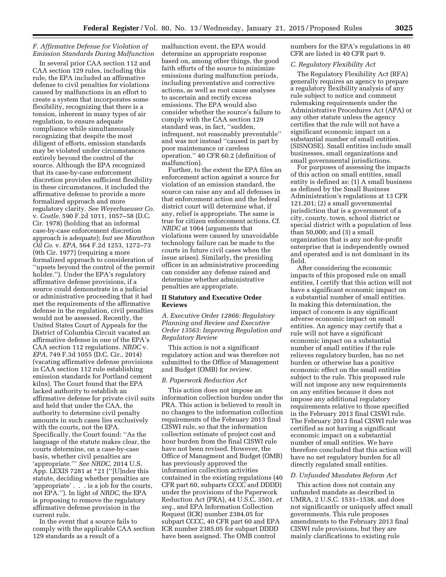# *F. Affirmative Defense for Violation of Emission Standards During Malfunction*

In several prior CAA section 112 and CAA section 129 rules, including this rule, the EPA included an affirmative defense to civil penalties for violations caused by malfunctions in an effort to create a system that incorporates some flexibility, recognizing that there is a tension, inherent in many types of air regulation, to ensure adequate compliance while simultaneously recognizing that despite the most diligent of efforts, emission standards may be violated under circumstances entirely beyond the control of the source. Although the EPA recognized that its case-by-case enforcement discretion provides sufficient flexibility in these circumstances, it included the affirmative defense to provide a more formalized approach and more regulatory clarity. *See Weyerhaeuser Co.*  v. *Costle,* 590 F.2d 1011, 1057–58 (D.C. Cir. 1978) (holding that an informal case-by-case enforcement discretion approach is adequate); *but see Marathon Oil Co.* v. *EPA,* 564 F.2d 1253, 1272–73 (9th Cir. 1977) (requiring a more formalized approach to consideration of ''upsets beyond the control of the permit holder.''). Under the EPA's regulatory affirmative defense provisions, if a source could demonstrate in a judicial or administrative proceeding that it had met the requirements of the affirmative defense in the regulation, civil penalties would not be assessed. Recently, the United States Court of Appeals for the District of Columbia Circuit vacated an affirmative defense in one of the EPA's CAA section 112 regulations. *NRDC* v. *EPA,* 749 F.3d 1055 (D.C. Cir., 2014) (vacating affirmative defense provisions in CAA section 112 rule establishing emission standards for Portland cement kilns). The Court found that the EPA lacked authority to establish an affirmative defense for private civil suits and held that under the CAA, the authority to determine civil penalty amounts in such cases lies exclusively with the courts, not the EPA. Specifically, the Court found: ''As the language of the statute makes clear, the courts determine, on a case-by-case basis, whether civil penalties are 'appropriate.''' *See NRDC,* 2014 U.S. App. LEXIS 7281 at \*21 (''[U]nder this statute, deciding whether penalties are 'appropriate' . . . is a job for the courts, not EPA.''). In light of *NRDC,* the EPA is proposing to remove the regulatory affirmative defense provision in the current rule.

In the event that a source fails to comply with the applicable CAA section 129 standards as a result of a

malfunction event, the EPA would determine an appropriate response based on, among other things, the good faith efforts of the source to minimize emissions during malfunction periods, including preventative and corrective actions, as well as root cause analyses to ascertain and rectify excess emissions. The EPA would also consider whether the source's failure to comply with the CAA section 129 standard was, in fact, ''sudden, infrequent, not reasonably preventable'' and was not instead ''caused in part by poor maintenance or careless operation.'' 40 CFR 60.2 (definition of malfunction).

Further, to the extent the EPA files an enforcement action against a source for violation of an emission standard, the source can raise any and all defenses in that enforcement action and the federal district court will determine what, if any, relief is appropriate. The same is true for citizen enforcement actions. Cf. *NRDC* at 1064 (arguments that violations were caused by unavoidable technology failure can be made to the courts in future civil cases when the issue arises). Similarly, the presiding officer in an administrative proceeding can consider any defense raised and determine whether administrative penalties are appropriate.

# **II Statutory and Executive Order Reviews**

*A. Executive Order 12866: Regulatory Planning and Review and Executive Order 13563: Improving Regulation and Regulatory Review* 

This action is not a significant regulatory action and was therefore not submitted to the Office of Management and Budget (OMB) for review.

# *B. Paperwork Reduction Act*

This action does not impose an information collection burden under the PRA. This action is believed to result in no changes to the information collection requirements of the February 2013 final CISWI rule, so that the information collection estimate of project cost and hour burden from the final CISWI rule have not been revised. However, the Office of Managment and Budget (OMB) has previously approved the information collection activities contained in the existing regulations (40 CFR part 60, subparts CCCC and DDDD) under the provisions of the Paperwork Reduction Act (PRA), 44 U.S.C. 3501, *et seq.,* and EPA Information Collection Request (ICR) number 2384.05 for subpart CCCC, 40 CFR part 60 and EPA ICR number 2385.05 for subpart DDDD have been assigned. The OMB control

numbers for the EPA's regulations in 40 CFR are listed in 40 CFR part 9.

#### *C. Regulatory Flexibility Act*

The Regulatory Flexibility Act (RFA) generally requires an agency to prepare a regulatory flexibility analysis of any rule subject to notice and comment rulemaking requirements under the Administrative Procedures Act (APA) or any other statute unless the agency certifies that the rule will not have a significant economic impact on a substantial number of small entities. (SISNOSE). Small entities include small businesses, small organizations and small governmental jurisdictions.

For purposes of assessing the impacts of this action on small entities, small entity is defined as: (1) A small business as defined by the Small Business Administration's regulations at 13 CFR 121.201; (2) a small governmental jurisdiction that is a government of a city, county, town, school district or special district with a population of less than 50,000; and (3) a small organization that is any not-for-profit enterprise that is independently owned and operated and is not dominant in its field.

After considering the economic impacts of this proposed rule on small entities, I certify that this action will not have a significant economic impact on a substantial number of small entities. In making this determination, the impact of concern is any significant adverse economic impact on small entities. An agency may certify that a rule will not have a significant economic impact on a substantial number of small entities if the rule relieves regulatory burden, has no net burden or otherwise has a positive economic effect on the small entities subject to the rule. This proposed rule will not impose any new requirements on any entities because it does not impose any additional regulatory requirements relative to those specified in the February 2013 final CISWI rule. The February 2013 final CISWI rule was certified as not having a significant economic impact on a substantial number of small entities. We have therefore concluded that this action will have no net regulatory burden for all directly regulated small entities.

#### *D. Unfunded Mandates Reform Act*

This action does not contain any unfunded mandate as described in UMRA, 2 U.S.C. 1531–1538, and does not significantly or uniquely affect small governments. This rule proposes amendments to the February 2013 final CISWI rule provisions, but they are mainly clarifications to existing rule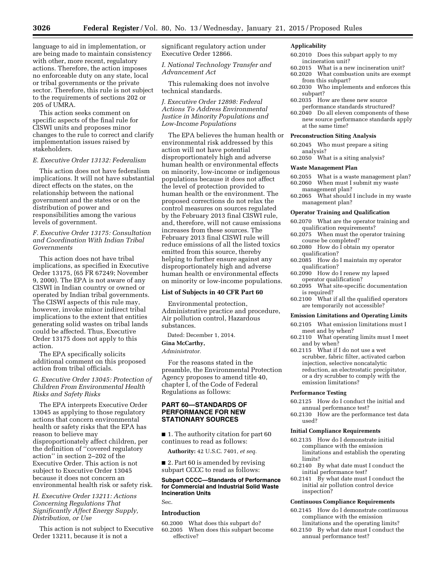language to aid in implementation, or are being made to maintain consistency with other, more recent, regulatory actions. Therefore, the action imposes no enforceable duty on any state, local or tribal governments or the private sector. Therefore, this rule is not subject to the requirements of sections 202 or 205 of UMRA.

This action seeks comment on specific aspects of the final rule for CISWI units and proposes minor changes to the rule to correct and clarify implementation issues raised by stakeholders.

# *E. Executive Order 13132: Federalism*

This action does not have federalism implications. It will not have substantial direct effects on the states, on the relationship between the national government and the states or on the distribution of power and responsibilities among the various levels of government.

# *F. Executive Order 13175: Consultation and Coordination With Indian Tribal Governments*

This action does not have tribal implications, as specified in Executive Order 13175, (65 FR 67249; November 9, 2000). The EPA is not aware of any CISWI in Indian country or owned or operated by Indian tribal governments. The CISWI aspects of this rule may, however, invoke minor indirect tribal implications to the extent that entities generating solid wastes on tribal lands could be affected. Thus, Executive Order 13175 does not apply to this action.

The EPA specifically solicits additional comment on this proposed action from tribal officials.

# *G. Executive Order 13045: Protection of Children From Environmental Health Risks and Safety Risks*

The EPA interprets Executive Order 13045 as applying to those regulatory actions that concern environmental health or safety risks that the EPA has reason to believe may disproportionately affect children, per the definition of ''covered regulatory action'' in section 2–202 of the Executive Order. This action is not subject to Executive Order 13045 because it does not concern an environmental health risk or safety risk.

# *H. Executive Order 13211: Actions Concerning Regulations That Significantly Affect Energy Supply, Distribution, or Use*

This action is not subject to Executive Order 13211, because it is not a

significant regulatory action under Executive Order 12866.

*I. National Technology Transfer and Advancement Act* 

This rulemaking does not involve technical standards.

*J. Executive Order 12898: Federal Actions To Address Environmental Justice in Minority Populations and Low-Income Populations* 

The EPA believes the human health or environmental risk addressed by this action will not have potential disproportionately high and adverse human health or environmental effects on minority, low-income or indigenous populations because it does not affect the level of protection provided to human health or the environment. The proposed corrections do not relax the control measures on sources regulated by the February 2013 final CISWI rule, and, therefore, will not cause emissions increases from these sources. The February 2013 final CISWI rule will reduce emissions of all the listed toxics emitted from this source, thereby helping to further ensure against any disproportionately high and adverse human health or environmental effects on minority or low-income populations.

# **List of Subjects in 40 CFR Part 60**

Environmental protection, Administrative practice and procedure, Air pollution control, Hazardous substances.

Dated: December 1, 2014.

#### **Gina McCarthy,**

*Administrator.* 

For the reasons stated in the preamble, the Environmental Protection Agency proposes to amend title 40, chapter I, of the Code of Federal Regulations as follows:

# **PART 60—STANDARDS OF PERFORMANCE FOR NEW STATIONARY SOURCES**

■ 1. The authority citation for part 60 continues to read as follows:

**Authority:** 42 U.S.C. 7401, *et seq.* 

■ 2. Part 60 is amended by revising subpart CCCC to read as follows:

#### **Subpart CCCC—Standards of Performance for Commercial and Industrial Solid Waste Incineration Units**  Sec.

# **Introduction**

60.2000 What does this subpart do? 60.2005 When does this subpart become effective?

# **Applicability**

- 60.2010 Does this subpart apply to my incineration unit?
- 60.2015 What is a new incineration unit? 60.2020 What combustion units are exempt from this subpart?
- 60.2030 Who implements and enforces this subpart?
- 60.2035 How are these new source performance standards structured?

60.2040 Do all eleven components of these new source performance standards apply at the same time?

# **Preconstruction Siting Analysis**

- 60.2045 Who must prepare a siting analysis?
- 60.2050 What is a siting analysis?

#### **Waste Management Plan**

- 60.2055 What is a waste management plan? 60.2060 When must I submit my waste
- management plan? 60.2065 What should I include in my waste management plan?

#### **Operator Training and Qualification**

- 60.2070 What are the operator training and qualification requirements?
- 60.2075 When must the operator training course be completed?
- 60.2080 How do I obtain my operator qualification?
- 60.2085 How do I maintain my operator qualification?
- 60.2090 How do I renew my lapsed operator qualification?
- 60.2095 What site-specific documentation is required?
- 60.2100 What if all the qualified operators are temporarily not accessible?

#### **Emission Limitations and Operating Limits**

- 60.2105 What emission limitations must I meet and by when?
- 60.2110 What operating limits must I meet and by when?
- 60.2115 What if I do not use a wet scrubber, fabric filter, activated carbon injection, selective noncatalytic reduction, an electrostatic precipitator, or a dry scrubber to comply with the emission limitations?

# **Performance Testing**

- 60.2125 How do I conduct the initial and annual performance test?
- 60.2130 How are the performance test data used?

#### **Initial Compliance Requirements**

- 60.2135 How do I demonstrate initial compliance with the emission limitations and establish the operating limits?
- 60.2140 By what date must I conduct the initial performance test?
- 60.2141 By what date must I conduct the initial air pollution control device inspection?

#### **Continuous Compliance Requirements**

- 60.2145 How do I demonstrate continuous compliance with the emission limitations and the operating limits?
- 60.2150 By what date must I conduct the annual performance test?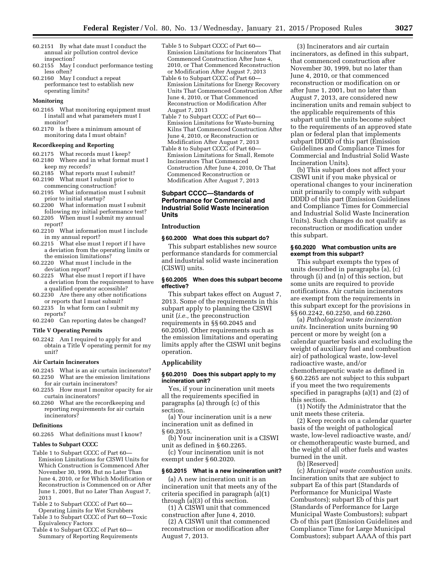- 60.2151 By what date must I conduct the annual air pollution control device inspection?
- 60.2155 May I conduct performance testing less often?
- 60.2160 May I conduct a repeat performance test to establish new operating limits?

## **Monitoring**

- 60.2165 What monitoring equipment must I install and what parameters must I monitor?
- 60.2170 Is there a minimum amount of monitoring data I must obtain?

#### **Recordkeeping and Reporting**

- 60.2175 What records must I keep? 60.2180 Where and in what format must I
- keep my records?
- 60.2185 What reports must I submit? 60.2190 What must I submit prior to commencing construction?
- 60.2195 What information must I submit prior to initial startup?
- 60.2200 What information must I submit following my initial performance test?
- 60.2205 When must I submit my annual report?
- 60.2210 What information must I include in my annual report?
- 60.2215 What else must I report if I have a deviation from the operating limits or the emission limitations?
- 60.2220 What must I include in the deviation report?
- 60.2225 What else must I report if I have a deviation from the requirement to have a qualified operator accessible?
- 60.2230 Are there any other notifications or reports that I must submit?
- 60.2235 In what form can I submit my reports?
- 60.2240 Can reporting dates be changed?

# **Title V Operating Permits**

60.2242 Am I required to apply for and obtain a Title V operating permit for my unit?

#### **Air Curtain Incinerators**

- 60.2245 What is an air curtain incinerator? 60.2250 What are the emission limitations
- for air curtain incinerators? 60.2255 How must I monitor opacity for air curtain incinerators?
- 60.2260 What are the recordkeeping and reporting requirements for air curtain incinerators?

#### **Definitions**

60.2265 What definitions must I know?

#### **Tables to Subpart CCCC**

- Table 1 to Subpart CCCC of Part 60— Emission Limitations for CISWI Units for Which Construction is Commenced After November 30, 1999, But no Later Than June 4, 2010, or for Which Modification or Reconstruction is Commenced on or After June 1, 2001, But no Later Than August 7, 2013
- Table 2 to Subpart CCCC of Part 60— Operating Limits for Wet Scrubbers
- Table 3 to Subpart CCCC of Part 60—Toxic Equivalency Factors
- Table 4 to Subpart CCCC of Part 60— Summary of Reporting Requirements
- Table 5 to Subpart CCCC of Part 60— Emission Limitations for Incinerators That Commenced Construction After June 4, 2010, or That Commenced Reconstruction or Modification After August 7, 2013
- Table 6 to Subpart CCCC of Part 60— Emission Limitations for Energy Recovery Units That Commenced Construction After June 4, 2010, or That Commenced Reconstruction or Modification After August 7, 2013
- Table 7 to Subpart CCCC of Part 60— Emission Limitations for Waste-burning Kilns That Commenced Construction After June 4, 2010, or Reconstruction or Modification After August 7, 2013
- Table 8 to Subpart CCCC of Part 60— Emission Limitations for Small, Remote Incinerators That Commenced Construction After June 4, 2010, Or That Commenced Reconstruction or Modification After August 7, 2013

# **Subpart CCCC—Standards of Performance for Commercial and Industrial Solid Waste Incineration Units**

#### **Introduction**

#### **§ 60.2000 What does this subpart do?**

This subpart establishes new source performance standards for commercial and industrial solid waste incineration (CISWI) units.

## **§ 60.2005 When does this subpart become effective?**

This subpart takes effect on August 7, 2013. Some of the requirements in this subpart apply to planning the CISWI unit (*i.e.,* the preconstruction requirements in §§ 60.2045 and 60.2050). Other requirements such as the emission limitations and operating limits apply after the CISWI unit begins operation.

#### **Applicability**

#### **§ 60.2010 Does this subpart apply to my incineration unit?**

Yes, if your incineration unit meets all the requirements specified in paragraphs (a) through (c) of this section.

(a) Your incineration unit is a new incineration unit as defined in § 60.2015.

(b) Your incineration unit is a CISWI unit as defined in § 60.2265.

(c) Your incineration unit is not exempt under § 60.2020.

#### **§ 60.2015 What is a new incineration unit?**

(a) A new incineration unit is an incineration unit that meets any of the criteria specified in paragraph (a)(1) through (a)(3) of this section.

(1) A CISWI unit that commenced construction after June 4, 2010.

(2) A CISWI unit that commenced reconstruction or modification after August 7, 2013.

(3) Incinerators and air curtain incinerators, as defined in this subpart, that commenced construction after November 30, 1999, but no later than June 4, 2010, or that commenced reconstruction or modification on or after June 1, 2001, but no later than August 7, 2013, are considered new incineration units and remain subject to the applicable requirements of this subpart until the units become subject to the requirements of an approved state plan or federal plan that implements subpart DDDD of this part (Emission Guidelines and Compliance Times for Commercial and Industrial Solid Waste Incineration Units).

(b) This subpart does not affect your CISWI unit if you make physical or operational changes to your incineration unit primarily to comply with subpart DDDD of this part (Emission Guidelines and Compliance Times for Commercial and Industrial Solid Waste Incineration Units). Such changes do not qualify as reconstruction or modification under this subpart.

# **§ 60.2020 What combustion units are exempt from this subpart?**

This subpart exempts the types of units described in paragraphs (a), (c) through (i) and (n) of this section, but some units are required to provide notifications. Air curtain incinerators are exempt from the requirements in this subpart except for the provisions in §§ 60.2242, 60.2250, and 60.2260.

(a) *Pathological waste incineration units.* Incineration units burning 90 percent or more by weight (on a calendar quarter basis and excluding the weight of auxiliary fuel and combustion air) of pathological waste, low-level radioactive waste, and/or chemotherapeutic waste as defined in § 60.2265 are not subject to this subpart if you meet the two requirements specified in paragraphs (a)(1) and (2) of this section.

(1) Notify the Administrator that the unit meets these criteria.

(2) Keep records on a calendar quarter basis of the weight of pathological waste, low-level radioactive waste, and/ or chemotherapeutic waste burned, and the weight of all other fuels and wastes burned in the unit.

(b) [Reserved]

(c) *Municipal waste combustion units.*  Incineration units that are subject to subpart Ea of this part (Standards of Performance for Municipal Waste Combustors); subpart Eb of this part (Standards of Performance for Large Municipal Waste Combustors); subpart Cb of this part (Emission Guidelines and Compliance Time for Large Municipal Combustors); subpart AAAA of this part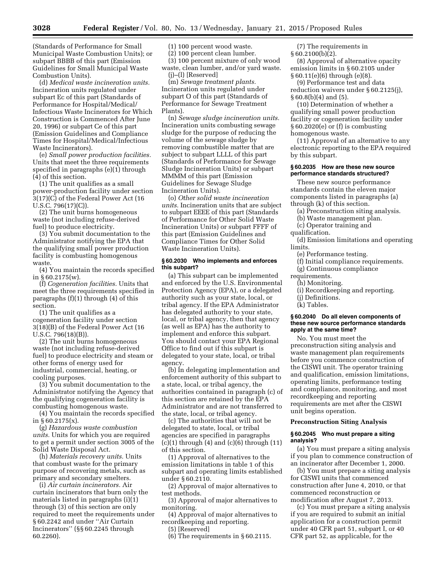(Standards of Performance for Small Municipal Waste Combustion Units); or subpart BBBB of this part (Emission Guidelines for Small Municipal Waste Combustion Units).

(d) *Medical waste incineration units.*  Incineration units regulated under subpart Ec of this part (Standards of Performance for Hospital/Medical/ Infectious Waste Incinerators for Which Construction is Commenced After June 20, 1996) or subpart Ce of this part (Emission Guidelines and Compliance Times for Hospital/Medical/Infectious Waste Incinerators).

(e) *Small power production facilities.*  Units that meet the three requirements specified in paragraphs (e)(1) through (4) of this section.

(1) The unit qualifies as a small power-production facility under section 3(17)(C) of the Federal Power Act (16 U.S.C. 796(17)(C)).

(2) The unit burns homogeneous waste (not including refuse-derived fuel) to produce electricity.

(3) You submit documentation to the Administrator notifying the EPA that the qualifying small power production facility is combusting homogenous waste.

(4) You maintain the records specified in § 60.2175(w).

(f) *Cogeneration facilities.* Units that meet the three requirements specified in paragraphs (f)(1) through (4) of this section.

(1) The unit qualifies as a cogeneration facility under section 3(18)(B) of the Federal Power Act (16 U.S.C. 796(18)(B)).

(2) The unit burns homogeneous waste (not including refuse-derived fuel) to produce electricity and steam or other forms of energy used for industrial, commercial, heating, or cooling purposes.

(3) You submit documentation to the Administrator notifying the Agency that the qualifying cogeneration facility is combusting homogenous waste.

(4) You maintain the records specified in § 60.2175(x).

(g) *Hazardous waste combustion units.* Units for which you are required to get a permit under section 3005 of the Solid Waste Disposal Act.

(h) *Materials recovery units.* Units that combust waste for the primary purpose of recovering metals, such as primary and secondary smelters.

(i) *Air curtain incinerators.* Air curtain incinerators that burn only the materials listed in paragraphs (i)(1) through (3) of this section are only required to meet the requirements under § 60.2242 and under ''Air Curtain Incinerators'' (§§ 60.2245 through 60.2260).

(1) 100 percent wood waste.

(2) 100 percent clean lumber.

(3) 100 percent mixture of only wood waste, clean lumber, and/or yard waste. (j)–(l) [Reserved]

(m) *Sewage treatment plants.*  Incineration units regulated under subpart O of this part (Standards of Performance for Sewage Treatment Plants).

(n) *Sewage sludge incineration units.*  Incineration units combusting sewage sludge for the purpose of reducing the volume of the sewage sludge by removing combustible matter that are subject to subpart LLLL of this part (Standards of Performance for Sewage Sludge Incineration Units) or subpart MMMM of this part (Emission Guidelines for Sewage Sludge Incineration Units).

(o) *Other solid waste incineration units.* Incineration units that are subject to subpart EEEE of this part (Standards of Performance for Other Solid Waste Incineration Units) or subpart FFFF of this part (Emission Guidelines and Compliance Times for Other Solid Waste Incineration Units).

# **§ 60.2030 Who implements and enforces this subpart?**

(a) This subpart can be implemented and enforced by the U.S. Environmental Protection Agency (EPA), or a delegated authority such as your state, local, or tribal agency. If the EPA Administrator has delegated authority to your state, local, or tribal agency, then that agency (as well as EPA) has the authority to implement and enforce this subpart. You should contact your EPA Regional Office to find out if this subpart is delegated to your state, local, or tribal agency.

(b) In delegating implementation and enforcement authority of this subpart to a state, local, or tribal agency, the authorities contained in paragraph (c) of this section are retained by the EPA Administrator and are not transferred to the state, local, or tribal agency.

(c) The authorities that will not be delegated to state, local, or tribal agencies are specified in paragraphs  $(c)(1)$  through  $(4)$  and  $(c)(6)$  through  $(11)$ of this section.

(1) Approval of alternatives to the emission limitations in table 1 of this subpart and operating limits established under § 60.2110.

(2) Approval of major alternatives to test methods.

(3) Approval of major alternatives to monitoring.

(4) Approval of major alternatives to recordkeeping and reporting.

(5) [Reserved]

(6) The requirements in § 60.2115.

(7) The requirements in  $§ 60.2100(b)(2).$ 

(8) Approval of alternative opacity emission limits in § 60.2105 under § 60.11(e)(6) through (e)(8).

(9) Performance test and data reduction waivers under § 60.2125(j),  $\S 60.8(b)(4)$  and  $(5)$ .

(10) Determination of whether a qualifying small power production facility or cogeneration facility under § 60.2020(e) or (f) is combusting homogenous waste.

(11) Approval of an alternative to any electronic reporting to the EPA required by this subpart.

# **§ 60.2035 How are these new source performance standards structured?**

These new source performance standards contain the eleven major components listed in paragraphs (a) through (k) of this section.

(a) Preconstruction siting analysis.

- (b) Waste management plan.
- (c) Operator training and

qualification.

(d) Emission limitations and operating limits.

(e) Performance testing.

(f) Initial compliance requirements.

(g) Continuous compliance

- requirements. (h) Monitoring.
	-
	- (i) Recordkeeping and reporting.
	- (j) Definitions.
	- (k) Tables.

# **§ 60.2040 Do all eleven components of these new source performance standards apply at the same time?**

No. You must meet the preconstruction siting analysis and waste management plan requirements before you commence construction of the CISWI unit. The operator training and qualification, emission limitations, operating limits, performance testing and compliance, monitoring, and most recordkeeping and reporting requirements are met after the CISWI unit begins operation.

# **Preconstruction Siting Analysis**

#### **§ 60.2045 Who must prepare a siting analysis?**

(a) You must prepare a siting analysis if you plan to commence construction of an incinerator after December 1, 2000.

(b) You must prepare a siting analysis for CISWI units that commenced construction after June 4, 2010, or that commenced reconstruction or modification after August 7, 2013.

(c) You must prepare a siting analysis if you are required to submit an initial application for a construction permit under 40 CFR part 51, subpart I, or 40 CFR part 52, as applicable, for the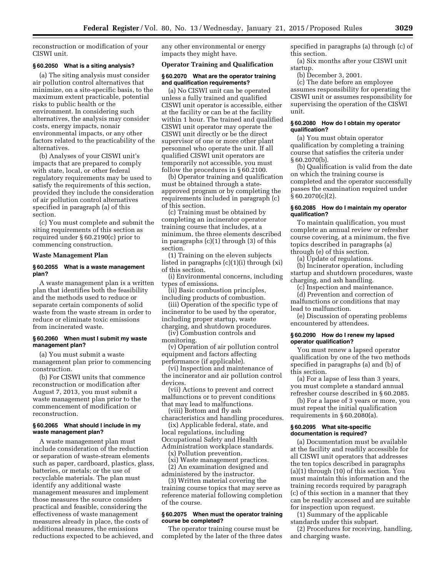reconstruction or modification of your CISWI unit.

## **§ 60.2050 What is a siting analysis?**

(a) The siting analysis must consider air pollution control alternatives that minimize, on a site-specific basis, to the maximum extent practicable, potential risks to public health or the environment. In considering such alternatives, the analysis may consider costs, energy impacts, nonair environmental impacts, or any other factors related to the practicability of the alternatives.

(b) Analyses of your CISWI unit's impacts that are prepared to comply with state, local, or other federal regulatory requirements may be used to satisfy the requirements of this section, provided they include the consideration of air pollution control alternatives specified in paragraph (a) of this section.

(c) You must complete and submit the siting requirements of this section as required under § 60.2190(c) prior to commencing construction.

## **Waste Management Plan**

## **§ 60.2055 What is a waste management plan?**

A waste management plan is a written plan that identifies both the feasibility and the methods used to reduce or separate certain components of solid waste from the waste stream in order to reduce or eliminate toxic emissions from incinerated waste.

# **§ 60.2060 When must I submit my waste management plan?**

(a) You must submit a waste management plan prior to commencing construction.

(b) For CISWI units that commence reconstruction or modification after August 7, 2013, you must submit a waste management plan prior to the commencement of modification or reconstruction.

# **§ 60.2065 What should I include in my waste management plan?**

A waste management plan must include consideration of the reduction or separation of waste-stream elements such as paper, cardboard, plastics, glass, batteries, or metals; or the use of recyclable materials. The plan must identify any additional waste management measures and implement those measures the source considers practical and feasible, considering the effectiveness of waste management measures already in place, the costs of additional measures, the emissions reductions expected to be achieved, and

any other environmental or energy impacts they might have.

# **Operator Training and Qualification**

# **§ 60.2070 What are the operator training and qualification requirements?**

(a) No CISWI unit can be operated unless a fully trained and qualified CISWI unit operator is accessible, either at the facility or can be at the facility within 1 hour. The trained and qualified CISWI unit operator may operate the CISWI unit directly or be the direct supervisor of one or more other plant personnel who operate the unit. If all qualified CISWI unit operators are temporarily not accessible, you must follow the procedures in § 60.2100.

(b) Operator training and qualification must be obtained through a stateapproved program or by completing the requirements included in paragraph (c) of this section.

(c) Training must be obtained by completing an incinerator operator training course that includes, at a minimum, the three elements described in paragraphs (c)(1) through (3) of this section.

(1) Training on the eleven subjects listed in paragraphs (c)(1)(i) through (xi) of this section.

(i) Environmental concerns, including types of emissions.

(ii) Basic combustion principles, including products of combustion.

(iii) Operation of the specific type of incinerator to be used by the operator, including proper startup, waste charging, and shutdown procedures.

(iv) Combustion controls and monitoring.

(v) Operation of air pollution control equipment and factors affecting performance (if applicable).

(vi) Inspection and maintenance of the incinerator and air pollution control devices.

(vii) Actions to prevent and correct malfunctions or to prevent conditions that may lead to malfunctions. (viii) Bottom and fly ash

characteristics and handling procedures. (ix) Applicable federal, state, and

local regulations, including Occupational Safety and Health Administration workplace standards.

(x) Pollution prevention.

(xi) Waste management practices. (2) An examination designed and

administered by the instructor.

(3) Written material covering the training course topics that may serve as reference material following completion of the course.

# **§ 60.2075 When must the operator training course be completed?**

The operator training course must be completed by the later of the three dates specified in paragraphs (a) through (c) of this section.

(a) Six months after your CISWI unit startup.

(b) December 3, 2001.

(c) The date before an employee assumes responsibility for operating the CISWI unit or assumes responsibility for supervising the operation of the CISWI unit.

# **§ 60.2080 How do I obtain my operator qualification?**

(a) You must obtain operator qualification by completing a training course that satisfies the criteria under § 60.2070(b).

(b) Qualification is valid from the date on which the training course is completed and the operator successfully passes the examination required under § 60.2070(c)(2).

## **§ 60.2085 How do I maintain my operator qualification?**

To maintain qualification, you must complete an annual review or refresher course covering, at a minimum, the five topics described in paragraphs (a) through (e) of this section.

(a) Update of regulations.

(b) Incinerator operation, including startup and shutdown procedures, waste charging, and ash handling.

(c) Inspection and maintenance.

(d) Prevention and correction of malfunctions or conditions that may lead to malfunction.

(e) Discussion of operating problems encountered by attendees.

#### **§ 60.2090 How do I renew my lapsed operator qualification?**

You must renew a lapsed operator qualification by one of the two methods specified in paragraphs (a) and (b) of this section.

(a) For a lapse of less than 3 years, you must complete a standard annual refresher course described in § 60.2085.

(b) For a lapse of 3 years or more, you must repeat the initial qualification requirements in § 60.2080(a).

#### **§ 60.2095 What site-specific documentation is required?**

(a) Documentation must be available at the facility and readily accessible for all CISWI unit operators that addresses the ten topics described in paragraphs (a)(1) through (10) of this section. You must maintain this information and the training records required by paragraph (c) of this section in a manner that they can be readily accessed and are suitable for inspection upon request.

(1) Summary of the applicable standards under this subpart.

(2) Procedures for receiving, handling, and charging waste.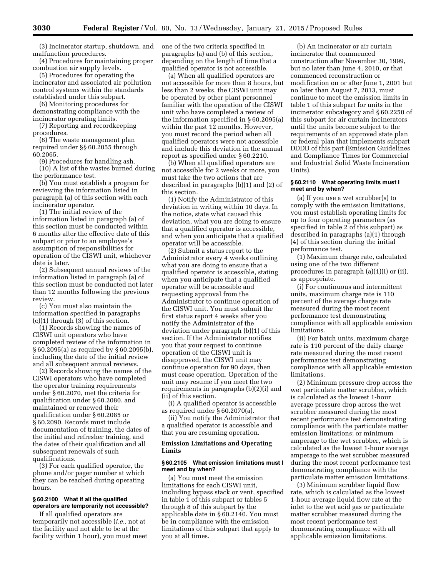(3) Incinerator startup, shutdown, and malfunction procedures.

(4) Procedures for maintaining proper combustion air supply levels.

(5) Procedures for operating the incinerator and associated air pollution control systems within the standards established under this subpart.

(6) Monitoring procedures for demonstrating compliance with the incinerator operating limits.

(7) Reporting and recordkeeping procedures.

(8) The waste management plan required under §§ 60.2055 through 60.2065.

(9) Procedures for handling ash. (10) A list of the wastes burned during the performance test.

(b) You must establish a program for reviewing the information listed in paragraph (a) of this section with each incinerator operator.

(1) The initial review of the information listed in paragraph (a) of this section must be conducted within 6 months after the effective date of this subpart or prior to an employee's assumption of responsibilities for operation of the CISWI unit, whichever date is later.

(2) Subsequent annual reviews of the information listed in paragraph (a) of this section must be conducted not later than 12 months following the previous review.

(c) You must also maintain the information specified in paragraphs (c)(1) through (3) of this section.

(1) Records showing the names of CISWI unit operators who have completed review of the information in § 60.2095(a) as required by § 60.2095(b), including the date of the initial review and all subsequent annual reviews.

(2) Records showing the names of the CISWI operators who have completed the operator training requirements under § 60.2070, met the criteria for qualification under § 60.2080, and maintained or renewed their qualification under § 60.2085 or § 60.2090. Records must include documentation of training, the dates of the initial and refresher training, and the dates of their qualification and all subsequent renewals of such qualifications.

(3) For each qualified operator, the phone and/or pager number at which they can be reached during operating hours.

# **§ 60.2100 What if all the qualified operators are temporarily not accessible?**

If all qualified operators are temporarily not accessible (*i.e.,* not at the facility and not able to be at the facility within 1 hour), you must meet one of the two criteria specified in paragraphs (a) and (b) of this section, depending on the length of time that a qualified operator is not accessible.

(a) When all qualified operators are not accessible for more than 8 hours, but less than 2 weeks, the CISWI unit may be operated by other plant personnel familiar with the operation of the CISWI unit who have completed a review of the information specified in § 60.2095(a) within the past 12 months. However, you must record the period when all qualified operators were not accessible and include this deviation in the annual report as specified under § 60.2210.

(b) When all qualified operators are not accessible for 2 weeks or more, you must take the two actions that are described in paragraphs (b)(1) and (2) of this section.

(1) Notify the Administrator of this deviation in writing within 10 days. In the notice, state what caused this deviation, what you are doing to ensure that a qualified operator is accessible, and when you anticipate that a qualified operator will be accessible.

(2) Submit a status report to the Administrator every 4 weeks outlining what you are doing to ensure that a qualified operator is accessible, stating when you anticipate that a qualified operator will be accessible and requesting approval from the Administrator to continue operation of the CISWI unit. You must submit the first status report 4 weeks after you notify the Administrator of the deviation under paragraph (b)(1) of this section. If the Administrator notifies you that your request to continue operation of the CISWI unit is disapproved, the CISWI unit may continue operation for 90 days, then must cease operation. Operation of the unit may resume if you meet the two requirements in paragraphs (b)(2)(i) and (ii) of this section.

(i) A qualified operator is accessible as required under § 60.2070(a).

(ii) You notify the Administrator that a qualified operator is accessible and that you are resuming operation.

# **Emission Limitations and Operating Limits**

#### **§ 60.2105 What emission limitations must I meet and by when?**

(a) You must meet the emission limitations for each CISWI unit, including bypass stack or vent, specified in table 1 of this subpart or tables 5 through 8 of this subpart by the applicable date in § 60.2140. You must be in compliance with the emission limitations of this subpart that apply to you at all times.

(b) An incinerator or air curtain incinerator that commenced construction after November 30, 1999, but no later than June 4, 2010, or that commenced reconstruction or modification on or after June 1, 2001 but no later than August 7, 2013, must continue to meet the emission limits in table 1 of this subpart for units in the incinerator subcategory and § 60.2250 of this subpart for air curtain incinerators until the units become subject to the requirements of an approved state plan or federal plan that implements subpart DDDD of this part (Emission Guidelines and Compliance Times for Commercial and Industrial Solid Waste Incineration Units).

#### **§ 60.2110 What operating limits must I meet and by when?**

(a) If you use a wet scrubber(s) to comply with the emission limitations, you must establish operating limits for up to four operating parameters (as specified in table 2 of this subpart) as described in paragraphs (a)(1) through (4) of this section during the initial performance test.

(1) Maximum charge rate, calculated using one of the two different procedures in paragraph (a)(1)(i) or (ii), as appropriate.

(i) For continuous and intermittent units, maximum charge rate is 110 percent of the average charge rate measured during the most recent performance test demonstrating compliance with all applicable emission limitations.

(ii) For batch units, maximum charge rate is 110 percent of the daily charge rate measured during the most recent performance test demonstrating compliance with all applicable emission limitations.

(2) Minimum pressure drop across the wet particulate matter scrubber, which is calculated as the lowest 1-hour average pressure drop across the wet scrubber measured during the most recent performance test demonstrating compliance with the particulate matter emission limitations; or minimum amperage to the wet scrubber, which is calculated as the lowest 1-hour average amperage to the wet scrubber measured during the most recent performance test demonstrating compliance with the particulate matter emission limitations.

(3) Minimum scrubber liquid flow rate, which is calculated as the lowest 1-hour average liquid flow rate at the inlet to the wet acid gas or particulate matter scrubber measured during the most recent performance test demonstrating compliance with all applicable emission limitations.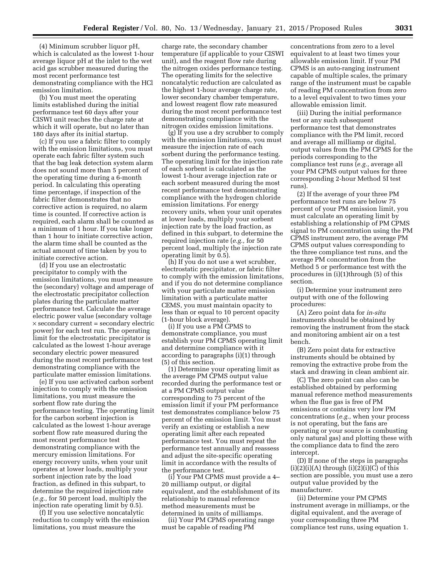(4) Minimum scrubber liquor pH, which is calculated as the lowest 1-hour average liquor pH at the inlet to the wet acid gas scrubber measured during the most recent performance test demonstrating compliance with the HCl emission limitation.

(b) You must meet the operating limits established during the initial performance test 60 days after your CISWI unit reaches the charge rate at which it will operate, but no later than 180 days after its initial startup.

(c) If you use a fabric filter to comply with the emission limitations, you must operate each fabric filter system such that the bag leak detection system alarm does not sound more than 5 percent of the operating time during a 6-month period. In calculating this operating time percentage, if inspection of the fabric filter demonstrates that no corrective action is required, no alarm time is counted. If corrective action is required, each alarm shall be counted as a minimum of 1 hour. If you take longer than 1 hour to initiate corrective action, the alarm time shall be counted as the actual amount of time taken by you to initiate corrective action.

(d) If you use an electrostatic precipitator to comply with the emission limitations, you must measure the (secondary) voltage and amperage of the electrostatic precipitator collection plates during the particulate matter performance test. Calculate the average electric power value (secondary voltage × secondary current = secondary electric power) for each test run. The operating limit for the electrostatic precipitator is calculated as the lowest 1-hour average secondary electric power measured during the most recent performance test demonstrating compliance with the particulate matter emission limitations.

(e) If you use activated carbon sorbent injection to comply with the emission limitations, you must measure the sorbent flow rate during the performance testing. The operating limit for the carbon sorbent injection is calculated as the lowest 1-hour average sorbent flow rate measured during the most recent performance test demonstrating compliance with the mercury emission limitations. For energy recovery units, when your unit operates at lower loads, multiply your sorbent injection rate by the load fraction, as defined in this subpart, to determine the required injection rate (*e.g.,* for 50 percent load, multiply the injection rate operating limit by 0.5).

(f) If you use selective noncatalytic reduction to comply with the emission limitations, you must measure the

charge rate, the secondary chamber temperature (if applicable to your CISWI unit), and the reagent flow rate during the nitrogen oxides performance testing. The operating limits for the selective noncatalytic reduction are calculated as the highest 1-hour average charge rate, lower secondary chamber temperature, and lowest reagent flow rate measured during the most recent performance test demonstrating compliance with the nitrogen oxides emission limitations.

(g) If you use a dry scrubber to comply with the emission limitations, you must measure the injection rate of each sorbent during the performance testing. The operating limit for the injection rate of each sorbent is calculated as the lowest 1-hour average injection rate or each sorbent measured during the most recent performance test demonstrating compliance with the hydrogen chloride emission limitations. For energy recovery units, when your unit operates at lower loads, multiply your sorbent injection rate by the load fraction, as defined in this subpart, to determine the required injection rate (*e.g.,* for 50 percent load, multiply the injection rate operating limit by 0.5).

(h) If you do not use a wet scrubber, electrostatic precipitator, or fabric filter to comply with the emission limitations, and if you do not determine compliance with your particulate matter emission limitation with a particulate matter CEMS, you must maintain opacity to less than or equal to 10 percent opacity (1-hour block average).

(i) If you use a PM CPMS to demonstrate compliance, you must establish your PM CPMS operating limit and determine compliance with it according to paragraphs (i)(1) through (5) of this section.

(1) Determine your operating limit as the average PM CPMS output value recorded during the performance test or at a PM CPMS output value corresponding to 75 percent of the emission limit if your PM performance test demonstrates compliance below 75 percent of the emission limit. You must verify an existing or establish a new operating limit after each repeated performance test. You must repeat the performance test annually and reassess and adjust the site-specific operating limit in accordance with the results of the performance test.

(i) Your PM CPMS must provide a 4– 20 milliamp output, or digital equivalent, and the establishment of its relationship to manual reference method measurements must be determined in units of milliamps.

(ii) Your PM CPMS operating range must be capable of reading PM

concentrations from zero to a level equivalent to at least two times your allowable emission limit. If your PM CPMS is an auto-ranging instrument capable of multiple scales, the primary range of the instrument must be capable of reading PM concentration from zero to a level equivalent to two times your allowable emission limit.

(iii) During the initial performance test or any such subsequent performance test that demonstrates compliance with the PM limit, record and average all milliamp or digital, output values from the PM CPMS for the periods corresponding to the compliance test runs (*e.g.,* average all your PM CPMS output values for three corresponding 2-hour Method 5I test runs).

(2) If the average of your three PM performance test runs are below 75 percent of your PM emission limit, you must calculate an operating limit by establishing a relationship of PM CPMS signal to PM concentration using the PM CPMS instrument zero, the average PM CPMS output values corresponding to the three compliance test runs, and the average PM concentration from the Method 5 or performance test with the procedures in (i)(1)through (5) of this section.

(i) Determine your instrument zero output with one of the following procedures:

(A) Zero point data for *in-situ*  instruments should be obtained by removing the instrument from the stack and monitoring ambient air on a test bench.

(B) Zero point data for extractive instruments should be obtained by removing the extractive probe from the stack and drawing in clean ambient air.

(C) The zero point can also can be established obtained by performing manual reference method measurements when the flue gas is free of PM emissions or contains very low PM concentrations (*e.g.,* when your process is not operating, but the fans are operating or your source is combusting only natural gas) and plotting these with the compliance data to find the zero intercept.

(D) If none of the steps in paragraphs  $(i)(2)(i)(A)$  through  $(i)(2)(i)(C)$  of this section are possible, you must use a zero output value provided by the manufacturer.

(ii) Determine your PM CPMS instrument average in milliamps, or the digital equivalent, and the average of your corresponding three PM compliance test runs, using equation 1.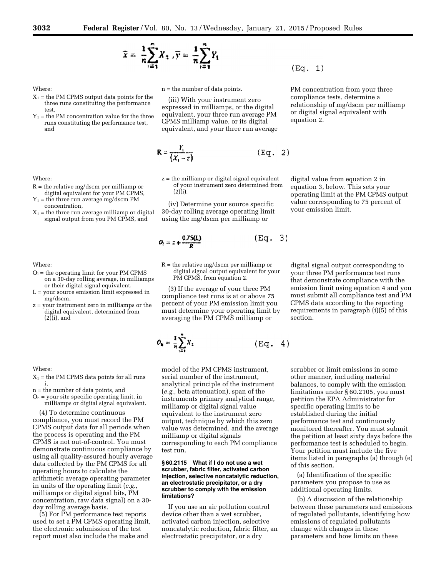$$
\bar{x} = \frac{1}{n} \sum_{i=1}^{n} X_1 \cdot \bar{y} = \frac{1}{n} \sum_{i=1}^{n} Y_i
$$

Where:

- $X_1$  = the PM CPMS output data points for the three runs constituting the performance test,
- $Y_1$  = the PM concentration value for the three runs constituting the performance test, and

Where:

- $R =$  the relative mg/dscm per milliamp or digital equivalent for your PM CPMS,
- $Y_1$  = the three run average mg/dscm PM concentration,
- $X_1$  = the three run average milliamp or digital signal output from you PM CPMS, and

Where:

- $O<sub>1</sub>$  = the operating limit for your PM CPMS on a 30-day rolling average, in milliamps or their digital signal equivalent.
- $L =$  your source emission limit expressed in mg/dscm,
- z = your instrument zero in milliamps or the digital equivalent, determined from (2)(i), and

Where:

- $X_1$  = the PM CPMS data points for all runs i,
- n = the number of data points, and
- $O<sub>h</sub>$  = your site specific operating limit, in milliamps or digital signal equivalent.

(4) To determine continuous compliance, you must record the PM CPMS output data for all periods when the process is operating and the PM CPMS is not out-of-control. You must demonstrate continuous compliance by using all quality-assured hourly average data collected by the PM CPMS for all operating hours to calculate the arithmetic average operating parameter in units of the operating limit (*e.g.,*  milliamps or digital signal bits, PM concentration, raw data signal) on a 30 day rolling average basis.

(5) For PM performance test reports used to set a PM CPMS operating limit, the electronic submission of the test report must also include the make and

n = the number of data points.

(iii) With your instrument zero expressed in milliamps, or the digital equivalent, your three run average PM CPMS milliamp value, or its digital equivalent, and your three run average

$$
\mathbf{R} = \frac{Y_i}{(X_i - z)} \quad (\text{Eq. 2})
$$

z = the milliamp or digital signal equivalent of your instrument zero determined from (2)(i).

(iv) Determine your source specific 30-day rolling average operating limit using the mg/dscm per milliamp or

$$
O_t = z + \frac{0.75(L)}{R}
$$
 (Eq.

 $R =$  the relative mg/dscm per milliamp or digital signal output equivalent for your PM CPMS, from equation 2.

(3) If the average of your three PM compliance test runs is at or above 75 percent of your PM emission limit you must determine your operating limit by averaging the PM CPMS milliamp or

 $O_{\bf{a}} = \frac{1}{n} \sum_{i=1}^{n} X_i$ 

model of the PM CPMS instrument, serial number of the instrument, analytical principle of the instrument (*e.g.,* beta attenuation), span of the instruments primary analytical range, milliamp or digital signal value equivalent to the instrument zero output, technique by which this zero value was determined, and the average milliamp or digital signals corresponding to each PM compliance test run.

#### **§ 60.2115 What if I do not use a wet scrubber, fabric filter, activated carbon injection, selective noncatalytic reduction, an electrostatic precipitator, or a dry scrubber to comply with the emission limitations?**

If you use an air pollution control device other than a wet scrubber, activated carbon injection, selective noncatalytic reduction, fabric filter, an electrostatic precipitator, or a dry

 $(Eq. 1)$ 

 $3)$ 

(Eq.

4)

PM concentration from your three compliance tests, determine a relationship of mg/dscm per milliamp or digital signal equivalent with equation 2.

digital value from equation 2 in equation 3, below. This sets your operating limit at the PM CPMS output value corresponding to 75 percent of your emission limit.

digital signal output corresponding to your three PM performance test runs that demonstrate compliance with the emission limit using equation 4 and you must submit all compliance test and PM CPMS data according to the reporting requirements in paragraph (i)(5) of this section.

scrubber or limit emissions in some other manner, including material balances, to comply with the emission limitations under § 60.2105, you must petition the EPA Administrator for specific operating limits to be established during the initial performance test and continuously monitored thereafter. You must submit the petition at least sixty days before the performance test is scheduled to begin. Your petition must include the five items listed in paragraphs (a) through (e) of this section.

(a) Identification of the specific parameters you propose to use as additional operating limits.

(b) A discussion of the relationship between these parameters and emissions of regulated pollutants, identifying how emissions of regulated pollutants change with changes in these parameters and how limits on these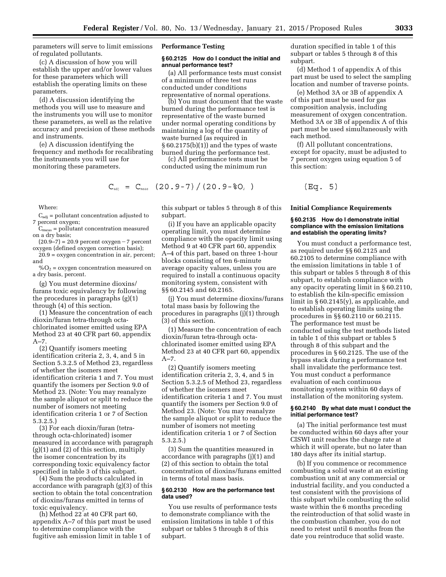parameters will serve to limit emissions of regulated pollutants.

(c) A discussion of how you will establish the upper and/or lower values for these parameters which will establish the operating limits on these parameters.

(d) A discussion identifying the methods you will use to measure and the instruments you will use to monitor these parameters, as well as the relative accuracy and precision of these methods and instruments.

(e) A discussion identifying the frequency and methods for recalibrating the instruments you will use for monitoring these parameters.

Where:

 $C_{\text{adi}}$  = pollutant concentration adjusted to 7 percent oxygen;

 $C_{meas}$  = pollutant concentration measured on a dry basis;

 $(20.9-7) = 20.9$  percent oxygen  $-7$  percent oxygen (defined oxygen correction basis);

20.9 = oxygen concentration in air, percent; and

 $%O<sub>2</sub> =$  oxygen concentration measured on a dry basis, percent.

(g) You must determine dioxins/ furans toxic equivalency by following the procedures in paragraphs (g)(1) through (4) of this section.

(1) Measure the concentration of each dioxin/furan tetra-through octachlorinated isomer emitted using EPA Method 23 at 40 CFR part 60, appendix  $A-7$ .

(2) Quantify isomers meeting identification criteria 2, 3, 4, and 5 in Section 5.3.2.5 of Method 23, regardless of whether the isomers meet identification criteria 1 and 7. You must quantify the isomers per Section 9.0 of Method 23. (Note: You may reanalyze the sample aliquot or split to reduce the number of isomers not meeting identification criteria 1 or 7 of Section 5.3.2.5.)

(3) For each dioxin/furan (tetrathrough octa-chlorinated) isomer measured in accordance with paragraph (g)(1) and (2) of this section, multiply the isomer concentration by its corresponding toxic equivalency factor specified in table 3 of this subpart.

(4) Sum the products calculated in accordance with paragraph (g)(3) of this section to obtain the total concentration of dioxins/furans emitted in terms of toxic equivalency.

(h) Method 22 at 40 CFR part 60, appendix A–7 of this part must be used to determine compliance with the fugitive ash emission limit in table 1 of

#### **Performance Testing**

#### **§ 60.2125 How do I conduct the initial and annual performance test?**

(a) All performance tests must consist of a minimum of three test runs conducted under conditions representative of normal operations.

(b) You must document that the waste burned during the performance test is representative of the waste burned under normal operating conditions by maintaining a log of the quantity of waste burned (as required in § 60.2175(b)(1)) and the types of waste burned during the performance test.

(c) All performance tests must be conducted using the minimum run

$$
C_{\text{adj}} = C_{\text{meas}} (20.9-7) / (20.9-80, )
$$

this subpart or tables 5 through 8 of this subpart.

(i) If you have an applicable opacity operating limit, you must determine compliance with the opacity limit using Method 9 at 40 CFR part 60, appendix A–4 of this part, based on three 1-hour blocks consisting of ten 6-minute average opacity values, unless you are required to install a continuous opacity monitoring system, consistent with §§ 60.2145 and 60.2165.

(j) You must determine dioxins/furans total mass basis by following the procedures in paragraphs (j)(1) through (3) of this section.

(1) Measure the concentration of each dioxin/furan tetra-through octachlorinated isomer emitted using EPA Method 23 at 40 CFR part 60, appendix A–7.

(2) Quantify isomers meeting identification criteria 2, 3, 4, and 5 in Section 5.3.2.5 of Method 23, regardless of whether the isomers meet identification criteria 1 and 7. You must quantify the isomers per Section 9.0 of Method 23. (Note: You may reanalyze the sample aliquot or split to reduce the number of isomers not meeting identification criteria 1 or 7 of Section 5.3.2.5.)

(3) Sum the quantities measured in accordance with paragraphs (j)(1) and (2) of this section to obtain the total concentration of dioxins/furans emitted in terms of total mass basis.

# **§ 60.2130 How are the performance test data used?**

You use results of performance tests to demonstrate compliance with the emission limitations in table 1 of this subpart or tables 5 through 8 of this subpart.

duration specified in table 1 of this subpart or tables 5 through 8 of this subpart.

(d) Method 1 of appendix A of this part must be used to select the sampling location and number of traverse points.

(e) Method 3A or 3B of appendix A of this part must be used for gas composition analysis, including measurement of oxygen concentration. Method 3A or 3B of appendix A of this part must be used simultaneously with each method.

(f) All pollutant concentrations, except for opacity, must be adjusted to 7 percent oxygen using equation 5 of this section:

$$
(Eq. 5)
$$

#### **Initial Compliance Requirements**

#### **§ 60.2135 How do I demonstrate initial compliance with the emission limitations and establish the operating limits?**

You must conduct a performance test, as required under §§ 60.2125 and 60.2105 to determine compliance with the emission limitations in table 1 of this subpart or tables 5 through 8 of this subpart, to establish compliance with any opacity operating limit in § 60.2110, to establish the kiln-specific emission limit in § 60.2145(y), as applicable, and to establish operating limits using the procedures in §§ 60.2110 or 60.2115. The performance test must be conducted using the test methods listed in table 1 of this subpart or tables 5 through 8 of this subpart and the procedures in § 60.2125. The use of the bypass stack during a performance test shall invalidate the performance test. You must conduct a performance evaluation of each continuous monitoring system within 60 days of installation of the monitoring system.

#### **§ 60.2140 By what date must I conduct the initial performance test?**

(a) The initial performance test must be conducted within 60 days after your CISWI unit reaches the charge rate at which it will operate, but no later than 180 days after its initial startup.

(b) If you commence or recommence combusting a solid waste at an existing combustion unit at any commercial or industrial facility, and you conducted a test consistent with the provisions of this subpart while combusting the solid waste within the 6 months preceding the reintroduction of that solid waste in the combustion chamber, you do not need to retest until 6 months from the date you reintroduce that solid waste.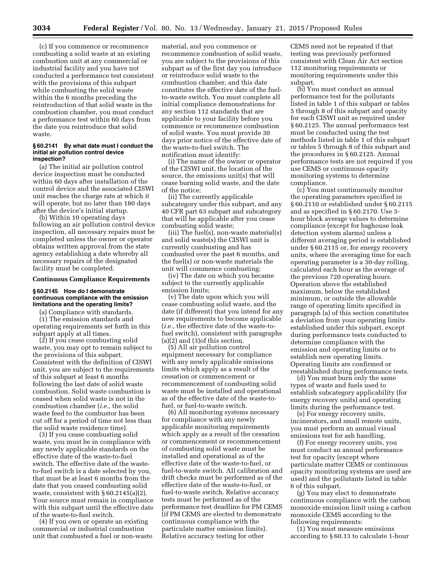(c) If you commence or recommence combusting a solid waste at an existing combustion unit at any commercial or industrial facility and you have not conducted a performance test consistent with the provisions of this subpart while combusting the solid waste within the 6 months preceding the reintroduction of that solid waste in the combustion chamber, you must conduct a performance test within 60 days from the date you reintroduce that solid waste.

#### **§ 60.2141 By what date must I conduct the initial air pollution control device inspection?**

(a) The initial air pollution control device inspection must be conducted within 60 days after installation of the control device and the associated CISWI unit reaches the charge rate at which it will operate, but no later than 180 days after the device's initial startup.

(b) Within 10 operating days following an air pollution control device inspection, all necessary repairs must be completed unless the owner or operator obtains written approval from the state agency establishing a date whereby all necessary repairs of the designated facility must be completed.

# **Continuous Compliance Requirements**

## **§ 60.2145 How do I demonstrate continuous compliance with the emission limitations and the operating limits?**

(a) Compliance with standards.

(1) The emission standards and operating requirements set forth in this subpart apply at all times.

(2) If you cease combusting solid waste, you may opt to remain subject to the provisions of this subpart. Consistent with the definition of CISWI unit, you are subject to the requirements of this subpart at least 6 months following the last date of solid waste combustion. Solid waste combustion is ceased when solid waste is not in the combustion chamber (*i.e.,* the solid waste feed to the combustor has been cut off for a period of time not less than the solid waste residence time).

(3) If you cease combusting solid waste, you must be in compliance with any newly applicable standards on the effective date of the waste-to-fuel switch. The effective date of the wasteto-fuel switch is a date selected by you, that must be at least 6 months from the date that you ceased combusting solid waste, consistent with § 60.2145(a)(2). Your source must remain in compliance with this subpart until the effective date of the waste-to-fuel switch.

(4) If you own or operate an existing commercial or industrial combustion unit that combusted a fuel or non-waste

material, and you commence or recommence combustion of solid waste, you are subject to the provisions of this subpart as of the first day you introduce or reintroduce solid waste to the combustion chamber, and this date constitutes the effective date of the fuelto-waste switch. You must complete all initial compliance demonstrations for any section 112 standards that are applicable to your facility before you commence or recommence combustion of solid waste. You must provide 30 days prior notice of the effective date of the waste-to-fuel switch. The notification must identify:

(i) The name of the owner or operator of the CISWI unit, the location of the source, the emissions unit(s) that will cease burning solid waste, and the date of the notice;

(ii) The currently applicable subcategory under this subpart, and any 40 CFR part 63 subpart and subcategory that will be applicable after you cease combusting solid waste;

(iii) The fuel(s), non-waste material(s) and solid waste(s) the CISWI unit is currently combusting and has combusted over the past 6 months, and the fuel(s) or non-waste materials the unit will commence combusting;

(iv) The date on which you became subject to the currently applicable emission limits;

(v) The date upon which you will cease combusting solid waste, and the date (if different) that you intend for any new requirements to become applicable (*i.e.,* the effective date of the waste-tofuel switch), consistent with paragraphs (a)(2) and (3)of this section.

(5) All air pollution control equipment necessary for compliance with any newly applicable emissions limits which apply as a result of the cessation or commencement or recommencement of combusting solid waste must be installed and operational as of the effective date of the waste-tofuel, or fuel-to-waste switch.

(6) All monitoring systems necessary for compliance with any newly applicable monitoring requirements which apply as a result of the cessation or commencement or recommencement of combusting solid waste must be installed and operational as of the effective date of the waste-to-fuel, or fuel-to-waste switch. All calibration and drift checks must be performed as of the effective date of the waste-to-fuel, or fuel-to-waste switch. Relative accuracy tests must be performed as of the performance test deadline for PM CEMS (if PM CEMS are elected to demonstrate continuous compliance with the particulate matter emission limits). Relative accuracy testing for other

CEMS need not be repeated if that testing was previously performed consistent with Clean Air Act section 112 monitoring requirements or monitoring requirements under this subpart.

(b) You must conduct an annual performance test for the pollutants listed in table 1 of this subpart or tables 5 through 8 of this subpart and opacity for each CISWI unit as required under § 60.2125. The annual performance test must be conducted using the test methods listed in table 1 of this subpart or tables 5 through 8 of this subpart and the procedures in § 60.2125. Annual performance tests are not required if you use CEMS or continuous opacity monitoring systems to determine compliance.

(c) You must continuously monitor the operating parameters specified in § 60.2110 or established under § 60.2115 and as specified in § 60.2170. Use 3 hour block average values to determine compliance (except for baghouse leak detection system alarms) unless a different averaging period is established under § 60.2115 or, for energy recovery units, where the averaging time for each operating parameter is a 30-day rolling, calculated each hour as the average of the previous 720 operating hours. Operation above the established maximum, below the established minimum, or outside the allowable range of operating limits specified in paragraph (a) of this section constitutes a deviation from your operating limits established under this subpart, except during performance tests conducted to determine compliance with the emission and operating limits or to establish new operating limits. Operating limits are confirmed or reestablished during performance tests.

(d) You must burn only the same types of waste and fuels used to establish subcategory applicability (for energy recovery units) and operating limits during the performance test.

(e) For energy recovery units, incinerators, and small remote units, you must perform an annual visual emissions test for ash handling.

(f) For energy recovery units, you must conduct an annual performance test for opacity (except where particulate matter CEMS or continuous opacity monitoring systems are used are used) and the pollutants listed in table 6 of this subpart.

(g) You may elect to demonstrate continuous compliance with the carbon monoxide emission limit using a carbon monoxide CEMS according to the following requirements:

(1) You must measure emissions according to § 60.13 to calculate 1-hour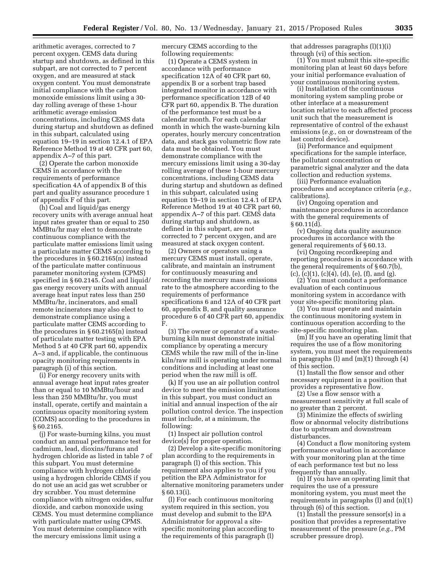arithmetic averages, corrected to 7 percent oxygen. CEMS data during startup and shutdown, as defined in this subpart, are not corrected to 7 percent oxygen, and are measured at stack oxygen content. You must demonstrate initial compliance with the carbon monoxide emissions limit using a 30 day rolling average of these 1-hour arithmetic average emission concentrations, including CEMS data during startup and shutdown as defined in this subpart, calculated using equation 19–19 in section 12.4.1 of EPA Reference Method 19 at 40 CFR part 60, appendix A–7 of this part.

(2) Operate the carbon monoxide CEMS in accordance with the requirements of performance specification 4A of appendix B of this part and quality assurance procedure 1 of appendix F of this part.

(h) Coal and liquid/gas energy recovery units with average annual heat input rates greater than or equal to 250 MMBtu/hr may elect to demonstrate continuous compliance with the particulate matter emissions limit using a particulate matter CEMS according to the procedures in § 60.2165(n) instead of the particulate matter continuous parameter monitoring system (CPMS) specified in § 60.2145. Coal and liquid/ gas energy recovery units with annual average heat input rates less than 250 MMBtu/hr, incinerators, and small remote incinerators may also elect to demonstrate compliance using a particulate matter CEMS according to the procedures in § 60.2165(n) instead of particulate matter testing with EPA Method 5 at 40 CFR part 60, appendix A–3 and, if applicable, the continuous opacity monitoring requirements in paragraph (i) of this section.

(i) For energy recovery units with annual average heat input rates greater than or equal to 10 MMBtu/hour and less than 250 MMBtu/hr, you must install, operate, certify and maintain a continuous opacity monitoring system (COMS) according to the procedures in § 60.2165.

(j) For waste-burning kilns, you must conduct an annual performance test for cadmium, lead, dioxins/furans and hydrogen chloride as listed in table 7 of this subpart. You must determine compliance with hydrogen chloride using a hydrogen chloride CEMS if you do not use an acid gas wet scrubber or dry scrubber. You must determine compliance with nitrogen oxides, sulfur dioxide, and carbon monoxide using CEMS. You must determine compliance with particulate matter using CPMS. You must determine compliance with the mercury emissions limit using a

mercury CEMS according to the following requirements:

(1) Operate a CEMS system in accordance with performance specification 12A of 40 CFR part 60, appendix B or a sorbent trap based integrated monitor in accordance with performance specification 12B of 40 CFR part 60, appendix B. The duration of the performance test must be a calendar month. For each calendar month in which the waste-burning kiln operates, hourly mercury concentration data, and stack gas volumetric flow rate data must be obtained. You must demonstrate compliance with the mercury emissions limit using a 30-day rolling average of these 1-hour mercury concentrations, including CEMS data during startup and shutdown as defined in this subpart, calculated using equation 19–19 in section 12.4.1 of EPA Reference Method 19 at 40 CFR part 60, appendix A–7 of this part. CEMS data during startup and shutdown, as defined in this subpart, are not corrected to 7 percent oxygen, and are measured at stack oxygen content.

(2) Owners or operators using a mercury CEMS must install, operate, calibrate, and maintain an instrument for continuously measuring and recording the mercury mass emissions rate to the atmosphere according to the requirements of performance specifications 6 and 12A of 40 CFR part 60, appendix B, and quality assurance procedure 6 of 40 CFR part 60, appendix F.

(3) The owner or operator of a wasteburning kiln must demonstrate initial compliance by operating a mercury CEMS while the raw mill of the in-line kiln/raw mill is operating under normal conditions and including at least one period when the raw mill is off.

(k) If you use an air pollution control device to meet the emission limitations in this subpart, you must conduct an initial and annual inspection of the air pollution control device. The inspection must include, at a minimum, the following:

(1) Inspect air pollution control device(s) for proper operation.

(2) Develop a site-specific monitoring plan according to the requirements in paragraph (l) of this section. This requirement also applies to you if you petition the EPA Administrator for alternative monitoring parameters under § 60.13(i).

(l) For each continuous monitoring system required in this section, you must develop and submit to the EPA Administrator for approval a sitespecific monitoring plan according to the requirements of this paragraph (l)

that addresses paragraphs (l)(1)(i) through (vi) of this section.

(1) You must submit this site-specific monitoring plan at least 60 days before your initial performance evaluation of your continuous monitoring system.

(i) Installation of the continuous monitoring system sampling probe or other interface at a measurement location relative to each affected process unit such that the measurement is representative of control of the exhaust emissions (*e.g.,* on or downstream of the last control device).

(ii) Performance and equipment specifications for the sample interface, the pollutant concentration or parametric signal analyzer and the data collection and reduction systems.

(iii) Performance evaluation procedures and acceptance criteria (*e.g.,*  calibrations).

(iv) Ongoing operation and maintenance procedures in accordance with the general requirements of  $§ 60.11(d).$ 

(v) Ongoing data quality assurance procedures in accordance with the general requirements of § 60.13.

(vi) Ongoing recordkeeping and reporting procedures in accordance with the general requirements of § 60.7(b),  $(c)$ ,  $(c)(1)$ ,  $(c)(4)$ ,  $(d)$ ,  $(e)$ ,  $(f)$ , and  $(g)$ .

(2) You must conduct a performance evaluation of each continuous monitoring system in accordance with your site-specific monitoring plan.

(3) You must operate and maintain the continuous monitoring system in continuous operation according to the site-specific monitoring plan.

(m) If you have an operating limit that requires the use of a flow monitoring system, you must meet the requirements in paragraphs (l) and (m)(1) through (4) of this section.

(1) Install the flow sensor and other necessary equipment in a position that provides a representative flow.

(2) Use a flow sensor with a measurement sensitivity at full scale of no greater than 2 percent.

(3) Minimize the effects of swirling flow or abnormal velocity distributions due to upstream and downstream disturbances.

(4) Conduct a flow monitoring system performance evaluation in accordance with your monitoring plan at the time of each performance test but no less frequently than annually.

(n) If you have an operating limit that requires the use of a pressure monitoring system, you must meet the requirements in paragraphs (l) and (n)(1) through (6) of this section.

(1) Install the pressure sensor(s) in a position that provides a representative measurement of the pressure (*e.g.,* PM scrubber pressure drop).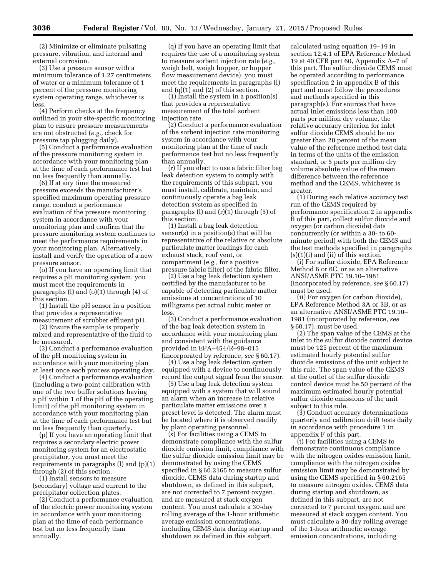(2) Minimize or eliminate pulsating pressure, vibration, and internal and external corrosion.

(3) Use a pressure sensor with a minimum tolerance of 1.27 centimeters of water or a minimum tolerance of 1 percent of the pressure monitoring system operating range, whichever is less.

(4) Perform checks at the frequency outlined in your site-specific monitoring plan to ensure pressure measurements are not obstructed (*e.g.,* check for pressure tap plugging daily).

(5) Conduct a performance evaluation of the pressure monitoring system in accordance with your monitoring plan at the time of each performance test but no less frequently than annually.

(6) If at any time the measured pressure exceeds the manufacturer's specified maximum operating pressure range, conduct a performance evaluation of the pressure monitoring system in accordance with your monitoring plan and confirm that the pressure monitoring system continues to meet the performance requirements in your monitoring plan. Alternatively, install and verify the operation of a new pressure sensor.

(o) If you have an operating limit that requires a pH monitoring system, you must meet the requirements in paragraphs (l) and (o)(1) through (4) of this section.

(1) Install the pH sensor in a position that provides a representative measurement of scrubber effluent pH.

(2) Ensure the sample is properly mixed and representative of the fluid to be measured.

(3) Conduct a performance evaluation of the pH monitoring system in accordance with your monitoring plan at least once each process operating day.

(4) Conduct a performance evaluation (including a two-point calibration with one of the two buffer solutions having a pH within 1 of the pH of the operating limit) of the pH monitoring system in accordance with your monitoring plan at the time of each performance test but no less frequently than quarterly.

(p) If you have an operating limit that requires a secondary electric power monitoring system for an electrostatic precipitator, you must meet the requirements in paragraphs (l) and (p)(1) through (2) of this section.

(1) Install sensors to measure (secondary) voltage and current to the precipitator collection plates.

(2) Conduct a performance evaluation of the electric power monitoring system in accordance with your monitoring plan at the time of each performance test but no less frequently than annually.

(q) If you have an operating limit that requires the use of a monitoring system to measure sorbent injection rate (*e.g.,*  weigh belt, weigh hopper, or hopper flow measurement device), you must meet the requirements in paragraphs (l) and (q)(1) and (2) of this section.

(1) Install the system in a position(s) that provides a representative measurement of the total sorbent injection rate.

(2) Conduct a performance evaluation of the sorbent injection rate monitoring system in accordance with your monitoring plan at the time of each performance test but no less frequently than annually.

(r) If you elect to use a fabric filter bag leak detection system to comply with the requirements of this subpart, you must install, calibrate, maintain, and continuously operate a bag leak detection system as specified in paragraphs (l) and (r)(1) through (5) of this section.

(1) Install a bag leak detection sensor(s) in a position(s) that will be representative of the relative or absolute particulate matter loadings for each exhaust stack, roof vent, or compartment (*e.g.,* for a positive pressure fabric filter) of the fabric filter.

(2) Use a bag leak detection system certified by the manufacturer to be capable of detecting particulate matter emissions at concentrations of 10 milligrams per actual cubic meter or less.

(3) Conduct a performance evaluation of the bag leak detection system in accordance with your monitoring plan and consistent with the guidance provided in EPA–454/R–98–015 (incorporated by reference, *see* § 60.17).

(4) Use a bag leak detection system equipped with a device to continuously record the output signal from the sensor.

(5) Use a bag leak detection system equipped with a system that will sound an alarm when an increase in relative particulate matter emissions over a preset level is detected. The alarm must be located where it is observed readily by plant operating personnel.

(s) For facilities using a CEMS to demonstrate compliance with the sulfur dioxide emission limit, compliance with the sulfur dioxide emission limit may be demonstrated by using the CEMS specified in § 60.2165 to measure sulfur dioxide. CEMS data during startup and shutdown, as defined in this subpart, are not corrected to 7 percent oxygen, and are measured at stack oxygen content. You must calculate a 30-day rolling average of the 1-hour arithmetic average emission concentrations, including CEMS data during startup and shutdown as defined in this subpart,

calculated using equation 19–19 in section 12.4.1 of EPA Reference Method 19 at 40 CFR part 60, Appendix A–7 of this part. The sulfur dioxide CEMS must be operated according to performance specification 2 in appendix B of this part and must follow the procedures and methods specified in this paragraph(s). For sources that have actual inlet emissions less than 100 parts per million dry volume, the relative accuracy criterion for inlet sulfur dioxide CEMS should be no greater than 20 percent of the mean value of the reference method test data in terms of the units of the emission standard, or 5 parts per million dry volume absolute value of the mean difference between the reference method and the CEMS, whichever is greater.

(1) During each relative accuracy test run of the CEMS required by performance specification 2 in appendix B of this part, collect sulfur dioxide and oxygen (or carbon dioxide) data concurrently (or within a 30- to 60 minute period) with both the CEMS and the test methods specified in paragraphs  $(s)(1)(i)$  and  $(ii)$  of this section.

(i) For sulfur dioxide, EPA Reference Method 6 or 6C, or as an alternative ANSI/ASME PTC 19.10–1981 (incorporated by reference, *see* § 60.17) must be used.

(ii) For oxygen (or carbon dioxide), EPA Reference Method 3A or 3B, or as an alternative ANSI/ASME PTC 19.10– 1981 (incorporated by reference, *see*  § 60.17), must be used.

(2) The span value of the CEMS at the inlet to the sulfur dioxide control device must be 125 percent of the maximum estimated hourly potential sulfur dioxide emissions of the unit subject to this rule. The span value of the CEMS at the outlet of the sulfur dioxide control device must be 50 percent of the maximum estimated hourly potential sulfur dioxide emissions of the unit subject to this rule.

(3) Conduct accuracy determinations quarterly and calibration drift tests daily in accordance with procedure 1 in appendix F of this part.

(t) For facilities using a CEMS to demonstrate continuous compliance with the nitrogen oxides emission limit, compliance with the nitrogen oxides emission limit may be demonstrated by using the CEMS specified in § 60.2165 to measure nitrogen oxides. CEMS data during startup and shutdown, as defined in this subpart, are not corrected to 7 percent oxygen, and are measured at stack oxygen content. You must calculate a 30-day rolling average of the 1-hour arithmetic average emission concentrations, including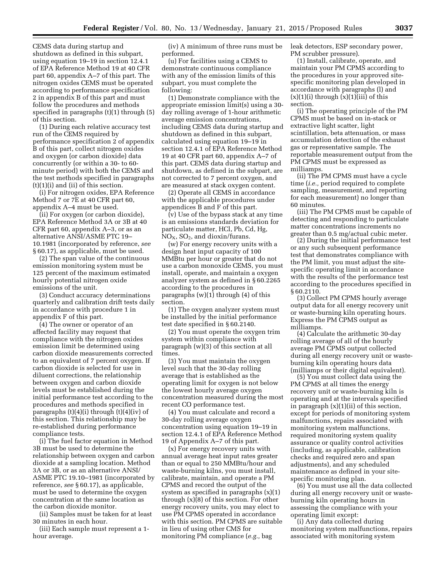CEMS data during startup and shutdown as defined in this subpart, using equation 19–19 in section 12.4.1 of EPA Reference Method 19 at 40 CFR part 60, appendix A–7 of this part. The nitrogen oxides CEMS must be operated according to performance specification 2 in appendix B of this part and must follow the procedures and methods specified in paragraphs (t)(1) through (5) of this section.

(1) During each relative accuracy test run of the CEMS required by performance specification 2 of appendix B of this part, collect nitrogen oxides and oxygen (or carbon dioxide) data concurrently (or within a 30- to 60 minute period) with both the CEMS and the test methods specified in paragraphs (t)(1)(i) and (ii) of this section.

(i) For nitrogen oxides, EPA Reference Method 7 or 7E at 40 CFR part 60, appendix A–4 must be used.

(ii) For oxygen (or carbon dioxide), EPA Reference Method 3A or 3B at 40 CFR part 60, appendix A–3, or as an alternative ANSI/ASME PTC 19– 10.1981 (incorporated by reference, *see*  § 60.17), as applicable, must be used.

(2) The span value of the continuous emission monitoring system must be 125 percent of the maximum estimated hourly potential nitrogen oxide emissions of the unit.

(3) Conduct accuracy determinations quarterly and calibration drift tests daily in accordance with procedure 1 in appendix F of this part.

(4) The owner or operator of an affected facility may request that compliance with the nitrogen oxides emission limit be determined using carbon dioxide measurements corrected to an equivalent of 7 percent oxygen. If carbon dioxide is selected for use in diluent corrections, the relationship between oxygen and carbon dioxide levels must be established during the initial performance test according to the procedures and methods specified in paragraphs  $(t)(4)(i)$  through  $(t)(4)(iv)$  of this section. This relationship may be re-established during performance compliance tests.

(i) The fuel factor equation in Method 3B must be used to determine the relationship between oxygen and carbon dioxide at a sampling location. Method 3A or 3B, or as an alternative ANSI/ ASME PTC 19.10–1981 (incorporated by reference, *see* § 60.17), as applicable, must be used to determine the oxygen concentration at the same location as the carbon dioxide monitor.

(ii) Samples must be taken for at least 30 minutes in each hour.

(iii) Each sample must represent a 1 hour average.

(iv) A minimum of three runs must be performed.

(u) For facilities using a CEMS to demonstrate continuous compliance with any of the emission limits of this subpart, you must complete the following:

(1) Demonstrate compliance with the appropriate emission limit(s) using a 30 day rolling average of 1-hour arithmetic average emission concentrations, including CEMS data during startup and shutdown as defined in this subpart, calculated using equation 19–19 in section 12.4.1 of EPA Reference Method 19 at 40 CFR part 60, appendix A–7 of this part. CEMS data during startup and shutdown, as defined in the subpart, are not corrected to 7 percent oxygen, and are measured at stack oxygen content.

(2) Operate all CEMS in accordance with the applicable procedures under appendices B and F of this part.

(v) Use of the bypass stack at any time is an emissions standards deviation for particulate matter, HCl, Pb, Cd, Hg,  $NO<sub>x</sub>$ ,  $SO<sub>2</sub>$ , and dioxin/furans.

(w) For energy recovery units with a design heat input capacity of 100 MMBtu per hour or greater that do not use a carbon monoxide CEMS, you must install, operate, and maintain a oxygen analyzer system as defined in § 60.2265 according to the procedures in paragraphs  $(w)(1)$  through  $(4)$  of this section.

(1) The oxygen analyzer system must be installed by the initial performance test date specified in § 60.2140.

(2) You must operate the oxygen trim system within compliance with paragraph (w)(3) of this section at all times.

(3) You must maintain the oxygen level such that the 30-day rolling average that is established as the operating limit for oxygen is not below the lowest hourly average oxygen concentration measured during the most recent CO performance test.

(4) You must calculate and record a 30-day rolling average oxygen concentration using equation 19–19 in section 12.4.1 of EPA Reference Method 19 of Appendix A–7 of this part.

(x) For energy recovery units with annual average heat input rates greater than or equal to 250 MMBtu/hour and waste-burning kilns, you must install, calibrate, maintain, and operate a PM CPMS and record the output of the system as specified in paragraphs (x)(1) through (x)(8) of this section. For other energy recovery units, you may elect to use PM CPMS operated in accordance with this section. PM CPMS are suitable in lieu of using other CMS for monitoring PM compliance (*e.g.,* bag

leak detectors, ESP secondary power, PM scrubber pressure).

(1) Install, calibrate, operate, and maintain your PM CPMS according to the procedures in your approved sitespecific monitoring plan developed in accordance with paragraphs (l) and  $(x)(1)(i)$  through  $(x)(1)(iii)$  of this section.

(i) The operating principle of the PM CPMS must be based on in-stack or extractive light scatter, light scintillation, beta attenuation, or mass accumulation detection of the exhaust gas or representative sample. The reportable measurement output from the PM CPMS must be expressed as milliamps.

(ii) The PM CPMS must have a cycle time (*i.e.,* period required to complete sampling, measurement, and reporting for each measurement) no longer than 60 minutes.

(iii) The PM CPMS must be capable of detecting and responding to particulate matter concentrations increments no greater than 0.5 mg/actual cubic meter.

(2) During the initial performance test or any such subsequent performance test that demonstrates compliance with the PM limit, you must adjust the sitespecific operating limit in accordance with the results of the performance test according to the procedures specified in § 60.2110.

(3) Collect PM CPMS hourly average output data for all energy recovery unit or waste-burning kiln operating hours. Express the PM CPMS output as milliamps.

(4) Calculate the arithmetic 30-day rolling average of all of the hourly average PM CPMS output collected during all energy recovery unit or wasteburning kiln operating hours data (milliamps or their digital equivalent).

(5) You must collect data using the PM CPMS at all times the energy recovery unit or waste-burning kiln is operating and at the intervals specified in paragraph  $(x)(1)(ii)$  of this section, except for periods of monitoring system malfunctions, repairs associated with monitoring system malfunctions, required monitoring system quality assurance or quality control activities (including, as applicable, calibration checks and required zero and span adjustments), and any scheduled maintenance as defined in your sitespecific monitoring plan.

(6) You must use all the data collected during all energy recovery unit or wasteburning kiln operating hours in assessing the compliance with your operating limit except:

(i) Any data collected during monitoring system malfunctions, repairs associated with monitoring system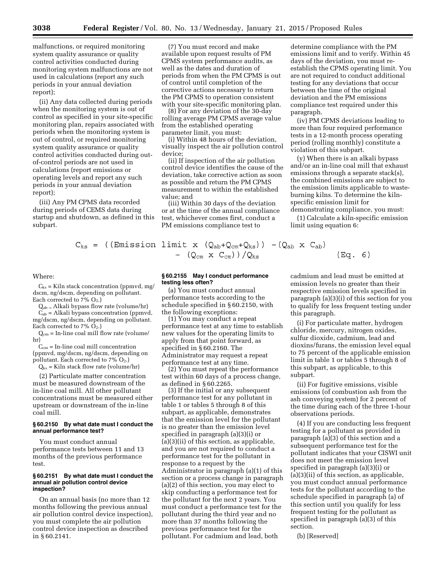malfunctions, or required monitoring system quality assurance or quality control activities conducted during monitoring system malfunctions are not used in calculations (report any such periods in your annual deviation report);

(ii) Any data collected during periods when the monitoring system is out of control as specified in your site-specific monitoring plan, repairs associated with periods when the monitoring system is out of control, or required monitoring system quality assurance or quality control activities conducted during outof-control periods are not used in calculations (report emissions or operating levels and report any such periods in your annual deviation report);

(iii) Any PM CPMS data recorded during periods of CEMS data during startup and shutdown, as defined in this subpart.

$$
C_{ks} = ((Emission 1
$$

#### Where:

 $C_{ks}$  = Kiln stack concentration (ppmvd, mg/ dscm, ng/dscm, depending on pollutant. Each corrected to  $7\%$  O<sub>2</sub>.)

Qab = Alkali bypass flow rate (volume/hr)  $C_{ab}$  = Alkali bypass concentration (ppmvd, mg/dscm, ng/dscm, depending on pollutant. Each corrected to  $7\%$  O<sub>2</sub>.)

 $Q_{cm}$  = In-line coal mill flow rate (volume/ hr)

 $C_{cm}$  = In-line coal mill concentration (ppmvd, mg/dscm, ng/dscm, depending on pollutant. Each corrected to  $7\%$   $O_2$ .)

 $Q_{ks}$  = Kiln stack flow rate (volume/hr)

(2) Particulate matter concentration must be measured downstream of the in-line coal mill. All other pollutant concentrations must be measured either upstream or downstream of the in-line coal mill.

# **§ 60.2150 By what date must I conduct the annual performance test?**

You must conduct annual performance tests between 11 and 13 months of the previous performance test.

#### **§ 60.2151 By what date must I conduct the annual air pollution control device inspection?**

On an annual basis (no more than 12 months following the previous annual air pollution control device inspection), you must complete the air pollution control device inspection as described in § 60.2141.

(7) You must record and make available upon request results of PM CPMS system performance audits, as well as the dates and duration of periods from when the PM CPMS is out of control until completion of the corrective actions necessary to return the PM CPMS to operation consistent with your site-specific monitoring plan.

(8) For any deviation of the 30-day rolling average PM CPMS average value from the established operating parameter limit, you must:

(i) Within 48 hours of the deviation, visually inspect the air pollution control device;

(ii) If inspection of the air pollution control device identifies the cause of the deviation, take corrective action as soon as possible and return the PM CPMS measurement to within the established value; and

(iii) Within 30 days of the deviation or at the time of the annual compliance test, whichever comes first, conduct a PM emissions compliance test to

determine compliance with the PM emissions limit and to verify. Within 45 days of the deviation, you must reestablish the CPMS operating limit. You are not required to conduct additional testing for any deviations that occur between the time of the original deviation and the PM emissions compliance test required under this paragraph.

(iv) PM CPMS deviations leading to more than four required performance tests in a 12-month process operating period (rolling monthly) constitute a violation of this subpart.

(y) When there is an alkali bypass and/or an in-line coal mill that exhaust emissions through a separate stack(s), the combined emissions are subject to the emission limits applicable to wasteburning kilns. To determine the kilnspecific emission limit for

demonstrating compliance, you must:

(1) Calculate a kiln-specific emission limit using equation 6:

$$
s = ((Emission limit x (Q_{ab}+Q_{cm}+Q_{ks})) - (Q_{ab} x C_{ab})
$$
  
- (Q<sub>cm</sub> x C<sub>cm</sub>))/Q<sub>ks</sub> (1)

# **§ 60.2155 May I conduct performance testing less often?**

(a) You must conduct annual performance tests according to the schedule specified in § 60.2150, with the following exceptions:

(1) You may conduct a repeat performance test at any time to establish new values for the operating limits to apply from that point forward, as specified in § 60.2160. The Administrator may request a repeat performance test at any time.

(2) You must repeat the performance test within 60 days of a process change, as defined in § 60.2265.

(3) If the initial or any subsequent performance test for any pollutant in table 1 or tables 5 through 8 of this subpart, as applicable, demonstrates that the emission level for the pollutant is no greater than the emission level specified in paragraph (a)(3)(i) or (a)(3)(ii) of this section, as applicable, and you are not required to conduct a performance test for the pollutant in response to a request by the Administrator in paragraph (a)(1) of this section or a process change in paragraph (a)(2) of this section, you may elect to skip conducting a performance test for the pollutant for the next 2 years. You must conduct a performance test for the pollutant during the third year and no more than 37 months following the previous performance test for the pollutant. For cadmium and lead, both

cadmium and lead must be emitted at emission levels no greater than their respective emission levels specified in paragraph (a)(3)(i) of this section for you to qualify for less frequent testing under

Eq.  $6)$ 

(i) For particulate matter, hydrogen chloride, mercury, nitrogen oxides, sulfur dioxide, cadmium, lead and dioxins/furans, the emission level equal to 75 percent of the applicable emission limit in table 1 or tables 5 through 8 of this subpart, as applicable, to this subpart.

this paragraph.

(ii) For fugitive emissions, visible emissions (of combustion ash from the ash conveying system) for 2 percent of the time during each of the three 1-hour observations periods.

(4) If you are conducting less frequent testing for a pollutant as provided in paragraph (a)(3) of this section and a subsequent performance test for the pollutant indicates that your CISWI unit does not meet the emission level specified in paragraph (a)(3)(i) or (a)(3)(ii) of this section, as applicable, you must conduct annual performance tests for the pollutant according to the schedule specified in paragraph (a) of this section until you qualify for less frequent testing for the pollutant as specified in paragraph (a)(3) of this section.

(b) [Reserved]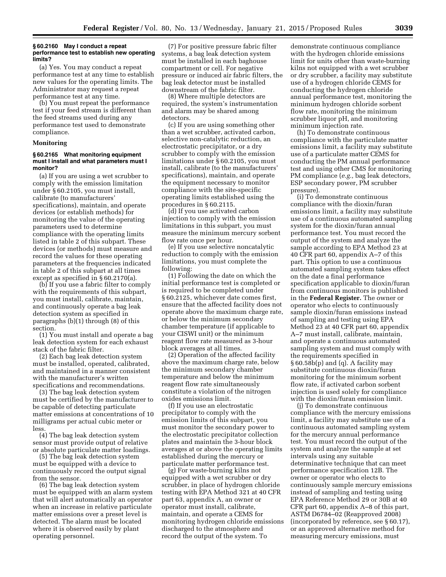#### **§ 60.2160 May I conduct a repeat performance test to establish new operating limits?**

(a) Yes. You may conduct a repeat performance test at any time to establish new values for the operating limits. The Administrator may request a repeat performance test at any time.

(b) You must repeat the performance test if your feed stream is different than the feed streams used during any performance test used to demonstrate compliance.

#### **Monitoring**

## **§ 60.2165 What monitoring equipment must I install and what parameters must I monitor?**

(a) If you are using a wet scrubber to comply with the emission limitation under § 60.2105, you must install, calibrate (to manufacturers' specifications), maintain, and operate devices (or establish methods) for monitoring the value of the operating parameters used to determine compliance with the operating limits listed in table 2 of this subpart. These devices (or methods) must measure and record the values for these operating parameters at the frequencies indicated in table 2 of this subpart at all times except as specified in § 60.2170(a).

(b) If you use a fabric filter to comply with the requirements of this subpart, you must install, calibrate, maintain, and continuously operate a bag leak detection system as specified in paragraphs (b)(1) through (8) of this section.

(1) You must install and operate a bag leak detection system for each exhaust stack of the fabric filter.

(2) Each bag leak detection system must be installed, operated, calibrated, and maintained in a manner consistent with the manufacturer's written specifications and recommendations.

(3) The bag leak detection system must be certified by the manufacturer to be capable of detecting particulate matter emissions at concentrations of 10 milligrams per actual cubic meter or less.

(4) The bag leak detection system sensor must provide output of relative or absolute particulate matter loadings.

(5) The bag leak detection system must be equipped with a device to continuously record the output signal from the sensor.

(6) The bag leak detection system must be equipped with an alarm system that will alert automatically an operator when an increase in relative particulate matter emissions over a preset level is detected. The alarm must be located where it is observed easily by plant operating personnel.

(7) For positive pressure fabric filter systems, a bag leak detection system must be installed in each baghouse compartment or cell. For negative pressure or induced air fabric filters, the bag leak detector must be installed downstream of the fabric filter.

(8) Where multiple detectors are required, the system's instrumentation and alarm may be shared among detectors.

(c) If you are using something other than a wet scrubber, activated carbon, selective non-catalytic reduction, an electrostatic precipitator, or a dry scrubber to comply with the emission limitations under § 60.2105, you must install, calibrate (to the manufacturers' specifications), maintain, and operate the equipment necessary to monitor compliance with the site-specific operating limits established using the procedures in § 60.2115.

(d) If you use activated carbon injection to comply with the emission limitations in this subpart, you must measure the minimum mercury sorbent flow rate once per hour.

(e) If you use selective noncatalytic reduction to comply with the emission limitations, you must complete the following:

(1) Following the date on which the initial performance test is completed or is required to be completed under § 60.2125, whichever date comes first, ensure that the affected facility does not operate above the maximum charge rate, or below the minimum secondary chamber temperature (if applicable to your CISWI unit) or the minimum reagent flow rate measured as 3-hour block averages at all times.

(2) Operation of the affected facility above the maximum charge rate, below the minimum secondary chamber temperature and below the minimum reagent flow rate simultaneously constitute a violation of the nitrogen oxides emissions limit.

(f) If you use an electrostatic precipitator to comply with the emission limits of this subpart, you must monitor the secondary power to the electrostatic precipitator collection plates and maintain the 3-hour block averages at or above the operating limits established during the mercury or particulate matter performance test.

(g) For waste-burning kilns not equipped with a wet scrubber or dry scrubber, in place of hydrogen chloride testing with EPA Method 321 at 40 CFR part 63, appendix A, an owner or operator must install, calibrate, maintain, and operate a CEMS for monitoring hydrogen chloride emissions discharged to the atmosphere and record the output of the system. To

demonstrate continuous compliance with the hydrogen chloride emissions limit for units other than waste-burning kilns not equipped with a wet scrubber or dry scrubber, a facility may substitute use of a hydrogen chloride CEMS for conducting the hydrogen chloride annual performance test, monitoring the minimum hydrogen chloride sorbent flow rate, monitoring the minimum scrubber liquor pH, and monitoring minimum injection rate.

(h) To demonstrate continuous compliance with the particulate matter emissions limit, a facility may substitute use of a particulate matter CEMS for conducting the PM annual performance test and using other CMS for monitoring PM compliance (*e.g.,* bag leak detectors, ESP secondary power, PM scrubber pressure).

(i) To demonstrate continuous compliance with the dioxin/furan emissions limit, a facility may substitute use of a continuous automated sampling system for the dioxin/furan annual performance test. You must record the output of the system and analyze the sample according to EPA Method 23 at 40 CFR part 60, appendix A–7 of this part. This option to use a continuous automated sampling system takes effect on the date a final performance specification applicable to dioxin/furan from continuous monitors is published in the **Federal Register.** The owner or operator who elects to continuously sample dioxin/furan emissions instead of sampling and testing using EPA Method 23 at 40 CFR part 60, appendix A–7 must install, calibrate, maintain, and operate a continuous automated sampling system and must comply with the requirements specified in § 60.58b(p) and (q). A facility may substitute continuous dioxin/furan monitoring for the minimum sorbent flow rate, if activated carbon sorbent injection is used solely for compliance with the dioxin/furan emission limit.

(j) To demonstrate continuous compliance with the mercury emissions limit, a facility may substitute use of a continuous automated sampling system for the mercury annual performance test. You must record the output of the system and analyze the sample at set intervals using any suitable determinative technique that can meet performance specification 12B. The owner or operator who elects to continuously sample mercury emissions instead of sampling and testing using EPA Reference Method 29 or 30B at 40 CFR part 60, appendix A–8 of this part, ASTM D6784–02 (Reapproved 2008) (incorporated by reference, see § 60.17), or an approved alternative method for measuring mercury emissions, must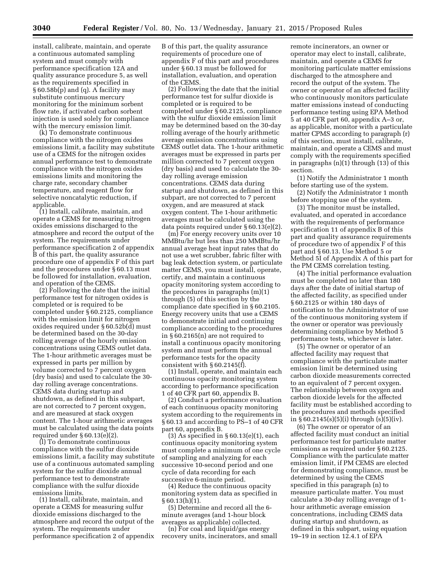install, calibrate, maintain, and operate a continuous automated sampling system and must comply with performance specification 12A and quality assurance procedure 5, as well as the requirements specified in § 60.58b(p) and (q). A facility may substitute continuous mercury monitoring for the minimum sorbent flow rate, if activated carbon sorbent injection is used solely for compliance with the mercury emission limit.

(k) To demonstrate continuous compliance with the nitrogen oxides emissions limit, a facility may substitute use of a CEMS for the nitrogen oxides annual performance test to demonstrate compliance with the nitrogen oxides emissions limits and monitoring the charge rate, secondary chamber temperature, and reagent flow for selective noncatalytic reduction, if applicable.

(1) Install, calibrate, maintain, and operate a CEMS for measuring nitrogen oxides emissions discharged to the atmosphere and record the output of the system. The requirements under performance specification 2 of appendix B of this part, the quality assurance procedure one of appendix F of this part and the procedures under § 60.13 must be followed for installation, evaluation, and operation of the CEMS.

(2) Following the date that the initial performance test for nitrogen oxides is completed or is required to be completed under § 60.2125, compliance with the emission limit for nitrogen oxides required under § 60.52b(d) must be determined based on the 30-day rolling average of the hourly emission concentrations using CEMS outlet data. The 1-hour arithmetic averages must be expressed in parts per million by volume corrected to 7 percent oxygen (dry basis) and used to calculate the 30 day rolling average concentrations. CEMS data during startup and shutdown, as defined in this subpart, are not corrected to 7 percent oxygen, and are measured at stack oxygen content. The 1-hour arithmetic averages must be calculated using the data points required under § 60.13(e)(2).

(l) To demonstrate continuous compliance with the sulfur dioxide emissions limit, a facility may substitute use of a continuous automated sampling system for the sulfur dioxide annual performance test to demonstrate compliance with the sulfur dioxide emissions limits.

(1) Install, calibrate, maintain, and operate a CEMS for measuring sulfur dioxide emissions discharged to the atmosphere and record the output of the system. The requirements under performance specification 2 of appendix B of this part, the quality assurance requirements of procedure one of appendix F of this part and procedures under § 60.13 must be followed for installation, evaluation, and operation of the CEMS.

(2) Following the date that the initial performance test for sulfur dioxide is completed or is required to be completed under § 60.2125, compliance with the sulfur dioxide emission limit may be determined based on the 30-day rolling average of the hourly arithmetic average emission concentrations using CEMS outlet data. The 1-hour arithmetic averages must be expressed in parts per million corrected to 7 percent oxygen (dry basis) and used to calculate the 30 day rolling average emission concentrations. CEMS data during startup and shutdown, as defined in this subpart, are not corrected to 7 percent oxygen, and are measured at stack oxygen content. The 1-hour arithmetic averages must be calculated using the data points required under § 60.13(e)(2).

(m) For energy recovery units over 10 MMBtu/hr but less than 250 MMBtu/hr annual average heat input rates that do not use a wet scrubber, fabric filter with bag leak detection system, or particulate matter CEMS, you must install, operate, certify, and maintain a continuous opacity monitoring system according to the procedures in paragraphs (m)(1) through (5) of this section by the compliance date specified in § 60.2105. Energy recovery units that use a CEMS to demonstrate initial and continuing compliance according to the procedures in § 60.2165(n) are not required to install a continuous opacity monitoring system and must perform the annual performance tests for the opacity consistent with § 60.2145(f).

(1) Install, operate, and maintain each continuous opacity monitoring system according to performance specification 1 of 40 CFR part 60, appendix B.

(2) Conduct a performance evaluation of each continuous opacity monitoring system according to the requirements in § 60.13 and according to PS–1 of 40 CFR part 60, appendix B.

(3) As specified in  $\S 60.13(e)(1)$ , each continuous opacity monitoring system must complete a minimum of one cycle of sampling and analyzing for each successive 10-second period and one cycle of data recording for each successive 6-minute period.

(4) Reduce the continuous opacity monitoring system data as specified in  $§ 60.13(h)(1).$ 

(5) Determine and record all the 6 minute averages (and 1-hour block averages as applicable) collected.

(n) For coal and liquid/gas energy recovery units, incinerators, and small

remote incinerators, an owner or operator may elect to install, calibrate, maintain, and operate a CEMS for monitoring particulate matter emissions discharged to the atmosphere and record the output of the system. The owner or operator of an affected facility who continuously monitors particulate matter emissions instead of conducting performance testing using EPA Method 5 at 40 CFR part 60, appendix A–3 or, as applicable, monitor with a particulate matter CPMS according to paragraph (r) of this section, must install, calibrate, maintain, and operate a CEMS and must comply with the requirements specified in paragraphs (n)(1) through (13) of this section.

(1) Notify the Administrator 1 month before starting use of the system.

(2) Notify the Administrator 1 month before stopping use of the system.

(3) The monitor must be installed, evaluated, and operated in accordance with the requirements of performance specification 11 of appendix B of this part and quality assurance requirements of procedure two of appendix F of this part and § 60.13. Use Method 5 or Method 5I of Appendix A of this part for the PM CEMS correlation testing.

(4) The initial performance evaluation must be completed no later than 180 days after the date of initial startup of the affected facility, as specified under § 60.2125 or within 180 days of notification to the Administrator of use of the continuous monitoring system if the owner or operator was previously determining compliance by Method 5 performance tests, whichever is later.

(5) The owner or operator of an affected facility may request that compliance with the particulate matter emission limit be determined using carbon dioxide measurements corrected to an equivalent of 7 percent oxygen. The relationship between oxygen and carbon dioxide levels for the affected facility must be established according to the procedures and methods specified in  $§ 60.2145(s)(5)(i)$  through  $(s)(5)(iv)$ .

(6) The owner or operator of an affected facility must conduct an initial performance test for particulate matter emissions as required under § 60.2125. Compliance with the particulate matter emission limit, if PM CEMS are elected for demonstrating compliance, must be determined by using the CEMS specified in this paragraph (n) to measure particulate matter. You must calculate a 30-day rolling average of 1 hour arithmetic average emission concentrations, including CEMS data during startup and shutdown, as defined in this subpart, using equation 19–19 in section 12.4.1 of EPA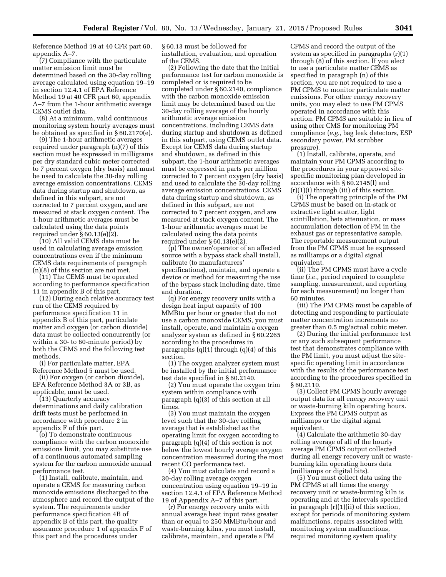Reference Method 19 at 40 CFR part 60, appendix A–7.

(7) Compliance with the particulate matter emission limit must be determined based on the 30-day rolling average calculated using equation 19–19 in section 12.4.1 of EPA Reference Method 19 at 40 CFR part 60, appendix A–7 from the 1-hour arithmetic average CEMS outlet data.

(8) At a minimum, valid continuous monitoring system hourly averages must be obtained as specified in § 60.2170(e).

(9) The 1-hour arithmetic averages required under paragraph (n)(7) of this section must be expressed in milligrams per dry standard cubic meter corrected to 7 percent oxygen (dry basis) and must be used to calculate the 30-day rolling average emission concentrations. CEMS data during startup and shutdown, as defined in this subpart, are not corrected to 7 percent oxygen, and are measured at stack oxygen content. The 1-hour arithmetic averages must be calculated using the data points required under § 60.13(e)(2).

(10) All valid CEMS data must be used in calculating average emission concentrations even if the minimum CEMS data requirements of paragraph (n)(8) of this section are not met.

(11) The CEMS must be operated according to performance specification 11 in appendix B of this part.

(12) During each relative accuracy test run of the CEMS required by performance specification 11 in appendix B of this part, particulate matter and oxygen (or carbon dioxide) data must be collected concurrently (or within a 30- to 60-minute period) by both the CEMS and the following test methods.

(i) For particulate matter, EPA Reference Method 5 must be used.

(ii) For oxygen (or carbon dioxide), EPA Reference Method 3A or 3B, as applicable, must be used.

(13) Quarterly accuracy determinations and daily calibration drift tests must be performed in accordance with procedure 2 in appendix F of this part.

(o) To demonstrate continuous compliance with the carbon monoxide emissions limit, you may substitute use of a continuous automated sampling system for the carbon monoxide annual performance test.

(1) Install, calibrate, maintain, and operate a CEMS for measuring carbon monoxide emissions discharged to the atmosphere and record the output of the system. The requirements under performance specification 4B of appendix B of this part, the quality assurance procedure 1 of appendix F of this part and the procedures under

§ 60.13 must be followed for installation, evaluation, and operation of the CEMS.

(2) Following the date that the initial performance test for carbon monoxide is completed or is required to be completed under § 60.2140, compliance with the carbon monoxide emission limit may be determined based on the 30-day rolling average of the hourly arithmetic average emission concentrations, including CEMS data during startup and shutdown as defined in this subpart, using CEMS outlet data. Except for CEMS data during startup and shutdown, as defined in this subpart, the 1-hour arithmetic averages must be expressed in parts per million corrected to 7 percent oxygen (dry basis) and used to calculate the 30-day rolling average emission concentrations. CEMS data during startup and shutdown, as defined in this subpart, are not corrected to 7 percent oxygen, and are measured at stack oxygen content. The 1-hour arithmetic averages must be calculated using the data points required under § 60.13(e)(2).

(p) The owner/operator of an affected source with a bypass stack shall install, calibrate (to manufacturers' specifications), maintain, and operate a device or method for measuring the use of the bypass stack including date, time and duration.

(q) For energy recovery units with a design heat input capacity of 100 MMBtu per hour or greater that do not use a carbon monoxide CEMS, you must install, operate, and maintain a oxygen analyzer system as defined in § 60.2265 according to the procedures in paragraphs (q)(1) through (q)(4) of this section.

(1) The oxygen analyzer system must be installed by the initial performance test date specified in § 60.2140.

(2) You must operate the oxygen trim system within compliance with paragraph (q)(3) of this section at all times.

(3) You must maintain the oxygen level such that the 30-day rolling average that is established as the operating limit for oxygen according to paragraph (q)(4) of this section is not below the lowest hourly average oxygen concentration measured during the most recent CO performance test.

(4) You must calculate and record a 30-day rolling average oxygen concentration using equation 19–19 in section 12.4.1 of EPA Reference Method 19 of Appendix A–7 of this part.

(r) For energy recovery units with annual average heat input rates greater than or equal to 250 MMBtu/hour and waste-burning kilns, you must install, calibrate, maintain, and operate a PM

CPMS and record the output of the system as specified in paragraphs (r)(1) through (8) of this section. If you elect to use a particulate matter CEMS as specified in paragraph (n) of this section, you are not required to use a PM CPMS to monitor particulate matter emissions. For other energy recovery units, you may elect to use PM CPMS operated in accordance with this section. PM CPMS are suitable in lieu of using other CMS for monitoring PM compliance (*e.g.,* bag leak detectors, ESP secondary power, PM scrubber pressure).

(1) Install, calibrate, operate, and maintain your PM CPMS according to the procedures in your approved sitespecific monitoring plan developed in accordance with § 60.2145(l) and (r)(1)(i) through (iii) of this section.

(i) The operating principle of the PM CPMS must be based on in-stack or extractive light scatter, light scintillation, beta attenuation, or mass accumulation detection of PM in the exhaust gas or representative sample. The reportable measurement output from the PM CPMS must be expressed as milliamps or a digital signal equivalent.

(ii) The PM CPMS must have a cycle time (*i.e.,* period required to complete sampling, measurement, and reporting for each measurement) no longer than 60 minutes.

(iii) The PM CPMS must be capable of detecting and responding to particulate matter concentration increments no greater than 0.5 mg/actual cubic meter.

(2) During the initial performance test or any such subsequent performance test that demonstrates compliance with the PM limit, you must adjust the sitespecific operating limit in accordance with the results of the performance test according to the procedures specified in § 60.2110.

(3) Collect PM CPMS hourly average output data for all energy recovery unit or waste-burning kiln operating hours. Express the PM CPMS output as milliamps or the digital signal equivalent.

(4) Calculate the arithmetic 30-day rolling average of all of the hourly average PM CPMS output collected during all energy recovery unit or wasteburning kiln operating hours data (milliamps or digital bits).

(5) You must collect data using the PM CPMS at all times the energy recovery unit or waste-burning kiln is operating and at the intervals specified in paragraph (r)(1)(ii) of this section, except for periods of monitoring system malfunctions, repairs associated with monitoring system malfunctions, required monitoring system quality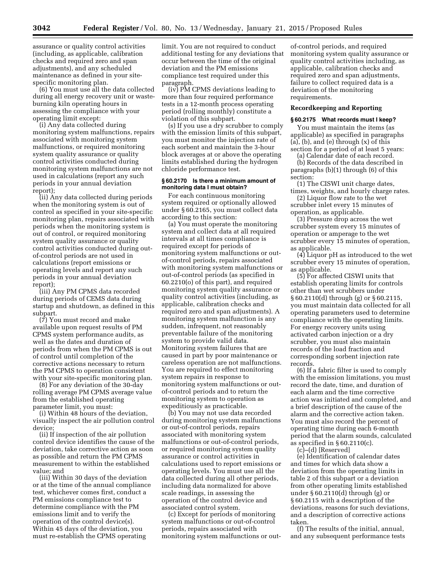assurance or quality control activities (including, as applicable, calibration checks and required zero and span adjustments), and any scheduled maintenance as defined in your sitespecific monitoring plan.

(6) You must use all the data collected during all energy recovery unit or wasteburning kiln operating hours in assessing the compliance with your operating limit except:

(i) Any data collected during monitoring system malfunctions, repairs associated with monitoring system malfunctions, or required monitoring system quality assurance or quality control activities conducted during monitoring system malfunctions are not used in calculations (report any such periods in your annual deviation report);

(ii) Any data collected during periods when the monitoring system is out of control as specified in your site-specific monitoring plan, repairs associated with periods when the monitoring system is out of control, or required monitoring system quality assurance or quality control activities conducted during outof-control periods are not used in calculations (report emissions or operating levels and report any such periods in your annual deviation report);

(iii) Any PM CPMS data recorded during periods of CEMS data during startup and shutdown, as defined in this subpart.

(7) You must record and make available upon request results of PM CPMS system performance audits, as well as the dates and duration of periods from when the PM CPMS is out of control until completion of the corrective actions necessary to return the PM CPMS to operation consistent with your site-specific monitoring plan.

(8) For any deviation of the 30-day rolling average PM CPMS average value from the established operating parameter limit, you must:

(i) Within 48 hours of the deviation, visually inspect the air pollution control device;

(ii) If inspection of the air pollution control device identifies the cause of the deviation, take corrective action as soon as possible and return the PM CPMS measurement to within the established value; and

(iii) Within 30 days of the deviation or at the time of the annual compliance test, whichever comes first, conduct a PM emissions compliance test to determine compliance with the PM emissions limit and to verify the operation of the control device(s). Within 45 days of the deviation, you must re-establish the CPMS operating

limit. You are not required to conduct additional testing for any deviations that occur between the time of the original deviation and the PM emissions compliance test required under this paragraph.

(iv) PM CPMS deviations leading to more than four required performance tests in a 12-month process operating period (rolling monthly) constitute a violation of this subpart.

(s) If you use a dry scrubber to comply with the emission limits of this subpart, you must monitor the injection rate of each sorbent and maintain the 3-hour block averages at or above the operating limits established during the hydrogen chloride performance test.

# **§ 60.2170 Is there a minimum amount of monitoring data I must obtain?**

For each continuous monitoring system required or optionally allowed under § 60.2165, you must collect data according to this section:

(a) You must operate the monitoring system and collect data at all required intervals at all times compliance is required except for periods of monitoring system malfunctions or outof-control periods, repairs associated with monitoring system malfunctions or out-of-control periods (as specified in 60.2210(o) of this part), and required monitoring system quality assurance or quality control activities (including, as applicable, calibration checks and required zero and span adjustments). A monitoring system malfunction is any sudden, infrequent, not reasonably preventable failure of the monitoring system to provide valid data. Monitoring system failures that are caused in part by poor maintenance or careless operation are not malfunctions. You are required to effect monitoring system repairs in response to monitoring system malfunctions or outof-control periods and to return the monitoring system to operation as expeditiously as practicable.

(b) You may not use data recorded during monitoring system malfunctions or out-of-control periods, repairs associated with monitoring system malfunctions or out-of-control periods, or required monitoring system quality assurance or control activities in calculations used to report emissions or operating levels. You must use all the data collected during all other periods, including data normalized for above scale readings, in assessing the operation of the control device and associated control system.

(c) Except for periods of monitoring system malfunctions or out-of-control periods, repairs associated with monitoring system malfunctions or out-

of-control periods, and required monitoring system quality assurance or quality control activities including, as applicable, calibration checks and required zero and span adjustments, failure to collect required data is a deviation of the monitoring requirements.

#### **Recordkeeping and Reporting**

# **§ 60.2175 What records must I keep?**

You must maintain the items (as applicable) as specified in paragraphs  $(a)$ ,  $(b)$ , and  $(e)$  through  $(x)$  of this section for a period of at least 5 years:

(a) Calendar date of each record.

(b) Records of the data described in paragraphs (b)(1) through (6) of this section:

(1) The CISWI unit charge dates, times, weights, and hourly charge rates.

(2) Liquor flow rate to the wet scrubber inlet every 15 minutes of operation, as applicable.

(3) Pressure drop across the wet scrubber system every 15 minutes of operation or amperage to the wet scrubber every 15 minutes of operation, as applicable.

(4) Liquor pH as introduced to the wet scrubber every 15 minutes of operation, as applicable.

(5) For affected CISWI units that establish operating limits for controls other than wet scrubbers under § 60.2110(d) through (g) or § 60.2115, you must maintain data collected for all operating parameters used to determine compliance with the operating limits. For energy recovery units using activated carbon injection or a dry scrubber, you must also maintain records of the load fraction and corresponding sorbent injection rate records.

(6) If a fabric filter is used to comply with the emission limitations, you must record the date, time, and duration of each alarm and the time corrective action was initiated and completed, and a brief description of the cause of the alarm and the corrective action taken. You must also record the percent of operating time during each 6-month period that the alarm sounds, calculated as specified in  $\S 60.2110(c)$ .

(c)–(d) [Reserved]

(e) Identification of calendar dates and times for which data show a deviation from the operating limits in table 2 of this subpart or a deviation from other operating limits established under § 60.2110(d) through (g) or § 60.2115 with a description of the deviations, reasons for such deviations, and a description of corrective actions taken.

(f) The results of the initial, annual, and any subsequent performance tests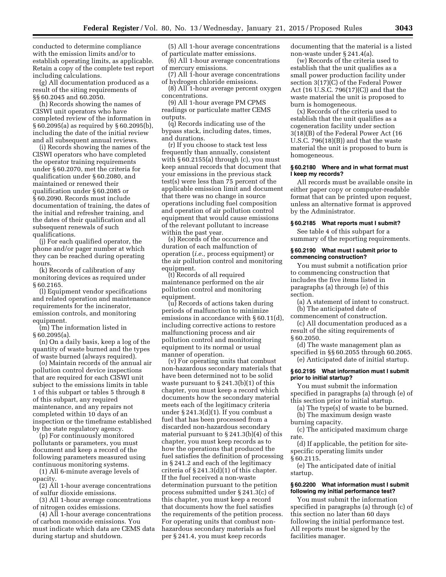conducted to determine compliance with the emission limits and/or to establish operating limits, as applicable. Retain a copy of the complete test report including calculations.

(g) All documentation produced as a result of the siting requirements of §§ 60.2045 and 60.2050.

(h) Records showing the names of CISWI unit operators who have completed review of the information in § 60.2095(a) as required by § 60.2095(b), including the date of the initial review and all subsequent annual reviews.

(i) Records showing the names of the CISWI operators who have completed the operator training requirements under § 60.2070, met the criteria for qualification under § 60.2080, and maintained or renewed their qualification under § 60.2085 or § 60.2090. Records must include documentation of training, the dates of the initial and refresher training, and the dates of their qualification and all subsequent renewals of such qualifications.

(j) For each qualified operator, the phone and/or pager number at which they can be reached during operating hours.

(k) Records of calibration of any monitoring devices as required under § 60.2165.

(l) Equipment vendor specifications and related operation and maintenance requirements for the incinerator, emission controls, and monitoring equipment.

(m) The information listed in § 60.2095(a).

(n) On a daily basis, keep a log of the quantity of waste burned and the types of waste burned (always required).

(o) Maintain records of the annual air pollution control device inspections that are required for each CISWI unit subject to the emissions limits in table 1 of this subpart or tables 5 through 8 of this subpart, any required maintenance, and any repairs not completed within 10 days of an inspection or the timeframe established by the state regulatory agency.

(p) For continuously monitored pollutants or parameters, you must document and keep a record of the following parameters measured using continuous monitoring systems.

(1) All 6-minute average levels of opacity.

(2) All 1-hour average concentrations of sulfur dioxide emissions.

(3) All 1-hour average concentrations of nitrogen oxides emissions.

(4) All 1-hour average concentrations of carbon monoxide emissions. You must indicate which data are CEMS data during startup and shutdown.

(5) All 1-hour average concentrations of particulate matter emissions.

(6) All 1-hour average concentrations of mercury emissions.

(7) All 1-hour average concentrations of hydrogen chloride emissions.

(8) All 1-hour average percent oxygen concentrations.

(9) All 1-hour average PM CPMS readings or particulate matter CEMS outputs.

(q) Records indicating use of the bypass stack, including dates, times, and durations.

(r) If you choose to stack test less frequently than annually, consistent with  $\S 60.2155$ (a) through (c), you must keep annual records that document that your emissions in the previous stack test(s) were less than 75 percent of the applicable emission limit and document that there was no change in source operations including fuel composition and operation of air pollution control equipment that would cause emissions of the relevant pollutant to increase within the past year.

(s) Records of the occurrence and duration of each malfunction of operation (*i.e.,* process equipment) or the air pollution control and monitoring equipment.

(t) Records of all required maintenance performed on the air pollution control and monitoring equipment.

(u) Records of actions taken during periods of malfunction to minimize emissions in accordance with § 60.11(d), including corrective actions to restore malfunctioning process and air pollution control and monitoring equipment to its normal or usual manner of operation.

(v) For operating units that combust non-hazardous secondary materials that have been determined not to be solid waste pursuant to  $\S$  241.3(b)(1) of this chapter, you must keep a record which documents how the secondary material meets each of the legitimacy criteria under § 241.3(d)(1). If you combust a fuel that has been processed from a discarded non-hazardous secondary material pursuant to § 241.3(b)(4) of this chapter, you must keep records as to how the operations that produced the fuel satisfies the definition of processing in § 241.2 and each of the legitimacy criteria of § 241.3(d)(1) of this chapter. If the fuel received a non-waste determination pursuant to the petition process submitted under § 241.3(c) of this chapter, you must keep a record that documents how the fuel satisfies the requirements of the petition process. For operating units that combust nonhazardous secondary materials as fuel per § 241.4, you must keep records

documenting that the material is a listed non-waste under § 241.4(a).

(w) Records of the criteria used to establish that the unit qualifies as a small power production facility under section 3(17)(C) of the Federal Power Act (16 U.S.C. 796(17)(C)) and that the waste material the unit is proposed to burn is homogeneous.

(x) Records of the criteria used to establish that the unit qualifies as a cogeneration facility under section 3(18)(B) of the Federal Power Act (16 U.S.C. 796(18)(B)) and that the waste material the unit is proposed to burn is homogeneous.

#### **§ 60.2180 Where and in what format must I keep my records?**

All records must be available onsite in either paper copy or computer-readable format that can be printed upon request, unless an alternative format is approved by the Administrator.

# **§ 60.2185 What reports must I submit?**

See table 4 of this subpart for a summary of the reporting requirements.

# **§ 60.2190 What must I submit prior to commencing construction?**

You must submit a notification prior to commencing construction that includes the five items listed in paragraphs (a) through (e) of this section.

(a) A statement of intent to construct. (b) The anticipated date of

commencement of construction. (c) All documentation produced as a

result of the siting requirements of § 60.2050.

(d) The waste management plan as specified in §§ 60.2055 through 60.2065. (e) Anticipated date of initial startup.

# **§ 60.2195 What information must I submit prior to initial startup?**

You must submit the information specified in paragraphs (a) through (e) of this section prior to initial startup.

(a) The type(s) of waste to be burned.

(b) The maximum design waste burning capacity.

(c) The anticipated maximum charge rate.

(d) If applicable, the petition for sitespecific operating limits under § 60.2115.

(e) The anticipated date of initial startup.

#### **§ 60.2200 What information must I submit following my initial performance test?**

You must submit the information specified in paragraphs (a) through (c) of this section no later than 60 days following the initial performance test. All reports must be signed by the facilities manager.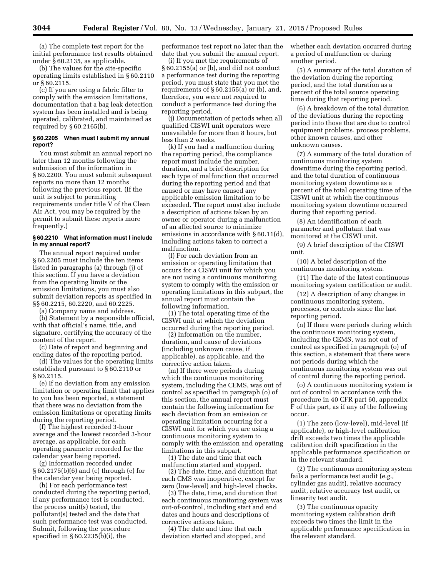(a) The complete test report for the initial performance test results obtained under § 60.2135, as applicable.

(b) The values for the site-specific operating limits established in § 60.2110 or § 60.2115.

(c) If you are using a fabric filter to comply with the emission limitations, documentation that a bag leak detection system has been installed and is being operated, calibrated, and maintained as required by § 60.2165(b).

#### **§ 60.2205 When must I submit my annual report?**

You must submit an annual report no later than 12 months following the submission of the information in § 60.2200. You must submit subsequent reports no more than 12 months following the previous report. (If the unit is subject to permitting requirements under title V of the Clean Air Act, you may be required by the permit to submit these reports more frequently.)

### **§ 60.2210 What information must I include in my annual report?**

The annual report required under § 60.2205 must include the ten items listed in paragraphs (a) through (j) of this section. If you have a deviation from the operating limits or the emission limitations, you must also submit deviation reports as specified in §§ 60.2215, 60.2220, and 60.2225.

(a) Company name and address.

(b) Statement by a responsible official, with that official's name, title, and signature, certifying the accuracy of the content of the report.

(c) Date of report and beginning and ending dates of the reporting period.

(d) The values for the operating limits established pursuant to § 60.2110 or § 60.2115.

(e) If no deviation from any emission limitation or operating limit that applies to you has been reported, a statement that there was no deviation from the emission limitations or operating limits during the reporting period.

(f) The highest recorded 3-hour average and the lowest recorded 3-hour average, as applicable, for each operating parameter recorded for the calendar year being reported.

(g) Information recorded under § 60.2175(b)(6) and (c) through (e) for the calendar year being reported.

(h) For each performance test conducted during the reporting period, if any performance test is conducted, the process unit(s) tested, the pollutant(s) tested and the date that such performance test was conducted. Submit, following the procedure specified in § 60.2235(b)(i), the

performance test report no later than the date that you submit the annual report.

(i) If you met the requirements of § 60.2155(a) or (b), and did not conduct a performance test during the reporting period, you must state that you met the requirements of § 60.2155(a) or (b), and, therefore, you were not required to conduct a performance test during the reporting period.

(j) Documentation of periods when all qualified CISWI unit operators were unavailable for more than 8 hours, but less than 2 weeks.

(k) If you had a malfunction during the reporting period, the compliance report must include the number, duration, and a brief description for each type of malfunction that occurred during the reporting period and that caused or may have caused any applicable emission limitation to be exceeded. The report must also include a description of actions taken by an owner or operator during a malfunction of an affected source to minimize emissions in accordance with § 60.11(d), including actions taken to correct a malfunction.

(l) For each deviation from an emission or operating limitation that occurs for a CISWI unit for which you are not using a continuous monitoring system to comply with the emission or operating limitations in this subpart, the annual report must contain the following information.

(1) The total operating time of the CISWI unit at which the deviation occurred during the reporting period.

(2) Information on the number, duration, and cause of deviations (including unknown cause, if applicable), as applicable, and the corrective action taken.

(m) If there were periods during which the continuous monitoring system, including the CEMS, was out of control as specified in paragraph (o) of this section, the annual report must contain the following information for each deviation from an emission or operating limitation occurring for a CISWI unit for which you are using a continuous monitoring system to comply with the emission and operating limitations in this subpart.

(1) The date and time that each malfunction started and stopped.

(2) The date, time, and duration that each CMS was inoperative, except for zero (low-level) and high-level checks.

(3) The date, time, and duration that each continuous monitoring system was out-of-control, including start and end dates and hours and descriptions of corrective actions taken.

(4) The date and time that each deviation started and stopped, and whether each deviation occurred during a period of malfunction or during another period.

(5) A summary of the total duration of the deviation during the reporting period, and the total duration as a percent of the total source operating time during that reporting period.

(6) A breakdown of the total duration of the deviations during the reporting period into those that are due to control equipment problems, process problems, other known causes, and other unknown causes.

(7) A summary of the total duration of continuous monitoring system downtime during the reporting period, and the total duration of continuous monitoring system downtime as a percent of the total operating time of the CISWI unit at which the continuous monitoring system downtime occurred during that reporting period.

(8) An identification of each parameter and pollutant that was monitored at the CISWI unit.

(9) A brief description of the CISWI unit.

(10) A brief description of the continuous monitoring system.

(11) The date of the latest continuous monitoring system certification or audit.

(12) A description of any changes in continuous monitoring system, processes, or controls since the last reporting period.

(n) If there were periods during which the continuous monitoring system, including the CEMS, was not out of control as specified in paragraph (o) of this section, a statement that there were not periods during which the continuous monitoring system was out of control during the reporting period.

(o) A continuous monitoring system is out of control in accordance with the procedure in 40 CFR part 60, appendix F of this part, as if any of the following occur.

(1) The zero (low-level), mid-level (if applicable), or high-level calibration drift exceeds two times the applicable calibration drift specification in the applicable performance specification or in the relevant standard.

(2) The continuous monitoring system fails a performance test audit (*e.g.,*  cylinder gas audit), relative accuracy audit, relative accuracy test audit, or linearity test audit.

(3) The continuous opacity monitoring system calibration drift exceeds two times the limit in the applicable performance specification in the relevant standard.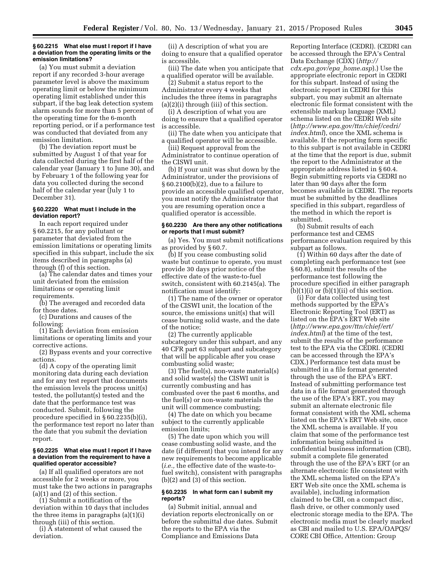#### **§ 60.2215 What else must I report if I have a deviation from the operating limits or the emission limitations?**

(a) You must submit a deviation report if any recorded 3-hour average parameter level is above the maximum operating limit or below the minimum operating limit established under this subpart, if the bag leak detection system alarm sounds for more than 5 percent of the operating time for the 6-month reporting period, or if a performance test was conducted that deviated from any emission limitation.

(b) The deviation report must be submitted by August 1 of that year for data collected during the first half of the calendar year (January 1 to June 30), and by February 1 of the following year for data you collected during the second half of the calendar year (July 1 to December 31).

# **§ 60.2220 What must I include in the deviation report?**

In each report required under § 60.2215, for any pollutant or parameter that deviated from the emission limitations or operating limits specified in this subpart, include the six items described in paragraphs (a) through (f) of this section.

(a) The calendar dates and times your unit deviated from the emission limitations or operating limit requirements.

(b) The averaged and recorded data for those dates.

(c) Durations and causes of the following:

(1) Each deviation from emission limitations or operating limits and your corrective actions.

(2) Bypass events and your corrective actions.

(d) A copy of the operating limit monitoring data during each deviation and for any test report that documents the emission levels the process unit(s) tested, the pollutant(s) tested and the date that the performance test was conducted. Submit, following the procedure specified in § 60.2235(b)(i), the performance test report no later than the date that you submit the deviation report.

#### **§ 60.2225 What else must I report if I have a deviation from the requirement to have a qualified operator accessible?**

(a) If all qualified operators are not accessible for 2 weeks or more, you must take the two actions in paragraphs (a)(1) and (2) of this section.

(1) Submit a notification of the deviation within 10 days that includes the three items in paragraphs (a)(1)(i) through (iii) of this section.

(i) A statement of what caused the deviation.

(ii) A description of what you are doing to ensure that a qualified operator is accessible.

(iii) The date when you anticipate that a qualified operator will be available.

(2) Submit a status report to the Administrator every 4 weeks that includes the three items in paragraphs (a)(2)(i) through (iii) of this section.

(i) A description of what you are doing to ensure that a qualified operator is accessible.

(ii) The date when you anticipate that a qualified operator will be accessible.

(iii) Request approval from the Administrator to continue operation of the CISWI unit.

(b) If your unit was shut down by the Administrator, under the provisions of § 60.2100(b)(2), due to a failure to provide an accessible qualified operator, you must notify the Administrator that you are resuming operation once a qualified operator is accessible.

#### **§ 60.2230 Are there any other notifications or reports that I must submit?**

(a) Yes. You must submit notifications as provided by § 60.7.

(b) If you cease combusting solid waste but continue to operate, you must provide 30 days prior notice of the effective date of the waste-to-fuel switch, consistent with 60.2145(a). The notification must identify:

(1) The name of the owner or operator of the CISWI unit, the location of the source, the emissions unit(s) that will cease burning solid waste, and the date of the notice;

(2) The currently applicable subcategory under this subpart, and any 40 CFR part 63 subpart and subcategory that will be applicable after you cease combusting solid waste;

(3) The fuel(s), non-waste material(s) and solid waste(s) the CISWI unit is currently combusting and has combusted over the past 6 months, and the fuel(s) or non-waste materials the unit will commence combusting;

(4) The date on which you became subject to the currently applicable emission limits;

(5) The date upon which you will cease combusting solid waste, and the date (if different) that you intend for any new requirements to become applicable (*i.e.,* the effective date of the waste-tofuel switch), consistent with paragraphs (b)(2) and (3) of this section.

#### **§ 60.2235 In what form can I submit my reports?**

(a) Submit initial, annual and deviation reports electronically on or before the submittal due dates. Submit the reports to the EPA via the Compliance and Emissions Data

Reporting Interface (CEDRI). (CEDRI can be accessed through the EPA's Central Data Exchange (CDX) (*[http://](http://cdx.epa.gov/epa_home.asp) [cdx.epa.gov/epa](http://cdx.epa.gov/epa_home.asp)*\_*home.asp*).) Use the appropriate electronic report in CEDRI for this subpart. Instead of using the electronic report in CEDRI for this subpart, you may submit an alternate electronic file format consistent with the extensible markup language (XML) schema listed on the CEDRI Web site (*[http://www.epa.gov/ttn/chief/cedri/](http://www.epa.gov/ttn/chief/cedri/index.html) [index.html](http://www.epa.gov/ttn/chief/cedri/index.html)*), once the XML schema is available. If the reporting form specific to this subpart is not available in CEDRI at the time that the report is due, submit the report to the Administrator at the appropriate address listed in § 60.4. Begin submitting reports via CEDRI no later than 90 days after the form becomes available in CEDRI. The reports must be submitted by the deadlines specified in this subpart, regardless of the method in which the report is submitted.

(b) Submit results of each performance test and CEMS performance evaluation required by this subpart as follows.

(1) Within 60 days after the date of completing each performance test (see § 60.8), submit the results of the performance test following the procedure specified in either paragraph  $(b)(1)(i)$  or  $(b)(1)(ii)$  of this section.

(i) For data collected using test methods supported by the EPA's Electronic Reporting Tool (ERT) as listed on the EPA's ERT Web site (*[http://www.epa.gov/ttn/chief/ert/](http://www.epa.gov/ttn/chief/ert/index.html) [index.html](http://www.epa.gov/ttn/chief/ert/index.html)*) at the time of the test, submit the results of the performance test to the EPA via the CEDRI. (CEDRI can be accessed through the EPA's CDX.) Performance test data must be submitted in a file format generated through the use of the EPA's ERT. Instead of submitting performance test data in a file format generated through the use of the EPA's ERT, you may submit an alternate electronic file format consistent with the XML schema listed on the EPA's ERT Web site, once the XML schema is available. If you claim that some of the performance test information being submitted is confidential business information (CBI), submit a complete file generated through the use of the EPA's ERT (or an alternate electronic file consistent with the XML schema listed on the EPA's ERT Web site once the XML schema is available), including information claimed to be CBI, on a compact disc, flash drive, or other commonly used electronic storage media to the EPA. The electronic media must be clearly marked as CBI and mailed to U.S. EPA/OAPQS/ CORE CBI Office, Attention: Group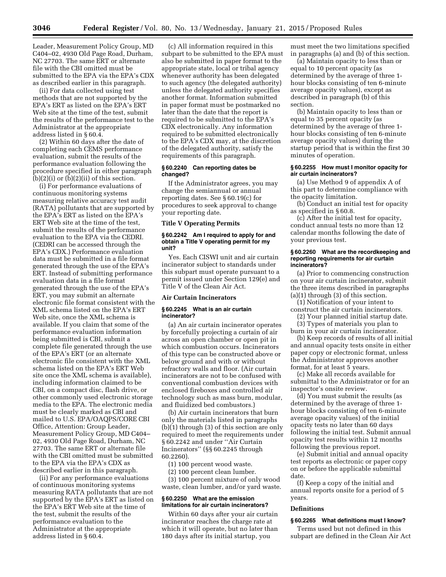Leader, Measurement Policy Group, MD C404–02, 4930 Old Page Road, Durham, NC 27703. The same ERT or alternate file with the CBI omitted must be submitted to the EPA via the EPA's CDX as described earlier in this paragraph.

(ii) For data collected using test methods that are not supported by the EPA's ERT as listed on the EPA's ERT Web site at the time of the test, submit the results of the performance test to the Administrator at the appropriate address listed in § 60.4.

(2) Within 60 days after the date of completing each CEMS performance evaluation, submit the results of the performance evaluation following the procedure specified in either paragraph  $(b)(2)(i)$  or  $(b)(2)(ii)$  of this section.

(i) For performance evaluations of continuous monitoring systems measuring relative accuracy test audit (RATA) pollutants that are supported by the EPA's ERT as listed on the EPA's ERT Web site at the time of the test, submit the results of the performance evaluation to the EPA via the CEDRI. (CEDRI can be accessed through the EPA's CDX.) Performance evaluation data must be submitted in a file format generated through the use of the EPA's ERT. Instead of submitting performance evaluation data in a file format generated through the use of the EPA's ERT, you may submit an alternate electronic file format consistent with the XML schema listed on the EPA's ERT Web site, once the XML schema is available. If you claim that some of the performance evaluation information being submitted is CBI, submit a complete file generated through the use of the EPA's ERT (or an alternate electronic file consistent with the XML schema listed on the EPA's ERT Web site once the XML schema is available), including information claimed to be CBI, on a compact disc, flash drive, or other commonly used electronic storage media to the EPA. The electronic media must be clearly marked as CBI and mailed to U.S. EPA/OAQPS/CORE CBI Office, Attention: Group Leader, Measurement Policy Group, MD C404– 02, 4930 Old Page Road, Durham, NC 27703. The same ERT or alternate file with the CBI omitted must be submitted to the EPA via the EPA's CDX as described earlier in this paragraph.

(ii) For any performance evaluations of continuous monitoring systems measuring RATA pollutants that are not supported by the EPA's ERT as listed on the EPA's ERT Web site at the time of the test, submit the results of the performance evaluation to the Administrator at the appropriate address listed in § 60.4.

(c) All information required in this subpart to be submitted to the EPA must also be submitted in paper format to the appropriate state, local or tribal agency whenever authority has been delegated to such agency (the delegated authority) unless the delegated authority specifies another format. Information submitted in paper format must be postmarked no later than the date that the report is required to be submitted to the EPA's CDX electronically. Any information required to be submitted electronically to the EPA's CDX may, at the discretion of the delegated authority, satisfy the requirements of this paragraph.

## **§ 60.2240 Can reporting dates be changed?**

If the Administrator agrees, you may change the semiannual or annual reporting dates. See § 60.19(c) for procedures to seek approval to change your reporting date.

# **Title V Operating Permits**

#### **§ 60.2242 Am I required to apply for and obtain a Title V operating permit for my unit?**

Yes. Each CISWI unit and air curtain incinerator subject to standards under this subpart must operate pursuant to a permit issued under Section 129(e) and Title V of the Clean Air Act.

#### **Air Curtain Incinerators**

# **§ 60.2245 What is an air curtain incinerator?**

(a) An air curtain incinerator operates by forcefully projecting a curtain of air across an open chamber or open pit in which combustion occurs. Incinerators of this type can be constructed above or below ground and with or without refractory walls and floor. (Air curtain incinerators are not to be confused with conventional combustion devices with enclosed fireboxes and controlled air technology such as mass burn, modular, and fluidized bed combustors.)

(b) Air curtain incinerators that burn only the materials listed in paragraphs (b)(1) through (3) of this section are only required to meet the requirements under § 60.2242 and under ''Air Curtain Incinerators'' (§§ 60.2245 through 60.2260).

(1) 100 percent wood waste.

(2) 100 percent clean lumber.

(3) 100 percent mixture of only wood waste, clean lumber, and/or yard waste.

# **§ 60.2250 What are the emission limitations for air curtain incinerators?**

Within 60 days after your air curtain incinerator reaches the charge rate at which it will operate, but no later than 180 days after its initial startup, you

must meet the two limitations specified in paragraphs (a) and (b) of this section.

(a) Maintain opacity to less than or equal to 10 percent opacity (as determined by the average of three 1 hour blocks consisting of ten 6-minute average opacity values), except as described in paragraph (b) of this section.

(b) Maintain opacity to less than or equal to 35 percent opacity (as determined by the average of three 1 hour blocks consisting of ten 6-minute average opacity values) during the startup period that is within the first 30 minutes of operation.

# **§ 60.2255 How must I monitor opacity for air curtain incinerators?**

(a) Use Method 9 of appendix A of this part to determine compliance with the opacity limitation.

(b) Conduct an initial test for opacity as specified in § 60.8.

(c) After the initial test for opacity, conduct annual tests no more than 12 calendar months following the date of your previous test.

#### **§ 60.2260 What are the recordkeeping and reporting requirements for air curtain incinerators?**

(a) Prior to commencing construction on your air curtain incinerator, submit the three items described in paragraphs (a)(1) through (3) of this section.

(1) Notification of your intent to construct the air curtain incinerators.

(2) Your planned initial startup date. (3) Types of materials you plan to

burn in your air curtain incinerator.

(b) Keep records of results of all initial and annual opacity tests onsite in either paper copy or electronic format, unless the Administrator approves another format, for at least 5 years.

(c) Make all records available for submittal to the Administrator or for an inspector's onsite review.

(d) You must submit the results (as determined by the average of three 1 hour blocks consisting of ten 6-minute average opacity values) of the initial opacity tests no later than 60 days following the initial test. Submit annual opacity test results within 12 months following the previous report.

(e) Submit initial and annual opacity test reports as electronic or paper copy on or before the applicable submittal date.

(f) Keep a copy of the initial and annual reports onsite for a period of 5 years.

#### **Definitions**

#### **§ 60.2265 What definitions must I know?**

Terms used but not defined in this subpart are defined in the Clean Air Act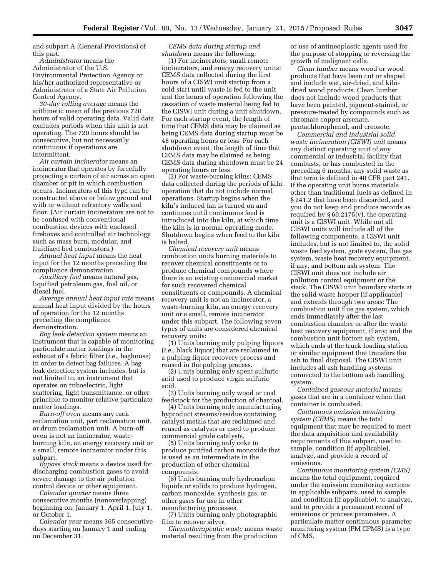and subpart A (General Provisions) of this part.

*Administrator* means the Administrator of the U.S. Environmental Protection Agency or his/her authorized representative or Administrator of a State Air Pollution Control Agency.

*30-day rolling average* means the arithmetic mean of the previous 720 hours of valid operating data. Valid data excludes periods when this unit is not operating. The 720 hours should be consecutive, but not necessarily continuous if operations are intermittent.

*Air curtain incinerator* means an incinerator that operates by forcefully projecting a curtain of air across an open chamber or pit in which combustion occurs. Incinerators of this type can be constructed above or below ground and with or without refractory walls and floor. (Air curtain incinerators are not to be confused with conventional combustion devices with enclosed fireboxes and controlled air technology such as mass burn, modular, and fluidized bed combustors.)

*Annual heat input* means the heat input for the 12 months preceding the compliance demonstration.

*Auxiliary fuel* means natural gas, liquified petroleum gas, fuel oil, or diesel fuel.

*Average annual heat input rate* means annual heat input divided by the hours of operation for the 12 months preceding the compliance demonstration.

*Bag leak detection system* means an instrument that is capable of monitoring particulate matter loadings in the exhaust of a fabric filter (*i.e.,* baghouse) in order to detect bag failures. A bag leak detection system includes, but is not limited to, an instrument that operates on triboelectric, light scattering, light transmittance, or other principle to monitor relative particulate matter loadings.

*Burn-off oven* means any rack reclamation unit, part reclamation unit, or drum reclamation unit. A burn-off oven is not an incinerator, wasteburning kiln, an energy recovery unit or a small, remote incinerator under this subpart.

*Bypass stack* means a device used for discharging combustion gases to avoid severe damage to the air pollution control device or other equipment.

*Calendar quarter* means three consecutive months (nonoverlapping) beginning on: January 1, April 1, July 1, or October 1.

*Calendar year* means 365 consecutive days starting on January 1 and ending on December 31.

*CEMS data during startup and shutdown* means the following:

(1) For incinerators, small remote incinerators, and energy recovery units: CEMS data collected during the first hours of a CISWI unit startup from a cold start until waste is fed to the unit and the hours of operation following the cessation of waste material being fed to the CISWI unit during a unit shutdown. For each startup event, the length of time that CEMS data may be claimed as being CEMS data during startup must be 48 operating hours or less. For each shutdown event, the length of time that CEMS data may be claimed as being CEMS data during shutdown must be 24 operating hours or less.

(2) For waste-burning kilns: CEMS data collected during the periods of kiln operation that do not include normal operations. Startup begins when the kiln's induced fan is turned on and continues until continuous feed is introduced into the kiln, at which time the kiln is in normal operating mode. Shutdown begins when feed to the kiln is halted.

*Chemical recovery unit* means combustion units burning materials to recover chemical constituents or to produce chemical compounds where there is an existing commercial market for such recovered chemical constituents or compounds. A chemical recovery unit is not an incinerator, a waste-burning kiln, an energy recovery unit or a small, remote incinerator under this subpart. The following seven types of units are considered chemical recovery units:

(1) Units burning only pulping liquors (*i.e.,* black liquor) that are reclaimed in a pulping liquor recovery process and reused in the pulping process.

(2) Units burning only spent sulfuric acid used to produce virgin sulfuric acid.

(3) Units burning only wood or coal feedstock for the production of charcoal.

(4) Units burning only manufacturing byproduct streams/residue containing catalyst metals that are reclaimed and reused as catalysts or used to produce commercial grade catalysts.

(5) Units burning only coke to produce purified carbon monoxide that is used as an intermediate in the production of other chemical compounds.

(6) Units burning only hydrocarbon liquids or solids to produce hydrogen, carbon monoxide, synthesis gas, or other gases for use in other manufacturing processes.

(7) Units burning only photographic film to recover silver.

*Chemotherapeutic waste* means waste material resulting from the production

or use of antineoplastic agents used for the purpose of stopping or reversing the growth of malignant cells.

*Clean lumber* means wood or wood products that have been cut or shaped and include wet, air-dried, and kilndried wood products. Clean lumber does not include wood products that have been painted, pigment-stained, or pressure-treated by compounds such as chromate copper arsenate, pentachlorophenol, and creosote.

*Commercial and industrial solid waste incineration (CISWI) unit* means any distinct operating unit of any commercial or industrial facility that combusts, or has combusted in the preceding 6 months, any solid waste as that term is defined in 40 CFR part 241. If the operating unit burns materials other than traditional fuels as defined in § 241.2 that have been discarded, and you do not keep and produce records as required by  $\S 60.2175(v)$ , the operating unit is a CISWI unit. While not all CISWI units will include all of the following components, a CISWI unit includes, but is not limited to, the solid waste feed system, grate system, flue gas system, waste heat recovery equipment, if any, and bottom ash system. The CISWI unit does not include air pollution control equipment or the stack. The CISWI unit boundary starts at the solid waste hopper (if applicable) and extends through two areas: The combustion unit flue gas system, which ends immediately after the last combustion chamber or after the waste heat recovery equipment, if any; and the combustion unit bottom ash system, which ends at the truck loading station or similar equipment that transfers the ash to final disposal. The CISWI unit includes all ash handling systems connected to the bottom ash handling system.

*Contained gaseous material* means gases that are in a container when that container is combusted.

*Continuous emission monitoring system (CEMS)* means the total equipment that may be required to meet the data acquisition and availability requirements of this subpart, used to sample, condition (if applicable), analyze, and provide a record of emissions.

*Continuous monitoring system (CMS)*  means the total equipment, required under the emission monitoring sections in applicable subparts, used to sample and condition (if applicable), to analyze, and to provide a permanent record of emissions or process parameters. A particulate matter continuous parameter monitoring system (PM CPMS) is a type of CMS.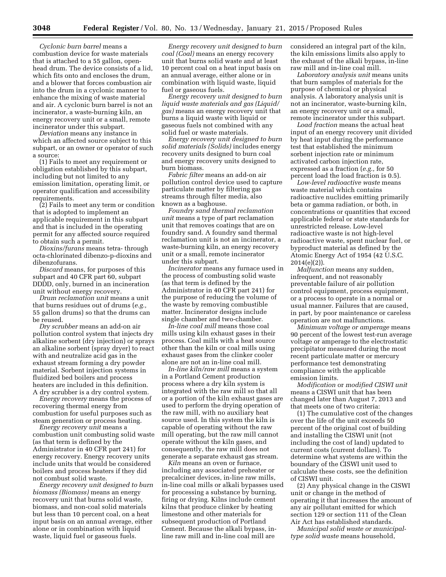*Cyclonic burn barrel* means a combustion device for waste materials that is attached to a 55 gallon, openhead drum. The device consists of a lid, which fits onto and encloses the drum, and a blower that forces combustion air into the drum in a cyclonic manner to enhance the mixing of waste material and air. A cyclonic burn barrel is not an incinerator, a waste-burning kiln, an energy recovery unit or a small, remote incinerator under this subpart.

*Deviation* means any instance in which an affected source subject to this subpart, or an owner or operator of such a source:

(1) Fails to meet any requirement or obligation established by this subpart, including but not limited to any emission limitation, operating limit, or operator qualification and accessibility requirements.

(2) Fails to meet any term or condition that is adopted to implement an applicable requirement in this subpart and that is included in the operating permit for any affected source required to obtain such a permit.

*Dioxins/furans* means tetra- through octa-chlorinated dibenzo-p-dioxins and dibenzofurans.

*Discard* means, for purposes of this subpart and 40 CFR part 60, subpart DDDD, only, burned in an incineration unit without energy recovery.

*Drum reclamation unit* means a unit that burns residues out of drums (*e.g.,*  55 gallon drums) so that the drums can be reused.

*Dry scrubber* means an add-on air pollution control system that injects dry alkaline sorbent (dry injection) or sprays an alkaline sorbent (spray dryer) to react with and neutralize acid gas in the exhaust stream forming a dry powder material. Sorbent injection systems in fluidized bed boilers and process heaters are included in this definition. A dry scrubber is a dry control system.

*Energy recovery* means the process of recovering thermal energy from combustion for useful purposes such as steam generation or process heating.

*Energy recovery unit* means a combustion unit combusting solid waste (as that term is defined by the Administrator in 40 CFR part 241) for energy recovery. Energy recovery units include units that would be considered boilers and process heaters if they did not combust solid waste.

*Energy recovery unit designed to burn biomass (Biomass)* means an energy recovery unit that burns solid waste, biomass, and non-coal solid materials but less than 10 percent coal, on a heat input basis on an annual average, either alone or in combination with liquid waste, liquid fuel or gaseous fuels.

*Energy recovery unit designed to burn coal (Coal)* means an energy recovery unit that burns solid waste and at least 10 percent coal on a heat input basis on an annual average, either alone or in combination with liquid waste, liquid fuel or gaseous fuels.

*Energy recovery unit designed to burn liquid waste materials and gas (Liquid/ gas)* means an energy recovery unit that burns a liquid waste with liquid or gaseous fuels not combined with any solid fuel or waste materials.

*Energy recovery unit designed to burn solid materials (Solids)* includes energy recovery units designed to burn coal and energy recovery units designed to burn biomass.

*Fabric filter* means an add-on air pollution control device used to capture particulate matter by filtering gas streams through filter media, also known as a baghouse.

*Foundry sand thermal reclamation unit* means a type of part reclamation unit that removes coatings that are on foundry sand. A foundry sand thermal reclamation unit is not an incinerator, a waste-burning kiln, an energy recovery unit or a small, remote incinerator under this subpart.

*Incinerator* means any furnace used in the process of combusting solid waste (as that term is defined by the Administrator in 40 CFR part 241) for the purpose of reducing the volume of the waste by removing combustible matter. Incinerator designs include single chamber and two-chamber.

*In-line coal mill* means those coal mills using kiln exhaust gases in their process. Coal mills with a heat source other than the kiln or coal mills using exhaust gases from the clinker cooler alone are not an in-line coal mill.

*In-line kiln/raw mill* means a system in a Portland Cement production process where a dry kiln system is integrated with the raw mill so that all or a portion of the kiln exhaust gases are used to perform the drying operation of the raw mill, with no auxiliary heat source used. In this system the kiln is capable of operating without the raw mill operating, but the raw mill cannot operate without the kiln gases, and consequently, the raw mill does not generate a separate exhaust gas stream.

*Kiln* means an oven or furnace, including any associated preheater or precalciner devices, in-line raw mills, in-line coal mills or alkali bypasses used for processing a substance by burning, firing or drying. Kilns include cement kilns that produce clinker by heating limestone and other materials for subsequent production of Portland Cement. Because the alkali bypass, inline raw mill and in-line coal mill are

considered an integral part of the kiln, the kiln emissions limits also apply to the exhaust of the alkali bypass, in-line raw mill and in-line coal mill.

*Laboratory analysis unit* means units that burn samples of materials for the purpose of chemical or physical analysis. A laboratory analysis unit is not an incinerator, waste-burning kiln, an energy recovery unit or a small, remote incinerator under this subpart.

*Load fraction* means the actual heat input of an energy recovery unit divided by heat input during the performance test that established the minimum sorbent injection rate or minimum activated carbon injection rate, expressed as a fraction (*e.g.,* for 50 percent load the load fraction is 0.5).

*Low-level radioactive waste* means waste material which contains radioactive nuclides emitting primarily beta or gamma radiation, or both, in concentrations or quantities that exceed applicable federal or state standards for unrestricted release. Low-level radioactive waste is not high-level radioactive waste, spent nuclear fuel, or byproduct material as defined by the Atomic Energy Act of 1954 (42 U.S.C.  $2014(e)(2)$ ).

*Malfunction* means any sudden, infrequent, and not reasonably preventable failure of air pollution control equipment, process equipment, or a process to operate in a normal or usual manner. Failures that are caused, in part, by poor maintenance or careless operation are not malfunctions.

*Minimum voltage or amperage* means 90 percent of the lowest test-run average voltage or amperage to the electrostatic precipitator measured during the most recent particulate matter or mercury performance test demonstrating compliance with the applicable emission limits.

*Modification* or *modified CISWI unit*  means a CISWI unit that has been changed later than August 7, 2013 and that meets one of two criteria:

(1) The cumulative cost of the changes over the life of the unit exceeds 50 percent of the original cost of building and installing the CISWI unit (not including the cost of land) updated to current costs (current dollars). To determine what systems are within the boundary of the CISWI unit used to calculate these costs, see the definition of CISWI unit.

(2) Any physical change in the CISWI unit or change in the method of operating it that increases the amount of any air pollutant emitted for which section 129 or section 111 of the Clean Air Act has established standards.

*Municipal solid waste or municipaltype solid waste* means household,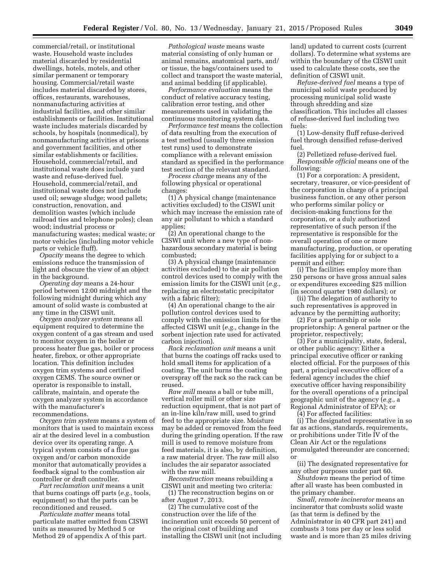commercial/retail, or institutional waste. Household waste includes material discarded by residential dwellings, hotels, motels, and other similar permanent or temporary housing. Commercial/retail waste includes material discarded by stores, offices, restaurants, warehouses, nonmanufacturing activities at industrial facilities, and other similar establishments or facilities. Institutional waste includes materials discarded by schools, by hospitals (nonmedical), by nonmanufacturing activities at prisons and government facilities, and other similar establishments or facilities. Household, commercial/retail, and institutional waste does include yard waste and refuse-derived fuel. Household, commercial/retail, and institutional waste does not include used oil; sewage sludge; wood pallets; construction, renovation, and demolition wastes (which include railroad ties and telephone poles); clean wood; industrial process or manufacturing wastes; medical waste; or motor vehicles (including motor vehicle parts or vehicle fluff).

*Opacity* means the degree to which emissions reduce the transmission of light and obscure the view of an object in the background.

*Operating day* means a 24-hour period between 12:00 midnight and the following midnight during which any amount of solid waste is combusted at any time in the CISWI unit.

*Oxygen analyzer system* means all equipment required to determine the oxygen content of a gas stream and used to monitor oxygen in the boiler or process heater flue gas, boiler or process heater, firebox, or other appropriate location. This definition includes oxygen trim systems and certified oxygen CEMS. The source owner or operator is responsible to install, calibrate, maintain, and operate the oxygen analyzer system in accordance with the manufacturer's recommendations.

*Oxygen trim system* means a system of monitors that is used to maintain excess air at the desired level in a combustion device over its operating range. A typical system consists of a flue gas oxygen and/or carbon monoxide monitor that automatically provides a feedback signal to the combustion air controller or draft controller.

*Part reclamation unit* means a unit that burns coatings off parts (*e.g.,* tools, equipment) so that the parts can be reconditioned and reused.

*Particulate matter* means total particulate matter emitted from CISWI units as measured by Method 5 or Method 29 of appendix A of this part.

*Pathological waste* means waste material consisting of only human or animal remains, anatomical parts, and/ or tissue, the bags/containers used to collect and transport the waste material, and animal bedding (if applicable).

*Performance evaluation* means the conduct of relative accuracy testing, calibration error testing, and other measurements used in validating the continuous monitoring system data.

*Performance test* means the collection of data resulting from the execution of a test method (usually three emission test runs) used to demonstrate compliance with a relevant emission standard as specified in the performance test section of the relevant standard.

*Process change* means any of the following physical or operational changes:

(1) A physical change (maintenance activities excluded) to the CISWI unit which may increase the emission rate of any air pollutant to which a standard applies;

(2) An operational change to the CISWI unit where a new type of nonhazardous secondary material is being combusted;

(3) A physical change (maintenance activities excluded) to the air pollution control devices used to comply with the emission limits for the CISWI unit (*e.g.,*  replacing an electrostatic precipitator with a fabric filter);

(4) An operational change to the air pollution control devices used to comply with the emission limits for the affected CISWI unit (*e.g.,* change in the sorbent injection rate used for activated carbon injection).

*Rack reclamation unit* means a unit that burns the coatings off racks used to hold small items for application of a coating. The unit burns the coating overspray off the rack so the rack can be reused.

*Raw mill* means a ball or tube mill, vertical roller mill or other size reduction equipment, that is not part of an in-line kiln/raw mill, used to grind feed to the appropriate size. Moisture may be added or removed from the feed during the grinding operation. If the raw mill is used to remove moisture from feed materials, it is also, by definition, a raw material dryer. The raw mill also includes the air separator associated with the raw mill.

*Reconstruction* means rebuilding a CISWI unit and meeting two criteria:

(1) The reconstruction begins on or after August 7, 2013.

(2) The cumulative cost of the construction over the life of the incineration unit exceeds 50 percent of the original cost of building and installing the CISWI unit (not including land) updated to current costs (current dollars). To determine what systems are within the boundary of the CISWI unit used to calculate these costs, see the definition of CISWI unit.

*Refuse-derived fuel* means a type of municipal solid waste produced by processing municipal solid waste through shredding and size classification. This includes all classes of refuse-derived fuel including two fuels:

(1) Low-density fluff refuse-derived fuel through densified refuse-derived fuel.

(2) Pelletized refuse-derived fuel. *Responsible official* means one of the following:

(1) For a corporation: A president, secretary, treasurer, or vice-president of the corporation in charge of a principal business function, or any other person who performs similar policy or decision-making functions for the corporation, or a duly authorized representative of such person if the representative is responsible for the overall operation of one or more manufacturing, production, or operating facilities applying for or subject to a permit and either:

(i) The facilities employ more than 250 persons or have gross annual sales or expenditures exceeding \$25 million (in second quarter 1980 dollars); or

(ii) The delegation of authority to such representatives is approved in advance by the permitting authority;

(2) For a partnership or sole proprietorship: A general partner or the proprietor, respectively;

(3) For a municipality, state, federal, or other public agency: Either a principal executive officer or ranking elected official. For the purposes of this part, a principal executive officer of a federal agency includes the chief executive officer having responsibility for the overall operations of a principal geographic unit of the agency (*e.g.,* a Regional Administrator of EPA); or (4) For affected facilities:

(i) The designated representative in so far as actions, standards, requirements, or prohibitions under Title IV of the Clean Air Act or the regulations promulgated thereunder are concerned; or

(ii) The designated representative for any other purposes under part 60.

*Shutdown* means the period of time after all waste has been combusted in the primary chamber.

*Small, remote incinerator* means an incinerator that combusts solid waste (as that term is defined by the Administrator in 40 CFR part 241) and combusts 3 tons per day or less solid waste and is more than 25 miles driving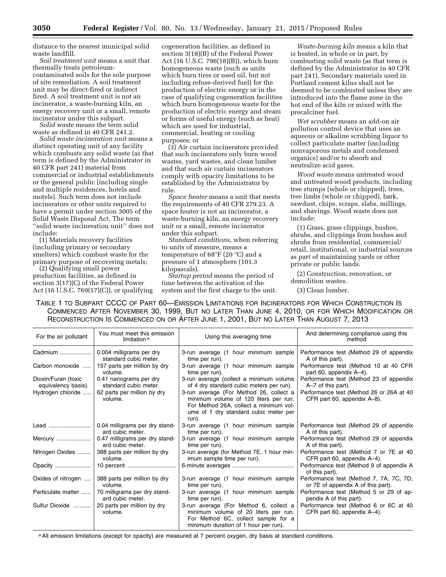distance to the nearest municipal solid waste landfill.

*Soil treatment unit* means a unit that thermally treats petroleumcontaminated soils for the sole purpose of site remediation. A soil treatment unit may be direct-fired or indirect fired. A soil treatment unit is not an incinerator, a waste-burning kiln, an energy recovery unit or a small, remote incinerator under this subpart.

*Solid waste* means the term solid waste as defined in 40 CFR 241.2.

*Solid waste incineration unit* means a distinct operating unit of any facility which combusts any solid waste (as that term is defined by the Administrator in 40 CFR part 241) material from commercial or industrial establishments or the general public (including single and multiple residences, hotels and motels). Such term does not include incinerators or other units required to have a permit under section 3005 of the Solid Waste Disposal Act. The term ''solid waste incineration unit'' does not include:

(1) Materials recovery facilities (including primary or secondary smelters) which combust waste for the primary purpose of recovering metals;

(2) Qualifying small power production facilities, as defined in section 3(17)(C) of the Federal Power Act (16 U.S.C. 769(17)(C)), or qualifying cogeneration facilities, as defined in section 3(18)(B) of the Federal Power Act (16 U.S.C. 796(18)(B)), which burn homogeneous waste (such as units which burn tires or used oil, but not including refuse-derived fuel) for the production of electric energy or in the case of qualifying cogeneration facilities which burn homogeneous waste for the production of electric energy and steam or forms of useful energy (such as heat) which are used for industrial, commercial, heating or cooling purposes; or

(3) Air curtain incinerators provided that such incinerators only burn wood wastes, yard wastes, and clean lumber and that such air curtain incinerators comply with opacity limitations to be established by the Administrator by rule.

*Space heater* means a unit that meets the requirements of 40 CFR 279.23. A space heater is not an incinerator, a waste-burning kiln, an energy recovery unit or a small, remote incinerator under this subpart.

*Standard conditions,* when referring to units of measure, means a temperature of 68°F (20 °C) and a pressure of 1 atmosphere (101.3 kilopascals).

*Startup period* means the period of time between the activation of the system and the first charge to the unit.

*Waste-burning kiln* means a kiln that is heated, in whole or in part, by combusting solid waste (as that term is defined by the Administrator in 40 CFR part 241). Secondary materials used in Portland cement kilns shall not be deemed to be combusted unless they are introduced into the flame zone in the hot end of the kiln or mixed with the precalciner fuel.

*Wet scrubber* means an add-on air pollution control device that uses an aqueous or alkaline scrubbing liquor to collect particulate matter (including nonvaporous metals and condensed organics) and/or to absorb and neutralize acid gases.

*Wood waste* means untreated wood and untreated wood products, including tree stumps (whole or chipped), trees, tree limbs (whole or chipped), bark, sawdust, chips, scraps, slabs, millings, and shavings. Wood waste does not include:

(1) Grass, grass clippings, bushes, shrubs, and clippings from bushes and shrubs from residential, commercial/ retail, institutional, or industrial sources as part of maintaining yards or other private or public lands.

(2) Construction, renovation, or demolition wastes.

(3) Clean lumber.

TABLE 1 TO SUBPART CCCC OF PART 60—EMISSION LIMITATIONS FOR INCINERATORS FOR WHICH CONSTRUCTION IS COMMENCED AFTER NOVEMBER 30, 1999, BUT NO LATER THAN JUNE 4, 2010, OR FOR WHICH MODIFICATION OR RECONSTRUCTION IS COMMENCED ON OR AFTER JUNE 1, 2001, BUT NO LATER THAN AUGUST 7, 2013

| For the air pollutant | You must meet this emission<br>limitation <sup>a</sup> | Using this averaging time                                                                                                                                                    | And determining compliance using this<br>method                         |
|-----------------------|--------------------------------------------------------|------------------------------------------------------------------------------------------------------------------------------------------------------------------------------|-------------------------------------------------------------------------|
| Cadmium               | 0.004 milligrams per dry                               | 3-run average (1 hour minimum sample                                                                                                                                         | Performance test (Method 29 of appendix                                 |
|                       | standard cubic meter.                                  | time per run).                                                                                                                                                               | A of this part).                                                        |
| Carbon monoxide       | 157 parts per million by dry                           | 3-run average (1 hour minimum sample                                                                                                                                         | Performance test (Method 10 at 40 CFR                                   |
|                       | volume.                                                | time per run).                                                                                                                                                               | part 60, appendix A-4).                                                 |
| Dioxin/Furan (toxic   | 0.41 nanograms per dry                                 | 3-run average (collect a minimum volume                                                                                                                                      | Performance test (Method 23 of appendix                                 |
| equivalency basis).   | standard cubic meter.                                  | of 4 dry standard cubic meters per run).                                                                                                                                     | $A - 7$ of this part).                                                  |
| Hydrogen chloride     | 62 parts per million by dry<br>volume.                 | 3-run average (For Method 26, collect a<br>minimum volume of 120 liters per run.<br>For Method 26A, collect a minimum vol-<br>ume of 1 dry standard cubic meter per<br>run). | Performance test (Method 26 or 26A at 40<br>CFR part 60, appendix A-8). |
| Lead                  | 0.04 milligrams per dry stand-                         | 3-run average (1 hour minimum sample                                                                                                                                         | Performance test (Method 29 of appendix                                 |
|                       | ard cubic meter.                                       | time per run).                                                                                                                                                               | A of this part).                                                        |
| Mercury               | 0.47 milligrams per dry stand-                         | 3-run average (1 hour minimum sample                                                                                                                                         | Performance test (Method 29 of appendix                                 |
|                       | ard cubic meter.                                       | time per run).                                                                                                                                                               | A of this part).                                                        |
| Nitrogen Oxides       | 388 parts per million by dry                           | 3-run average (for Method 7E, 1 hour min-                                                                                                                                    | Performance test (Method 7 or 7E at 40                                  |
|                       | volume.                                                | imum sample time per run).                                                                                                                                                   | CFR part 60, appendix A-4).                                             |
| Opacity               |                                                        |                                                                                                                                                                              | Performance test (Method 9 of appendix A<br>of this part).              |
| Oxides of nitrogen    | 388 parts per million by dry                           | 3-run average (1 hour minimum sample                                                                                                                                         | Performance test (Method 7, 7A, 7C, 7D,                                 |
|                       | volume.                                                | time per run).                                                                                                                                                               | or 7E of appendix A of this part).                                      |
| Particulate matter    | 70 milligrams per dry stand-                           | 3-run average (1 hour minimum sample                                                                                                                                         | Performance test (Method 5 or 29 of ap-                                 |
|                       | ard cubic meter.                                       | time per run).                                                                                                                                                               | pendix A of this part).                                                 |
| Sulfur Dioxide        | 20 parts per million by dry<br>volume.                 | 3-run average (For Method 6, collect a<br>minimum volume of 20 liters per run.<br>For Method 6C, collect sample for a<br>minimum duration of 1 hour per run).                | Performance test (Method 6 or 6C at 40<br>CFR part 60, appendix A-4).   |

a All emission limitations (except for opacity) are measured at 7 percent oxygen, dry basis at standard conditions.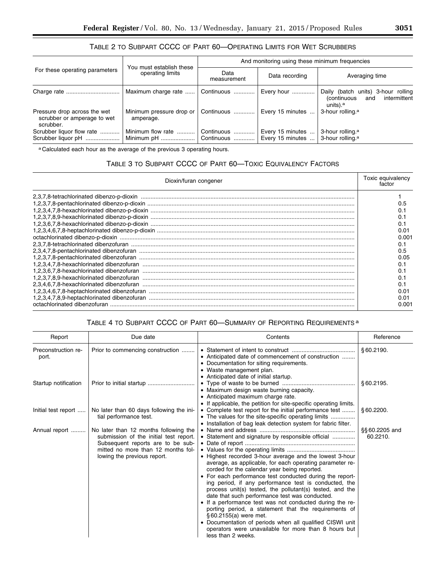# TABLE 2 TO SUBPART CCCC OF PART 60—OPERATING LIMITS FOR WET SCRUBBERS

| For these operating parameters                                           |                                              | And monitoring using these minimum frequencies |                  |                                                                                                         |  |
|--------------------------------------------------------------------------|----------------------------------------------|------------------------------------------------|------------------|---------------------------------------------------------------------------------------------------------|--|
|                                                                          | You must establish these<br>operating limits | Data<br>measurement                            | Data recording   | Averaging time                                                                                          |  |
|                                                                          | Maximum charge rate                          | Continuous                                     | Every hour       | Daily (batch units) 3-hour rolling<br>intermittent<br><i>(continuous</i><br>and<br>units). <sup>a</sup> |  |
| Pressure drop across the wet<br>scrubber or amperage to wet<br>scrubber. | Minimum pressure drop or<br>amperage.        | Continuous                                     | Every 15 minutes | 3-hour rolling. <sup>a</sup>                                                                            |  |
| Scrubber liquor flow rate                                                | Minimum flow rate                            | Continuous                                     | Every 15 minutes | 3-hour rolling. <sup>a</sup>                                                                            |  |
| Scrubber liquor pH                                                       | Minimum pH                                   | Continuous                                     | Every 15 minutes | 3-hour rolling. <sup>a</sup>                                                                            |  |

a Calculated each hour as the average of the previous 3 operating hours.

# TABLE 3 TO SUBPART CCCC OF PART 60—TOXIC EQUIVALENCY FACTORS

| Dioxin/furan congener                                                                                                                                                                                               |       |  |
|---------------------------------------------------------------------------------------------------------------------------------------------------------------------------------------------------------------------|-------|--|
|                                                                                                                                                                                                                     |       |  |
|                                                                                                                                                                                                                     |       |  |
|                                                                                                                                                                                                                     |       |  |
|                                                                                                                                                                                                                     |       |  |
|                                                                                                                                                                                                                     |       |  |
|                                                                                                                                                                                                                     | 0.01  |  |
|                                                                                                                                                                                                                     | 0.001 |  |
| 2,3,7,8-tetrachlorinated dibenzofuran<br>1,2,3,7,8-pentachlorinated dibenzofuran<br>1,2,3,7,8-pentachlorinated dibenzofuran<br>1,2,3,4,7,8-pexachlorinated dibenzofuran<br>1,2,3,4,7,8-hexachlorinated dibenzofuran |       |  |
|                                                                                                                                                                                                                     | 0.5   |  |
|                                                                                                                                                                                                                     | 0.05  |  |
|                                                                                                                                                                                                                     | 0.1   |  |
|                                                                                                                                                                                                                     |       |  |
|                                                                                                                                                                                                                     |       |  |
|                                                                                                                                                                                                                     |       |  |
|                                                                                                                                                                                                                     | מ מ   |  |
| 1,2,3,4,6,7,8-heptachlorinated dibenzofuran<br>1,2,3,4,6,7,8-heptachlorinated dibenzofuran<br>1,2,3,4,7,8,9-heptachlorinated dibenzofuran                                                                           | 0.O1  |  |
|                                                                                                                                                                                                                     | 0.001 |  |

# TABLE 4 TO SUBPART CCCC OF PART 60—SUMMARY OF REPORTING REQUIREMENTS a

| Report                       | Due date                                                                                                                                                                                  | Contents                                                                                                                                                                                                                                                                                                                                                                                                                                                                                                                                                                                                                                                                                                                                           | Reference                  |
|------------------------------|-------------------------------------------------------------------------------------------------------------------------------------------------------------------------------------------|----------------------------------------------------------------------------------------------------------------------------------------------------------------------------------------------------------------------------------------------------------------------------------------------------------------------------------------------------------------------------------------------------------------------------------------------------------------------------------------------------------------------------------------------------------------------------------------------------------------------------------------------------------------------------------------------------------------------------------------------------|----------------------------|
| Preconstruction re-<br>port. | Prior to commencing construction                                                                                                                                                          | • Anticipated date of commencement of construction<br>• Documentation for siting requirements.<br>• Waste management plan.<br>• Anticipated date of initial startup.                                                                                                                                                                                                                                                                                                                                                                                                                                                                                                                                                                               | §60.2190.                  |
| Startup notification         | Prior to initial startup                                                                                                                                                                  | • Maximum design waste burning capacity.<br>• Anticipated maximum charge rate.<br>• If applicable, the petition for site-specific operating limits.                                                                                                                                                                                                                                                                                                                                                                                                                                                                                                                                                                                                | §60.2195.                  |
| lnitial test report          | No later than 60 days following the ini-<br>tial performance test.                                                                                                                        | • Complete test report for the initial performance test<br>• The values for the site-specific operating limits<br>• Installation of bag leak detection system for fabric filter.                                                                                                                                                                                                                                                                                                                                                                                                                                                                                                                                                                   | \$60.2200.                 |
| Annual report                | No later than 12 months following the<br>submission of the initial test report.<br>Subsequent reports are to be sub-<br>mitted no more than 12 months fol-<br>lowing the previous report. | • Statement and signature by responsible official<br>• Highest recorded 3-hour average and the lowest 3-hour<br>average, as applicable, for each operating parameter re-<br>corded for the calendar year being reported.<br>• For each performance test conducted during the report-<br>ing period, if any performance test is conducted, the<br>process unit(s) tested, the pollutant(s) tested, and the<br>date that such performance test was conducted.<br>• If a performance test was not conducted during the re-<br>porting period, a statement that the requirements of<br>§60.2155(a) were met.<br>• Documentation of periods when all qualified CISWI unit<br>operators were unavailable for more than 8 hours but<br>less than 2 weeks. | §§ 60.2205 and<br>60.2210. |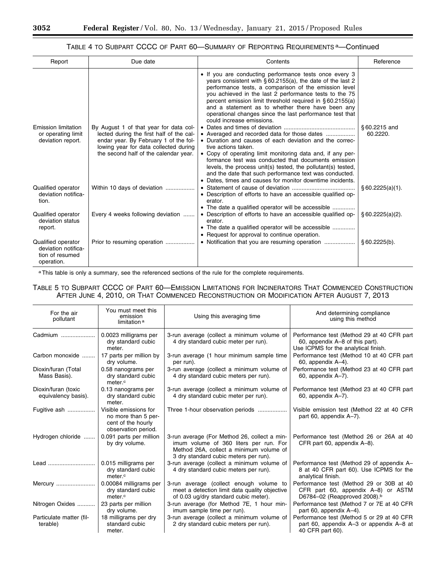# TABLE 4 TO SUBPART CCCC OF PART 60—SUMMARY OF REPORTING REQUIREMENTS a—Continued

| Report                                                                     | Due date                                                                                                                                                                                                      | Contents                                                                                                                                                                                                                                                                                                                                                                                                                                                                                                                                                                                                                                                                                                                                                                                                                                       | Reference                |
|----------------------------------------------------------------------------|---------------------------------------------------------------------------------------------------------------------------------------------------------------------------------------------------------------|------------------------------------------------------------------------------------------------------------------------------------------------------------------------------------------------------------------------------------------------------------------------------------------------------------------------------------------------------------------------------------------------------------------------------------------------------------------------------------------------------------------------------------------------------------------------------------------------------------------------------------------------------------------------------------------------------------------------------------------------------------------------------------------------------------------------------------------------|--------------------------|
| <b>Emission limitation</b><br>or operating limit<br>deviation report.      | By August 1 of that year for data col-<br>lected during the first half of the cal-<br>endar year. By February 1 of the fol-<br>lowing year for data collected during<br>the second half of the calendar year. | • If you are conducting performance tests once every 3<br>years consistent with §60.2155(a), the date of the last 2<br>performance tests, a comparison of the emission level<br>you achieved in the last 2 performance tests to the 75<br>percent emission limit threshold required in §60.2155(a)<br>and a statement as to whether there have been any<br>operational changes since the last performance test that<br>could increase emissions.<br>• Duration and causes of each deviation and the correc-<br>tive actions taken.<br>• Copy of operating limit monitoring data and, if any per-<br>formance test was conducted that documents emission<br>levels, the process unit(s) tested, the pollutant(s) tested,<br>and the date that such performance text was conducted.<br>• Dates, times and causes for monitor downtime incidents. | §60.2215 and<br>60.2220. |
| Qualified operator<br>deviation notifica-<br>tion.                         | Within 10 days of deviation                                                                                                                                                                                   | • Description of efforts to have an accessible qualified op-<br>erator.<br>• The date a qualified operator will be accessible                                                                                                                                                                                                                                                                                                                                                                                                                                                                                                                                                                                                                                                                                                                  | § 60.2225(a)(1).         |
| Qualified operator<br>deviation status<br>report.                          | Every 4 weeks following deviation                                                                                                                                                                             | • Description of efforts to have an accessible qualified op-<br>erator.<br>• The date a qualified operator will be accessible<br>• Request for approval to continue operation.                                                                                                                                                                                                                                                                                                                                                                                                                                                                                                                                                                                                                                                                 | § 60.2225(a)(2).         |
| Qualified operator<br>deviation notifica-<br>tion of resumed<br>operation. | Prior to resuming operation                                                                                                                                                                                   |                                                                                                                                                                                                                                                                                                                                                                                                                                                                                                                                                                                                                                                                                                                                                                                                                                                | §60.2225(b).             |

a This table is only a summary, see the referenced sections of the rule for the complete requirements.

TABLE 5 TO SUBPART CCCC OF PART 60—EMISSION LIMITATIONS FOR INCINERATORS THAT COMMENCED CONSTRUCTION AFTER JUNE 4, 2010, OR THAT COMMENCED RECONSTRUCTION OR MODIFICATION AFTER AUGUST 7, 2013

| For the air<br>pollutant                   | You must meet this<br>emission<br>limitation <sup>a</sup>                                 | Using this averaging time                                                                                                                                                  | And determining compliance<br>using this method                                                                            |
|--------------------------------------------|-------------------------------------------------------------------------------------------|----------------------------------------------------------------------------------------------------------------------------------------------------------------------------|----------------------------------------------------------------------------------------------------------------------------|
| Cadmium                                    | 0.0023 milligrams per<br>dry standard cubic<br>meter.                                     | 3-run average (collect a minimum volume of<br>4 dry standard cubic meter per run).                                                                                         | Performance test (Method 29 at 40 CFR part<br>60, appendix A-8 of this part).<br>Use ICPMS for the analytical finish.      |
| Carbon monoxide                            | 17 parts per million by<br>dry volume.                                                    | 3-run average (1 hour minimum sample time<br>per run).                                                                                                                     | Performance test (Method 10 at 40 CFR part<br>60, appendix A-4).                                                           |
| Dioxin/furan (Total<br>Mass Basis).        | 0.58 nanograms per<br>dry standard cubic<br>meter. <sup>c</sup>                           | 3-run average (collect a minimum volume of<br>4 dry standard cubic meters per run).                                                                                        | Performance test (Method 23 at 40 CFR part<br>60, appendix A-7).                                                           |
| Dioxin/furan (toxic<br>equivalency basis). | 0.13 nanograms per<br>dry standard cubic<br>meter.                                        | 3-run average (collect a minimum volume of<br>4 dry standard cubic meter per run).                                                                                         | Performance test (Method 23 at 40 CFR part<br>60, appendix A-7).                                                           |
| Fugitive ash                               | Visible emissions for<br>no more than 5 per-<br>cent of the hourly<br>observation period. | Three 1-hour observation periods                                                                                                                                           | Visible emission test (Method 22 at 40 CFR<br>part 60, appendix A-7).                                                      |
| Hydrogen chloride                          | 0.091 parts per million<br>by dry volume.                                                 | 3-run average (For Method 26, collect a min-<br>imum volume of 360 liters per run. For<br>Method 26A, collect a minimum volume of<br>3 dry standard cubic meters per run). | Performance test (Method 26 or 26A at 40<br>CFR part 60, appendix A-8).                                                    |
| Lead                                       | 0.015 milligrams per<br>dry standard cubic<br>meter.c                                     | 3-run average (collect a minimum volume of<br>4 dry standard cubic meters per run).                                                                                        | Performance test (Method 29 of appendix A-<br>8 at 40 CFR part 60). Use ICPMS for the<br>analytical finish.                |
| Mercury                                    | 0.00084 milligrams per<br>dry standard cubic<br>meter. <sup>c</sup>                       | 3-run average (collect enough volume<br>to<br>meet a detection limit data quality objective<br>of 0.03 ug/dry standard cubic meter).                                       | Performance test (Method 29 or 30B at 40<br>CFR part 60, appendix A-8) or ASTM<br>D6784-02 (Reapproved 2008). <sup>b</sup> |
| Nitrogen Oxides                            | 23 parts per million<br>dry volume.                                                       | 3-run average (for Method 7E, 1 hour min-<br>imum sample time per run).                                                                                                    | Performance test (Method 7 or 7E at 40 CFR<br>part 60, appendix A-4).                                                      |
| Particulate matter (fil-<br>terable)       | 18 milligrams per dry<br>standard cubic<br>meter.                                         | 3-run average (collect a minimum volume of<br>2 dry standard cubic meters per run).                                                                                        | Performance test (Method 5 or 29 at 40 CFR<br>part 60, appendix A-3 or appendix A-8 at<br>40 CFR part 60).                 |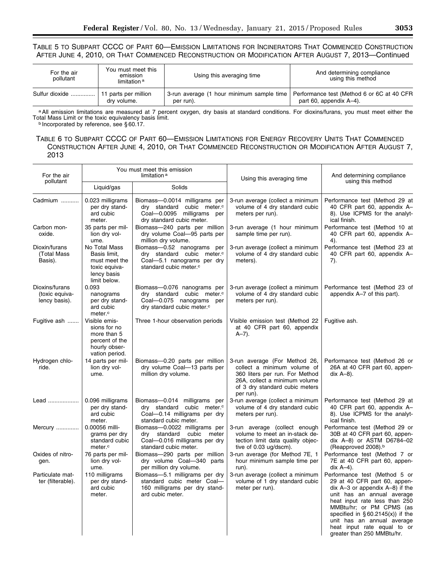# TABLE 5 TO SUBPART CCCC OF PART 60—EMISSION LIMITATIONS FOR INCINERATORS THAT COMMENCED CONSTRUCTION AFTER JUNE 4, 2010, OR THAT COMMENCED RECONSTRUCTION OR MODIFICATION AFTER AUGUST 7, 2013—Continued

| For the air<br>pollutant | You must meet this<br>emission<br>limitation <sup>a</sup> | Using this averaging time                                                                           | And determining compliance<br>using this method |
|--------------------------|-----------------------------------------------------------|-----------------------------------------------------------------------------------------------------|-------------------------------------------------|
| Sulfur dioxide           | 11 parts per million<br>dry volume.                       | 3-run average (1 hour minimum sample time   Performance test (Method 6 or 6C at 40 CFR<br>per run). | part 60, appendix A-4).                         |

a All emission limitations are measured at 7 percent oxygen, dry basis at standard conditions. For dioxins/furans, you must meet either the Total Mass Limit or the toxic equivalency basis limit.<br><sup>b</sup> Incorporated by reference, see § 60.17.

# TABLE 6 TO SUBPART CCCC OF PART 60—EMISSION LIMITATIONS FOR ENERGY RECOVERY UNITS THAT COMMENCED CONSTRUCTION AFTER JUNE 4, 2010, OR THAT COMMENCED RECONSTRUCTION OR MODIFICATION AFTER AUGUST 7, 2013

| You must meet this emission<br>For the air<br>limitation <sup>a</sup><br>pollutant |                                                                                                   |                                                                                                                                                | Using this averaging time                                                                                                                                                      | And determining compliance<br>using this method                                                                                                                                                                                                                                                                               |  |
|------------------------------------------------------------------------------------|---------------------------------------------------------------------------------------------------|------------------------------------------------------------------------------------------------------------------------------------------------|--------------------------------------------------------------------------------------------------------------------------------------------------------------------------------|-------------------------------------------------------------------------------------------------------------------------------------------------------------------------------------------------------------------------------------------------------------------------------------------------------------------------------|--|
|                                                                                    | Liquid/gas                                                                                        | Solids                                                                                                                                         |                                                                                                                                                                                |                                                                                                                                                                                                                                                                                                                               |  |
| Cadmium                                                                            | 0.023 milligrams<br>per dry stand-<br>ard cubic<br>meter.                                         | Biomass-0.0014 milligrams per<br>dry standard cubic meter. <sup>c</sup><br>Coal-0.0095 milligrams per<br>dry standard cubic meter.             | 3-run average (collect a minimum<br>volume of 4 dry standard cubic<br>meters per run).                                                                                         | Performance test (Method 29 at<br>40 CFR part 60, appendix A-<br>8). Use ICPMS for the analyt-<br>ical finish.                                                                                                                                                                                                                |  |
| Carbon mon-<br>oxide.                                                              | 35 parts per mil-<br>lion dry vol-<br>ume.                                                        | Biomass-240 parts per million<br>dry volume Coal-95 parts per<br>million dry volume.                                                           | 3-run average (1 hour minimum<br>sample time per run).                                                                                                                         | Performance test (Method 10 at<br>40 CFR part 60, appendix A-<br>4).                                                                                                                                                                                                                                                          |  |
| Dioxin/furans<br>(Total Mass<br>Basis).                                            | No Total Mass<br>Basis limit,<br>must meet the<br>toxic equiva-<br>lency basis<br>limit below.    | Biomass-0.52 nanograms per<br>dry standard cubic meter. <sup>c</sup><br>Coal-5.1 nanograms per dry<br>standard cubic meter. <sup>c</sup>       | 3-run average (collect a minimum<br>volume of 4 dry standard cubic<br>meters).                                                                                                 | Performance test (Method 23 at<br>40 CFR part 60, appendix A-<br>$7$ ).                                                                                                                                                                                                                                                       |  |
| Dioxins/furans<br>(toxic equiva-<br>lency basis).                                  | 0.093<br>nanograms<br>per dry stand-<br>ard cubic<br>meter. <sup>c</sup>                          | Biomass-0.076 nanograms per<br>dry standard cubic meter. <sup>c</sup><br>Coal-0.075 nanograms<br>per<br>dry standard cubic meter. <sup>c</sup> | 3-run average (collect a minimum<br>volume of 4 dry standard cubic<br>meters per run).                                                                                         | Performance test (Method 23 of<br>appendix A-7 of this part).                                                                                                                                                                                                                                                                 |  |
| Fugitive ash                                                                       | Visible emis-<br>sions for no<br>more than 5<br>percent of the<br>hourly obser-<br>vation period. | Three 1-hour observation periods                                                                                                               | Visible emission test (Method 22<br>at 40 CFR part 60, appendix<br>$A - 7$ ).                                                                                                  | Fugitive ash.                                                                                                                                                                                                                                                                                                                 |  |
| Hydrogen chlo-<br>ride.                                                            | 14 parts per mil-<br>lion dry vol-<br>ume.                                                        | Biomass-0.20 parts per million<br>dry volume Coal-13 parts per<br>million dry volume.                                                          | 3-run average (For Method 26,<br>collect a minimum volume of<br>360 liters per run. For Method<br>26A, collect a minimum volume<br>of 3 dry standard cubic meters<br>per run). | Performance test (Method 26 or<br>26A at 40 CFR part 60, appen-<br>dix $A-8$ ).                                                                                                                                                                                                                                               |  |
| Lead                                                                               | 0.096 milligrams<br>per dry stand-<br>ard cubic<br>meter.                                         | Biomass-0.014 milligrams per<br>dry standard cubic meter. <sup>c</sup><br>Coal-0.14 milligrams per dry<br>standard cubic meter.                | 3-run average (collect a minimum<br>volume of 4 dry standard cubic<br>meters per run).                                                                                         | Performance test (Method 29 at<br>40 CFR part 60, appendix A-<br>8). Use ICPMS for the analyt-<br>ical finish.                                                                                                                                                                                                                |  |
| Mercury                                                                            | 0.00056 milli-<br>grams per dry<br>standard cubic<br>meter. <sup>c</sup>                          | Biomass-0.0022 milligrams per<br>dry standard cubic<br>meter<br>Coal-0.016 milligrams per dry<br>standard cubic meter.                         | 3-run average (collect enough<br>volume to meet an in-stack de-<br>tection limit data quality objec-<br>tive of 0.03 ug/dscm).                                                 | Performance test (Method 29 or<br>30B at 40 CFR part 60, appen-<br>dix A-8) or ASTM D6784-02<br>(Reapproved 2008). <sup>b</sup>                                                                                                                                                                                               |  |
| Oxides of nitro-<br>gen.                                                           | 76 parts per mil-<br>lion dry vol-<br>ume.                                                        | Biomass-290 parts per million<br>dry volume Coal-340 parts<br>per million dry volume.                                                          | 3-run average (for Method 7E, 1<br>hour minimum sample time per<br>run).                                                                                                       | Performance test (Method 7 or<br>7E at 40 CFR part 60, appen-<br>dix $A-4$ ).                                                                                                                                                                                                                                                 |  |
| Particulate mat-<br>ter (filterable).                                              | 110 milligrams<br>per dry stand-<br>ard cubic<br>meter.                                           | Biomass-5.1 milligrams per dry<br>standard cubic meter Coal-<br>160 milligrams per dry stand-<br>ard cubic meter.                              | 3-run average (collect a minimum<br>volume of 1 dry standard cubic<br>meter per run).                                                                                          | Performance test (Method 5 or<br>29 at 40 CFR part 60, appen-<br>dix A-3 or appendix A-8) if the<br>unit has an annual average<br>heat input rate less than 250<br>MMBtu/hr; or PM CPMS (as<br>specified in $\S 60.2145(x)$ if the<br>unit has an annual average<br>heat input rate equal to or<br>greater than 250 MMBtu/hr. |  |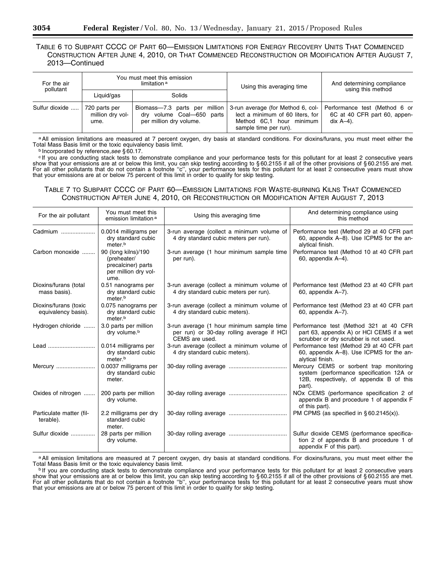# TABLE 6 TO SUBPART CCCC OF PART 60—EMISSION LIMITATIONS FOR ENERGY RECOVERY UNITS THAT COMMENCED CONSTRUCTION AFTER JUNE 4, 2010, OR THAT COMMENCED RECONSTRUCTION OR MODIFICATION AFTER AUGUST 7, 2013—Continued

| For the air    | You must meet this emission<br>limitation <sup>a</sup> |                                                                                       | Using this averaging time                                                                                                  | And determining compliance                                                    |  |
|----------------|--------------------------------------------------------|---------------------------------------------------------------------------------------|----------------------------------------------------------------------------------------------------------------------------|-------------------------------------------------------------------------------|--|
| pollutant      | Liquid/gas                                             | Solids                                                                                |                                                                                                                            | using this method                                                             |  |
| Sulfur dioxide | 720 parts per<br>million dry vol-<br>ume.              | Biomass-7.3 parts per million<br>dry volume Coal-650 parts<br>per million dry volume. | 3-run average (for Method 6, col-<br>lect a minimum of 60 liters, for<br>Method 6C.1 hour minimum<br>sample time per run). | Performance test (Method 6 or<br>6C at 40 CFR part 60, appen-<br>dix $A-4$ ). |  |

a All emission limitations are measured at 7 percent oxygen, dry basis at standard conditions. For dioxins/furans, you must meet either the Total Mass Basis limit or the toxic equivalency basis limit.

b Incorporated by reference,see §60.17.<br><sup>c</sup> If you are conducting stack tests to demonstrate compliance and your performance tests for this pollutant for at least 2 consecutive years show that your emissions are at or below this limit, you can skip testing according to § 60.2155 if all of the other provisions of § 60.2155 are met. For all other pollutants that do not contain a footnote ''c'', your performance tests for this pollutant for at least 2 consecutive years must show that your emissions are at or below 75 percent of this limit in order to qualify for skip testing.

# TABLE 7 TO SUBPART CCCC OF PART 60—EMISSION LIMITATIONS FOR WASTE-BURNING KILNS THAT COMMENCED CONSTRUCTION AFTER JUNE 4, 2010, OR RECONSTRUCTION OR MODIFICATION AFTER AUGUST 7, 2013

| For the air pollutant                        | You must meet this<br>emission limitation <sup>a</sup>                                   | Using this averaging time                                                                                | And determining compliance using<br>this method                                                                                           |
|----------------------------------------------|------------------------------------------------------------------------------------------|----------------------------------------------------------------------------------------------------------|-------------------------------------------------------------------------------------------------------------------------------------------|
| Cadmium                                      | 0.0014 milligrams per<br>dry standard cubic<br>meter.b                                   | 3-run average (collect a minimum volume of<br>4 dry standard cubic meters per run).                      | Performance test (Method 29 at 40 CFR part<br>60, appendix A-8). Use ICPMS for the an-<br>alytical finish.                                |
| Carbon monoxide                              | 90 (long kilns)/190<br>(preheater/<br>precalciner) parts<br>per million dry vol-<br>ume. | 3-run average (1 hour minimum sample time<br>per run).                                                   | Performance test (Method 10 at 40 CFR part<br>60, appendix A-4).                                                                          |
| Dioxins/furans (total<br>mass basis).        | 0.51 nanograms per<br>dry standard cubic<br>meter. <sup>b</sup>                          | 3-run average (collect a minimum volume of<br>4 dry standard cubic meters per run).                      | Performance test (Method 23 at 40 CFR part<br>60, appendix A-7).                                                                          |
| Dioxins/furans (toxic<br>equivalency basis). | 0.075 nanograms per<br>dry standard cubic<br>meter. <sup>b</sup>                         | 3-run average (collect a minimum volume of<br>4 dry standard cubic meters).                              | Performance test (Method 23 at 40 CFR part<br>60, appendix A-7).                                                                          |
| Hydrogen chloride                            | 3.0 parts per million<br>dry volume. <sup>b</sup>                                        | 3-run average (1 hour minimum sample time<br>per run) or 30-day rolling average if HCI<br>CEMS are used. | Performance test (Method 321 at 40 CFR<br>part 63, appendix A) or HCI CEMS if a wet<br>scrubber or dry scrubber is not used.              |
| Lead                                         | 0.014 milligrams per<br>dry standard cubic<br>meter. <sup>b</sup>                        | 3-run average (collect a minimum volume of<br>4 dry standard cubic meters).                              | Performance test (Method 29 at 40 CFR part<br>60, appendix A-8). Use ICPMS for the an-<br>alytical finish.                                |
| Mercury                                      | 0.0037 milligrams per<br>dry standard cubic<br>meter.                                    |                                                                                                          | Mercury CEMS or sorbent trap monitoring<br>system (performance specification 12A or<br>12B, respectively, of appendix B of this<br>part). |
| Oxides of nitrogen                           | 200 parts per million<br>dry volume.                                                     |                                                                                                          | NO <sub>x</sub> CEMS (performance specification 2 of<br>appendix B and procedure 1 of appendix F<br>of this part).                        |
| Particulate matter (fil-<br>terable).        | 2.2 milligrams per dry<br>standard cubic<br>meter.                                       |                                                                                                          | PM CPMS (as specified in $\S 60.2145(x)$ ).                                                                                               |
| Sulfur dioxide                               | 28 parts per million<br>dry volume.                                                      |                                                                                                          | Sulfur dioxide CEMS (performance specifica-<br>tion 2 of appendix B and procedure 1 of<br>appendix F of this part).                       |

a All emission limitations are measured at 7 percent oxygen, dry basis at standard conditions. For dioxins/furans, you must meet either the Total Mass Basis limit or the toxic equivalency basis limit.

Total Mass Basis limit or the toxic equivalency basis limit.<br>b If you are conducting stack tests to demonstrate compliance and your performance tests for this pollutant for at least 2 consecutive years show that your emissions are at or below this limit, you can skip testing according to § 60.2155 if all of the other provisions of § 60.2155 are met. For all other pollutants that do not contain a footnote ''b'', your performance tests for this pollutant for at least 2 consecutive years must show that your emissions are at or below 75 percent of this limit in order to qualify for skip testing.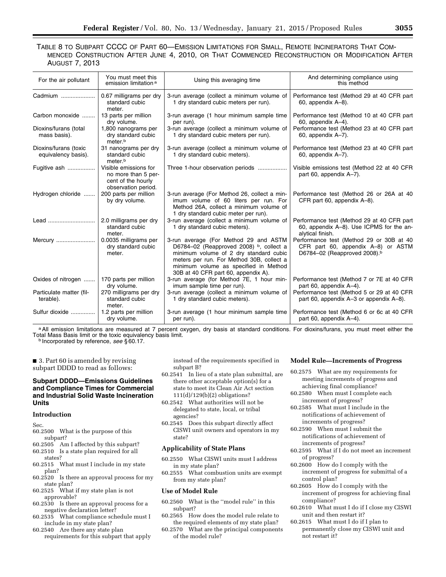# TABLE 8 TO SUBPART CCCC OF PART 60—EMISSION LIMITATIONS FOR SMALL, REMOTE INCINERATORS THAT COM-MENCED CONSTRUCTION AFTER JUNE 4, 2010, OR THAT COMMENCED RECONSTRUCTION OR MODIFICATION AFTER AUGUST 7, 2013

| For the air pollutant                        | You must meet this<br>emission limitation <sup>a</sup>                                    | Using this averaging time                                                                                                                                                                                                                               | And determining compliance using<br>this method                                                                            |
|----------------------------------------------|-------------------------------------------------------------------------------------------|---------------------------------------------------------------------------------------------------------------------------------------------------------------------------------------------------------------------------------------------------------|----------------------------------------------------------------------------------------------------------------------------|
| Cadmium                                      | 0.67 milligrams per dry<br>standard cubic<br>meter.                                       | 3-run average (collect a minimum volume of<br>1 dry standard cubic meters per run).                                                                                                                                                                     | Performance test (Method 29 at 40 CFR part<br>60, appendix A-8).                                                           |
| Carbon monoxide                              | 13 parts per million<br>dry volume.                                                       | 3-run average (1 hour minimum sample time<br>per run).                                                                                                                                                                                                  | Performance test (Method 10 at 40 CFR part<br>60, appendix A-4).                                                           |
| Dioxins/furans (total<br>mass basis).        | 1,800 nanograms per<br>dry standard cubic<br>meter. <sup>b</sup>                          | 3-run average (collect a minimum volume of<br>1 dry standard cubic meters per run).                                                                                                                                                                     | Performance test (Method 23 at 40 CFR part<br>60, appendix A-7).                                                           |
| Dioxins/furans (toxic<br>equivalency basis). | 31 nanograms per dry<br>standard cubic<br>meter. <sup>b</sup>                             | 3-run average (collect a minimum volume of<br>1 dry standard cubic meters).                                                                                                                                                                             | Performance test (Method 23 at 40 CFR part<br>60, appendix A-7).                                                           |
| Fugitive ash                                 | Visible emissions for<br>no more than 5 per-<br>cent of the hourly<br>observation period. | Three 1-hour observation periods                                                                                                                                                                                                                        | Visible emissions test (Method 22 at 40 CFR<br>part 60, appendix A-7).                                                     |
| Hydrogen chloride                            | 200 parts per million<br>by dry volume.                                                   | 3-run average (For Method 26, collect a min-<br>imum volume of 60 liters per run. For<br>Method 26A, collect a minimum volume of<br>1 dry standard cubic meter per run).                                                                                | Performance test (Method 26 or 26A at 40<br>CFR part 60, appendix A-8).                                                    |
| Lead                                         | 2.0 milligrams per dry<br>standard cubic<br>meter.                                        | 3-run average (collect a minimum volume of<br>1 dry standard cubic meters).                                                                                                                                                                             | Performance test (Method 29 at 40 CFR part<br>60, appendix A-8). Use ICPMS for the an-<br>alytical finish.                 |
| Mercury                                      | 0.0035 milligrams per<br>dry standard cubic<br>meter.                                     | 3-run average (For Method 29 and ASTM<br>D6784-02 (Reapproved 2008) b, collect a<br>minimum volume of 2 dry standard cubic<br>meters per run. For Method 30B, collect a<br>minimum volume as specified in Method<br>30B at 40 CFR part 60, appendix A). | Performance test (Method 29 or 30B at 40<br>CFR part 60, appendix A-8) or ASTM<br>D6784-02 (Reapproved 2008). <sup>b</sup> |
| Oxides of nitrogen                           | 170 parts per million<br>dry volume.                                                      | 3-run average (for Method 7E, 1 hour min-<br>imum sample time per run).                                                                                                                                                                                 | Performance test (Method 7 or 7E at 40 CFR<br>part 60, appendix A-4).                                                      |
| Particulate matter (fil-<br>terable).        | 270 milligrams per dry<br>standard cubic<br>meter.                                        | 3-run average (collect a minimum volume of<br>1 dry standard cubic meters).                                                                                                                                                                             | Performance test (Method 5 or 29 at 40 CFR<br>part 60, appendix A-3 or appendix A-8).                                      |
| Sulfur dioxide                               | 1.2 parts per million<br>dry volume.                                                      | 3-run average (1 hour minimum sample time<br>per run).                                                                                                                                                                                                  | Performance test (Method 6 or 6c at 40 CFR<br>part 60, appendix A-4).                                                      |

a All emission limitations are measured at 7 percent oxygen, dry basis at standard conditions. For dioxins/furans, you must meet either the Total Mass Basis limit or the toxic equivalency basis limit. b Incorporated by reference, *see* § 60.17.

■ 3. Part 60 is amended by revising subpart DDDD to read as follows:

# **Subpart DDDD—Emissions Guidelines and Compliance Times for Commercial and Industrial Solid Waste Incineration Units**

# **Introduction**

Sec.

- 60.2500 What is the purpose of this subpart?
- 60.2505 Am I affected by this subpart?
- 60.2510 Is a state plan required for all states?
- 60.2515 What must I include in my state plan?
- 60.2520 Is there an approval process for my state plan?
- 60.2525 What if my state plan is not approvable?
- 60.2530 Is there an approval process for a negative declaration letter?
- 60.2535 What compliance schedule must I include in my state plan?
- 60.2540 Are there any state plan requirements for this subpart that apply

instead of the requirements specified in subpart B?

- 60.2541 In lieu of a state plan submittal, are there other acceptable option(s) for a state to meet its Clean Air Act section 111(d)/129(b)(2) obligations?
- 60.2542 What authorities will not be delegated to state, local, or tribal agencies?
- 60.2545 Does this subpart directly affect CISWI unit owners and operators in my state?

# **Applicability of State Plans**

- 60.2550 What CISWI units must I address in my state plan?
- 60.2555 What combustion units are exempt from my state plan?

# **Use of Model Rule**

- 60.2560 What is the ''model rule'' in this subpart?
- 60.2565 How does the model rule relate to the required elements of my state plan?
- 60.2570 What are the principal components of the model rule?

# **Model Rule—Increments of Progress**

- 60.2575 What are my requirements for meeting increments of progress and achieving final compliance?
- 60.2580 When must I complete each increment of progress?
- 60.2585 What must I include in the notifications of achievement of increments of progress?
- 60.2590 When must I submit the notifications of achievement of increments of progress?
- 60.2595 What if I do not meet an increment of progress?
- 60.2600 How do I comply with the increment of progress for submittal of a control plan?
- 60.2605 How do I comply with the increment of progress for achieving final compliance?
- 60.2610 What must I do if I close my CISWI unit and then restart it?
- 60.2615 What must I do if I plan to permanently close my CISWI unit and not restart it?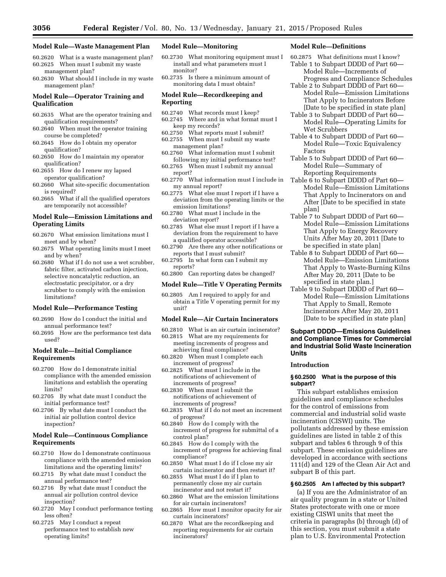#### **Model Rule—Waste Management Plan**

- 60.2620 What is a waste management plan? 60.2625 When must I submit my waste management plan?
- 60.2630 What should I include in my waste management plan?

# **Model Rule—Operator Training and Qualification**

- 60.2635 What are the operator training and qualification requirements?
- 60.2640 When must the operator training course be completed?
- 60.2645 How do  $\overline{l}$  obtain my operator qualification?
- 60.2650 How do I maintain my operator qualification?
- 60.2655 How do I renew my lapsed operator qualification?
- 60.2660 What site-specific documentation is required?
- 60.2665 What if all the qualified operators are temporarily not accessible?

# **Model Rule—Emission Limitations and Operating Limits**

- 60.2670 What emission limitations must I meet and by when?
- 60.2675 What operating limits must I meet and by when?
- 60.2680 What if I do not use a wet scrubber, fabric filter, activated carbon injection, selective noncatalytic reduction, an electrostatic precipitator, or a dry scrubber to comply with the emission limitations?

#### **Model Rule—Performance Testing**

- 60.2690 How do I conduct the initial and annual performance test?
- 60.2695 How are the performance test data used?

# **Model Rule—Initial Compliance Requirements**

- 60.2700 How do I demonstrate initial compliance with the amended emission limitations and establish the operating limits?
- 60.2705 By what date must I conduct the initial performance test?
- 60.2706 By what date must I conduct the initial air pollution control device inspection?

# **Model Rule—Continuous Compliance Requirements**

- 60.2710 How do I demonstrate continuous compliance with the amended emission limitations and the operating limits?
- 60.2715 By what date must I conduct the annual performance test?
- 60.2716 By what date must I conduct the annual air pollution control device inspection?
- 60.2720 May I conduct performance testing less often?
- 60.2725 May I conduct a repeat performance test to establish new operating limits?

# **Model Rule—Monitoring**

- 60.2730 What monitoring equipment must I install and what parameters must I monitor?
- 60.2735 Is there a minimum amount of monitoring data I must obtain?

#### **Model Rule—Recordkeeping and Reporting**

- 60.2740 What records must I keep?
- 60.2745 Where and in what format must I keep my records?
- 60.2750 What reports must I submit?
- 60.2755 When must I submit my waste
- management plan? 60.2760 What information must I submit
- following my initial performance test? 60.2765 When must I submit my annual report?
- 60.2770 What information must I include in my annual report?
- 60.2775 What else must I report if I have a deviation from the operating limits or the emission limitations?
- 60.2780 What must I include in the deviation report?
- 60.2785 What else must I report if I have a deviation from the requirement to have a qualified operator accessible?
- 60.2790 Are there any other notifications or reports that I must submit?
- 60.2795 In what form can I submit my reports?
- 60.2800 Can reporting dates be changed?

#### **Model Rule—Title V Operating Permits**

60.2805 Am I required to apply for and obtain a Title V operating permit for my unit?

# **Model Rule—Air Curtain Incinerators**

- 60.2810 What is an air curtain incinerator?
- 60.2815 What are my requirements for meeting increments of progress and achieving final compliance?
- 60.2820 When must I complete each increment of progress?
- 60.2825 What must I include in the notifications of achievement of increments of progress?
- 60.2830 When must I submit the notifications of achievement of increments of progress?
- 60.2835 What if I do not meet an increment of progress?
- 60.2840 How do I comply with the increment of progress for submittal of a control plan?
- 60.2845 How do I comply with the increment of progress for achieving final compliance?
- 60.2850 What must I do if I close my air curtain incinerator and then restart it?
- 60.2855 What must I do if I plan to permanently close my air curtain incinerator and not restart it?
- 60.2860 What are the emission limitations for air curtain incinerators?
- 60.2865 How must I monitor opacity for air curtain incinerators?
- 60.2870 What are the recordkeeping and reporting requirements for air curtain incinerators?

# **Model Rule—Definitions**

- 60.2875 What definitions must I know? Table 1 to Subpart DDDD of Part 60— Model Rule—Increments of Progress and Compliance Schedules
- Table 2 to Subpart DDDD of Part 60— Model Rule—Emission Limitations That Apply to Incinerators Before
- [Date to be specified in state plan] Table 3 to Subpart DDDD of Part 60— Model Rule—Operating Limits for Wet Scrubbers
- Table 4 to Subpart DDDD of Part 60— Model Rule—Toxic Equivalency Factors
- Table 5 to Subpart DDDD of Part 60— Model Rule—Summary of Reporting Requirements
- Table 6 to Subpart DDDD of Part 60— Model Rule—Emission Limitations That Apply to Incinerators on and After [Date to be specified in state plan]
- Table 7 to Subpart DDDD of Part 60— Model Rule—Emission Limitations That Apply to Energy Recovery Units After May 20, 2011 [Date to be specified in state plan]
- Table 8 to Subpart DDDD of Part 60— Model Rule—Emission Limitations That Apply to Waste-Burning Kilns After May 20, 2011 [Date to be specified in state plan.]
- Table 9 to Subpart DDDD of Part 60— Model Rule—Emission Limitations That Apply to Small, Remote Incinerators After May 20, 2011 [Date to be specified in state plan]

# **Subpart DDDD—Emissions Guidelines and Compliance Times for Commercial and Industrial Solid Waste Incineration Units**

# **Introduction**

#### **§ 60.2500 What is the purpose of this subpart?**

This subpart establishes emission guidelines and compliance schedules for the control of emissions from commercial and industrial solid waste incineration (CISWI) units. The pollutants addressed by these emission guidelines are listed in table 2 of this subpart and tables 6 through 9 of this subpart. These emission guidelines are developed in accordance with sections 111(d) and 129 of the Clean Air Act and subpart B of this part.

#### **§ 60.2505 Am I affected by this subpart?**

(a) If you are the Administrator of an air quality program in a state or United States protectorate with one or more existing CISWI units that meet the criteria in paragraphs (b) through (d) of this section, you must submit a state plan to U.S. Environmental Protection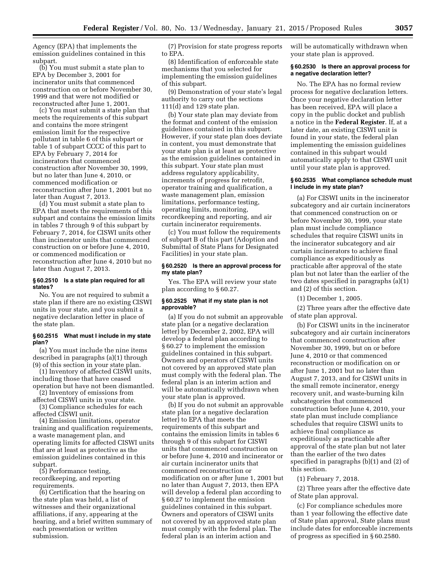Agency (EPA) that implements the emission guidelines contained in this subpart.

(b) You must submit a state plan to EPA by December 3, 2001 for incinerator units that commenced construction on or before November 30, 1999 and that were not modified or reconstructed after June 1, 2001.

(c) You must submit a state plan that meets the requirements of this subpart and contains the more stringent emission limit for the respective pollutant in table 6 of this subpart or table 1 of subpart CCCC of this part to EPA by February 7, 2014 for incinerators that commenced construction after November 30, 1999, but no later than June 4, 2010, or commenced modification or reconstruction after June 1, 2001 but no later than August 7, 2013.

(d) You must submit a state plan to EPA that meets the requirements of this subpart and contains the emission limits in tables 7 through 9 of this subpart by February 7, 2014, for CISWI units other than incinerator units that commenced construction on or before June 4, 2010, or commenced modification or reconstruction after June 4, 2010 but no later than August 7, 2013.

# **§ 60.2510 Is a state plan required for all states?**

No. You are not required to submit a state plan if there are no existing CISWI units in your state, and you submit a negative declaration letter in place of the state plan.

#### **§ 60.2515 What must I include in my state plan?**

(a) You must include the nine items described in paragraphs (a)(1) through (9) of this section in your state plan.

(1) Inventory of affected CISWI units, including those that have ceased operation but have not been dismantled.

(2) Inventory of emissions from affected CISWI units in your state.

(3) Compliance schedules for each affected CISWI unit.

(4) Emission limitations, operator training and qualification requirements, a waste management plan, and operating limits for affected CISWI units that are at least as protective as the emission guidelines contained in this subpart.

(5) Performance testing, recordkeeping, and reporting requirements.

(6) Certification that the hearing on the state plan was held, a list of witnesses and their organizational affiliations, if any, appearing at the hearing, and a brief written summary of each presentation or written submission.

(7) Provision for state progress reports to EPA.

(8) Identification of enforceable state mechanisms that you selected for implementing the emission guidelines of this subpart.

(9) Demonstration of your state's legal authority to carry out the sections 111(d) and 129 state plan.

(b) Your state plan may deviate from the format and content of the emission guidelines contained in this subpart. However, if your state plan does deviate in content, you must demonstrate that your state plan is at least as protective as the emission guidelines contained in this subpart. Your state plan must address regulatory applicability, increments of progress for retrofit, operator training and qualification, a waste management plan, emission limitations, performance testing, operating limits, monitoring, recordkeeping and reporting, and air curtain incinerator requirements.

(c) You must follow the requirements of subpart B of this part (Adoption and Submittal of State Plans for Designated Facilities) in your state plan.

# **§ 60.2520 Is there an approval process for my state plan?**

Yes. The EPA will review your state plan according to § 60.27.

# **§ 60.2525 What if my state plan is not approvable?**

(a) If you do not submit an approvable state plan (or a negative declaration letter) by December 2, 2002, EPA will develop a federal plan according to § 60.27 to implement the emission guidelines contained in this subpart. Owners and operators of CISWI units not covered by an approved state plan must comply with the federal plan. The federal plan is an interim action and will be automatically withdrawn when your state plan is approved.

(b) If you do not submit an approvable state plan (or a negative declaration letter) to EPA that meets the requirements of this subpart and contains the emission limits in tables 6 through 9 of this subpart for CISWI units that commenced construction on or before June 4, 2010 and incinerator or air curtain incinerator units that commenced reconstruction or modification on or after June 1, 2001 but no later than August 7, 2013, then EPA will develop a federal plan according to § 60.27 to implement the emission guidelines contained in this subpart. Owners and operators of CISWI units not covered by an approved state plan must comply with the federal plan. The federal plan is an interim action and

will be automatically withdrawn when your state plan is approved.

# **§ 60.2530 Is there an approval process for a negative declaration letter?**

No. The EPA has no formal review process for negative declaration letters. Once your negative declaration letter has been received, EPA will place a copy in the public docket and publish a notice in the **Federal Register**. If, at a later date, an existing CISWI unit is found in your state, the federal plan implementing the emission guidelines contained in this subpart would automatically apply to that CISWI unit until your state plan is approved.

# **§ 60.2535 What compliance schedule must I include in my state plan?**

(a) For CISWI units in the incinerator subcategory and air curtain incinerators that commenced construction on or before November 30, 1999, your state plan must include compliance schedules that require CISWI units in the incinerator subcategory and air curtain incinerators to achieve final compliance as expeditiously as practicable after approval of the state plan but not later than the earlier of the two dates specified in paragraphs (a)(1) and (2) of this section.

(1) December 1, 2005.

(2) Three years after the effective date of state plan approval.

(b) For CISWI units in the incinerator subcategory and air curtain incinerators that commenced construction after November 30, 1999, but on or before June 4, 2010 or that commenced reconstruction or modification on or after June 1, 2001 but no later than August 7, 2013, and for CISWI units in the small remote incinerator, energy recovery unit, and waste-burning kiln subcategories that commenced construction before June 4, 2010, your state plan must include compliance schedules that require CISWI units to achieve final compliance as expeditiously as practicable after approval of the state plan but not later than the earlier of the two dates specified in paragraphs (b)(1) and (2) of this section.

(1) February 7, 2018.

(2) Three years after the effective date of State plan approval.

(c) For compliance schedules more than 1 year following the effective date of State plan approval, State plans must include dates for enforceable increments of progress as specified in § 60.2580.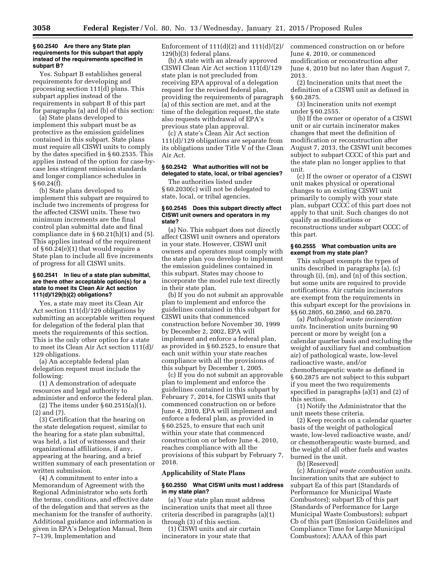#### **§ 60.2540 Are there any State plan requirements for this subpart that apply instead of the requirements specified in subpart B?**

Yes. Subpart B establishes general requirements for developing and processing section 111(d) plans. This subpart applies instead of the requirements in subpart B of this part for paragraphs (a) and (b) of this section:

(a) State plans developed to implement this subpart must be as protective as the emission guidelines contained in this subpart. State plans must require all CISWI units to comply by the dates specified in § 60.2535. This applies instead of the option for case-bycase less stringent emission standards and longer compliance schedules in  $§ 60.24(f).$ 

(b) State plans developed to implement this subpart are required to include two increments of progress for the affected CISWI units. These two minimum increments are the final control plan submittal date and final compliance date in  $\S 60.21(h)(1)$  and  $(5)$ . This applies instead of the requirement of § 60.24(e)(1) that would require a State plan to include all five increments of progress for all CISWI units.

### **§ 60.2541 In lieu of a state plan submittal, are there other acceptable option(s) for a state to meet its Clean Air Act section 111(d)/129(b)(2) obligations?**

Yes, a state may meet its Clean Air Act section 111(d)/129 obligations by submitting an acceptable written request for delegation of the federal plan that meets the requirements of this section. This is the only other option for a state to meet its Clean Air Act section 111(d)/ 129 obligations.

(a) An acceptable federal plan delegation request must include the following:

(1) A demonstration of adequate resources and legal authority to administer and enforce the federal plan.

(2) The items under § 60.2515(a)(1), (2) and (7).

(3) Certification that the hearing on the state delegation request, similar to the hearing for a state plan submittal, was held, a list of witnesses and their organizational affiliations, if any, appearing at the hearing, and a brief written summary of each presentation or written submission.

(4) A commitment to enter into a Memorandum of Agreement with the Regional Administrator who sets forth the terms, conditions, and effective date of the delegation and that serves as the mechanism for the transfer of authority. Additional guidance and information is given in EPA's Delegation Manual, Item 7–139, Implementation and

Enforcement of  $111(d)(2)$  and  $111(d)/(2)$ 129(b)(3) federal plans.

(b) A state with an already approved CISWI Clean Air Act section 111(d)/129 state plan is not precluded from receiving EPA approval of a delegation request for the revised federal plan, providing the requirements of paragraph (a) of this section are met, and at the time of the delegation request, the state also requests withdrawal of EPA's previous state plan approval.

(c) A state's Clean Air Act section 111(d)/129 obligations are separate from its obligations under Title V of the Clean Air Act.

# **§ 60.2542 What authorities will not be delegated to state, local, or tribal agencies?**

The authorities listed under § 60.2030(c) will not be delegated to state, local, or tribal agencies.

#### **§ 60.2545 Does this subpart directly affect CISWI unit owners and operators in my state?**

(a) No. This subpart does not directly affect CISWI unit owners and operators in your state. However, CISWI unit owners and operators must comply with the state plan you develop to implement the emission guidelines contained in this subpart. States may choose to incorporate the model rule text directly in their state plan.

(b) If you do not submit an approvable plan to implement and enforce the guidelines contained in this subpart for CISWI units that commenced construction before November 30, 1999 by December 2, 2002, EPA will implement and enforce a federal plan, as provided in § 60.2525, to ensure that each unit within your state reaches compliance with all the provisions of this subpart by December 1, 2005.

(c) If you do not submit an approvable plan to implement and enforce the guidelines contained in this subpart by February 7, 2014, for CISWI units that commenced construction on or before June 4, 2010, EPA will implement and enforce a federal plan, as provided in § 60.2525, to ensure that each unit within your state that commenced construction on or before June 4, 2010, reaches compliance with all the provisions of this subpart by February 7, 2018.

# **Applicability of State Plans**

# **§ 60.2550 What CISWI units must I address in my state plan?**

(a) Your state plan must address incineration units that meet all three criteria described in paragraphs (a)(1) through (3) of this section.

(1) CISWI units and air curtain incinerators in your state that

commenced construction on or before June 4, 2010, or commenced modification or reconstruction after June 4, 2010 but no later than August 7, 2013.

(2) Incineration units that meet the definition of a CISWI unit as defined in § 60.2875.

(3) Incineration units not exempt under § 60.2555.

(b) If the owner or operator of a CISWI unit or air curtain incinerator makes changes that meet the definition of modification or reconstruction after August 7, 2013, the CISWI unit becomes subject to subpart CCCC of this part and the state plan no longer applies to that unit.

(c) If the owner or operator of a CISWI unit makes physical or operational changes to an existing CISWI unit primarily to comply with your state plan, subpart CCCC of this part does not apply to that unit. Such changes do not qualify as modifications or reconstructions under subpart CCCC of this part.

## **§ 60.2555 What combustion units are exempt from my state plan?**

This subpart exempts the types of units described in paragraphs (a), (c) through (i), (m), and (n) of this section, but some units are required to provide notifications. Air curtain incinerators are exempt from the requirements in this subpart except for the provisions in §§ 60.2805, 60.2860, and 60.2870.

(a) *Pathological waste incineration units.* Incineration units burning 90 percent or more by weight (on a calendar quarter basis and excluding the weight of auxiliary fuel and combustion air) of pathological waste, low-level radioactive waste, and/or chemotherapeutic waste as defined in § 60.2875 are not subject to this subpart if you meet the two requirements specified in paragraphs (a)(1) and (2) of this section.

(1) Notify the Administrator that the unit meets these criteria.

(2) Keep records on a calendar quarter basis of the weight of pathological waste, low-level radioactive waste, and/ or chemotherapeutic waste burned, and the weight of all other fuels and wastes burned in the unit.

(b) [Reserved]

(c) *Municipal waste combustion units.*  Incineration units that are subject to subpart Ea of this part (Standards of Performance for Municipal Waste Combustors); subpart Eb of this part (Standards of Performance for Large Municipal Waste Combustors); subpart Cb of this part (Emission Guidelines and Compliance Time for Large Municipal Combustors); AAAA of this part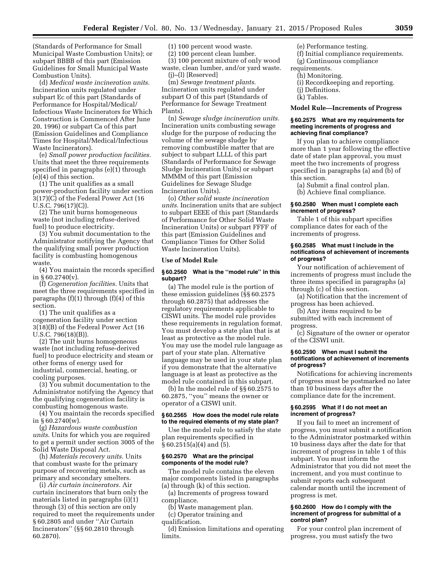(Standards of Performance for Small Municipal Waste Combustion Units); or subpart BBBB of this part (Emission Guidelines for Small Municipal Waste Combustion Units).

(d) *Medical waste incineration units.*  Incineration units regulated under subpart Ec of this part (Standards of Performance for Hospital/Medical/ Infectious Waste Incinerators for Which Construction is Commenced After June 20, 1996) or subpart Ca of this part (Emission Guidelines and Compliance Times for Hospital/Medical/Infectious Waste Incinerators).

(e) *Small power production facilities.*  Units that meet the three requirements specified in paragraphs (e)(1) through (e)(4) of this section.

(1) The unit qualifies as a small power-production facility under section 3(17)(C) of the Federal Power Act (16 U.S.C. 796(17)(C)).

(2) The unit burns homogeneous waste (not including refuse-derived fuel) to produce electricity.

(3) You submit documentation to the Administrator notifying the Agency that the qualifying small power production facility is combusting homogenous waste.

(4) You maintain the records specified in § 60.2740(v).

(f) *Cogeneration facilities.* Units that meet the three requirements specified in paragraphs  $(f)(1)$  through  $(f)(4)$  of this section.

(1) The unit qualifies as a cogeneration facility under section 3(18)(B) of the Federal Power Act (16 U.S.C. 796(18)(B)).

(2) The unit burns homogeneous waste (not including refuse-derived fuel) to produce electricity and steam or other forms of energy used for industrial, commercial, heating, or cooling purposes.

(3) You submit documentation to the Administrator notifying the Agency that the qualifying cogeneration facility is combusting homogenous waste.

(4) You maintain the records specified in § 60.2740(w).

(g) *Hazardous waste combustion units*. Units for which you are required to get a permit under section 3005 of the Solid Waste Disposal Act.

(h) *Materials recovery units.* Units that combust waste for the primary purpose of recovering metals, such as primary and secondary smelters.

(i) *Air curtain incinerators.* Air curtain incinerators that burn only the materials listed in paragraphs (i)(1) through (3) of this section are only required to meet the requirements under § 60.2805 and under ''Air Curtain Incinerators'' (§§ 60.2810 through 60.2870).

(1) 100 percent wood waste.

(2) 100 percent clean lumber.

(3) 100 percent mixture of only wood waste, clean lumber, and/or yard waste. (j)–(l) [Reserved]

(m) *Sewage treatment plants*. Incineration units regulated under subpart O of this part (Standards of Performance for Sewage Treatment Plants).

(n) *Sewage sludge incineration units.*  Incineration units combusting sewage sludge for the purpose of reducing the volume of the sewage sludge by removing combustible matter that are subject to subpart LLLL of this part (Standards of Performance for Sewage Sludge Incineration Units) or subpart MMMM of this part (Emission Guidelines for Sewage Sludge Incineration Units).

(o) *Other solid waste incineration units.* Incineration units that are subject to subpart EEEE of this part (Standards of Performance for Other Solid Waste Incineration Units) or subpart FFFF of this part (Emission Guidelines and Compliance Times for Other Solid Waste Incineration Units).

#### **Use of Model Rule**

#### **§ 60.2560 What is the ''model rule'' in this subpart?**

(a) The model rule is the portion of these emission guidelines (§§ 60.2575 through 60.2875) that addresses the regulatory requirements applicable to CISWI units. The model rule provides these requirements in regulation format. You must develop a state plan that is at least as protective as the model rule. You may use the model rule language as part of your state plan. Alternative language may be used in your state plan if you demonstrate that the alternative language is at least as protective as the model rule contained in this subpart.

(b) In the model rule of §§ 60.2575 to 60.2875, ''you'' means the owner or operator of a CISWI unit.

#### **§ 60.2565 How does the model rule relate to the required elements of my state plan?**

Use the model rule to satisfy the state plan requirements specified in § 60.2515(a)(4) and (5).

# **§ 60.2570 What are the principal components of the model rule?**

The model rule contains the eleven major components listed in paragraphs (a) through (k) of this section.

(a) Increments of progress toward compliance.

(b) Waste management plan.

(c) Operator training and

qualification.

(d) Emission limitations and operating limits.

- (e) Performance testing.
- (f) Initial compliance requirements.
- (g) Continuous compliance
- requirements. (h) Monitoring.
	- (i) Recordkeeping and reporting.
	- (j) Definitions.
	- (k) Tables.

**Model Rule—Increments of Progress** 

#### **§ 60.2575 What are my requirements for meeting increments of progress and achieving final compliance?**

If you plan to achieve compliance more than 1 year following the effective date of state plan approval, you must meet the two increments of progress specified in paragraphs (a) and (b) of this section.

(a) Submit a final control plan. (b) Achieve final compliance.

# **§ 60.2580 When must I complete each increment of progress?**

Table 1 of this subpart specifies compliance dates for each of the increments of progress.

# **§ 60.2585 What must I include in the notifications of achievement of increments of progress?**

Your notification of achievement of increments of progress must include the three items specified in paragraphs (a) through (c) of this section.

(a) Notification that the increment of progress has been achieved.

(b) Any items required to be

submitted with each increment of progress.

(c) Signature of the owner or operator of the CISWI unit.

# **§ 60.2590 When must I submit the notifications of achievement of increments of progress?**

Notifications for achieving increments of progress must be postmarked no later than 10 business days after the compliance date for the increment.

## **§ 60.2595 What if I do not meet an increment of progress?**

If you fail to meet an increment of progress, you must submit a notification to the Administrator postmarked within 10 business days after the date for that increment of progress in table 1 of this subpart. You must inform the Administrator that you did not meet the increment, and you must continue to submit reports each subsequent calendar month until the increment of progress is met.

#### **§ 60.2600 How do I comply with the increment of progress for submittal of a control plan?**

For your control plan increment of progress, you must satisfy the two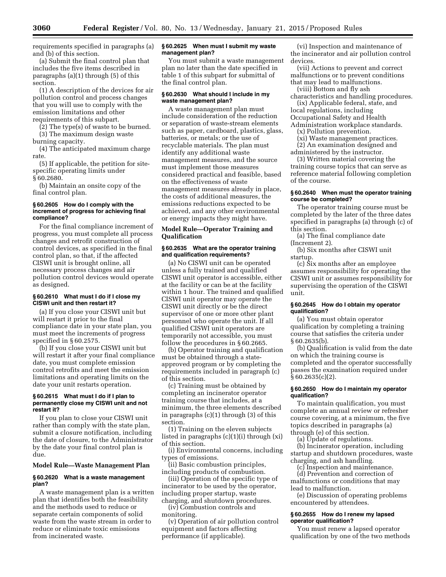requirements specified in paragraphs (a) and (b) of this section.

(a) Submit the final control plan that includes the five items described in paragraphs (a)(1) through (5) of this section.

(1) A description of the devices for air pollution control and process changes that you will use to comply with the emission limitations and other requirements of this subpart.

(2) The type(s) of waste to be burned.

(3) The maximum design waste burning capacity.

(4) The anticipated maximum charge rate.

(5) If applicable, the petition for sitespecific operating limits under § 60.2680.

(b) Maintain an onsite copy of the final control plan.

# **§ 60.2605 How do I comply with the increment of progress for achieving final compliance?**

For the final compliance increment of progress, you must complete all process changes and retrofit construction of control devices, as specified in the final control plan, so that, if the affected CISWI unit is brought online, all necessary process changes and air pollution control devices would operate as designed.

# **§ 60.2610 What must I do if I close my CISWI unit and then restart it?**

(a) If you close your CISWI unit but will restart it prior to the final compliance date in your state plan, you must meet the increments of progress specified in § 60.2575.

(b) If you close your CISWI unit but will restart it after your final compliance date, you must complete emission control retrofits and meet the emission limitations and operating limits on the date your unit restarts operation.

#### **§ 60.2615 What must I do if I plan to permanently close my CISWI unit and not restart it?**

If you plan to close your CISWI unit rather than comply with the state plan, submit a closure notification, including the date of closure, to the Administrator by the date your final control plan is due.

# **Model Rule—Waste Management Plan**

# **§ 60.2620 What is a waste management plan?**

A waste management plan is a written plan that identifies both the feasibility and the methods used to reduce or separate certain components of solid waste from the waste stream in order to reduce or eliminate toxic emissions from incinerated waste.

#### **§ 60.2625 When must I submit my waste management plan?**

You must submit a waste management plan no later than the date specified in table 1 of this subpart for submittal of the final control plan.

### **§ 60.2630 What should I include in my waste management plan?**

A waste management plan must include consideration of the reduction or separation of waste-stream elements such as paper, cardboard, plastics, glass, batteries, or metals; or the use of recyclable materials. The plan must identify any additional waste management measures, and the source must implement those measures considered practical and feasible, based on the effectiveness of waste management measures already in place, the costs of additional measures, the emissions reductions expected to be achieved, and any other environmental or energy impacts they might have.

# **Model Rule—Operator Training and Qualification**

# **§ 60.2635 What are the operator training and qualification requirements?**

(a) No CISWI unit can be operated unless a fully trained and qualified CISWI unit operator is accessible, either at the facility or can be at the facility within 1 hour. The trained and qualified CISWI unit operator may operate the CISWI unit directly or be the direct supervisor of one or more other plant personnel who operate the unit. If all qualified CISWI unit operators are temporarily not accessible, you must follow the procedures in § 60.2665.

(b) Operator training and qualification must be obtained through a stateapproved program or by completing the requirements included in paragraph (c) of this section.

(c) Training must be obtained by completing an incinerator operator training course that includes, at a minimum, the three elements described in paragraphs (c)(1) through (3) of this section.

(1) Training on the eleven subjects listed in paragraphs (c)(1)(i) through (xi) of this section.

(i) Environmental concerns, including types of emissions.

(ii) Basic combustion principles, including products of combustion.

(iii) Operation of the specific type of incinerator to be used by the operator, including proper startup, waste charging, and shutdown procedures.

(iv) Combustion controls and monitoring.

(v) Operation of air pollution control equipment and factors affecting performance (if applicable).

(vi) Inspection and maintenance of the incinerator and air pollution control devices.

(vii) Actions to prevent and correct malfunctions or to prevent conditions that may lead to malfunctions.

(viii) Bottom and fly ash characteristics and handling procedures. (ix) Applicable federal, state, and

local regulations, including Occupational Safety and Health

- Administration workplace standards. (x) Pollution prevention.
	- (xi) Waste management practices.

(2) An examination designed and administered by the instructor.

(3) Written material covering the training course topics that can serve as reference material following completion of the course.

# **§ 60.2640 When must the operator training course be completed?**

The operator training course must be completed by the later of the three dates specified in paragraphs (a) through (c) of this section.

(a) The final compliance date (Increment 2).

(b) Six months after CISWI unit startup.

(c) Six months after an employee assumes responsibility for operating the CISWI unit or assumes responsibility for supervising the operation of the CISWI unit.

# **§ 60.2645 How do I obtain my operator qualification?**

(a) You must obtain operator qualification by completing a training course that satisfies the criteria under § 60.2635(b).

(b) Qualification is valid from the date on which the training course is completed and the operator successfully passes the examination required under  $§ 60.2635(c)(2).$ 

# **§ 60.2650 How do I maintain my operator qualification?**

To maintain qualification, you must complete an annual review or refresher course covering, at a minimum, the five topics described in paragraphs (a) through (e) of this section.

(a) Update of regulations.

(b) Incinerator operation, including startup and shutdown procedures, waste charging, and ash handling.

(c) Inspection and maintenance.

(d) Prevention and correction of malfunctions or conditions that may lead to malfunction.

(e) Discussion of operating problems encountered by attendees.

#### **§ 60.2655 How do I renew my lapsed operator qualification?**

You must renew a lapsed operator qualification by one of the two methods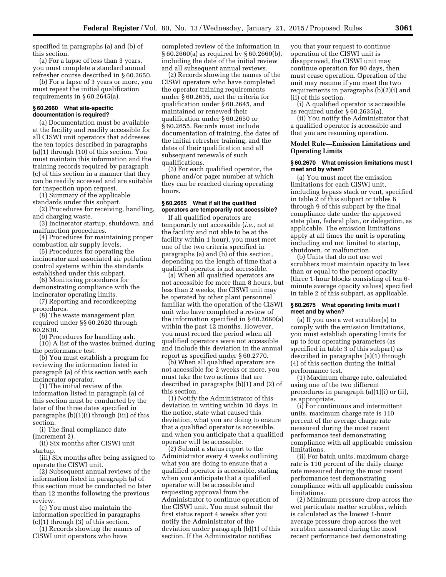specified in paragraphs (a) and (b) of this section.

(a) For a lapse of less than 3 years, you must complete a standard annual refresher course described in § 60.2650.

(b) For a lapse of 3 years or more, you must repeat the initial qualification requirements in § 60.2645(a).

# **§ 60.2660 What site-specific documentation is required?**

(a) Documentation must be available at the facility and readily accessible for all CISWI unit operators that addresses the ten topics described in paragraphs (a)(1) through (10) of this section. You must maintain this information and the training records required by paragraph (c) of this section in a manner that they can be readily accessed and are suitable for inspection upon request.

(1) Summary of the applicable standards under this subpart.

(2) Procedures for receiving, handling, and charging waste.

(3) Incinerator startup, shutdown, and malfunction procedures.

(4) Procedures for maintaining proper combustion air supply levels.

(5) Procedures for operating the incinerator and associated air pollution control systems within the standards established under this subpart.

(6) Monitoring procedures for demonstrating compliance with the incinerator operating limits.

(7) Reporting and recordkeeping procedures.

(8) The waste management plan required under §§ 60.2620 through 60.2630.

(9) Procedures for handling ash.

(10) A list of the wastes burned during the performance test.

(b) You must establish a program for reviewing the information listed in paragraph (a) of this section with each incinerator operator.

(1) The initial review of the information listed in paragraph (a) of this section must be conducted by the later of the three dates specified in paragraphs (b)(1)(i) through (iii) of this section.

(i) The final compliance date (Increment 2).

(ii) Six months after CISWI unit startup.

(iii) Six months after being assigned to operate the CISWI unit.

(2) Subsequent annual reviews of the information listed in paragraph (a) of this section must be conducted no later than 12 months following the previous review.

(c) You must also maintain the information specified in paragraphs (c)(1) through (3) of this section.

(1) Records showing the names of CISWI unit operators who have

completed review of the information in § 60.2660(a) as required by § 60.2660(b), including the date of the initial review and all subsequent annual reviews.

(2) Records showing the names of the CISWI operators who have completed the operator training requirements under § 60.2635, met the criteria for qualification under § 60.2645, and maintained or renewed their qualification under § 60.2650 or § 60.2655. Records must include documentation of training, the dates of the initial refresher training, and the dates of their qualification and all subsequent renewals of such qualifications.

(3) For each qualified operator, the phone and/or pager number at which they can be reached during operating hours.

# **§ 60.2665 What if all the qualified operators are temporarily not accessible?**

If all qualified operators are temporarily not accessible (*i.e.,* not at the facility and not able to be at the facility within 1 hour), you must meet one of the two criteria specified in paragraphs (a) and (b) of this section, depending on the length of time that a qualified operator is not accessible.

(a) When all qualified operators are not accessible for more than 8 hours, but less than 2 weeks, the CISWI unit may be operated by other plant personnel familiar with the operation of the CISWI unit who have completed a review of the information specified in § 60.2660(a) within the past 12 months. However, you must record the period when all qualified operators were not accessible and include this deviation in the annual report as specified under § 60.2770.

(b) When all qualified operators are not accessible for 2 weeks or more, you must take the two actions that are described in paragraphs (b)(1) and (2) of this section.

(1) Notify the Administrator of this deviation in writing within 10 days. In the notice, state what caused this deviation, what you are doing to ensure that a qualified operator is accessible, and when you anticipate that a qualified operator will be accessible.

(2) Submit a status report to the Administrator every 4 weeks outlining what you are doing to ensure that a qualified operator is accessible, stating when you anticipate that a qualified operator will be accessible and requesting approval from the Administrator to continue operation of the CISWI unit. You must submit the first status report 4 weeks after you notify the Administrator of the deviation under paragraph (b)(1) of this section. If the Administrator notifies

you that your request to continue operation of the CISWI unit is disapproved, the CISWI unit may continue operation for 90 days, then must cease operation. Operation of the unit may resume if you meet the two requirements in paragraphs (b)(2)(i) and (ii) of this section.

(i) A qualified operator is accessible as required under § 60.2635(a).

(ii) You notify the Administrator that a qualified operator is accessible and that you are resuming operation.

# **Model Rule—Emission Limitations and Operating Limits**

#### **§ 60.2670 What emission limitations must I meet and by when?**

(a) You must meet the emission limitations for each CISWI unit, including bypass stack or vent, specified in table 2 of this subpart or tables 6 through 9 of this subpart by the final compliance date under the approved state plan, federal plan, or delegation, as applicable. The emission limitations apply at all times the unit is operating including and not limited to startup, shutdown, or malfunction.

(b) Units that do not use wet scrubbers must maintain opacity to less than or equal to the percent opacity (three 1-hour blocks consisting of ten 6 minute average opacity values) specified in table 2 of this subpart, as applicable.

# **§ 60.2675 What operating limits must I meet and by when?**

(a) If you use a wet scrubber(s) to comply with the emission limitations, you must establish operating limits for up to four operating parameters (as specified in table 3 of this subpart) as described in paragraphs (a)(1) through (4) of this section during the initial performance test.

(1) Maximum charge rate, calculated using one of the two different procedures in paragraph (a)(1)(i) or (ii), as appropriate.

(i) For continuous and intermittent units, maximum charge rate is 110 percent of the average charge rate measured during the most recent performance test demonstrating compliance with all applicable emission limitations.

(ii) For batch units, maximum charge rate is 110 percent of the daily charge rate measured during the most recent performance test demonstrating compliance with all applicable emission limitations.

(2) Minimum pressure drop across the wet particulate matter scrubber, which is calculated as the lowest 1-hour average pressure drop across the wet scrubber measured during the most recent performance test demonstrating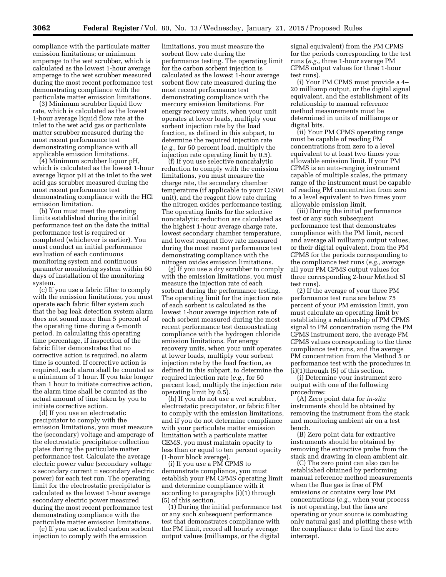compliance with the particulate matter emission limitations; or minimum amperage to the wet scrubber, which is calculated as the lowest 1-hour average amperage to the wet scrubber measured during the most recent performance test demonstrating compliance with the particulate matter emission limitations.

(3) Minimum scrubber liquid flow rate, which is calculated as the lowest 1-hour average liquid flow rate at the inlet to the wet acid gas or particulate matter scrubber measured during the most recent performance test demonstrating compliance with all applicable emission limitations.

(4) Minimum scrubber liquor pH, which is calculated as the lowest 1-hour average liquor pH at the inlet to the wet acid gas scrubber measured during the most recent performance test demonstrating compliance with the HCl emission limitation.

(b) You must meet the operating limits established during the initial performance test on the date the initial performance test is required or completed (whichever is earlier). You must conduct an initial performance evaluation of each continuous monitoring system and continuous parameter monitoring system within 60 days of installation of the monitoring system.

(c) If you use a fabric filter to comply with the emission limitations, you must operate each fabric filter system such that the bag leak detection system alarm does not sound more than 5 percent of the operating time during a 6-month period. In calculating this operating time percentage, if inspection of the fabric filter demonstrates that no corrective action is required, no alarm time is counted. If corrective action is required, each alarm shall be counted as a minimum of 1 hour. If you take longer than 1 hour to initiate corrective action, the alarm time shall be counted as the actual amount of time taken by you to initiate corrective action.

(d) If you use an electrostatic precipitator to comply with the emission limitations, you must measure the (secondary) voltage and amperage of the electrostatic precipitator collection plates during the particulate matter performance test. Calculate the average electric power value (secondary voltage × secondary current = secondary electric power) for each test run. The operating limit for the electrostatic precipitator is calculated as the lowest 1-hour average secondary electric power measured during the most recent performance test demonstrating compliance with the particulate matter emission limitations.

(e) If you use activated carbon sorbent injection to comply with the emission

limitations, you must measure the sorbent flow rate during the performance testing. The operating limit for the carbon sorbent injection is calculated as the lowest 1-hour average sorbent flow rate measured during the most recent performance test demonstrating compliance with the mercury emission limitations. For energy recovery units, when your unit operates at lower loads, multiply your sorbent injection rate by the load fraction, as defined in this subpart, to determine the required injection rate (*e.g.,* for 50 percent load, multiply the injection rate operating limit by 0.5).

(f) If you use selective noncatalytic reduction to comply with the emission limitations, you must measure the charge rate, the secondary chamber temperature (if applicable to your CISWI unit), and the reagent flow rate during the nitrogen oxides performance testing. The operating limits for the selective noncatalytic reduction are calculated as the highest 1-hour average charge rate, lowest secondary chamber temperature, and lowest reagent flow rate measured during the most recent performance test demonstrating compliance with the nitrogen oxides emission limitations.

(g) If you use a dry scrubber to comply with the emission limitations, you must measure the injection rate of each sorbent during the performance testing. The operating limit for the injection rate of each sorbent is calculated as the lowest 1-hour average injection rate of each sorbent measured during the most recent performance test demonstrating compliance with the hydrogen chloride emission limitations. For energy recovery units, when your unit operates at lower loads, multiply your sorbent injection rate by the load fraction, as defined in this subpart, to determine the required injection rate (*e.g.,* for 50 percent load, multiply the injection rate operating limit by 0.5).

(h) If you do not use a wet scrubber, electrostatic precipitator, or fabric filter to comply with the emission limitations, and if you do not determine compliance with your particulate matter emission limitation with a particulate matter CEMS, you must maintain opacity to less than or equal to ten percent opacity (1-hour block average).

(i) If you use a PM CPMS to demonstrate compliance, you must establish your PM CPMS operating limit and determine compliance with it according to paragraphs (i)(1) through (5) of this section.

(1) During the initial performance test or any such subsequent performance test that demonstrates compliance with the PM limit, record all hourly average output values (milliamps, or the digital

signal equivalent) from the PM CPMS for the periods corresponding to the test runs (*e.g.,* three 1-hour average PM CPMS output values for three 1-hour test runs).

(i) Your PM CPMS must provide a 4– 20 milliamp output, or the digital signal equivalent, and the establishment of its relationship to manual reference method measurements must be determined in units of milliamps or digital bits.

(ii) Your PM CPMS operating range must be capable of reading PM concentrations from zero to a level equivalent to at least two times your allowable emission limit. If your PM CPMS is an auto-ranging instrument capable of multiple scales, the primary range of the instrument must be capable of reading PM concentration from zero to a level equivalent to two times your allowable emission limit.

(iii) During the initial performance test or any such subsequent performance test that demonstrates compliance with the PM limit, record and average all milliamp output values, or their digital equivalent, from the PM CPMS for the periods corresponding to the compliance test runs (*e.g.,* average all your PM CPMS output values for three corresponding 2-hour Method 5I test runs).

(2) If the average of your three PM performance test runs are below 75 percent of your PM emission limit, you must calculate an operating limit by establishing a relationship of PM CPMS signal to PM concentration using the PM CPMS instrument zero, the average PM CPMS values corresponding to the three compliance test runs, and the average PM concentration from the Method 5 or performance test with the procedures in  $(i)(1)$ through  $(5)$  of this section.

(i) Determine your instrument zero output with one of the following procedures:

(A) Zero point data for *in-situ*  instruments should be obtained by removing the instrument from the stack and monitoring ambient air on a test bench.

(B) Zero point data for extractive instruments should be obtained by removing the extractive probe from the stack and drawing in clean ambient air.

(C) The zero point can also can be established obtained by performing manual reference method measurements when the flue gas is free of PM emissions or contains very low PM concentrations (*e.g.,* when your process is not operating, but the fans are operating or your source is combusting only natural gas) and plotting these with the compliance data to find the zero intercept.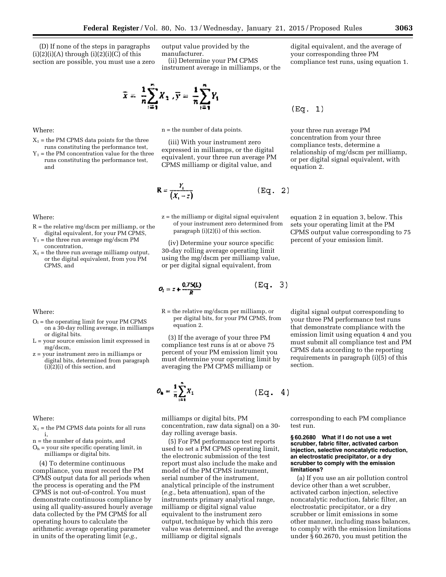(D) If none of the steps in paragraphs  $(i)(2)(i)(A)$  through  $(i)(2)(i)(C)$  of this section are possible, you must use a zero output value provided by the manufacturer.

(ii) Determine your PM CPMS instrument average in milliamps, or the digital equivalent, and the average of your corresponding three PM compliance test runs, using equation 1.

$$
\overline{x} = \frac{1}{n} \sum_{i=1}^{n} X_i, \overline{y} = \frac{1}{n} \sum_{i=1}^{n} Y_i
$$

n = the number of data points.

(iii) With your instrument zero expressed in milliamps, or the digital equivalent, your three run average PM CPMS milliamp or digital value, and

$$
R = \frac{Y_1}{(X_1 - z)} \quad (\text{Eq. 2})
$$

z = the milliamp or digital signal equivalent of your instrument zero determined from paragraph (i)(2)(i) of this section.

(iv) Determine your source specific 30-day rolling average operating limit using the mg/dscm per milliamp value, or per digital signal equivalent, from

 $(Eq. 3)$ 

$$
O_t = z + \frac{0.75(L)}{R}
$$

 $R =$  the relative mg/dscm per milliamp, or per digital bits, for your PM CPMS, from equation 2.

(3) If the average of your three PM compliance test runs is at or above 75 percent of your PM emission limit you must determine your operating limit by averaging the PM CPMS milliamp or



milliamps or digital bits, PM concentration, raw data signal) on a 30 day rolling average basis.

(5) For PM performance test reports used to set a PM CPMS operating limit, the electronic submission of the test report must also include the make and model of the PM CPMS instrument, serial number of the instrument, analytical principle of the instrument (*e.g.,* beta attenuation), span of the instruments primary analytical range, milliamp or digital signal value equivalent to the instrument zero output, technique by which this zero value was determined, and the average milliamp or digital signals

corresponding to each PM compliance test run.

#### **§ 60.2680 What if I do not use a wet scrubber, fabric filter, activated carbon injection, selective noncatalytic reduction, an electrostatic precipitator, or a dry scrubber to comply with the emission limitations?**

(a) If you use an air pollution control device other than a wet scrubber, activated carbon injection, selective noncatalytic reduction, fabric filter, an electrostatic precipitator, or a dry scrubber or limit emissions in some other manner, including mass balances, to comply with the emission limitations under § 60.2670, you must petition the

# Where:

- $X_1$  = the PM CPMS data points for the three runs constituting the performance test,
- $Y_1$  = the PM concentration value for the three runs constituting the performance test, and

Where:

- $R =$  the relative mg/dscm per milliamp, or the digital equivalent, for your PM CPMS,
- $Y_1$  = the three run average mg/dscm PM concentration,
- $X_1$  = the three run average milliamp output, or the digital equivalent, from you PM CPMS, and

Where:

- $O<sub>1</sub>$  = the operating limit for your PM CPMS on a 30-day rolling average, in milliamps or digital bits.
- L = your source emission limit expressed in mg/dscm,
- z = your instrument zero in milliamps or digital bits, determined from paragraph (i)(2)(i) of this section, and

Where:

- $X_1$  = the PM CPMS data points for all runs i,
- n = the number of data points, and
- $O<sub>h</sub>$  = your site specific operating limit, in milliamps or digital bits.

(4) To determine continuous compliance, you must record the PM CPMS output data for all periods when the process is operating and the PM CPMS is not out-of-control. You must demonstrate continuous compliance by using all quality-assured hourly average data collected by the PM CPMS for all operating hours to calculate the arithmetic average operating parameter in units of the operating limit (*e.g.,* 

$$
(\mathtt{Eq.}~~1)
$$

your three run average PM concentration from your three compliance tests, determine a relationship of mg/dscm per milliamp, or per digital signal equivalent, with equation 2.

equation 2 in equation 3, below. This sets your operating limit at the PM CPMS output value corresponding to 75 percent of your emission limit.

digital signal output corresponding to your three PM performance test runs that demonstrate compliance with the emission limit using equation 4 and you must submit all compliance test and PM CPMS data according to the reporting requirements in paragraph (i)(5) of this section.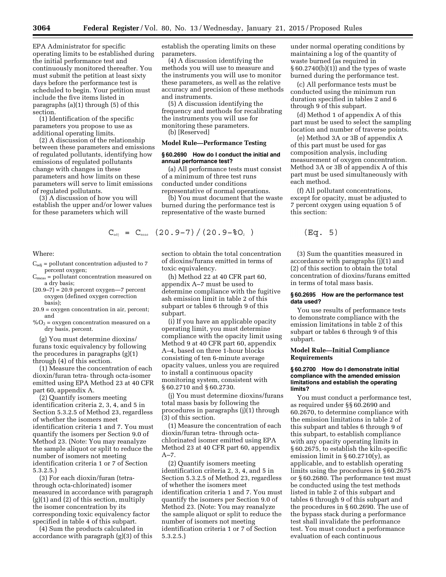EPA Administrator for specific operating limits to be established during the initial performance test and continuously monitored thereafter. You must submit the petition at least sixty days before the performance test is scheduled to begin. Your petition must include the five items listed in paragraphs (a)(1) through (5) of this section.

(1) Identification of the specific parameters you propose to use as additional operating limits.

(2) A discussion of the relationship between these parameters and emissions of regulated pollutants, identifying how emissions of regulated pollutants change with changes in these parameters and how limits on these parameters will serve to limit emissions of regulated pollutants.

(3) A discussion of how you will establish the upper and/or lower values for these parameters which will

Where:

- $C_{\text{adj}}$  = pollutant concentration adjusted to 7 percent oxygen;
- $C_{meas}$  = pollutant concentration measured on a dry basis;
- $(20.9-7) = 20.9$  percent oxygen—7 percent oxygen (defined oxygen correction basis);
- 20.9 = oxygen concentration in air, percent; and
- $\%O<sub>2</sub>$  = oxygen concentration measured on a dry basis, percent.

(g) You must determine dioxins/ furans toxic equivalency by following the procedures in paragraphs (g)(1) through (4) of this section.

(1) Measure the concentration of each dioxin/furan tetra- through octa-isomer emitted using EPA Method 23 at 40 CFR part 60, appendix A.

(2) Quantify isomers meeting identification criteria 2, 3, 4, and 5 in Section 5.3.2.5 of Method 23, regardless of whether the isomers meet identification criteria 1 and 7. You must quantify the isomers per Section 9.0 of Method 23. (Note: You may reanalyze the sample aliquot or split to reduce the number of isomers not meeting identification criteria 1 or 7 of Section 5.3.2.5.)

(3) For each dioxin/furan (tetrathrough octa-chlorinated) isomer measured in accordance with paragraph (g)(1) and (2) of this section, multiply the isomer concentration by its corresponding toxic equivalency factor specified in table 4 of this subpart.

(4) Sum the products calculated in accordance with paragraph (g)(3) of this establish the operating limits on these parameters.

(4) A discussion identifying the methods you will use to measure and the instruments you will use to monitor these parameters, as well as the relative accuracy and precision of these methods and instruments.

(5) A discussion identifying the frequency and methods for recalibrating the instruments you will use for monitoring these parameters. (b) [Reserved]

# **Model Rule—Performance Testing**

#### **§ 60.2690 How do I conduct the initial and annual performance test?**

(a) All performance tests must consist of a minimum of three test runs conducted under conditions representative of normal operations.

(b) You must document that the waste burned during the performance test is representative of the waste burned

$$
C_{\text{adj}} = C_{\text{meas}} (20.9-7) / (20.9-80, )
$$

section to obtain the total concentration of dioxins/furans emitted in terms of toxic equivalency.

(h) Method 22 at 40 CFR part 60, appendix A–7 must be used to determine compliance with the fugitive ash emission limit in table 2 of this subpart or tables 6 through 9 of this subpart.

(i) If you have an applicable opacity operating limit, you must determine compliance with the opacity limit using Method 9 at 40 CFR part 60, appendix A–4, based on three 1-hour blocks consisting of ten 6-minute average opacity values, unless you are required to install a continuous opacity monitoring system, consistent with § 60.2710 and § 60.2730.

(j) You must determine dioxins/furans total mass basis by following the procedures in paragraphs (j)(1) through (3) of this section.

(1) Measure the concentration of each dioxin/furan tetra- through octachlorinated isomer emitted using EPA Method 23 at 40 CFR part 60, appendix  $A - 7.$ 

(2) Quantify isomers meeting identification criteria 2, 3, 4, and 5 in Section 5.3.2.5 of Method 23, regardless of whether the isomers meet identification criteria 1 and 7. You must quantify the isomers per Section 9.0 of Method 23. (Note: You may reanalyze the sample aliquot or split to reduce the number of isomers not meeting identification criteria 1 or 7 of Section 5.3.2.5.)

under normal operating conditions by maintaining a log of the quantity of waste burned (as required in § 60.2740(b)(1)) and the types of waste burned during the performance test.

(c) All performance tests must be conducted using the minimum run duration specified in tables 2 and 6 through 9 of this subpart.

(d) Method 1 of appendix A of this part must be used to select the sampling location and number of traverse points.

(e) Method 3A or 3B of appendix A of this part must be used for gas composition analysis, including measurement of oxygen concentration. Method 3A or 3B of appendix A of this part must be used simultaneously with each method.

(f) All pollutant concentrations, except for opacity, must be adjusted to 7 percent oxygen using equation 5 of this section:

$$
(Eq. 5)
$$

(3) Sum the quantities measured in accordance with paragraphs (j)(1) and (2) of this section to obtain the total concentration of dioxins/furans emitted in terms of total mass basis.

# **§ 60.2695 How are the performance test data used?**

You use results of performance tests to demonstrate compliance with the emission limitations in table 2 of this subpart or tables 6 through 9 of this subpart.

# **Model Rule—Initial Compliance Requirements**

# **§ 60.2700 How do I demonstrate initial compliance with the amended emission limitations and establish the operating limits?**

You must conduct a performance test, as required under §§ 60.2690 and 60.2670, to determine compliance with the emission limitations in table 2 of this subpart and tables 6 through 9 of this subpart, to establish compliance with any opacity operating limits in § 60.2675, to establish the kiln-specific emission limit in  $\S 60.2710(y)$ , as applicable, and to establish operating limits using the procedures in § 60.2675 or § 60.2680. The performance test must be conducted using the test methods listed in table 2 of this subpart and tables 6 through 9 of this subpart and the procedures in § 60.2690. The use of the bypass stack during a performance test shall invalidate the performance test. You must conduct a performance evaluation of each continuous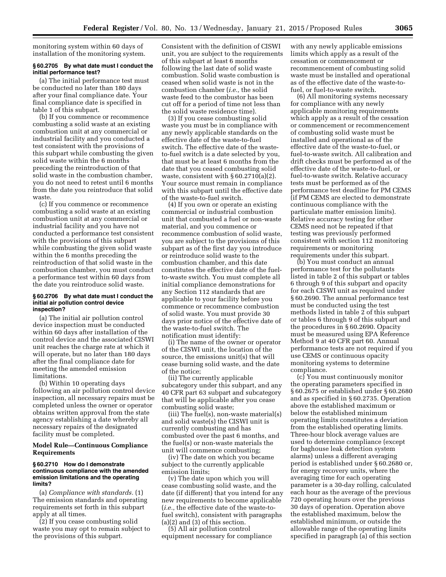monitoring system within 60 days of installation of the monitoring system.

# **§ 60.2705 By what date must I conduct the initial performance test?**

(a) The initial performance test must be conducted no later than 180 days after your final compliance date. Your final compliance date is specified in table 1 of this subpart.

(b) If you commence or recommence combusting a solid waste at an existing combustion unit at any commercial or industrial facility and you conducted a test consistent with the provisions of this subpart while combusting the given solid waste within the 6 months preceding the reintroduction of that solid waste in the combustion chamber, you do not need to retest until 6 months from the date you reintroduce that solid waste.

(c) If you commence or recommence combusting a solid waste at an existing combustion unit at any commercial or industrial facility and you have not conducted a performance test consistent with the provisions of this subpart while combusting the given solid waste within the 6 months preceding the reintroduction of that solid waste in the combustion chamber, you must conduct a performance test within 60 days from the date you reintroduce solid waste.

#### **§ 60.2706 By what date must I conduct the initial air pollution control device inspection?**

(a) The initial air pollution control device inspection must be conducted within 60 days after installation of the control device and the associated CISWI unit reaches the charge rate at which it will operate, but no later than 180 days after the final compliance date for meeting the amended emission limitations.

(b) Within 10 operating days following an air pollution control device inspection, all necessary repairs must be completed unless the owner or operator obtains written approval from the state agency establishing a date whereby all necessary repairs of the designated facility must be completed.

#### **Model Rule—Continuous Compliance Requirements**

#### **§ 60.2710 How do I demonstrate continuous compliance with the amended emission limitations and the operating limits?**

(a) *Compliance with standards.* (1) The emission standards and operating requirements set forth in this subpart apply at all times.

(2) If you cease combusting solid waste you may opt to remain subject to the provisions of this subpart.

Consistent with the definition of CISWI unit, you are subject to the requirements of this subpart at least 6 months following the last date of solid waste combustion. Solid waste combustion is ceased when solid waste is not in the combustion chamber (*i.e.,* the solid waste feed to the combustor has been cut off for a period of time not less than the solid waste residence time).

(3) If you cease combusting solid waste you must be in compliance with any newly applicable standards on the effective date of the waste-to-fuel switch. The effective date of the wasteto-fuel switch is a date selected by you, that must be at least 6 months from the date that you ceased combusting solid waste, consistent with  $\S 60.2710(a)(2)$ . Your source must remain in compliance with this subpart until the effective date of the waste-to-fuel switch.

(4) If you own or operate an existing commercial or industrial combustion unit that combusted a fuel or non-waste material, and you commence or recommence combustion of solid waste, you are subject to the provisions of this subpart as of the first day you introduce or reintroduce solid waste to the combustion chamber, and this date constitutes the effective date of the fuelto-waste switch. You must complete all initial compliance demonstrations for any Section 112 standards that are applicable to your facility before you commence or recommence combustion of solid waste. You must provide 30 days prior notice of the effective date of the waste-to-fuel switch. The notification must identify:

(i) The name of the owner or operator of the CISWI unit, the location of the source, the emissions unit(s) that will cease burning solid waste, and the date of the notice;

(ii) The currently applicable subcategory under this subpart, and any 40 CFR part 63 subpart and subcategory that will be applicable after you cease combusting solid waste;

(iii) The fuel(s), non-waste material(s) and solid waste(s) the CISWI unit is currently combusting and has combusted over the past 6 months, and the fuel(s) or non-waste materials the unit will commence combusting;

(iv) The date on which you became subject to the currently applicable emission limits;

(v) The date upon which you will cease combusting solid waste, and the date (if different) that you intend for any new requirements to become applicable (*i.e.,* the effective date of the waste-tofuel switch), consistent with paragraphs (a)(2) and (3) of this section.

(5) All air pollution control equipment necessary for compliance

with any newly applicable emissions limits which apply as a result of the cessation or commencement or recommencement of combusting solid waste must be installed and operational as of the effective date of the waste-tofuel, or fuel-to-waste switch.

(6) All monitoring systems necessary for compliance with any newly applicable monitoring requirements which apply as a result of the cessation or commencement or recommencement of combusting solid waste must be installed and operational as of the effective date of the waste-to-fuel, or fuel-to-waste switch. All calibration and drift checks must be performed as of the effective date of the waste-to-fuel, or fuel-to-waste switch. Relative accuracy tests must be performed as of the performance test deadline for PM CEMS (if PM CEMS are elected to demonstrate continuous compliance with the particulate matter emission limits). Relative accuracy testing for other CEMS need not be repeated if that testing was previously performed consistent with section 112 monitoring requirements or monitoring requirements under this subpart.

(b) You must conduct an annual performance test for the pollutants listed in table 2 of this subpart or tables 6 through 9 of this subpart and opacity for each CISWI unit as required under § 60.2690. The annual performance test must be conducted using the test methods listed in table 2 of this subpart or tables 6 through 9 of this subpart and the procedures in § 60.2690. Opacity must be measured using EPA Reference Method 9 at 40 CFR part 60. Annual performance tests are not required if you use CEMS or continuous opacity monitoring systems to determine compliance.

(c) You must continuously monitor the operating parameters specified in § 60.2675 or established under § 60.2680 and as specified in § 60.2735. Operation above the established maximum or below the established minimum operating limits constitutes a deviation from the established operating limits. Three-hour block average values are used to determine compliance (except for baghouse leak detection system alarms) unless a different averaging period is established under § 60.2680 or, for energy recovery units, where the averaging time for each operating parameter is a 30-day rolling, calculated each hour as the average of the previous 720 operating hours over the previous 30 days of operation. Operation above the established maximum, below the established minimum, or outside the allowable range of the operating limits specified in paragraph (a) of this section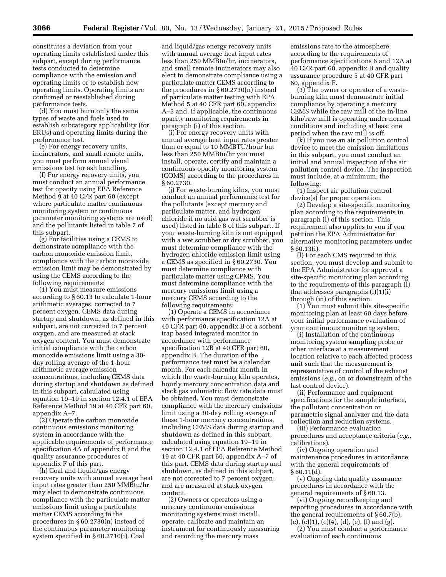constitutes a deviation from your operating limits established under this subpart, except during performance tests conducted to determine compliance with the emission and operating limits or to establish new operating limits. Operating limits are confirmed or reestablished during performance tests.

(d) You must burn only the same types of waste and fuels used to establish subcategory applicability (for ERUs) and operating limits during the performance test.

(e) For energy recovery units, incinerators, and small remote units, you must perform annual visual emissions test for ash handling.

(f) For energy recovery units, you must conduct an annual performance test for opacity using EPA Reference Method 9 at 40 CFR part 60 (except where particulate matter continuous monitoring system or continuous parameter monitoring systems are used) and the pollutants listed in table 7 of this subpart.

(g) For facilities using a CEMS to demonstrate compliance with the carbon monoxide emission limit, compliance with the carbon monoxide emission limit may be demonstrated by using the CEMS according to the following requirements:

(1) You must measure emissions according to § 60.13 to calculate 1-hour arithmetic averages, corrected to 7 percent oxygen. CEMS data during startup and shutdown, as defined in this subpart, are not corrected to 7 percent oxygen, and are measured at stack oxygen content. You must demonstrate initial compliance with the carbon monoxide emissions limit using a 30 day rolling average of the 1-hour arithmetic average emission concentrations, including CEMS data during startup and shutdown as defined in this subpart, calculated using equation 19–19 in section 12.4.1 of EPA Reference Method 19 at 40 CFR part 60, appendix A–7.

(2) Operate the carbon monoxide continuous emissions monitoring system in accordance with the applicable requirements of performance specification 4A of appendix B and the quality assurance procedures of appendix F of this part.

(h) Coal and liquid/gas energy recovery units with annual average heat input rates greater than 250 MMBtu/hr may elect to demonstrate continuous compliance with the particulate matter emissions limit using a particulate matter CEMS according to the procedures in § 60.2730(n) instead of the continuous parameter monitoring system specified in § 60.2710(i). Coal

and liquid/gas energy recovery units with annual average heat input rates less than 250 MMBtu/hr, incinerators, and small remote incinerators may also elect to demonstrate compliance using a particulate matter CEMS according to the procedures in § 60.2730(n) instead of particulate matter testing with EPA Method 5 at 40 CFR part 60, appendix A–3 and, if applicable, the continuous opacity monitoring requirements in paragraph (i) of this section.

(i) For energy recovery units with annual average heat input rates greater than or equal to 10 MMBTU/hour but less than 250 MMBtu/hr you must install, operate, certify and maintain a continuous opacity monitoring system (COMS) according to the procedures in § 60.2730.

(j) For waste-burning kilns, you must conduct an annual performance test for the pollutants (except mercury and particulate matter, and hydrogen chloride if no acid gas wet scrubber is used) listed in table 8 of this subpart. If your waste-burning kiln is not equipped with a wet scrubber or dry scrubber, you must determine compliance with the hydrogen chloride emission limit using a CEMS as specified in § 60.2730. You must determine compliance with particulate matter using CPMS. You must determine compliance with the mercury emissions limit using a mercury CEMS according to the following requirements:

(1) Operate a CEMS in accordance with performance specification 12A at 40 CFR part 60, appendix B or a sorbent trap based integrated monitor in accordance with performance specification 12B at 40 CFR part 60, appendix B. The duration of the performance test must be a calendar month. For each calendar month in which the waste-burning kiln operates, hourly mercury concentration data and stack gas volumetric flow rate data must be obtained. You must demonstrate compliance with the mercury emissions limit using a 30-day rolling average of these 1-hour mercury concentrations, including CEMS data during startup and shutdown as defined in this subpart, calculated using equation 19–19 in section 12.4.1 of EPA Reference Method 19 at 40 CFR part 60, appendix A–7 of this part. CEMS data during startup and shutdown, as defined in this subpart, are not corrected to 7 percent oxygen, and are measured at stack oxygen content.

(2) Owners or operators using a mercury continuous emissions monitoring systems must install, operate, calibrate and maintain an instrument for continuously measuring and recording the mercury mass

emissions rate to the atmosphere according to the requirements of performance specifications 6 and 12A at 40 CFR part 60, appendix B and quality assurance procedure 5 at 40 CFR part 60, appendix F.

(3) The owner or operator of a wasteburning kiln must demonstrate initial compliance by operating a mercury CEMS while the raw mill of the in-line kiln/raw mill is operating under normal conditions and including at least one period when the raw mill is off.

(k) If you use an air pollution control device to meet the emission limitations in this subpart, you must conduct an initial and annual inspection of the air pollution control device. The inspection must include, at a minimum, the following:

(1) Inspect air pollution control device(s) for proper operation.

(2) Develop a site-specific monitoring plan according to the requirements in paragraph (l) of this section. This requirement also applies to you if you petition the EPA Administrator for alternative monitoring parameters under § 60.13(i).

(l) For each CMS required in this section, you must develop and submit to the EPA Administrator for approval a site-specific monitoring plan according to the requirements of this paragraph (l) that addresses paragraphs  $(l)(1)(i)$ through (vi) of this section.

 $(1)$  You must submit this site-specific monitoring plan at least 60 days before your initial performance evaluation of your continuous monitoring system.

(i) Installation of the continuous monitoring system sampling probe or other interface at a measurement location relative to each affected process unit such that the measurement is representative of control of the exhaust emissions (*e.g.,* on or downstream of the last control device).

(ii) Performance and equipment specifications for the sample interface, the pollutant concentration or parametric signal analyzer and the data collection and reduction systems.

(iii) Performance evaluation procedures and acceptance criteria (*e.g.,*  calibrations).

(iv) Ongoing operation and maintenance procedures in accordance with the general requirements of  $§60.11(d)$ .

(v) Ongoing data quality assurance procedures in accordance with the general requirements of § 60.13.

(vi) Ongoing recordkeeping and reporting procedures in accordance with the general requirements of § 60.7(b),  $(c)$ ,  $(c)(1)$ ,  $(c)(4)$ ,  $(d)$ ,  $(e)$ ,  $(f)$  and  $(g)$ .

(2) You must conduct a performance evaluation of each continuous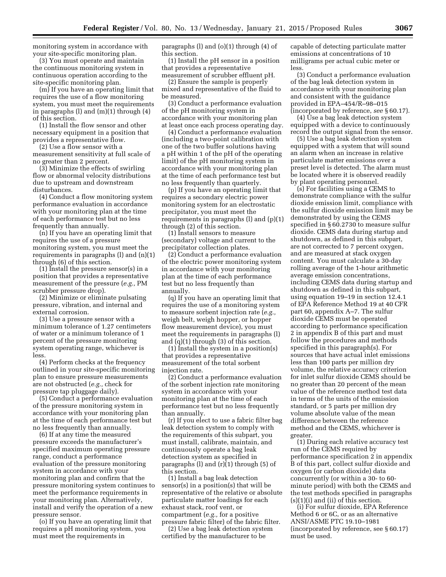monitoring system in accordance with your site-specific monitoring plan.

(3) You must operate and maintain the continuous monitoring system in continuous operation according to the site-specific monitoring plan.

(m) If you have an operating limit that requires the use of a flow monitoring system, you must meet the requirements in paragraphs (l) and (m)(1) through (4) of this section.

(1) Install the flow sensor and other necessary equipment in a position that provides a representative flow.

(2) Use a flow sensor with a measurement sensitivity at full scale of no greater than 2 percent.

(3) Minimize the effects of swirling flow or abnormal velocity distributions due to upstream and downstream disturbances.

(4) Conduct a flow monitoring system performance evaluation in accordance with your monitoring plan at the time of each performance test but no less frequently than annually.

(n) If you have an operating limit that requires the use of a pressure monitoring system, you must meet the requirements in paragraphs (l) and (n)(1) through (6) of this section.

(1) Install the pressure sensor(s) in a position that provides a representative measurement of the pressure (*e.g.,* PM scrubber pressure drop).

(2) Minimize or eliminate pulsating pressure, vibration, and internal and external corrosion.

(3) Use a pressure sensor with a minimum tolerance of 1.27 centimeters of water or a minimum tolerance of 1 percent of the pressure monitoring system operating range, whichever is less.

(4) Perform checks at the frequency outlined in your site-specific monitoring plan to ensure pressure measurements are not obstructed (*e.g.,* check for pressure tap pluggage daily).

(5) Conduct a performance evaluation of the pressure monitoring system in accordance with your monitoring plan at the time of each performance test but no less frequently than annually.

(6) If at any time the measured pressure exceeds the manufacturer's specified maximum operating pressure range, conduct a performance evaluation of the pressure monitoring system in accordance with your monitoring plan and confirm that the pressure monitoring system continues to meet the performance requirements in your monitoring plan. Alternatively, install and verify the operation of a new pressure sensor.

(o) If you have an operating limit that requires a pH monitoring system, you must meet the requirements in

paragraphs (l) and (o)(1) through (4) of this section.

(1) Install the pH sensor in a position that provides a representative measurement of scrubber effluent pH.

(2) Ensure the sample is properly mixed and representative of the fluid to be measured.

(3) Conduct a performance evaluation of the pH monitoring system in accordance with your monitoring plan at least once each process operating day.

(4) Conduct a performance evaluation (including a two-point calibration with one of the two buffer solutions having a pH within 1 of the pH of the operating limit) of the pH monitoring system in accordance with your monitoring plan at the time of each performance test but no less frequently than quarterly.

(p) If you have an operating limit that requires a secondary electric power monitoring system for an electrostatic precipitator, you must meet the requirements in paragraphs (l) and (p)(1) through (2) of this section.

(1) Install sensors to measure (secondary) voltage and current to the precipitator collection plates.

(2) Conduct a performance evaluation of the electric power monitoring system in accordance with your monitoring plan at the time of each performance test but no less frequently than annually.

(q) If you have an operating limit that requires the use of a monitoring system to measure sorbent injection rate (*e.g.,*  weigh belt, weigh hopper, or hopper flow measurement device), you must meet the requirements in paragraphs (l) and (q)(1) through (3) of this section.

(1) Install the system in a position(s) that provides a representative measurement of the total sorbent injection rate.

(2) Conduct a performance evaluation of the sorbent injection rate monitoring system in accordance with your monitoring plan at the time of each performance test but no less frequently than annually.

(r) If you elect to use a fabric filter bag leak detection system to comply with the requirements of this subpart, you must install, calibrate, maintain, and continuously operate a bag leak detection system as specified in paragraphs (l) and (r)(1) through (5) of this section.

(1) Install a bag leak detection sensor(s) in a position(s) that will be representative of the relative or absolute particulate matter loadings for each exhaust stack, roof vent, or compartment (*e.g.,* for a positive pressure fabric filter) of the fabric filter.

(2) Use a bag leak detection system certified by the manufacturer to be

capable of detecting particulate matter emissions at concentrations of 10 milligrams per actual cubic meter or less.

(3) Conduct a performance evaluation of the bag leak detection system in accordance with your monitoring plan and consistent with the guidance provided in EPA–454/R–98–015 (incorporated by reference, *see* § 60.17).

(4) Use a bag leak detection system equipped with a device to continuously record the output signal from the sensor.

(5) Use a bag leak detection system equipped with a system that will sound an alarm when an increase in relative particulate matter emissions over a preset level is detected. The alarm must be located where it is observed readily by plant operating personnel.

(s) For facilities using a CEMS to demonstrate compliance with the sulfur dioxide emission limit, compliance with the sulfur dioxide emission limit may be demonstrated by using the CEMS specified in § 60.2730 to measure sulfur dioxide. CEMS data during startup and shutdown, as defined in this subpart, are not corrected to 7 percent oxygen, and are measured at stack oxygen content. You must calculate a 30-day rolling average of the 1-hour arithmetic average emission concentrations, including CEMS data during startup and shutdown as defined in this subpart, using equation 19–19 in section 12.4.1 of EPA Reference Method 19 at 40 CFR part 60, appendix A–7. The sulfur dioxide CEMS must be operated according to performance specification 2 in appendix B of this part and must follow the procedures and methods specified in this paragraph(s). For sources that have actual inlet emissions less than 100 parts per million dry volume, the relative accuracy criterion for inlet sulfur dioxide CEMS should be no greater than 20 percent of the mean value of the reference method test data in terms of the units of the emission standard, or 5 parts per million dry volume absolute value of the mean difference between the reference method and the CEMS, whichever is greater.

(1) During each relative accuracy test run of the CEMS required by performance specification 2 in appendix B of this part, collect sulfur dioxide and oxygen (or carbon dioxide) data concurrently (or within a 30- to 60 minute period) with both the CEMS and the test methods specified in paragraphs  $(s)(1)(i)$  and  $(ii)$  of this section.

(i) For sulfur dioxide, EPA Reference Method 6 or 6C, or as an alternative ANSI/ASME PTC 19.10–1981 (incorporated by reference, see § 60.17) must be used.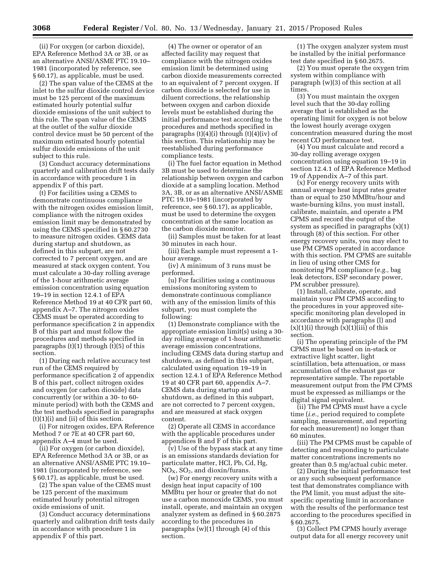(ii) For oxygen (or carbon dioxide), EPA Reference Method 3A or 3B, or as an alternative ANSI/ASME PTC 19.10– 1981 (incorporated by reference, see § 60.17), as applicable, must be used.

(2) The span value of the CEMS at the inlet to the sulfur dioxide control device must be 125 percent of the maximum estimated hourly potential sulfur dioxide emissions of the unit subject to this rule. The span value of the CEMS at the outlet of the sulfur dioxide control device must be 50 percent of the maximum estimated hourly potential sulfur dioxide emissions of the unit subject to this rule.

(3) Conduct accuracy determinations quarterly and calibration drift tests daily in accordance with procedure 1 in appendix F of this part.

(t) For facilities using a CEMS to demonstrate continuous compliance with the nitrogen oxides emission limit, compliance with the nitrogen oxides emission limit may be demonstrated by using the CEMS specified in § 60.2730 to measure nitrogen oxides. CEMS data during startup and shutdown, as defined in this subpart, are not corrected to 7 percent oxygen, and are measured at stack oxygen content. You must calculate a 30-day rolling average of the 1-hour arithmetic average emission concentration using equation 19–19 in section 12.4.1 of EPA Reference Method 19 at 40 CFR part 60, appendix A–7. The nitrogen oxides CEMS must be operated according to performance specification 2 in appendix B of this part and must follow the procedures and methods specified in paragraphs  $(t)(1)$  through  $(t)(5)$  of this section.

(1) During each relative accuracy test run of the CEMS required by performance specification 2 of appendix B of this part, collect nitrogen oxides and oxygen (or carbon dioxide) data concurrently (or within a 30- to 60 minute period) with both the CEMS and the test methods specified in paragraphs  $(t)(1)(i)$  and  $(ii)$  of this section.

(i) For nitrogen oxides, EPA Reference Method 7 or 7E at 40 CFR part 60, appendix A–4 must be used.

(ii) For oxygen (or carbon dioxide), EPA Reference Method 3A or 3B, or as an alternative ANSI/ASME PTC 19.10– 1981 (incorporated by reference, see § 60.17), as applicable, must be used.

(2) The span value of the CEMS must be 125 percent of the maximum estimated hourly potential nitrogen oxide emissions of unit.

(3) Conduct accuracy determinations quarterly and calibration drift tests daily in accordance with procedure 1 in appendix F of this part.

(4) The owner or operator of an affected facility may request that compliance with the nitrogen oxides emission limit be determined using carbon dioxide measurements corrected to an equivalent of 7 percent oxygen. If carbon dioxide is selected for use in diluent corrections, the relationship between oxygen and carbon dioxide levels must be established during the initial performance test according to the procedures and methods specified in paragraphs (t)(4)(i) through (t)(4)(iv) of this section. This relationship may be reestablished during performance compliance tests.

(i) The fuel factor equation in Method 3B must be used to determine the relationship between oxygen and carbon dioxide at a sampling location. Method 3A, 3B, or as an alternative ANSI/ASME PTC 19.10–1981 (incorporated by reference, see § 60.17), as applicable, must be used to determine the oxygen concentration at the same location as the carbon dioxide monitor.

(ii) Samples must be taken for at least 30 minutes in each hour.

(iii) Each sample must represent a 1 hour average.

(iv) A minimum of 3 runs must be performed.

(u) For facilities using a continuous emissions monitoring system to demonstrate continuous compliance with any of the emission limits of this subpart, you must complete the following:

(1) Demonstrate compliance with the appropriate emission limit(s) using a 30 day rolling average of 1-hour arithmetic average emission concentrations, including CEMS data during startup and shutdown, as defined in this subpart, calculated using equation 19–19 in section 12.4.1 of EPA Reference Method 19 at 40 CFR part 60, appendix A–7. CEMS data during startup and shutdown, as defined in this subpart, are not corrected to 7 percent oxygen, and are measured at stack oxygen content.

(2) Operate all CEMS in accordance with the applicable procedures under appendices B and F of this part.

(v) Use of the bypass stack at any time is an emissions standards deviation for particulate matter, HCl, Pb, Cd, Hg,  $NO<sub>X</sub>$ ,  $SO<sub>2</sub>$ , and dioxin/furans.

(w) For energy recovery units with a design heat input capacity of 100 MMBtu per hour or greater that do not use a carbon monoxide CEMS, you must install, operate, and maintain an oxygen analyzer system as defined in § 60.2875 according to the procedures in paragraphs  $(w)(1)$  through  $(4)$  of this section.

(1) The oxygen analyzer system must be installed by the initial performance test date specified in § 60.2675.

(2) You must operate the oxygen trim system within compliance with paragraph (w)(3) of this section at all times.

(3) You must maintain the oxygen level such that the 30-day rolling average that is established as the operating limit for oxygen is not below the lowest hourly average oxygen concentration measured during the most recent CO performance test.

(4) You must calculate and record a 30-day rolling average oxygen concentration using equation 19–19 in section 12.4.1 of EPA Reference Method 19 of Appendix A–7 of this part.

(x) For energy recovery units with annual average heat input rates greater than or equal to 250 MMBtu/hour and waste-burning kilns, you must install, calibrate, maintain, and operate a PM CPMS and record the output of the system as specified in paragraphs (x)(1) through (8) of this section. For other energy recovery units, you may elect to use PM CPMS operated in accordance with this section. PM CPMS are suitable in lieu of using other CMS for monitoring PM compliance (*e.g.,* bag leak detectors, ESP secondary power, PM scrubber pressure).

(1) Install, calibrate, operate, and maintain your PM CPMS according to the procedures in your approved sitespecific monitoring plan developed in accordance with paragraphs (l) and  $(x)(1)(i)$  through  $(x)(1)(iii)$  of this section.

(i) The operating principle of the PM CPMS must be based on in-stack or extractive light scatter, light scintillation, beta attenuation, or mass accumulation of the exhaust gas or representative sample. The reportable measurement output from the PM CPMS must be expressed as milliamps or the digital signal equivalent.

(ii) The PM CPMS must have a cycle time (*i.e.,* period required to complete sampling, measurement, and reporting for each measurement) no longer than 60 minutes.

(iii) The PM CPMS must be capable of detecting and responding to particulate matter concentrations increments no greater than 0.5 mg/actual cubic meter.

(2) During the initial performance test or any such subsequent performance test that demonstrates compliance with the PM limit, you must adjust the sitespecific operating limit in accordance with the results of the performance test according to the procedures specified in § 60.2675.

(3) Collect PM CPMS hourly average output data for all energy recovery unit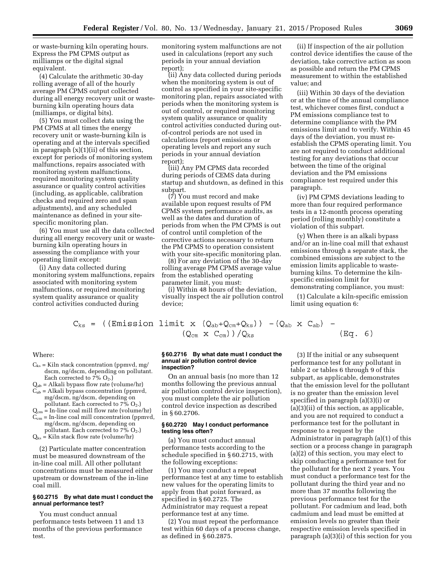or waste-burning kiln operating hours. Express the PM CPMS output as milliamps or the digital signal equivalent.

(4) Calculate the arithmetic 30-day rolling average of all of the hourly average PM CPMS output collected during all energy recovery unit or wasteburning kiln operating hours data (milliamps, or digital bits).

(5) You must collect data using the PM CPMS at all times the energy recovery unit or waste-burning kiln is operating and at the intervals specified in paragraph (x)(1)(ii) of this section, except for periods of monitoring system malfunctions, repairs associated with monitoring system malfunctions, required monitoring system quality assurance or quality control activities (including, as applicable, calibration checks and required zero and span adjustments), and any scheduled maintenance as defined in your sitespecific monitoring plan.

(6) You must use all the data collected during all energy recovery unit or wasteburning kiln operating hours in assessing the compliance with your operating limit except:

(i) Any data collected during monitoring system malfunctions, repairs associated with monitoring system malfunctions, or required monitoring system quality assurance or quality control activities conducted during

monitoring system malfunctions are not used in calculations (report any such periods in your annual deviation report);

(ii) Any data collected during periods when the monitoring system is out of control as specified in your site-specific monitoring plan, repairs associated with periods when the monitoring system is out of control, or required monitoring system quality assurance or quality control activities conducted during outof-control periods are not used in calculations (report emissions or operating levels and report any such periods in your annual deviation report);

(iii) Any PM CPMS data recorded during periods of CEMS data during startup and shutdown, as defined in this subpart.

(7) You must record and make available upon request results of PM CPMS system performance audits, as well as the dates and duration of periods from when the PM CPMS is out of control until completion of the corrective actions necessary to return the PM CPMS to operation consistent with your site-specific monitoring plan.

(8) For any deviation of the 30-day rolling average PM CPMS average value from the established operating parameter limit, you must:

(i) Within 48 hours of the deviation, visually inspect the air pollution control device;

(ii) If inspection of the air pollution control device identifies the cause of the deviation, take corrective action as soon as possible and return the PM CPMS measurement to within the established value; and

(iii) Within 30 days of the deviation or at the time of the annual compliance test, whichever comes first, conduct a PM emissions compliance test to determine compliance with the PM emissions limit and to verify. Within 45 days of the deviation, you must reestablish the CPMS operating limit. You are not required to conduct additional testing for any deviations that occur between the time of the original deviation and the PM emissions compliance test required under this paragraph.

(iv) PM CPMS deviations leading to more than four required performance tests in a 12-month process operating period (rolling monthly) constitute a violation of this subpart.

(y) When there is an alkali bypass and/or an in-line coal mill that exhaust emissions through a separate stack, the combined emissions are subject to the emission limits applicable to wasteburning kilns. To determine the kilnspecific emission limit for demonstrating compliance, you must:

(1) Calculate a kiln-specific emission limit using equation 6:

 $\left( \right)$ 

$$
C_{\text{ks}} = ((Emission limit x (Q_{ab} + Q_{cm} + Q_{\text{ks}})) - (Q_{ab} x C_{ab}) - (Q_{f} G_{ac} + Q_{ca}) / Q_{\text{ks}} \qquad (Eq. 6)
$$

Where:

- $C_{ks}$  = Kiln stack concentration (ppmvd, mg/ dscm, ng/dscm, depending on pollutant. Each corrected to  $7\%$  O<sub>2</sub>.)
- $Q_{ab}$  = Alkali bypass flow rate (volume/hr)  $C_{ab}$  = Alkali bypass concentration (ppmvd,
- mg/dscm, ng/dscm, depending on pollutant. Each corrected to  $7\%$  O<sub>2</sub>.)  $Q_{cm}$  = In-line coal mill flow rate (volume/hr)
- $C_{cm}$  = In-line coal mill concentration (ppmvd, mg/dscm, ng/dscm, depending on
- pollutant. Each corrected to  $7\%$   $O_2$ .)
- $Q_{ks}$  = Kiln stack flow rate (volume/hr)

(2) Particulate matter concentration must be measured downstream of the in-line coal mill. All other pollutant concentrations must be measured either upstream or downstream of the in-line coal mill.

#### **§ 60.2715 By what date must I conduct the annual performance test?**

You must conduct annual performance tests between 11 and 13 months of the previous performance test.

#### **§ 60.2716 By what date must I conduct the annual air pollution control device inspection?**

On an annual basis (no more than 12 months following the previous annual air pollution control device inspection), you must complete the air pollution control device inspection as described in § 60.2706.

## **§ 60.2720 May I conduct performance testing less often?**

(a) You must conduct annual performance tests according to the schedule specified in § 60.2715, with the following exceptions:

(1) You may conduct a repeat performance test at any time to establish new values for the operating limits to apply from that point forward, as specified in § 60.2725. The Administrator may request a repeat performance test at any time.

(2) You must repeat the performance test within 60 days of a process change, as defined in § 60.2875.

(3) If the initial or any subsequent performance test for any pollutant in table 2 or tables 6 through 9 of this subpart, as applicable, demonstrates that the emission level for the pollutant is no greater than the emission level specified in paragraph (a)(3)(i) or (a)(3)(ii) of this section, as applicable, and you are not required to conduct a performance test for the pollutant in response to a request by the Administrator in paragraph (a)(1) of this section or a process change in paragraph (a)(2) of this section, you may elect to skip conducting a performance test for the pollutant for the next 2 years. You must conduct a performance test for the pollutant during the third year and no more than 37 months following the previous performance test for the pollutant. For cadmium and lead, both cadmium and lead must be emitted at emission levels no greater than their respective emission levels specified in paragraph (a)(3)(i) of this section for you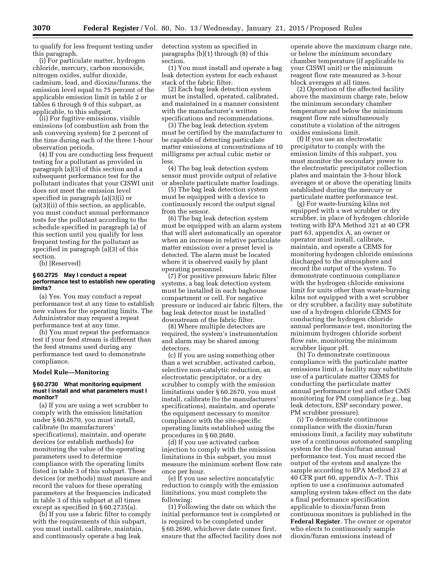to qualify for less frequent testing under this paragraph.

(i) For particulate matter, hydrogen chloride, mercury, carbon monoxide, nitrogen oxides, sulfur dioxide, cadmium, lead, and dioxins/furans, the emission level equal to 75 percent of the applicable emission limit in table 2 or tables 6 through 9 of this subpart, as applicable, to this subpart.

(ii) For fugitive emissions, visible emissions (of combustion ash from the ash conveying system) for 2 percent of the time during each of the three 1-hour observation periods.

(4) If you are conducting less frequent testing for a pollutant as provided in paragraph (a)(3) of this section and a subsequent performance test for the pollutant indicates that your CISWI unit does not meet the emission level specified in paragraph (a)(3)(i) or (a)(3)(ii) of this section, as applicable, you must conduct annual performance tests for the pollutant according to the schedule specified in paragraph (a) of this section until you qualify for less frequent testing for the pollutant as specified in paragraph (a)(3) of this section.

(b) [Reserved]

# **§ 60.2725 May I conduct a repeat performance test to establish new operating limits?**

(a) Yes. You may conduct a repeat performance test at any time to establish new values for the operating limits. The Administrator may request a repeat performance test at any time.

(b) You must repeat the performance test if your feed stream is different than the feed streams used during any performance test used to demonstrate compliance.

#### **Model Rule—Monitoring**

#### **§ 60.2730 What monitoring equipment must I install and what parameters must I monitor?**

(a) If you are using a wet scrubber to comply with the emission limitation under § 60.2670, you must install, calibrate (to manufacturers' specifications), maintain, and operate devices (or establish methods) for monitoring the value of the operating parameters used to determine compliance with the operating limits listed in table 3 of this subpart. These devices (or methods) must measure and record the values for these operating parameters at the frequencies indicated in table 3 of this subpart at all times except as specified in § 60.2735(a).

(b) If you use a fabric filter to comply with the requirements of this subpart, you must install, calibrate, maintain, and continuously operate a bag leak

detection system as specified in paragraphs (b)(1) through (8) of this section.

(1) You must install and operate a bag leak detection system for each exhaust stack of the fabric filter.

(2) Each bag leak detection system must be installed, operated, calibrated, and maintained in a manner consistent with the manufacturer's written specifications and recommendations.

(3) The bag leak detection system must be certified by the manufacturer to be capable of detecting particulate matter emissions at concentrations of 10 milligrams per actual cubic meter or less.

(4) The bag leak detection system sensor must provide output of relative or absolute particulate matter loadings.

(5) The bag leak detection system must be equipped with a device to continuously record the output signal from the sensor.

(6) The bag leak detection system must be equipped with an alarm system that will alert automatically an operator when an increase in relative particulate matter emission over a preset level is detected. The alarm must be located where it is observed easily by plant operating personnel.

(7) For positive pressure fabric filter systems, a bag leak detection system must be installed in each baghouse compartment or cell. For negative pressure or induced air fabric filters, the bag leak detector must be installed downstream of the fabric filter.

(8) Where multiple detectors are required, the system's instrumentation and alarm may be shared among detectors.

(c) If you are using something other than a wet scrubber, activated carbon, selective non-catalytic reduction, an electrostatic precipitator, or a dry scrubber to comply with the emission limitations under § 60.2670, you must install, calibrate (to the manufacturers' specifications), maintain, and operate the equipment necessary to monitor compliance with the site-specific operating limits established using the procedures in § 60.2680.

(d) If you use activated carbon injection to comply with the emission limitations in this subpart, you must measure the minimum sorbent flow rate once per hour.

(e) If you use selective noncatalytic reduction to comply with the emission limitations, you must complete the following:

(1) Following the date on which the initial performance test is completed or is required to be completed under § 60.2690, whichever date comes first, ensure that the affected facility does not

operate above the maximum charge rate, or below the minimum secondary chamber temperature (if applicable to your CISWI unit) or the minimum reagent flow rate measured as 3-hour block averages at all times.

(2) Operation of the affected facility above the maximum charge rate, below the minimum secondary chamber temperature and below the minimum reagent flow rate simultaneously constitute a violation of the nitrogen oxides emissions limit.

(f) If you use an electrostatic precipitator to comply with the emission limits of this subpart, you must monitor the secondary power to the electrostatic precipitator collection plates and maintain the 3-hour block averages at or above the operating limits established during the mercury or particulate matter performance test.

(g) For waste-burning kilns not equipped with a wet scrubber or dry scrubber, in place of hydrogen chloride testing with EPA Method 321 at 40 CFR part 63, appendix A, an owner or operator must install, calibrate, maintain, and operate a CEMS for monitoring hydrogen chloride emissions discharged to the atmosphere and record the output of the system. To demonstrate continuous compliance with the hydrogen chloride emissions limit for units other than waste-burning kilns not equipped with a wet scrubber or dry scrubber, a facility may substitute use of a hydrogen chloride CEMS for conducting the hydrogen chloride annual performance test, monitoring the minimum hydrogen chloride sorbent flow rate, monitoring the minimum scrubber liquor pH.

(h) To demonstrate continuous compliance with the particulate matter emissions limit, a facility may substitute use of a particulate matter CEMS for conducting the particulate matter annual performance test and other CMS monitoring for PM compliance (*e.g.,* bag leak detectors, ESP secondary power, PM scrubber pressure).

(i) To demonstrate continuous compliance with the dioxin/furan emissions limit, a facility may substitute use of a continuous automated sampling system for the dioxin/furan annual performance test. You must record the output of the system and analyze the sample according to EPA Method 23 at 40 CFR part 60, appendix A–7. This option to use a continuous automated sampling system takes effect on the date a final performance specification applicable to dioxin/furan from continuous monitors is published in the **Federal Register**. The owner or operator who elects to continuously sample dioxin/furan emissions instead of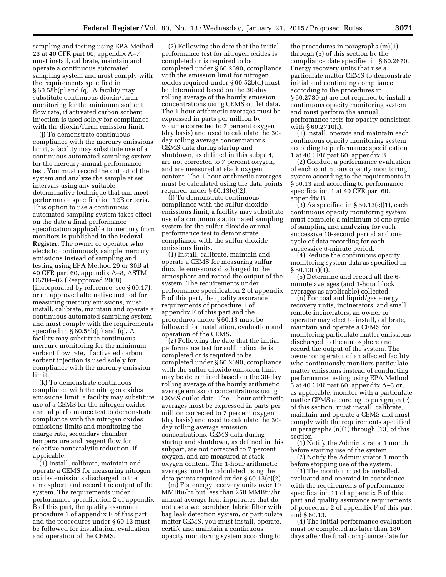sampling and testing using EPA Method 23 at 40 CFR part 60, appendix A–7 must install, calibrate, maintain and operate a continuous automated sampling system and must comply with the requirements specified in § 60.58b(p) and (q). A facility may substitute continuous dioxin/furan monitoring for the minimum sorbent flow rate, if activated carbon sorbent injection is used solely for compliance with the dioxin/furan emission limit.

(j) To demonstrate continuous compliance with the mercury emissions limit, a facility may substitute use of a continuous automated sampling system for the mercury annual performance test. You must record the output of the system and analyze the sample at set intervals using any suitable determinative technique that can meet performance specification 12B criteria. This option to use a continuous automated sampling system takes effect on the date a final performance specification applicable to mercury from monitors is published in the **Federal Register**. The owner or operator who elects to continuously sample mercury emissions instead of sampling and testing using EPA Method 29 or 30B at 40 CFR part 60, appendix A–8, ASTM D6784–02 (Reapproved 2008) (incorporated by reference, see § 60.17), or an approved alternative method for measuring mercury emissions, must install, calibrate, maintain and operate a continuous automated sampling system and must comply with the requirements specified in § 60.58b(p) and (q). A facility may substitute continuous mercury monitoring for the minimum sorbent flow rate, if activated carbon sorbent injection is used solely for compliance with the mercury emission limit.

(k) To demonstrate continuous compliance with the nitrogen oxides emissions limit, a facility may substitute use of a CEMS for the nitrogen oxides annual performance test to demonstrate compliance with the nitrogen oxides emissions limits and monitoring the charge rate, secondary chamber temperature and reagent flow for selective noncatalytic reduction, if applicable.

(1) Install, calibrate, maintain and operate a CEMS for measuring nitrogen oxides emissions discharged to the atmosphere and record the output of the system. The requirements under performance specification 2 of appendix B of this part, the quality assurance procedure 1 of appendix F of this part and the procedures under § 60.13 must be followed for installation, evaluation and operation of the CEMS.

(2) Following the date that the initial performance test for nitrogen oxides is completed or is required to be completed under § 60.2690, compliance with the emission limit for nitrogen oxides required under § 60.52b(d) must be determined based on the 30-day rolling average of the hourly emission concentrations using CEMS outlet data. The 1-hour arithmetic averages must be expressed in parts per million by volume corrected to 7 percent oxygen (dry basis) and used to calculate the 30 day rolling average concentrations. CEMS data during startup and shutdown, as defined in this subpart, are not corrected to 7 percent oxygen, and are measured at stack oxygen content. The 1-hour arithmetic averages must be calculated using the data points required under § 60.13(e)(2).

(l) To demonstrate continuous compliance with the sulfur dioxide emissions limit, a facility may substitute use of a continuous automated sampling system for the sulfur dioxide annual performance test to demonstrate compliance with the sulfur dioxide emissions limits.

(1) Install, calibrate, maintain and operate a CEMS for measuring sulfur dioxide emissions discharged to the atmosphere and record the output of the system. The requirements under performance specification 2 of appendix B of this part, the quality assurance requirements of procedure 1 of appendix F of this part and the procedures under § 60.13 must be followed for installation, evaluation and operation of the CEMS.

(2) Following the date that the initial performance test for sulfur dioxide is completed or is required to be completed under § 60.2690, compliance with the sulfur dioxide emission limit may be determined based on the 30-day rolling average of the hourly arithmetic average emission concentrations using CEMS outlet data. The 1-hour arithmetic averages must be expressed in parts per million corrected to 7 percent oxygen (dry basis) and used to calculate the 30 day rolling average emission concentrations. CEMS data during startup and shutdown, as defined in this subpart, are not corrected to 7 percent oxygen, and are measured at stack oxygen content. The 1-hour arithmetic averages must be calculated using the data points required under § 60.13(e)(2).

(m) For energy recovery units over 10 MMBtu/hr but less than 250 MMBtu/hr annual average heat input rates that do not use a wet scrubber, fabric filter with bag leak detection system, or particulate matter CEMS, you must install, operate, certify and maintain a continuous opacity monitoring system according to

the procedures in paragraphs (m)(1) through (5) of this section by the compliance date specified in § 60.2670. Energy recovery units that use a particulate matter CEMS to demonstrate initial and continuing compliance according to the procedures in § 60.2730(n) are not required to install a continuous opacity monitoring system and must perform the annual performance tests for opacity consistent with § 60.2710(f).

(1) Install, operate and maintain each continuous opacity monitoring system according to performance specification 1 at 40 CFR part 60, appendix B.

(2) Conduct a performance evaluation of each continuous opacity monitoring system according to the requirements in § 60.13 and according to performance specification 1 at 40 CFR part 60, appendix B.

 $(3)$  As specified in § 60.13(e)(1), each continuous opacity monitoring system must complete a minimum of one cycle of sampling and analyzing for each successive 10-second period and one cycle of data recording for each successive 6-minute period.

(4) Reduce the continuous opacity monitoring system data as specified in  $§ 60.13(h)(1).$ 

(5) Determine and record all the 6 minute averages (and 1-hour block averages as applicable) collected.

(n) For coal and liquid/gas energy recovery units, incinerators, and small remote incinerators, an owner or operator may elect to install, calibrate, maintain and operate a CEMS for monitoring particulate matter emissions discharged to the atmosphere and record the output of the system. The owner or operator of an affected facility who continuously monitors particulate matter emissions instead of conducting performance testing using EPA Method 5 at 40 CFR part 60, appendix A–3 or, as applicable, monitor with a particulate matter CPMS according to paragraph (r) of this section, must install, calibrate, maintain and operate a CEMS and must comply with the requirements specified in paragraphs (n)(1) through (13) of this section.

(1) Notify the Administrator 1 month before starting use of the system.

(2) Notify the Administrator 1 month before stopping use of the system.

(3) The monitor must be installed, evaluated and operated in accordance with the requirements of performance specification 11 of appendix B of this part and quality assurance requirements of procedure 2 of appendix F of this part and § 60.13.

(4) The initial performance evaluation must be completed no later than 180 days after the final compliance date for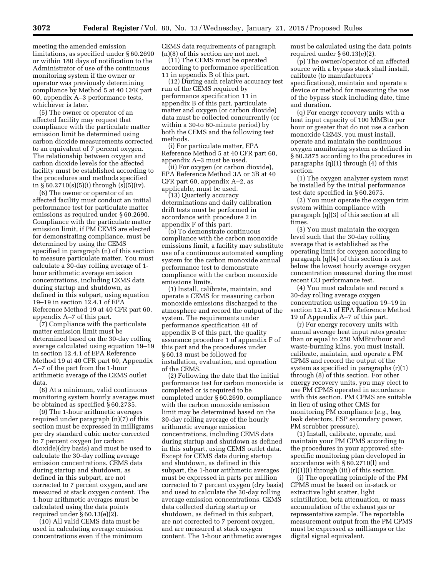meeting the amended emission limitations, as specified under § 60.2690 or within 180 days of notification to the Administrator of use of the continuous monitoring system if the owner or operator was previously determining compliance by Method 5 at 40 CFR part 60, appendix A–3 performance tests, whichever is later.

(5) The owner or operator of an affected facility may request that compliance with the particulate matter emission limit be determined using carbon dioxide measurements corrected to an equivalent of 7 percent oxygen. The relationship between oxygen and carbon dioxide levels for the affected facility must be established according to the procedures and methods specified in § 60.2710(s)(5)(i) through (s)(5)(iv).

(6) The owner or operator of an affected facility must conduct an initial performance test for particulate matter emissions as required under § 60.2690. Compliance with the particulate matter emission limit, if PM CEMS are elected for demonstrating compliance, must be determined by using the CEMS specified in paragraph (n) of this section to measure particulate matter. You must calculate a 30-day rolling average of 1 hour arithmetic average emission concentrations, including CEMS data during startup and shutdown, as defined in this subpart, using equation 19–19 in section 12.4.1 of EPA Reference Method 19 at 40 CFR part 60, appendix A–7 of this part.

(7) Compliance with the particulate matter emission limit must be determined based on the 30-day rolling average calculated using equation 19–19 in section 12.4.1 of EPA Reference Method 19 at 40 CFR part 60, Appendix A–7 of the part from the 1-hour arithmetic average of the CEMS outlet data.

(8) At a minimum, valid continuous monitoring system hourly averages must be obtained as specified § 60.2735.

(9) The 1-hour arithmetic averages required under paragraph (n)(7) of this section must be expressed in milligrams per dry standard cubic meter corrected to 7 percent oxygen (or carbon dioxide)(dry basis) and must be used to calculate the 30-day rolling average emission concentrations. CEMS data during startup and shutdown, as defined in this subpart, are not corrected to 7 percent oxygen, and are measured at stack oxygen content. The 1-hour arithmetic averages must be calculated using the data points required under § 60.13(e)(2).

(10) All valid CEMS data must be used in calculating average emission concentrations even if the minimum

CEMS data requirements of paragraph (n)(8) of this section are not met.

(11) The CEMS must be operated according to performance specification 11 in appendix B of this part.

(12) During each relative accuracy test run of the CEMS required by performance specification 11 in appendix B of this part, particulate matter and oxygen (or carbon dioxide) data must be collected concurrently (or within a 30-to 60-minute period) by both the CEMS and the following test methods.

(i) For particulate matter, EPA Reference Method 5 at 40 CFR part 60, appendix A–3 must be used.

(ii) For oxygen (or carbon dioxide), EPA Reference Method 3A or 3B at 40 CFR part 60, appendix A–2, as applicable, must be used.

(13) Quarterly accuracy determinations and daily calibration drift tests must be performed in accordance with procedure 2 in appendix F of this part.

(o) To demonstrate continuous compliance with the carbon monoxide emissions limit, a facility may substitute use of a continuous automated sampling system for the carbon monoxide annual performance test to demonstrate compliance with the carbon monoxide emissions limits.

(1) Install, calibrate, maintain, and operate a CEMS for measuring carbon monoxide emissions discharged to the atmosphere and record the output of the system. The requirements under performance specification 4B of appendix B of this part, the quality assurance procedure 1 of appendix F of this part and the procedures under § 60.13 must be followed for installation, evaluation, and operation of the CEMS.

(2) Following the date that the initial performance test for carbon monoxide is completed or is required to be completed under § 60.2690, compliance with the carbon monoxide emission limit may be determined based on the 30-day rolling average of the hourly arithmetic average emission concentrations, including CEMS data during startup and shutdown as defined in this subpart, using CEMS outlet data. Except for CEMS data during startup and shutdown, as defined in this subpart, the 1-hour arithmetic averages must be expressed in parts per million corrected to 7 percent oxygen (dry basis) and used to calculate the 30-day rolling average emission concentrations. CEMS data collected during startup or shutdown, as defined in this subpart, are not corrected to 7 percent oxygen, and are measured at stack oxygen content. The 1-hour arithmetic averages

must be calculated using the data points required under § 60.13(e)(2).

(p) The owner/operator of an affected source with a bypass stack shall install, calibrate (to manufacturers' specifications), maintain and operate a device or method for measuring the use of the bypass stack including date, time and duration.

(q) For energy recovery units with a heat input capacity of 100 MMBtu per hour or greater that do not use a carbon monoxide CEMS, you must install, operate and maintain the continuous oxygen monitoring system as defined in § 60.2875 according to the procedures in paragraphs (q)(1) through (4) of this section.

(1) The oxygen analyzer system must be installed by the initial performance test date specified in § 60.2675.

(2) You must operate the oxygen trim system within compliance with paragraph (q)(3) of this section at all times.

(3) You must maintain the oxygen level such that the 30-day rolling average that is established as the operating limit for oxygen according to paragraph (q)(4) of this section is not below the lowest hourly average oxygen concentration measured during the most recent CO performance test.

(4) You must calculate and record a 30-day rolling average oxygen concentration using equation 19–19 in section 12.4.1 of EPA Reference Method 19 of Appendix A–7 of this part.

(r) For energy recovery units with annual average heat input rates greater than or equal to 250 MMBtu/hour and waste-burning kilns, you must install, calibrate, maintain, and operate a PM CPMS and record the output of the system as specified in paragraphs (r)(1) through (8) of this section. For other energy recovery units, you may elect to use PM CPMS operated in accordance with this section. PM CPMS are suitable in lieu of using other CMS for monitoring PM compliance (*e.g.,* bag leak detectors, ESP secondary power, PM scrubber pressure).

(1) Install, calibrate, operate, and maintain your PM CPMS according to the procedures in your approved sitespecific monitoring plan developed in accordance with § 60.2710(l) and (r)(1)(i) through (iii) of this section.

(i) The operating principle of the PM CPMS must be based on in-stack or extractive light scatter, light scintillation, beta attenuation, or mass accumulation of the exhaust gas or representative sample. The reportable measurement output from the PM CPMS must be expressed as milliamps or the digital signal equivalent.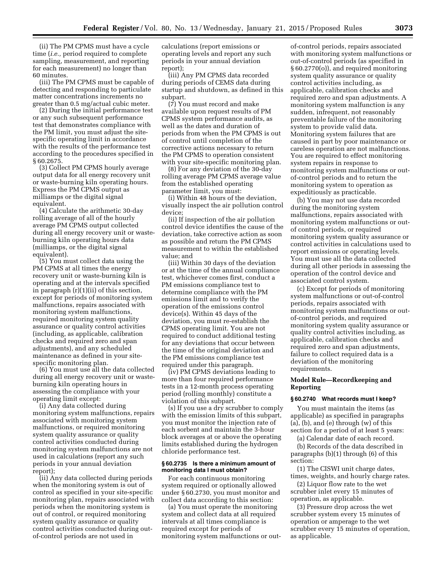(ii) The PM CPMS must have a cycle time (*i.e.,* period required to complete sampling, measurement, and reporting for each measurement) no longer than 60 minutes.

(iii) The PM CPMS must be capable of detecting and responding to particulate matter concentrations increments no greater than 0.5 mg/actual cubic meter.

(2) During the initial performance test or any such subsequent performance test that demonstrates compliance with the PM limit, you must adjust the sitespecific operating limit in accordance with the results of the performance test according to the procedures specified in § 60.2675.

(3) Collect PM CPMS hourly average output data for all energy recovery unit or waste-burning kiln operating hours. Express the PM CPMS output as milliamps or the digital signal equivalent.

(4) Calculate the arithmetic 30-day rolling average of all of the hourly average PM CPMS output collected during all energy recovery unit or wasteburning kiln operating hours data (milliamps, or the digital signal equivalent).

(5) You must collect data using the PM CPMS at all times the energy recovery unit or waste-burning kiln is operating and at the intervals specified in paragraph (r)(1)(ii) of this section, except for periods of monitoring system malfunctions, repairs associated with monitoring system malfunctions, required monitoring system quality assurance or quality control activities (including, as applicable, calibration checks and required zero and span adjustments), and any scheduled maintenance as defined in your sitespecific monitoring plan.

(6) You must use all the data collected during all energy recovery unit or wasteburning kiln operating hours in assessing the compliance with your operating limit except:

(i) Any data collected during monitoring system malfunctions, repairs associated with monitoring system malfunctions, or required monitoring system quality assurance or quality control activities conducted during monitoring system malfunctions are not used in calculations (report any such periods in your annual deviation report);

(ii) Any data collected during periods when the monitoring system is out of control as specified in your site-specific monitoring plan, repairs associated with periods when the monitoring system is out of control, or required monitoring system quality assurance or quality control activities conducted during outof-control periods are not used in

calculations (report emissions or operating levels and report any such periods in your annual deviation report);

(iii) Any PM CPMS data recorded during periods of CEMS data during startup and shutdown, as defined in this subpart.

(7) You must record and make available upon request results of PM CPMS system performance audits, as well as the dates and duration of periods from when the PM CPMS is out of control until completion of the corrective actions necessary to return the PM CPMS to operation consistent with your site-specific monitoring plan.

(8) For any deviation of the 30-day rolling average PM CPMS average value from the established operating parameter limit, you must:

(i) Within 48 hours of the deviation, visually inspect the air pollution control device;

(ii) If inspection of the air pollution control device identifies the cause of the deviation, take corrective action as soon as possible and return the PM CPMS measurement to within the established value; and

(iii) Within 30 days of the deviation or at the time of the annual compliance test, whichever comes first, conduct a PM emissions compliance test to determine compliance with the PM emissions limit and to verify the operation of the emissions control device(s). Within 45 days of the deviation, you must re-establish the CPMS operating limit. You are not required to conduct additional testing for any deviations that occur between the time of the original deviation and the PM emissions compliance test required under this paragraph.

(iv) PM CPMS deviations leading to more than four required performance tests in a 12-month process operating period (rolling monthly) constitute a violation of this subpart.

(s) If you use a dry scrubber to comply with the emission limits of this subpart, you must monitor the injection rate of each sorbent and maintain the 3-hour block averages at or above the operating limits established during the hydrogen chloride performance test.

#### **§ 60.2735 Is there a minimum amount of monitoring data I must obtain?**

For each continuous monitoring system required or optionally allowed under § 60.2730, you must monitor and collect data according to this section:

(a) You must operate the monitoring system and collect data at all required intervals at all times compliance is required except for periods of monitoring system malfunctions or out-

of-control periods, repairs associated with monitoring system malfunctions or out-of-control periods (as specified in § 60.2770(o)), and required monitoring system quality assurance or quality control activities including, as applicable, calibration checks and required zero and span adjustments. A monitoring system malfunction is any sudden, infrequent, not reasonably preventable failure of the monitoring system to provide valid data. Monitoring system failures that are caused in part by poor maintenance or careless operation are not malfunctions. You are required to effect monitoring system repairs in response to monitoring system malfunctions or outof-control periods and to return the monitoring system to operation as expeditiously as practicable.

(b) You may not use data recorded during the monitoring system malfunctions, repairs associated with monitoring system malfunctions or outof control periods, or required monitoring system quality assurance or control activities in calculations used to report emissions or operating levels. You must use all the data collected during all other periods in assessing the operation of the control device and associated control system.

(c) Except for periods of monitoring system malfunctions or out-of-control periods, repairs associated with monitoring system malfunctions or outof-control periods, and required monitoring system quality assurance or quality control activities including, as applicable, calibration checks and required zero and span adjustments, failure to collect required data is a deviation of the monitoring requirements.

# **Model Rule—Recordkeeping and Reporting**

## **§ 60.2740 What records must I keep?**

You must maintain the items (as applicable) as specified in paragraphs  $(a)$ ,  $(b)$ , and  $(e)$  through  $(w)$  of this section for a period of at least 5 years:

(a) Calendar date of each record.

(b) Records of the data described in paragraphs (b)(1) through (6) of this section:

(1) The CISWI unit charge dates, times, weights, and hourly charge rates.

(2) Liquor flow rate to the wet scrubber inlet every 15 minutes of operation, as applicable.

(3) Pressure drop across the wet scrubber system every 15 minutes of operation or amperage to the wet scrubber every 15 minutes of operation, as applicable.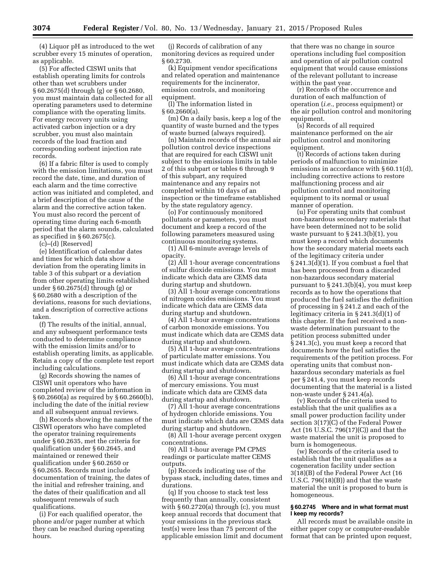(4) Liquor pH as introduced to the wet scrubber every 15 minutes of operation, as applicable.

(5) For affected CISWI units that establish operating limits for controls other than wet scrubbers under § 60.2675(d) through (g) or § 60.2680, you must maintain data collected for all operating parameters used to determine compliance with the operating limits. For energy recovery units using activated carbon injection or a dry scrubber, you must also maintain records of the load fraction and corresponding sorbent injection rate records.

(6) If a fabric filter is used to comply with the emission limitations, you must record the date, time, and duration of each alarm and the time corrective action was initiated and completed, and a brief description of the cause of the alarm and the corrective action taken. You must also record the percent of operating time during each 6-month period that the alarm sounds, calculated as specified in  $\S 60.2675(c)$ .

(c)–(d) [Reserved]

(e) Identification of calendar dates and times for which data show a deviation from the operating limits in table 3 of this subpart or a deviation from other operating limits established under § 60.2675(d) through (g) or § 60.2680 with a description of the deviations, reasons for such deviations, and a description of corrective actions taken.

(f) The results of the initial, annual, and any subsequent performance tests conducted to determine compliance with the emission limits and/or to establish operating limits, as applicable. Retain a copy of the complete test report including calculations.

(g) Records showing the names of CISWI unit operators who have completed review of the information in § 60.2660(a) as required by § 60.2660(b), including the date of the initial review and all subsequent annual reviews.

(h) Records showing the names of the CISWI operators who have completed the operator training requirements under § 60.2635, met the criteria for qualification under § 60.2645, and maintained or renewed their qualification under § 60.2650 or § 60.2655. Records must include documentation of training, the dates of the initial and refresher training, and the dates of their qualification and all subsequent renewals of such qualifications.

(i) For each qualified operator, the phone and/or pager number at which they can be reached during operating hours.

(j) Records of calibration of any monitoring devices as required under § 60.2730.

(k) Equipment vendor specifications and related operation and maintenance requirements for the incinerator, emission controls, and monitoring equipment.

(l) The information listed in § 60.2660(a).

(m) On a daily basis, keep a log of the quantity of waste burned and the types of waste burned (always required).

(n) Maintain records of the annual air pollution control device inspections that are required for each CISWI unit subject to the emissions limits in table 2 of this subpart or tables 6 through 9 of this subpart, any required maintenance and any repairs not completed within 10 days of an inspection or the timeframe established by the state regulatory agency.

(o) For continuously monitored pollutants or parameters, you must document and keep a record of the following parameters measured using continuous monitoring systems.

(1) All 6-minute average levels of opacity.

(2) All 1-hour average concentrations of sulfur dioxide emissions. You must indicate which data are CEMS data during startup and shutdown.

(3) All 1-hour average concentrations of nitrogen oxides emissions. You must indicate which data are CEMS data during startup and shutdown.

(4) All 1-hour average concentrations of carbon monoxide emissions. You must indicate which data are CEMS data during startup and shutdown.

(5) All 1-hour average concentrations of particulate matter emissions. You must indicate which data are CEMS data during startup and shutdown.

(6) All 1-hour average concentrations of mercury emissions. You must indicate which data are CEMS data during startup and shutdown.

(7) All 1-hour average concentrations of hydrogen chloride emissions. You must indicate which data are CEMS data during startup and shutdown.

(8) All 1-hour average percent oxygen concentrations.

(9) All 1-hour average PM CPMS readings or particulate matter CEMS outputs.

(p) Records indicating use of the bypass stack, including dates, times and durations.

(q) If you choose to stack test less frequently than annually, consistent with § 60.2720(a) through (c), you must keep annual records that document that your emissions in the previous stack test(s) were less than 75 percent of the applicable emission limit and document

that there was no change in source operations including fuel composition and operation of air pollution control equipment that would cause emissions of the relevant pollutant to increase within the past year.

(r) Records of the occurrence and duration of each malfunction of operation (*i.e.*, process equipment) or the air pollution control and monitoring equipment.

(s) Records of all required maintenance performed on the air pollution control and monitoring equipment.

(t) Records of actions taken during periods of malfunction to minimize emissions in accordance with § 60.11(d), including corrective actions to restore malfunctioning process and air pollution control and monitoring equipment to its normal or usual manner of operation.

(u) For operating units that combust non-hazardous secondary materials that have been determined not to be solid waste pursuant to § 241.3(b)(1), you must keep a record which documents how the secondary material meets each of the legitimacy criteria under § 241.3(d)(1). If you combust a fuel that has been processed from a discarded non-hazardous secondary material pursuant to § 241.3(b)(4), you must keep records as to how the operations that produced the fuel satisfies the definition of processing in § 241.2 and each of the legitimacy criteria in § 241.3(d)(1) of this chapter. If the fuel received a nonwaste determination pursuant to the petition process submitted under § 241.3(c), you must keep a record that documents how the fuel satisfies the requirements of the petition process. For operating units that combust nonhazardous secondary materials as fuel per § 241.4, you must keep records documenting that the material is a listed non-waste under § 241.4(a).

(v) Records of the criteria used to establish that the unit qualifies as a small power production facility under section 3(17)(C) of the Federal Power Act (16 U.S.C. 796(17)(C)) and that the waste material the unit is proposed to burn is homogeneous.

(w) Records of the criteria used to establish that the unit qualifies as a cogeneration facility under section 3(18)(B) of the Federal Power Act (16 U.S.C. 796(18)(B)) and that the waste material the unit is proposed to burn is homogeneous.

# **§ 60.2745 Where and in what format must I keep my records?**

All records must be available onsite in either paper copy or computer-readable format that can be printed upon request,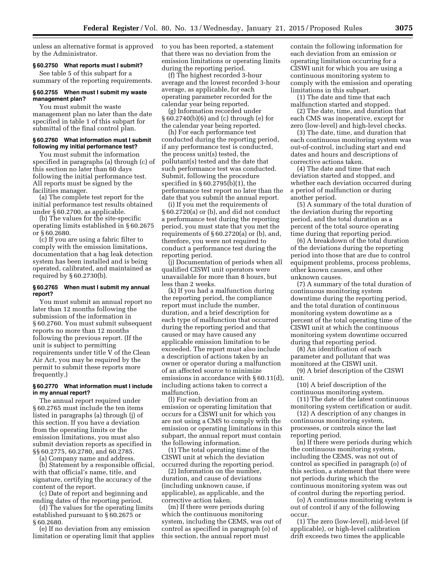unless an alternative format is approved by the Administrator.

#### **§ 60.2750 What reports must I submit?**

See table 5 of this subpart for a summary of the reporting requirements.

# **§ 60.2755 When must I submit my waste management plan?**

You must submit the waste management plan no later than the date specified in table 1 of this subpart for submittal of the final control plan.

## **§ 60.2760 What information must I submit following my initial performance test?**

You must submit the information specified in paragraphs (a) through (c) of this section no later than 60 days following the initial performance test. All reports must be signed by the facilities manager.

(a) The complete test report for the initial performance test results obtained under § 60.2700, as applicable.

(b) The values for the site-specific operating limits established in § 60.2675 or § 60.2680.

(c) If you are using a fabric filter to comply with the emission limitations, documentation that a bag leak detection system has been installed and is being operated, calibrated, and maintained as required by § 60.2730(b).

#### **§ 60.2765 When must I submit my annual report?**

You must submit an annual report no later than 12 months following the submission of the information in § 60.2760. You must submit subsequent reports no more than 12 months following the previous report. (If the unit is subject to permitting requirements under title V of the Clean Air Act, you may be required by the permit to submit these reports more frequently.)

# **§ 60.2770 What information must I include in my annual report?**

The annual report required under § 60.2765 must include the ten items listed in paragraphs (a) through (j) of this section. If you have a deviation from the operating limits or the emission limitations, you must also submit deviation reports as specified in §§ 60.2775, 60.2780, and 60.2785.

(a) Company name and address.

(b) Statement by a responsible official, with that official's name, title, and signature, certifying the accuracy of the content of the report.

(c) Date of report and beginning and ending dates of the reporting period.

(d) The values for the operating limits established pursuant to § 60.2675 or § 60.2680.

(e) If no deviation from any emission limitation or operating limit that applies to you has been reported, a statement that there was no deviation from the emission limitations or operating limits during the reporting period.

(f) The highest recorded 3-hour average and the lowest recorded 3-hour average, as applicable, for each operating parameter recorded for the calendar year being reported.

(g) Information recorded under § 60.2740(b)(6) and (c) through (e) for the calendar year being reported.

(h) For each performance test conducted during the reporting period, if any performance test is conducted, the process unit(s) tested, the pollutant(s) tested and the date that such performance test was conducted. Submit, following the procedure specified in § 60.2795(b)(1), the performance test report no later than the date that you submit the annual report.

(i) If you met the requirements of § 60.2720(a) or (b), and did not conduct a performance test during the reporting period, you must state that you met the requirements of § 60.2720(a) or (b), and, therefore, you were not required to conduct a performance test during the reporting period.

(j) Documentation of periods when all qualified CISWI unit operators were unavailable for more than 8 hours, but less than 2 weeks.

(k) If you had a malfunction during the reporting period, the compliance report must include the number, duration, and a brief description for each type of malfunction that occurred during the reporting period and that caused or may have caused any applicable emission limitation to be exceeded. The report must also include a description of actions taken by an owner or operator during a malfunction of an affected source to minimize emissions in accordance with § 60.11(d), including actions taken to correct a malfunction.

(l) For each deviation from an emission or operating limitation that occurs for a CISWI unit for which you are not using a CMS to comply with the emission or operating limitations in this subpart, the annual report must contain the following information.

(1) The total operating time of the CISWI unit at which the deviation occurred during the reporting period.

(2) Information on the number, duration, and cause of deviations (including unknown cause, if applicable), as applicable, and the corrective action taken.

(m) If there were periods during which the continuous monitoring system, including the CEMS, was out of control as specified in paragraph (o) of this section, the annual report must

contain the following information for each deviation from an emission or operating limitation occurring for a CISWI unit for which you are using a continuous monitoring system to comply with the emission and operating limitations in this subpart.

(1) The date and time that each malfunction started and stopped.

(2) The date, time, and duration that each CMS was inoperative, except for zero (low-level) and high-level checks.

(3) The date, time, and duration that each continuous monitoring system was out-of-control, including start and end dates and hours and descriptions of corrective actions taken.

(4) The date and time that each deviation started and stopped, and whether each deviation occurred during a period of malfunction or during another period.

(5) A summary of the total duration of the deviation during the reporting period, and the total duration as a percent of the total source operating time during that reporting period.

(6) A breakdown of the total duration of the deviations during the reporting period into those that are due to control equipment problems, process problems, other known causes, and other unknown causes.

(7) A summary of the total duration of continuous monitoring system downtime during the reporting period, and the total duration of continuous monitoring system downtime as a percent of the total operating time of the CISWI unit at which the continuous monitoring system downtime occurred during that reporting period.

(8) An identification of each parameter and pollutant that was monitored at the CISWI unit.

(9) A brief description of the CISWI unit.

(10) A brief description of the continuous monitoring system.

(11) The date of the latest continuous monitoring system certification or audit.

(12) A description of any changes in continuous monitoring system, processes, or controls since the last reporting period.

(n) If there were periods during which the continuous monitoring system, including the CEMS, was not out of control as specified in paragraph (o) of this section, a statement that there were not periods during which the continuous monitoring system was out of control during the reporting period.

(o) A continuous monitoring system is out of control if any of the following occur.

(1) The zero (low-level), mid-level (if applicable), or high-level calibration drift exceeds two times the applicable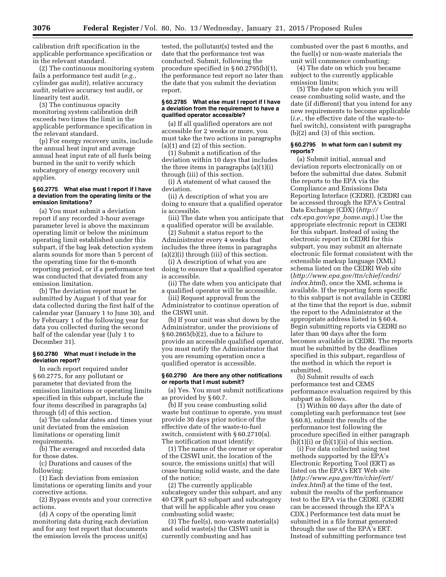calibration drift specification in the applicable performance specification or in the relevant standard.

(2) The continuous monitoring system fails a performance test audit (*e.g.*, cylinder gas audit), relative accuracy audit, relative accuracy test audit, or linearity test audit.

(3) The continuous opacity monitoring system calibration drift exceeds two times the limit in the applicable performance specification in the relevant standard.

(p) For energy recovery units, include the annual heat input and average annual heat input rate of all fuels being burned in the unit to verify which subcategory of energy recovery unit applies.

# **§ 60.2775 What else must I report if I have a deviation from the operating limits or the emission limitations?**

(a) You must submit a deviation report if any recorded 3-hour average parameter level is above the maximum operating limit or below the minimum operating limit established under this subpart, if the bag leak detection system alarm sounds for more than 5 percent of the operating time for the 6-month reporting period, or if a performance test was conducted that deviated from any emission limitation.

(b) The deviation report must be submitted by August 1 of that year for data collected during the first half of the calendar year (January 1 to June 30), and by February 1 of the following year for data you collected during the second half of the calendar year (July 1 to December 31).

#### **§ 60.2780 What must I include in the deviation report?**

In each report required under § 60.2775, for any pollutant or parameter that deviated from the emission limitations or operating limits specified in this subpart, include the four items described in paragraphs (a) through (d) of this section.

(a) The calendar dates and times your unit deviated from the emission limitations or operating limit requirements.

(b) The averaged and recorded data for those dates.

(c) Durations and causes of the following:

(1) Each deviation from emission limitations or operating limits and your corrective actions.

(2) Bypass events and your corrective actions.

(d) A copy of the operating limit monitoring data during each deviation and for any test report that documents the emission levels the process unit(s)

tested, the pollutant(s) tested and the date that the performance test was conducted. Submit, following the procedure specified in § 60.2795(b)(1), the performance test report no later than the date that you submit the deviation report.

#### **§ 60.2785 What else must I report if I have a deviation from the requirement to have a qualified operator accessible?**

(a) If all qualified operators are not accessible for 2 weeks or more, you must take the two actions in paragraphs (a)(1) and (2) of this section.

(1) Submit a notification of the deviation within 10 days that includes the three items in paragraphs (a)(1)(i) through (iii) of this section.

(i) A statement of what caused the deviation.

(ii) A description of what you are doing to ensure that a qualified operator is accessible.

(iii) The date when you anticipate that a qualified operator will be available.

(2) Submit a status report to the Administrator every 4 weeks that includes the three items in paragraphs (a)(2)(i) through (iii) of this section.

(i) A description of what you are doing to ensure that a qualified operator is accessible.

(ii) The date when you anticipate that a qualified operator will be accessible. (iii) Request approval from the

Administrator to continue operation of the CISWI unit.

(b) If your unit was shut down by the Administrator, under the provisions of § 60.2665(b)(2), due to a failure to provide an accessible qualified operator, you must notify the Administrator that you are resuming operation once a qualified operator is accessible.

#### **§ 60.2790 Are there any other notifications or reports that I must submit?**

(a) Yes. You must submit notifications as provided by § 60.7.

(b) If you cease combusting solid waste but continue to operate, you must provide 30 days prior notice of the effective date of the waste-to-fuel switch, consistent with § 60.2710(a). The notification must identify:

(1) The name of the owner or operator of the CISWI unit, the location of the source, the emissions unit(s) that will cease burning solid waste, and the date of the notice;

(2) The currently applicable subcategory under this subpart, and any 40 CFR part 63 subpart and subcategory that will be applicable after you cease combusting solid waste;

(3) The fuel(s), non-waste material(s) and solid waste(s) the CISWI unit is currently combusting and has

combusted over the past 6 months, and the fuel(s) or non-waste materials the unit will commence combusting;

(4) The date on which you became subject to the currently applicable emission limits;

(5) The date upon which you will cease combusting solid waste, and the date (if different) that you intend for any new requirements to become applicable (*i.e.,* the effective date of the waste-tofuel switch), consistent with paragraphs (b)(2) and (3) of this section.

#### **§ 60.2795 In what form can I submit my reports?**

(a) Submit initial, annual and deviation reports electronically on or before the submittal due dates. Submit the reports to the EPA via the Compliance and Emissions Data Reporting Interface (CEDRI). (CEDRI can be accessed through the EPA's Central Data Exchange (CDX) (*[http://](http://cdx.epa.gov/epa_home.asp) [cdx.epa.gov/epa](http://cdx.epa.gov/epa_home.asp)*\_*home.asp*).) Use the appropriate electronic report in CEDRI for this subpart. Instead of using the electronic report in CEDRI for this subpart, you may submit an alternate electronic file format consistent with the extensible markup language (XML) schema listed on the CEDRI Web site (*[http://www.epa.gov/ttn/chief/cedri/](http://www.epa.gov/ttn/chief/cedri/index.html) [index.html](http://www.epa.gov/ttn/chief/cedri/index.html)*), once the XML schema is available. If the reporting form specific to this subpart is not available in CEDRI at the time that the report is due, submit the report to the Administrator at the appropriate address listed in § 60.4. Begin submitting reports via CEDRI no later than 90 days after the form becomes available in CEDRI. The reports must be submitted by the deadlines specified in this subpart, regardless of the method in which the report is submitted.

(b) Submit results of each performance test and CEMS performance evaluation required by this subpart as follows.

 $(1)$  Within 60 days after the date of completing each performance test (see § 60.8), submit the results of the performance test following the procedure specified in either paragraph  $(b)(1)(i)$  or  $(b)(1)(ii)$  of this section.

(i) For data collected using test methods supported by the EPA's Electronic Reporting Tool (ERT) as listed on the EPA's ERT Web site (*[http://www.epa.gov/ttn/chief/ert/](http://www.epa.gov/ttn/chief/ert/index.html) [index.html](http://www.epa.gov/ttn/chief/ert/index.html)*) at the time of the test, submit the results of the performance test to the EPA via the CEDRI. (CEDRI can be accessed through the EPA's CDX.) Performance test data must be submitted in a file format generated through the use of the EPA's ERT. Instead of submitting performance test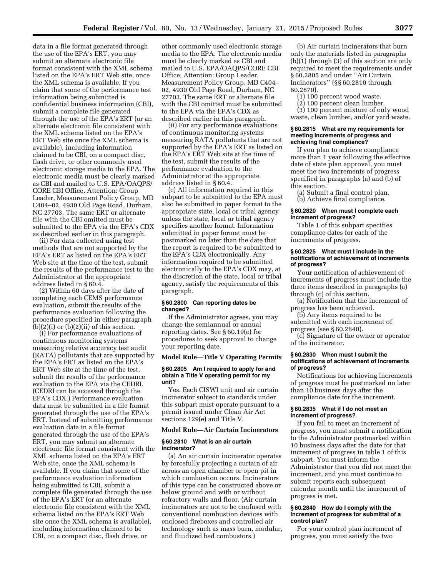data in a file format generated through the use of the EPA's ERT, you may submit an alternate electronic file format consistent with the XML schema listed on the EPA's ERT Web site, once the XML schema is available. If you claim that some of the performance test information being submitted is confidential business information (CBI), submit a complete file generated through the use of the EPA's ERT (or an alternate electronic file consistent with the XML schema listed on the EPA's ERT Web site once the XML schema is available), including information claimed to be CBI, on a compact disc, flash drive, or other commonly used electronic storage media to the EPA. The electronic media must be clearly marked as CBI and mailed to U.S. EPA/OAQPS/ CORE CBI Office, Attention: Group Leader, Measurement Policy Group, MD C404–02, 4930 Old Page Road, Durham, NC 27703. The same ERT or alternate file with the CBI omitted must be submitted to the EPA via the EPA's CDX as described earlier in this paragraph.

(ii) For data collected using test methods that are not supported by the EPA's ERT as listed on the EPA's ERT Web site at the time of the test, submit the results of the performance test to the Administrator at the appropriate address listed in § 60.4.

(2) Within 60 days after the date of completing each CEMS performance evaluation, submit the results of the performance evaluation following the procedure specified in either paragraph  $(b)(2)(i)$  or  $(b)(2)(ii)$  of this section.

(i) For performance evaluations of continuous monitoring systems measuring relative accuracy test audit (RATA) pollutants that are supported by the EPA's ERT as listed on the EPA's ERT Web site at the time of the test, submit the results of the performance evaluation to the EPA via the CEDRI. (CEDRI can be accessed through the EPA's CDX.) Performance evaluation data must be submitted in a file format generated through the use of the EPA's ERT. Instead of submitting performance evaluation data in a file format generated through the use of the EPA's ERT, you may submit an alternate electronic file format consistent with the XML schema listed on the EPA's ERT Web site, once the XML schema is available. If you claim that some of the performance evaluation information being submitted is CBI, submit a complete file generated through the use of the EPA's ERT (or an alternate electronic file consistent with the XML schema listed on the EPA's ERT Web site once the XML schema is available), including information claimed to be CBI, on a compact disc, flash drive, or

other commonly used electronic storage media to the EPA. The electronic media must be clearly marked as CBI and mailed to U.S. EPA/OAQPS/CORE CBI Office, Attention: Group Leader, Measurement Policy Group, MD C404– 02, 4930 Old Page Road, Durham, NC 27703. The same ERT or alternate file with the CBI omitted must be submitted to the EPA via the EPA's CDX as described earlier in this paragraph.

(ii) For any performance evaluations of continuous monitoring systems measuring RATA pollutants that are not supported by the EPA's ERT as listed on the EPA's ERT Web site at the time of the test, submit the results of the performance evaluation to the Administrator at the appropriate address listed in § 60.4.

(c) All information required in this subpart to be submitted to the EPA must also be submitted in paper format to the appropriate state, local or tribal agency unless the state, local or tribal agency specifies another format. Information submitted in paper format must be postmarked no later than the date that the report is required to be submitted to the EPA's CDX electronically. Any information required to be submitted electronically to the EPA's CDX may, at the discretion of the state, local or tribal agency, satisfy the requirements of this paragraph.

#### **§ 60.2800 Can reporting dates be changed?**

If the Administrator agrees, you may change the semiannual or annual reporting dates. See § 60.19(c) for procedures to seek approval to change your reporting date.

#### **Model Rule—Title V Operating Permits**

#### **§ 60.2805 Am I required to apply for and obtain a Title V operating permit for my unit?**

Yes. Each CISWI unit and air curtain incinerator subject to standards under this subpart must operate pursuant to a permit issued under Clean Air Act sections 129(e) and Title V.

#### **Model Rule—Air Curtain Incinerators**

# **§ 60.2810 What is an air curtain incinerator?**

(a) An air curtain incinerator operates by forcefully projecting a curtain of air across an open chamber or open pit in which combustion occurs. Incinerators of this type can be constructed above or below ground and with or without refractory walls and floor. (Air curtain incinerators are not to be confused with conventional combustion devices with enclosed fireboxes and controlled air technology such as mass burn, modular, and fluidized bed combustors.)

(b) Air curtain incinerators that burn only the materials listed in paragraphs (b)(1) through (3) of this section are only required to meet the requirements under § 60.2805 and under ''Air Curtain Incinerators'' (§§ 60.2810 through 60.2870).

- (1) 100 percent wood waste.
- (2) 100 percent clean lumber.

(3) 100 percent mixture of only wood waste, clean lumber, and/or yard waste.

#### **§ 60.2815 What are my requirements for meeting increments of progress and achieving final compliance?**

If you plan to achieve compliance more than 1 year following the effective date of state plan approval, you must meet the two increments of progress specified in paragraphs (a) and (b) of this section.

(a) Submit a final control plan.

(b) Achieve final compliance.

# **§ 60.2820 When must I complete each increment of progress?**

Table 1 of this subpart specifies compliance dates for each of the increments of progress.

## **§ 60.2825 What must I include in the notifications of achievement of increments of progress?**

Your notification of achievement of increments of progress must include the three items described in paragraphs (a) through (c) of this section.

(a) Notification that the increment of progress has been achieved.

(b) Any items required to be submitted with each increment of progress (see § 60.2840).

(c) Signature of the owner or operator of the incinerator.

#### **§ 60.2830 When must I submit the notifications of achievement of increments of progress?**

Notifications for achieving increments of progress must be postmarked no later than 10 business days after the compliance date for the increment.

#### **§ 60.2835 What if I do not meet an increment of progress?**

If you fail to meet an increment of progress, you must submit a notification to the Administrator postmarked within 10 business days after the date for that increment of progress in table 1 of this subpart. You must inform the Administrator that you did not meet the increment, and you must continue to submit reports each subsequent calendar month until the increment of progress is met.

#### **§ 60.2840 How do I comply with the increment of progress for submittal of a control plan?**

For your control plan increment of progress, you must satisfy the two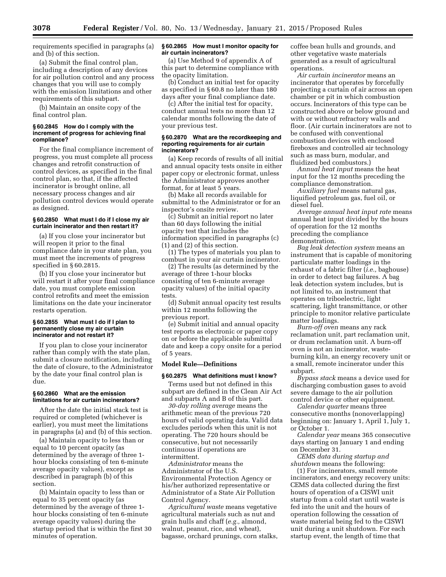requirements specified in paragraphs (a) and (b) of this section.

(a) Submit the final control plan, including a description of any devices for air pollution control and any process changes that you will use to comply with the emission limitations and other requirements of this subpart.

(b) Maintain an onsite copy of the final control plan.

## **§ 60.2845 How do I comply with the increment of progress for achieving final compliance?**

For the final compliance increment of progress, you must complete all process changes and retrofit construction of control devices, as specified in the final control plan, so that, if the affected incinerator is brought online, all necessary process changes and air pollution control devices would operate as designed.

# **§ 60.2850 What must I do if I close my air curtain incinerator and then restart it?**

(a) If you close your incinerator but will reopen it prior to the final compliance date in your state plan, you must meet the increments of progress specified in § 60.2815.

(b) If you close your incinerator but will restart it after your final compliance date, you must complete emission control retrofits and meet the emission limitations on the date your incinerator restarts operation.

# **§ 60.2855 What must I do if I plan to permanently close my air curtain incinerator and not restart it?**

If you plan to close your incinerator rather than comply with the state plan, submit a closure notification, including the date of closure, to the Administrator by the date your final control plan is due.

# **§ 60.2860 What are the emission limitations for air curtain incinerators?**

After the date the initial stack test is required or completed (whichever is earlier), you must meet the limitations in paragraphs (a) and (b) of this section.

(a) Maintain opacity to less than or equal to 10 percent opacity (as determined by the average of three 1 hour blocks consisting of ten 6-minute average opacity values), except as described in paragraph (b) of this section.

(b) Maintain opacity to less than or equal to 35 percent opacity (as determined by the average of three 1 hour blocks consisting of ten 6-minute average opacity values) during the startup period that is within the first 30 minutes of operation.

#### **§ 60.2865 How must I monitor opacity for air curtain incinerators?**

(a) Use Method 9 of appendix A of this part to determine compliance with the opacity limitation.

(b) Conduct an initial test for opacity as specified in § 60.8 no later than 180 days after your final compliance date.

(c) After the initial test for opacity, conduct annual tests no more than 12 calendar months following the date of your previous test.

#### **§ 60.2870 What are the recordkeeping and reporting requirements for air curtain incinerators?**

(a) Keep records of results of all initial and annual opacity tests onsite in either paper copy or electronic format, unless the Administrator approves another format, for at least 5 years.

(b) Make all records available for submittal to the Administrator or for an inspector's onsite review.

(c) Submit an initial report no later than 60 days following the initial opacity test that includes the information specified in paragraphs (c) (1) and (2) of this section.

(1) The types of materials you plan to combust in your air curtain incinerator.

(2) The results (as determined by the average of three 1-hour blocks consisting of ten 6-minute average opacity values) of the initial opacity tests.

(d) Submit annual opacity test results within 12 months following the previous report.

(e) Submit initial and annual opacity test reports as electronic or paper copy on or before the applicable submittal date and keep a copy onsite for a period of 5 years.

# **Model Rule—Definitions**

#### **§ 60.2875 What definitions must I know?**

Terms used but not defined in this subpart are defined in the Clean Air Act and subparts A and B of this part.

*30-day rolling average* means the arithmetic mean of the previous 720 hours of valid operating data. Valid data excludes periods when this unit is not operating. The 720 hours should be consecutive, but not necessarily continuous if operations are intermittent.

*Administrator* means the Administrator of the U.S. Environmental Protection Agency or his/her authorized representative or Administrator of a State Air Pollution Control Agency.

*Agricultural waste* means vegetative agricultural materials such as nut and grain hulls and chaff (*e.g.,* almond, walnut, peanut, rice, and wheat), bagasse, orchard prunings, corn stalks, coffee bean hulls and grounds, and other vegetative waste materials generated as a result of agricultural operations.

*Air curtain incinerator* means an incinerator that operates by forcefully projecting a curtain of air across an open chamber or pit in which combustion occurs. Incinerators of this type can be constructed above or below ground and with or without refractory walls and floor. (Air curtain incinerators are not to be confused with conventional combustion devices with enclosed fireboxes and controlled air technology such as mass burn, modular, and fluidized bed combustors.)

*Annual heat input* means the heat input for the 12 months preceding the compliance demonstration.

*Auxiliary fuel* means natural gas, liquified petroleum gas, fuel oil, or diesel fuel.

*Average annual heat input rate* means annual heat input divided by the hours of operation for the 12 months preceding the compliance demonstration.

*Bag leak detection system* means an instrument that is capable of monitoring particulate matter loadings in the exhaust of a fabric filter (*i.e.,* baghouse) in order to detect bag failures. A bag leak detection system includes, but is not limited to, an instrument that operates on triboelectric, light scattering, light transmittance, or other principle to monitor relative particulate matter loadings.

*Burn-off oven* means any rack reclamation unit, part reclamation unit, or drum reclamation unit. A burn-off oven is not an incinerator, wasteburning kiln, an energy recovery unit or a small, remote incinerator under this subpart.

*Bypass stack* means a device used for discharging combustion gases to avoid severe damage to the air pollution control device or other equipment.

*Calendar quarter* means three consecutive months (nonoverlapping) beginning on: January 1, April 1, July 1, or October 1.

*Calendar year* means 365 consecutive days starting on January 1 and ending on December 31.

*CEMS data during startup and shutdown* means the following:

(1) For incinerators, small remote incinerators, and energy recovery units: CEMS data collected during the first hours of operation of a CISWI unit startup from a cold start until waste is fed into the unit and the hours of operation following the cessation of waste material being fed to the CISWI unit during a unit shutdown. For each startup event, the length of time that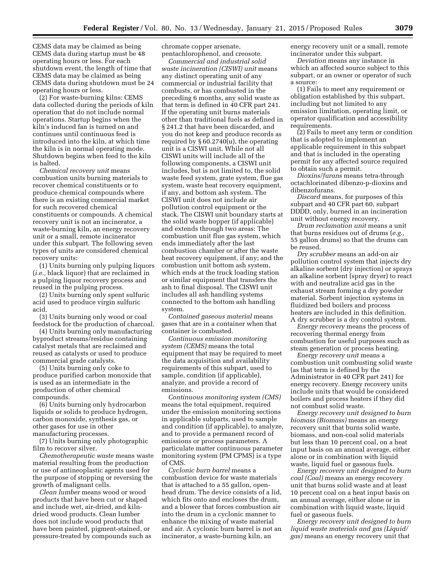CEMS data may be claimed as being CEMS data during startup must be 48 operating hours or less. For each shutdown event, the length of time that CEMS data may be claimed as being CEMS data during shutdown must be 24 operating hours or less.

(2) For waste-burning kilns: CEMS data collected during the periods of kiln operation that do not include normal operations. Startup begins when the kiln's induced fan is turned on and continues until continuous feed is introduced into the kiln, at which time the kiln is in normal operating mode. Shutdown begins when feed to the kiln is halted.

*Chemical recovery unit* means combustion units burning materials to recover chemical constituents or to produce chemical compounds where there is an existing commercial market for such recovered chemical constituents or compounds. A chemical recovery unit is not an incinerator, a waste-burning kiln, an energy recovery unit or a small, remote incinerator under this subpart. The following seven types of units are considered chemical recovery units:

(1) Units burning only pulping liquors (*i.e.,* black liquor) that are reclaimed in a pulping liquor recovery process and reused in the pulping process.

(2) Units burning only spent sulfuric acid used to produce virgin sulfuric acid.

(3) Units burning only wood or coal feedstock for the production of charcoal.

(4) Units burning only manufacturing byproduct streams/residue containing catalyst metals that are reclaimed and reused as catalysts or used to produce commercial grade catalysts.

(5) Units burning only coke to produce purified carbon monoxide that is used as an intermediate in the production of other chemical compounds.

(6) Units burning only hydrocarbon liquids or solids to produce hydrogen, carbon monoxide, synthesis gas, or other gases for use in other manufacturing processes.

(7) Units burning only photographic film to recover silver.

*Chemotherapeutic waste* means waste material resulting from the production or use of antineoplastic agents used for the purpose of stopping or reversing the growth of malignant cells.

*Clean lumber* means wood or wood products that have been cut or shaped and include wet, air-dried, and kilndried wood products. Clean lumber does not include wood products that have been painted, pigment-stained, or pressure-treated by compounds such as chromate copper arsenate, pentachlorophenol, and creosote.

*Commercial and industrial solid waste incineration (CISWI) unit* means any distinct operating unit of any commercial or industrial facility that combusts, or has combusted in the preceding 6 months, any solid waste as that term is defined in 40 CFR part 241. If the operating unit burns materials other than traditional fuels as defined in § 241.2 that have been discarded, and you do not keep and produce records as required by § 60.2740(u), the operating unit is a CISWI unit. While not all CISWI units will include all of the following components, a CISWI unit includes, but is not limited to, the solid waste feed system, grate system, flue gas system, waste heat recovery equipment, if any, and bottom ash system. The CISWI unit does not include air pollution control equipment or the stack. The CISWI unit boundary starts at the solid waste hopper (if applicable) and extends through two areas: The combustion unit flue gas system, which ends immediately after the last combustion chamber or after the waste heat recovery equipment, if any; and the combustion unit bottom ash system, which ends at the truck loading station or similar equipment that transfers the ash to final disposal. The CISWI unit includes all ash handling systems connected to the bottom ash handling system.

*Contained gaseous material* means gases that are in a container when that container is combusted.

*Continuous emission monitoring system (CEMS)* means the total equipment that may be required to meet the data acquisition and availability requirements of this subpart, used to sample, condition (if applicable), analyze, and provide a record of emissions.

*Continuous monitoring system (CMS)*  means the total equipment, required under the emission monitoring sections in applicable subparts, used to sample and condition (if applicable), to analyze, and to provide a permanent record of emissions or process parameters. A particulate matter continuous parameter monitoring system (PM CPMS) is a type of CMS.

*Cyclonic burn barrel* means a combustion device for waste materials that is attached to a 55 gallon, openhead drum. The device consists of a lid, which fits onto and encloses the drum, and a blower that forces combustion air into the drum in a cyclonic manner to enhance the mixing of waste material and air. A cyclonic burn barrel is not an incinerator, a waste-burning kiln, an

energy recovery unit or a small, remote incinerator under this subpart.

*Deviation* means any instance in which an affected source subject to this subpart, or an owner or operator of such a source:

(1) Fails to meet any requirement or obligation established by this subpart, including but not limited to any emission limitation, operating limit, or operator qualification and accessibility requirements.

(2) Fails to meet any term or condition that is adopted to implement an applicable requirement in this subpart and that is included in the operating permit for any affected source required to obtain such a permit.

*Dioxins/furans* means tetra-through octachlorinated dibenzo-p-dioxins and dibenzofurans.

*Discard* means, for purposes of this subpart and 40 CFR part 60, subpart DDDD, only, burned in an incineration unit without energy recovery.

*Drum reclamation unit* means a unit that burns residues out of drums (*e.g.,*  55 gallon drums) so that the drums can be reused.

*Dry scrubber* means an add-on air pollution control system that injects dry alkaline sorbent (dry injection) or sprays an alkaline sorbent (spray dryer) to react with and neutralize acid gas in the exhaust stream forming a dry powder material. Sorbent injection systems in fluidized bed boilers and process heaters are included in this definition. A dry scrubber is a dry control system.

*Energy recovery* means the process of recovering thermal energy from combustion for useful purposes such as steam generation or process heating.

*Energy recovery unit* means a combustion unit combusting solid waste (as that term is defined by the Administrator in 40 CFR part 241) for energy recovery. Energy recovery units include units that would be considered boilers and process heaters if they did not combust solid waste.

*Energy recovery unit designed to burn biomass (Biomass)* means an energy recovery unit that burns solid waste, biomass, and non-coal solid materials but less than 10 percent coal, on a heat input basis on an annual average, either alone or in combination with liquid waste, liquid fuel or gaseous fuels.

*Energy recovery unit designed to burn coal (Coal)* means an energy recovery unit that burns solid waste and at least 10 percent coal on a heat input basis on an annual average, either alone or in combination with liquid waste, liquid fuel or gaseous fuels.

*Energy recovery unit designed to burn liquid waste materials and gas (Liquid/ gas)* means an energy recovery unit that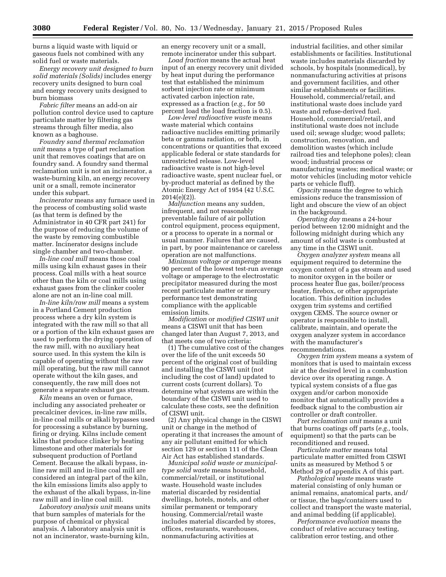burns a liquid waste with liquid or gaseous fuels not combined with any solid fuel or waste materials.

*Energy recovery unit designed to burn solid materials (Solids)* includes energy recovery units designed to burn coal and energy recovery units designed to burn biomass

*Fabric filter* means an add-on air pollution control device used to capture particulate matter by filtering gas streams through filter media, also known as a baghouse.

*Foundry sand thermal reclamation unit* means a type of part reclamation unit that removes coatings that are on foundry sand. A foundry sand thermal reclamation unit is not an incinerator, a waste-burning kiln, an energy recovery unit or a small, remote incinerator under this subpart.

*Incinerator* means any furnace used in the process of combusting solid waste (as that term is defined by the Administrator in 40 CFR part 241) for the purpose of reducing the volume of the waste by removing combustible matter. Incinerator designs include single chamber and two-chamber.

*In-line coal mill* means those coal mills using kiln exhaust gases in their process. Coal mills with a heat source other than the kiln or coal mills using exhaust gases from the clinker cooler alone are not an in-line coal mill.

*In-line kiln/raw mill* means a system in a Portland Cement production process where a dry kiln system is integrated with the raw mill so that all or a portion of the kiln exhaust gases are used to perform the drying operation of the raw mill, with no auxiliary heat source used. In this system the kiln is capable of operating without the raw mill operating, but the raw mill cannot operate without the kiln gases, and consequently, the raw mill does not generate a separate exhaust gas stream.

*Kiln* means an oven or furnace, including any associated preheater or precalciner devices, in-line raw mills, in-line coal mills or alkali bypasses used for processing a substance by burning, firing or drying. Kilns include cement kilns that produce clinker by heating limestone and other materials for subsequent production of Portland Cement. Because the alkali bypass, inline raw mill and in-line coal mill are considered an integral part of the kiln, the kiln emissions limits also apply to the exhaust of the alkali bypass, in-line raw mill and in-line coal mill.

*Laboratory analysis unit* means units that burn samples of materials for the purpose of chemical or physical analysis. A laboratory analysis unit is not an incinerator, waste-burning kiln,

an energy recovery unit or a small, remote incinerator under this subpart.

*Load fraction* means the actual heat input of an energy recovery unit divided by heat input during the performance test that established the minimum sorbent injection rate or minimum activated carbon injection rate, expressed as a fraction (*e.g.,* for 50 percent load the load fraction is 0.5).

*Low-level radioactive waste* means waste material which contains radioactive nuclides emitting primarily beta or gamma radiation, or both, in concentrations or quantities that exceed applicable federal or state standards for unrestricted release. Low-level radioactive waste is not high-level radioactive waste, spent nuclear fuel, or by-product material as defined by the Atomic Energy Act of 1954 (42 U.S.C.  $2014(e)(2)$ ).

*Malfunction* means any sudden, infrequent, and not reasonably preventable failure of air pollution control equipment, process equipment, or a process to operate in a normal or usual manner. Failures that are caused, in part, by poor maintenance or careless operation are not malfunctions.

*Minimum voltage or amperage* means 90 percent of the lowest test-run average voltage or amperage to the electrostatic precipitator measured during the most recent particulate matter or mercury performance test demonstrating compliance with the applicable emission limits.

*Modification* or *modified CISWI unit*  means a CISWI unit that has been changed later than August 7, 2013, and that meets one of two criteria:

(1) The cumulative cost of the changes over the life of the unit exceeds 50 percent of the original cost of building and installing the CISWI unit (not including the cost of land) updated to current costs (current dollars). To determine what systems are within the boundary of the CISWI unit used to calculate these costs, see the definition of CISWI unit.

(2) Any physical change in the CISWI unit or change in the method of operating it that increases the amount of any air pollutant emitted for which section 129 or section 111 of the Clean Air Act has established standards.

*Municipal solid waste or municipaltype solid waste* means household, commercial/retail, or institutional waste. Household waste includes material discarded by residential dwellings, hotels, motels, and other similar permanent or temporary housing. Commercial/retail waste includes material discarded by stores, offices, restaurants, warehouses, nonmanufacturing activities at

industrial facilities, and other similar establishments or facilities. Institutional waste includes materials discarded by schools, by hospitals (nonmedical), by nonmanufacturing activities at prisons and government facilities, and other similar establishments or facilities. Household, commercial/retail, and institutional waste does include yard waste and refuse-derived fuel. Household, commercial/retail, and institutional waste does not include used oil; sewage sludge; wood pallets; construction, renovation, and demolition wastes (which include railroad ties and telephone poles); clean wood; industrial process or manufacturing wastes; medical waste; or motor vehicles (including motor vehicle parts or vehicle fluff).

*Opacity* means the degree to which emissions reduce the transmission of light and obscure the view of an object in the background.

*Operating day* means a 24-hour period between 12:00 midnight and the following midnight during which any amount of solid waste is combusted at any time in the CISWI unit.

*Oxygen analyzer system* means all equipment required to determine the oxygen content of a gas stream and used to monitor oxygen in the boiler or process heater flue gas, boiler/process heater, firebox, or other appropriate location. This definition includes oxygen trim systems and certified oxygen CEMS. The source owner or operator is responsible to install, calibrate, maintain, and operate the oxygen analyzer system in accordance with the manufacturer's recommendations.

*Oxygen trim system* means a system of monitors that is used to maintain excess air at the desired level in a combustion device over its operating range. A typical system consists of a flue gas oxygen and/or carbon monoxide monitor that automatically provides a feedback signal to the combustion air controller or draft controller.

*Part reclamation unit* means a unit that burns coatings off parts (*e.g.,* tools, equipment) so that the parts can be reconditioned and reused.

*Particulate matter* means total particulate matter emitted from CISWI units as measured by Method 5 or Method 29 of appendix A of this part.

*Pathological waste* means waste material consisting of only human or animal remains, anatomical parts, and/ or tissue, the bags/containers used to collect and transport the waste material, and animal bedding (if applicable).

*Performance evaluation* means the conduct of relative accuracy testing, calibration error testing, and other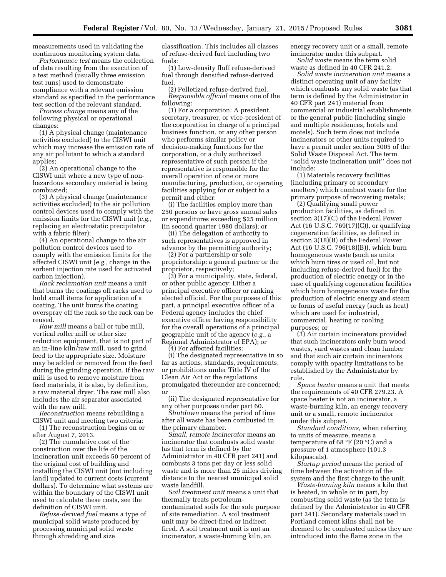measurements used in validating the continuous monitoring system data.

*Performance test* means the collection of data resulting from the execution of a test method (usually three emission test runs) used to demonstrate compliance with a relevant emission standard as specified in the performance test section of the relevant standard.

*Process change* means any of the following physical or operational changes:

(1) A physical change (maintenance activities excluded) to the CISWI unit which may increase the emission rate of any air pollutant to which a standard applies;

(2) An operational change to the CISWI unit where a new type of nonhazardous secondary material is being combusted;

(3) A physical change (maintenance activities excluded) to the air pollution control devices used to comply with the emission limits for the CISWI unit (*e.g.,*  replacing an electrostatic precipitator with a fabric filter);

(4) An operational change to the air pollution control devices used to comply with the emission limits for the affected CISWI unit (*e.g.,* change in the sorbent injection rate used for activated carbon injection).

*Rack reclamation unit* means a unit that burns the coatings off racks used to hold small items for application of a coating. The unit burns the coating overspray off the rack so the rack can be reused.

*Raw mill* means a ball or tube mill, vertical roller mill or other size reduction equipment, that is not part of an in-line kiln/raw mill, used to grind feed to the appropriate size. Moisture may be added or removed from the feed during the grinding operation. If the raw mill is used to remove moisture from feed materials, it is also, by definition, a raw material dryer. The raw mill also includes the air separator associated with the raw mill.

*Reconstruction* means rebuilding a CISWI unit and meeting two criteria:

(1) The reconstruction begins on or after August 7, 2013.

(2) The cumulative cost of the construction over the life of the incineration unit exceeds 50 percent of the original cost of building and installing the CISWI unit (not including land) updated to current costs (current dollars). To determine what systems are within the boundary of the CISWI unit used to calculate these costs, see the definition of CISWI unit.

*Refuse-derived fuel* means a type of municipal solid waste produced by processing municipal solid waste through shredding and size

classification. This includes all classes of refuse-derived fuel including two fuels:

(1) Low-density fluff refuse-derived fuel through densified refuse-derived fuel.

(2) Pelletized refuse-derived fuel. *Responsible official* means one of the following:

(1) For a corporation: A president, secretary, treasurer, or vice-president of the corporation in charge of a principal business function, or any other person who performs similar policy or decision-making functions for the corporation, or a duly authorized representative of such person if the representative is responsible for the overall operation of one or more manufacturing, production, or operating facilities applying for or subject to a permit and either:

(i) The facilities employ more than 250 persons or have gross annual sales or expenditures exceeding \$25 million (in second quarter 1980 dollars); or

(ii) The delegation of authority to such representatives is approved in advance by the permitting authority;

(2) For a partnership or sole proprietorship: a general partner or the proprietor, respectively;

(3) For a municipality, state, federal, or other public agency: Either a principal executive officer or ranking elected official. For the purposes of this part, a principal executive officer of a Federal agency includes the chief executive officer having responsibility for the overall operations of a principal geographic unit of the agency (*e.g.,* a Regional Administrator of EPA); or

(4) For affected facilities:

(i) The designated representative in so far as actions, standards, requirements, or prohibitions under Title IV of the Clean Air Act or the regulations promulgated thereunder are concerned; or

(ii) The designated representative for any other purposes under part 60.

*Shutdown* means the period of time after all waste has been combusted in the primary chamber.

*Small, remote incinerator* means an incinerator that combusts solid waste (as that term is defined by the Administrator in 40 CFR part 241) and combusts 3 tons per day or less solid waste and is more than 25 miles driving distance to the nearest municipal solid waste landfill.

*Soil treatment unit* means a unit that thermally treats petroleumcontaminated soils for the sole purpose of site remediation. A soil treatment unit may be direct-fired or indirect fired. A soil treatment unit is not an incinerator, a waste-burning kiln, an

energy recovery unit or a small, remote incinerator under this subpart.

*Solid waste* means the term solid waste as defined in 40 CFR 241.2.

*Solid waste incineration unit* means a distinct operating unit of any facility which combusts any solid waste (as that term is defined by the Administrator in 40 CFR part 241) material from commercial or industrial establishments or the general public (including single and multiple residences, hotels and motels). Such term does not include incinerators or other units required to have a permit under section 3005 of the Solid Waste Disposal Act. The term ''solid waste incineration unit'' does not include:

(1) Materials recovery facilities (including primary or secondary smelters) which combust waste for the primary purpose of recovering metals;

(2) Qualifying small power production facilities, as defined in section 3(17)(C) of the Federal Power Act (16 U.S.C. 769(17)(C)), or qualifying cogeneration facilities, as defined in section 3(18)(B) of the Federal Power Act (16 U.S.C. 796(18)(B)), which burn homogeneous waste (such as units which burn tires or used oil, but not including refuse-derived fuel) for the production of electric energy or in the case of qualifying cogeneration facilities which burn homogeneous waste for the production of electric energy and steam or forms of useful energy (such as heat) which are used for industrial, commercial, heating or cooling purposes; or

(3) Air curtain incinerators provided that such incinerators only burn wood wastes, yard wastes and clean lumber and that such air curtain incinerators comply with opacity limitations to be established by the Administrator by rule.

*Space heater* means a unit that meets the requirements of 40 CFR 279.23. A space heater is not an incinerator, a waste-burning kiln, an energy recovery unit or a small, remote incinerator under this subpart.

*Standard conditions,* when referring to units of measure, means a temperature of 68 °F (20 °C) and a pressure of 1 atmosphere (101.3 kilopascals).

*Startup period* means the period of time between the activation of the system and the first charge to the unit.

*Waste-burning kiln* means a kiln that is heated, in whole or in part, by combusting solid waste (as the term is defined by the Administrator in 40 CFR part 241). Secondary materials used in Portland cement kilns shall not be deemed to be combusted unless they are introduced into the flame zone in the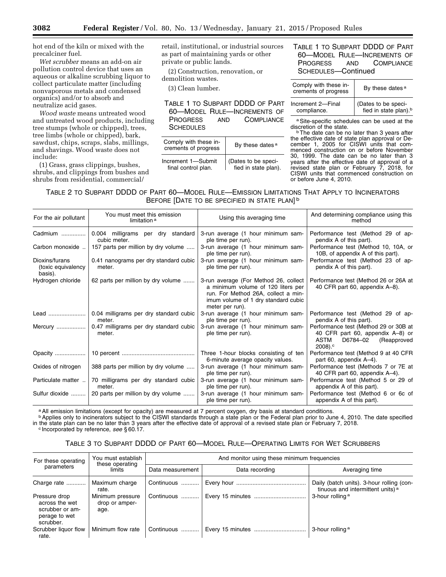hot end of the kiln or mixed with the precalciner fuel.

*Wet scrubber* means an add-on air pollution control device that uses an aqueous or alkaline scrubbing liquor to collect particulate matter (including nonvaporous metals and condensed organics) and/or to absorb and neutralize acid gases.

*Wood waste* means untreated wood and untreated wood products, including tree stumps (whole or chipped), trees, tree limbs (whole or chipped), bark, sawdust, chips, scraps, slabs, millings, and shavings. Wood waste does not include:

(1) Grass, grass clippings, bushes, shrubs, and clippings from bushes and shrubs from residential, commercial/

retail, institutional, or industrial sources as part of maintaining yards or other private or public lands.

(2) Construction, renovation, or demolition wastes.

(3) Clean lumber.

TABLE 1 TO SUBPART DDDD OF PART 60—MODEL RULE—INCREMENTS OF PROGRESS AND COMPLIANCE **SCHEDULES** 

| Comply with these in-<br>crements of progress | By these dates <sup>a</sup> |
|-----------------------------------------------|-----------------------------|
| Increment 1-Submit                            | (Dates to be speci-         |
| final control plan.                           | fied in state plan).        |

# TABLE 1 TO SUBPART DDDD OF PART 60—MODEL RULE—INCREMENTS OF PROGRESS AND COMPLIANCE SCHEDULES—Continued

| Comply with these in-<br>crements of progress | By these dates <sup>a</sup>                              |  |
|-----------------------------------------------|----------------------------------------------------------|--|
| Increment 2-Final<br>compliance.              | (Dates to be speci-<br>fied in state plan). <sup>b</sup> |  |

a Site-specific schedules can be used at the discretion of the state.

<sup>b</sup> The date can be no later than 3 years after the effective date of state plan approval or December 1, 2005 for CISWI units that commenced construction on or before November 30, 1999. The date can be no later than 3 years after the effective date of approval of a revised state plan or February 7, 2018, for CISWI units that commenced construction on or before June 4, 2010.

TABLE 2 TO SUBPART DDDD OF PART 60—MODEL RULE—EMISSION LIMITATIONS THAT APPLY TO INCINERATORS BEFORE [DATE TO BE SPECIFIED IN STATE PLAN]<sup>b</sup>

| For the air pollutant                           | You must meet this emission<br>limitation <sup>a</sup> | Using this averaging time                                                                                                                                                    | And determining compliance using this<br>method                                                                                        |
|-------------------------------------------------|--------------------------------------------------------|------------------------------------------------------------------------------------------------------------------------------------------------------------------------------|----------------------------------------------------------------------------------------------------------------------------------------|
| Cadmium                                         | 0.004 milligrams per dry standard<br>cubic meter.      | 3-run average (1 hour minimum sam-<br>ple time per run).                                                                                                                     | Performance test (Method 29 of ap-<br>pendix A of this part).                                                                          |
| Carbon monoxide                                 | 157 parts per million by dry volume                    | 3-run average (1 hour minimum sam-<br>ple time per run).                                                                                                                     | Performance test (Method 10, 10A, or<br>10B, of appendix A of this part).                                                              |
| Dioxins/furans<br>(toxic equivalency<br>basis). | 0.41 nanograms per dry standard cubic<br>meter.        | 3-run average (1 hour minimum sam-<br>ple time per run).                                                                                                                     | Performance test (Method 23 of ap-<br>pendix A of this part).                                                                          |
| Hydrogen chloride                               | 62 parts per million by dry volume                     | 3-run average (For Method 26, collect<br>a minimum volume of 120 liters per<br>run. For Method 26A, collect a min-<br>imum volume of 1 dry standard cubic<br>meter per run). | Performance test (Method 26 or 26A at<br>40 CFR part 60, appendix A-8).                                                                |
|                                                 | 0.04 milligrams per dry standard cubic<br>meter.       | 3-run average (1 hour minimum sam-<br>ple time per run).                                                                                                                     | Performance test (Method 29 of ap-<br>pendix A of this part).                                                                          |
| Mercury                                         | 0.47 milligrams per dry standard cubic<br>meter.       | 3-run average (1 hour minimum sam-<br>ple time per run).                                                                                                                     | Performance test (Method 29 or 30B at<br>40 CFR part 60, appendix A-8) or<br>ASTM<br>D6784-02<br>(Reapproved<br>$2008$ ). <sup>c</sup> |
| Opacity                                         |                                                        | Three 1-hour blocks consisting of ten<br>6-minute average opacity values.                                                                                                    | Performance test (Method 9 at 40 CFR<br>part 60, appendix A-4).                                                                        |
| Oxides of nitrogen                              | 388 parts per million by dry volume                    | 3-run average (1 hour minimum sam-<br>ple time per run).                                                                                                                     | Performance test (Methods 7 or 7E at<br>40 CFR part 60, appendix A-4).                                                                 |
| Particulate matter                              | 70 milligrams per dry standard cubic<br>meter.         | 3-run average (1 hour minimum sam-<br>ple time per run).                                                                                                                     | Performance test (Method 5 or 29 of<br>appendix A of this part).                                                                       |
| Sulfur dioxide                                  | 20 parts per million by dry volume                     | 3-run average (1 hour minimum sam-<br>ple time per run).                                                                                                                     | Performance test (Method 6 or 6c of<br>appendix A of this part).                                                                       |

a All emission limitations (except for opacity) are measured at 7 percent oxygen, dry basis at standard conditions.

**b** Applies only to incinerators subject to the CISWI standards through a state plan or the Federal plan prior to June 4, 2010. The date specified in the state plan can be no later than 3 years after the effective date of approval of a revised state plan or February 7, 2018.<br><sup>c</sup> Incorporated by reference, *see* § 60.17.

# TABLE 3 TO SUBPART DDDD OF PART 60—MODEL RULE—OPERATING LIMITS FOR WET SCRUBBERS

| For these operating                                                              | You must establish                         | And monitor using these minimum frequencies |                  |                                                                                           |  |
|----------------------------------------------------------------------------------|--------------------------------------------|---------------------------------------------|------------------|-------------------------------------------------------------------------------------------|--|
| parameters                                                                       | these operating<br>limits                  | Data measurement                            | Data recording   | Averaging time                                                                            |  |
| Charge rate                                                                      | Maximum charge<br>rate.                    | Continuous                                  |                  | Daily (batch units). 3-hour rolling (con-<br>tinuous and intermittent units) <sup>a</sup> |  |
| Pressure drop<br>across the wet<br>scrubber or am-<br>perage to wet<br>scrubber. | Minimum pressure<br>drop or amper-<br>age. | Continuous                                  |                  | 3-hour rolling a                                                                          |  |
| Scrubber liquor flow<br>rate.                                                    | Minimum flow rate                          | Continuous                                  | Every 15 minutes | 3-hour rolling <sup>a</sup>                                                               |  |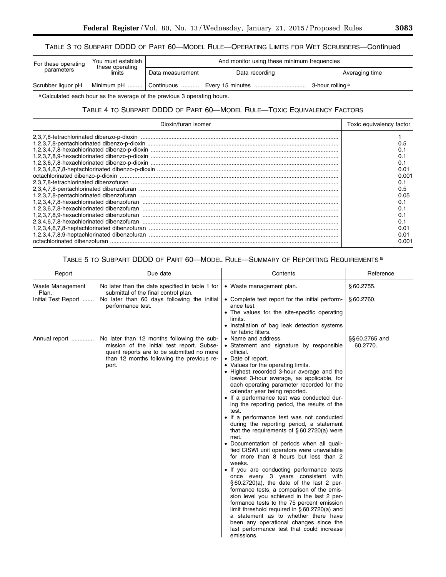# TABLE 3 TO SUBPART DDDD OF PART 60—MODEL RULE—OPERATING LIMITS FOR WET SCRUBBERS—Continued

| For these operating<br>parameters | You must establish<br>these operating<br>limits | And monitor using these minimum frequencies |                  |                  |
|-----------------------------------|-------------------------------------------------|---------------------------------------------|------------------|------------------|
|                                   |                                                 | Data measurement                            | Data recording   | Averaging time   |
| Scrubber liquor pH                |                                                 | Minimum pH    Continuous  '                 | Every 15 minutes | 3-hour rolling a |

a Calculated each hour as the average of the previous 3 operating hours.

# TABLE 4 TO SUBPART DDDD OF PART 60—MODEL RULE—TOXIC EQUIVALENCY FACTORS

| Dioxin/furan isomer                                                                                                                       | Toxic equivalency factor |
|-------------------------------------------------------------------------------------------------------------------------------------------|--------------------------|
|                                                                                                                                           |                          |
|                                                                                                                                           |                          |
|                                                                                                                                           |                          |
|                                                                                                                                           |                          |
|                                                                                                                                           |                          |
|                                                                                                                                           | 0.O1                     |
|                                                                                                                                           | 0.001                    |
|                                                                                                                                           |                          |
| 2,3,4,7,8-pentachlorinated dibenzofuran<br>1,2,3,7,8-pentachlorinated dibenzofuran                                                        | 0.5                      |
|                                                                                                                                           | 0.O5                     |
|                                                                                                                                           |                          |
|                                                                                                                                           |                          |
|                                                                                                                                           |                          |
|                                                                                                                                           |                          |
|                                                                                                                                           | 0.O1                     |
| 1,2,3,4,6,7,8-heptachlorinated dibenzofuran<br>1,2,3,4,6,7,8-heptachlorinated dibenzofuran<br>1,2,3,4,7,8,9-heptachlorinated dibenzofuran | 0.01                     |
|                                                                                                                                           | 0.001                    |

# TABLE 5 TO SUBPART DDDD OF PART 60—MODEL RULE—SUMMARY OF REPORTING REQUIREMENTS a

| Report                    | Due date                                                                                                                                                                                    | Contents                                                                                                                                                                                                                                                                                                                                                                                                                                                                                                                                                                                                                                                                                                                                                                                                                                                                                                                                                                                                                                                                                                                                                                                           | Reference                  |
|---------------------------|---------------------------------------------------------------------------------------------------------------------------------------------------------------------------------------------|----------------------------------------------------------------------------------------------------------------------------------------------------------------------------------------------------------------------------------------------------------------------------------------------------------------------------------------------------------------------------------------------------------------------------------------------------------------------------------------------------------------------------------------------------------------------------------------------------------------------------------------------------------------------------------------------------------------------------------------------------------------------------------------------------------------------------------------------------------------------------------------------------------------------------------------------------------------------------------------------------------------------------------------------------------------------------------------------------------------------------------------------------------------------------------------------------|----------------------------|
| Waste Management<br>Plan. | No later than the date specified in table 1 for<br>submittal of the final control plan.                                                                                                     | • Waste management plan.                                                                                                                                                                                                                                                                                                                                                                                                                                                                                                                                                                                                                                                                                                                                                                                                                                                                                                                                                                                                                                                                                                                                                                           | \$60.2755.                 |
| Initial Test Report       | No later than 60 days following the initial<br>performance test.                                                                                                                            | • Complete test report for the initial perform-<br>ance test.<br>• The values for the site-specific operating<br>limits.<br>• Installation of bag leak detection systems<br>for fabric filters.                                                                                                                                                                                                                                                                                                                                                                                                                                                                                                                                                                                                                                                                                                                                                                                                                                                                                                                                                                                                    | §60.2760.                  |
| Annual report             | No later than 12 months following the sub-<br>mission of the initial test report. Subse-<br>quent reports are to be submitted no more<br>than 12 months following the previous re-<br>port. | • Name and address.<br>• Statement and signature by responsible<br>official.<br>• Date of report.<br>• Values for the operating limits.<br>• Highest recorded 3-hour average and the<br>lowest 3-hour average, as applicable, for<br>each operating parameter recorded for the<br>calendar year being reported.<br>• If a performance test was conducted dur-<br>ing the reporting period, the results of the<br>test.<br>• If a performance test was not conducted<br>during the reporting period, a statement<br>that the requirements of $§ 60.2720(a)$ were<br>met.<br>• Documentation of periods when all quali-<br>fied CISWI unit operators were unavailable<br>for more than 8 hours but less than 2<br>weeks.<br>• If you are conducting performance tests<br>once every 3 years consistent with<br>$\S 60.2720(a)$ , the date of the last 2 per-<br>formance tests, a comparison of the emis-<br>sion level you achieved in the last 2 per-<br>formance tests to the 75 percent emission<br>limit threshold required in $\S 60.2720(a)$ and<br>a statement as to whether there have<br>been any operational changes since the<br>last performance test that could increase<br>emissions. | §§ 60.2765 and<br>60.2770. |

e<br>B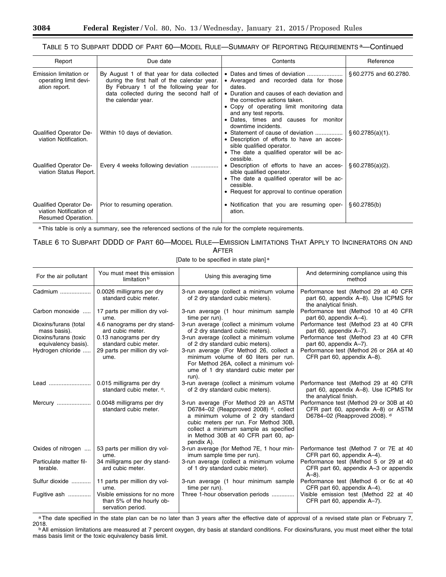# TABLE 5 TO SUBPART DDDD OF PART 60-MODEL RULE-SUMMARY OF REPORTING REQUIREMENTS a-Continued

| Report                                                                  | Due date                                                                                                                                                                                                | Contents                                                                                                                                                                                                                                                                                                 | Reference             |
|-------------------------------------------------------------------------|---------------------------------------------------------------------------------------------------------------------------------------------------------------------------------------------------------|----------------------------------------------------------------------------------------------------------------------------------------------------------------------------------------------------------------------------------------------------------------------------------------------------------|-----------------------|
| Emission limitation or<br>operating limit devi-<br>ation report.        | By August 1 of that year for data collected<br>during the first half of the calendar year.<br>By February 1 of the following year for<br>data collected during the second half of<br>the calendar year. | • Dates and times of deviation<br>• Averaged and recorded data for those<br>dates.<br>• Duration and causes of each deviation and<br>the corrective actions taken.<br>• Copy of operating limit monitoring data<br>and any test reports.<br>• Dates, times and causes for monitor<br>downtime incidents. | §60.2775 and 60.2780. |
| Qualified Operator De-<br>viation Notification.                         | Within 10 days of deviation.                                                                                                                                                                            | • Statement of cause of deviation<br>• Description of efforts to have an acces-<br>sible qualified operator.<br>• The date a qualified operator will be ac-<br>cessible.                                                                                                                                 | § 60.2785(a)(1).      |
| Qualified Operator De-<br>viation Status Report.                        | Every 4 weeks following deviation                                                                                                                                                                       | • Description of efforts to have an acces-<br>sible qualified operator.<br>• The date a qualified operator will be ac-<br>cessible.<br>• Request for approval to continue operation                                                                                                                      | § 60.2785(a)(2).      |
| Qualified Operator De-<br>viation Notification of<br>Resumed Operation. | Prior to resuming operation.                                                                                                                                                                            | • Notification that you are resuming oper-<br>ation.                                                                                                                                                                                                                                                     | \$60.2785(b)          |

a This table is only a summary, see the referenced sections of the rule for the complete requirements.

# TABLE 6 TO SUBPART DDDD OF PART 60—MODEL RULE—EMISSION LIMITATIONS THAT APPLY TO INCINERATORS ON AND AFTER

[Date to be specified in state plan] a

| For the air pollutant                        | You must meet this emission<br>limitation b                                     | Using this averaging time                                                                                                                                                                                                                                   | And determining compliance using this<br>method                                                                 |
|----------------------------------------------|---------------------------------------------------------------------------------|-------------------------------------------------------------------------------------------------------------------------------------------------------------------------------------------------------------------------------------------------------------|-----------------------------------------------------------------------------------------------------------------|
| Cadmium                                      | 0.0026 milligrams per dry<br>standard cubic meter.                              | 3-run average (collect a minimum volume<br>of 2 dry standard cubic meters).                                                                                                                                                                                 | Performance test (Method 29 at 40 CFR<br>part 60, appendix A-8). Use ICPMS for<br>the analytical finish.        |
| Carbon monoxide                              | 17 parts per million dry vol-<br>ume.                                           | 3-run average (1 hour minimum sample<br>time per run).                                                                                                                                                                                                      | Performance test (Method 10 at 40 CFR<br>part 60, appendix A-4).                                                |
| Dioxins/furans (total<br>mass basis).        | 4.6 nanograms per dry stand-<br>ard cubic meter.                                | 3-run average (collect a minimum volume<br>of 2 dry standard cubic meters).                                                                                                                                                                                 | Performance test (Method 23 at 40 CFR<br>part 60, appendix A-7).                                                |
| Dioxins/furans (toxic<br>equivalency basis). | 0.13 nanograms per dry<br>standard cubic meter.                                 | 3-run average (collect a minimum volume<br>of 2 dry standard cubic meters).                                                                                                                                                                                 | Performance test (Method 23 at 40 CFR<br>part 60, appendix A-7).                                                |
| Hydrogen chloride                            | 29 parts per million dry vol-<br>ume.                                           | 3-run average (For Method 26, collect a<br>minimum volume of 60 liters per run.<br>For Method 26A, collect a minimum vol-<br>ume of 1 dry standard cubic meter per<br>run).                                                                                 | Performance test (Method 26 or 26A at 40<br>CFR part 60, appendix A-8).                                         |
| Lead                                         | 0.015 milligrams per dry<br>standard cubic meter. c.                            | 3-run average (collect a minimum volume<br>of 2 dry standard cubic meters).                                                                                                                                                                                 | Performance test (Method 29 at 40 CFR<br>part 60, appendix A–8). Use ICPMS for<br>the analytical finish.        |
| Mercury                                      | 0.0048 milligrams per dry<br>standard cubic meter.                              | 3-run average (For Method 29 an ASTM<br>D6784-02 (Reapproved 2008) d, collect<br>a minimum volume of 2 dry standard<br>cubic meters per run. For Method 30B,<br>collect a minimum sample as specified<br>in Method 30B at 40 CFR part 60, ap-<br>pendix A). | Performance test (Method 29 or 30B at 40<br>CFR part 60, appendix A-8) or ASTM<br>D6784-02 (Reapproved 2008). d |
| Oxides of nitrogen                           | 53 parts per million dry vol-<br>ume.                                           | 3-run average (for Method 7E, 1 hour min-<br>imum sample time per run).                                                                                                                                                                                     | Performance test (Method 7 or 7E at 40<br>CFR part 60, appendix A-4).                                           |
| Particulate matter fil-<br>terable.          | 34 milligrams per dry stand-<br>ard cubic meter.                                | 3-run average (collect a minimum volume<br>of 1 dry standard cubic meter).                                                                                                                                                                                  | Performance test (Method 5 or 29 at 40<br>CFR part 60, appendix A-3 or appendix<br>$A-8$ ).                     |
| Sulfur dioxide                               | 11 parts per million dry vol-<br>ume.                                           | 3-run average (1 hour minimum sample<br>time per run).                                                                                                                                                                                                      | Performance test (Method 6 or 6c at 40<br>CFR part 60, appendix A-4).                                           |
| Fugitive ash                                 | Visible emissions for no more<br>than 5% of the hourly ob-<br>servation period. | Three 1-hour observation periods                                                                                                                                                                                                                            | Visible emission test (Method 22 at 40<br>CFR part 60, appendix A-7).                                           |

<sup>a</sup>The date specified in the state plan can be no later than 3 years after the effective date of approval of a revised state plan or February 7, 2018.<br>
bAll emission limitations are measured at 7 percent oxygen, dry basis at standard conditions. For dioxins/furans, you must meet either the total<br>
bAll emission limitations are measured at 7 percent oxygen, dry basis

mass basis limit or the toxic equivalency basis limit.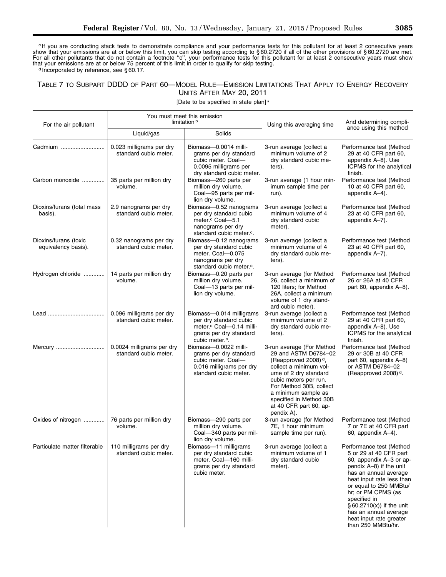c If you are conducting stack tests to demonstrate compliance and your performance tests for this pollutant for at least 2 consecutive years show that your emissions are at or below this limit, you can skip testing according to § 60.2720 if all of the other provisions of § 60.2720 are met. For all other pollutants that do not contain a footnote ''c'', your performance tests for this pollutant for at least 2 consecutive years must show that your emissions are at or below 75 percent of this limit in order to qualify for skip testing.<br>d Incorporated by reference, see § 60.17.

# TABLE 7 TO SUBPART DDDD OF PART 60—MODEL RULE—EMISSION LIMITATIONS THAT APPLY TO ENERGY RECOVERY UNITS AFTER MAY 20, 2011

[Date to be specified in state plan] a

| For the air pollutant                        |                                                    | You must meet this emission<br>limitation b                                                                                                         | Using this averaging time                                                                                                                                                                                                                                                              | And determining compli-                                                                                                                                                                                                                                                                                                               |
|----------------------------------------------|----------------------------------------------------|-----------------------------------------------------------------------------------------------------------------------------------------------------|----------------------------------------------------------------------------------------------------------------------------------------------------------------------------------------------------------------------------------------------------------------------------------------|---------------------------------------------------------------------------------------------------------------------------------------------------------------------------------------------------------------------------------------------------------------------------------------------------------------------------------------|
|                                              | Liquid/gas                                         | Solids                                                                                                                                              |                                                                                                                                                                                                                                                                                        | ance using this method                                                                                                                                                                                                                                                                                                                |
| Cadmium                                      | 0.023 milligrams per dry<br>standard cubic meter.  | Biomass-0.0014 milli-<br>grams per dry standard<br>cubic meter. Coal-<br>0.0095 milligrams per<br>dry standard cubic meter.                         | 3-run average (collect a<br>minimum volume of 2<br>dry standard cubic me-<br>ters).                                                                                                                                                                                                    | Performance test (Method<br>29 at 40 CFR part 60,<br>appendix A-8). Use<br>ICPMS for the analytical<br>finish.                                                                                                                                                                                                                        |
| Carbon monoxide                              | 35 parts per million dry<br>volume.                | Biomass-260 parts per<br>million dry volume.<br>Coal-95 parts per mil-<br>lion dry volume.                                                          | 3-run average (1 hour min-<br>imum sample time per<br>run).                                                                                                                                                                                                                            | Performance test (Method<br>10 at 40 CFR part 60,<br>appendix A-4).                                                                                                                                                                                                                                                                   |
| Dioxins/furans (total mass<br>basis).        | 2.9 nanograms per dry<br>standard cubic meter.     | Biomass-0.52 nanograms<br>per dry standard cubic<br>meter. <sup>c</sup> Coal-5.1<br>nanograms per dry<br>standard cubic meter. <sup>c</sup> .       | 3-run average (collect a<br>minimum volume of 4<br>dry standard cubic<br>meter).                                                                                                                                                                                                       | Performance test (Method<br>23 at 40 CFR part 60,<br>appendix A-7).                                                                                                                                                                                                                                                                   |
| Dioxins/furans (toxic<br>equivalency basis). | 0.32 nanograms per dry<br>standard cubic meter.    | Biomass-0.12 nanograms<br>per dry standard cubic<br>meter. Coal-0.075<br>nanograms per dry<br>standard cubic meter. <sup>c</sup> .                  | 3-run average (collect a<br>minimum volume of 4<br>dry standard cubic me-<br>ters).                                                                                                                                                                                                    | Performance test (Method<br>23 at 40 CFR part 60,<br>appendix A-7).                                                                                                                                                                                                                                                                   |
| Hydrogen chloride                            | 14 parts per million dry<br>volume.                | Biomass-0.20 parts per<br>million dry volume.<br>Coal-13 parts per mil-<br>lion dry volume.                                                         | 3-run average (for Method<br>26, collect a minimum of<br>120 liters; for Method<br>26A, collect a minimum<br>volume of 1 dry stand-<br>ard cubic meter).                                                                                                                               | Performance test (Method<br>26 or 26A at 40 CFR<br>part 60, appendix A-8).                                                                                                                                                                                                                                                            |
|                                              | 0.096 milligrams per dry<br>standard cubic meter.  | Biomass-0.014 milligrams<br>per dry standard cubic<br>meter. <sup>c</sup> Coal-0.14 milli-<br>grams per dry standard<br>cubic meter. <sup>c</sup> . | 3-run average (collect a<br>minimum volume of 2<br>dry standard cubic me-<br>ters).                                                                                                                                                                                                    | Performance test (Method<br>29 at 40 CFR part 60,<br>appendix A-8). Use<br>ICPMS for the analytical<br>finish.                                                                                                                                                                                                                        |
| Mercury                                      | 0.0024 milligrams per dry<br>standard cubic meter. | Biomass-0.0022 milli-<br>grams per dry standard<br>cubic meter. Coal-<br>0.016 milligrams per dry<br>standard cubic meter.                          | 3-run average (For Method<br>29 and ASTM D6784-02<br>(Reapproved 2008) <sup>d</sup> ,<br>collect a minimum vol-<br>ume of 2 dry standard<br>cubic meters per run.<br>For Method 30B, collect<br>a minimum sample as<br>specified in Method 30B<br>at 40 CFR part 60, ap-<br>pendix A). | Performance test (Method<br>29 or 30B at 40 CFR<br>part 60, appendix A-8)<br>or ASTM D6784-02<br>(Reapproved 2008) <sup>d</sup> .                                                                                                                                                                                                     |
| Oxides of nitrogen                           | 76 parts per million dry<br>volume.                | Biomass-290 parts per<br>million dry volume.<br>Coal-340 parts per mil-<br>lion dry volume.                                                         | 3-run average (for Method<br>7E, 1 hour minimum<br>sample time per run).                                                                                                                                                                                                               | Performance test (Method<br>7 or 7E at 40 CFR part<br>60, appendix A-4).                                                                                                                                                                                                                                                              |
| Particulate matter filterable                | 110 milligrams per dry<br>standard cubic meter.    | Biomass-11 milligrams<br>per dry standard cubic<br>meter. Coal-160 milli-<br>grams per dry standard<br>cubic meter.                                 | 3-run average (collect a<br>minimum volume of 1<br>dry standard cubic<br>meter).                                                                                                                                                                                                       | Performance test (Method<br>5 or 29 at 40 CFR part<br>60, appendix A-3 or ap-<br>pendix A-8) if the unit<br>has an annual average<br>heat input rate less than<br>or equal to 250 MMBtu/<br>hr; or PM CPMS (as<br>specified in<br>§ 60.2710(x)) if the unit<br>has an annual average<br>heat input rate greater<br>than 250 MMBtu/hr. |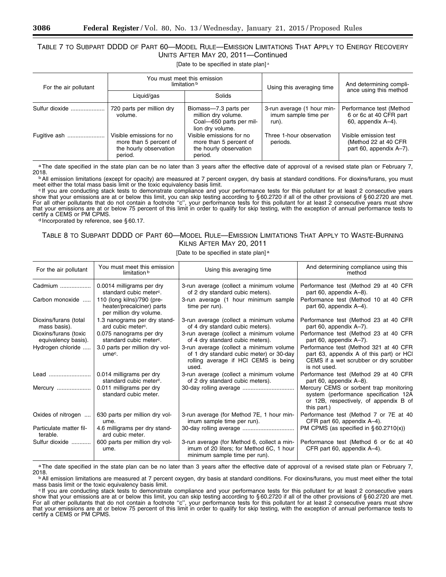# TABLE 7 TO SUBPART DDDD OF PART 60—MODEL RULE—EMISSION LIMITATIONS THAT APPLY TO ENERGY RECOVERY UNITS AFTER MAY 20, 2011—Continued

[Date to be specified in state plan] a

| For the air pollutant | You must meet this emission<br>limitation b                                             |                                                                                             | Using this averaging time                                   | And determining compli-<br>ance using this method                        |
|-----------------------|-----------------------------------------------------------------------------------------|---------------------------------------------------------------------------------------------|-------------------------------------------------------------|--------------------------------------------------------------------------|
|                       | Liguid/gas                                                                              | Solids                                                                                      |                                                             |                                                                          |
| Sulfur dioxide        | 720 parts per million dry<br>volume.                                                    | Biomass-7.3 parts per<br>million dry volume.<br>Coal-650 parts per mil-<br>lion dry volume. | 3-run average (1 hour min-<br>imum sample time per<br>run). | Performance test (Method<br>6 or 6c at 40 CFR part<br>60, appendix A-4). |
| Fugitive ash          | Visible emissions for no<br>more than 5 percent of<br>the hourly observation<br>period. | Visible emissions for no<br>more than 5 percent of<br>the hourly observation<br>period.     | Three 1-hour observation<br>periods.                        | Visible emission test<br>(Method 22 at 40 CFR<br>part 60, appendix A-7). |

aThe date specified in the state plan can be no later than 3 years after the effective date of approval of a revised state plan or February 7,<br>2018.

<sup>b</sup>All emission limitations (except for opacity) are measured at 7 percent oxygen, dry basis at standard conditions. For dioxins/furans, you must meet either the total mass basis limit or the toxic equivalency basis limit.

eff you are conducting stack tests to demonstrate compliance and your performance tests for this pollutant for at least 2 consecutive years show that your emissions are at or below this limit, you can skip testing according to § 60.2720 if all of the other provisions of § 60.2720 are met. For all other pollutants that do not contain a footnote ''c'', your performance tests for this pollutant for at least 2 consecutive years must show that your emissions are at or below 75 percent of this limit in order to qualify for skip testing, with the exception of annual performance tests to certify a CEMS or PM CPMS.<br>d Incorporated by reference, see §60.17.

# TABLE 8 TO SUBPART DDDD OF PART 60—MODEL RULE—EMISSION LIMITATIONS THAT APPLY TO WASTE-BURNING KILNS AFTER MAY 20, 2011

# [Date to be specified in state plan] a

| For the air pollutant                        | You must meet this emission<br>limitation b                                        | Using this averaging time                                                                                                            | And determining compliance using this<br>method                                                                                              |
|----------------------------------------------|------------------------------------------------------------------------------------|--------------------------------------------------------------------------------------------------------------------------------------|----------------------------------------------------------------------------------------------------------------------------------------------|
| Cadmium                                      | 0.0014 milligrams per dry<br>standard cubic meter <sup>c</sup> .                   | 3-run average (collect a minimum volume<br>of 2 dry standard cubic meters).                                                          | Performance test (Method 29 at 40 CFR<br>part 60, appendix A–8).                                                                             |
| Carbon monoxide                              | 110 (long kilns)/790 (pre-<br>heater/precalciner) parts<br>per million dry volume. | 3-run average (1 hour minimum sample<br>time per run).                                                                               | Performance test (Method 10 at 40 CFR<br>part 60, appendix A-4).                                                                             |
| Dioxins/furans (total<br>mass basis).        | 1.3 nanograms per dry stand-<br>ard cubic meter <sup>c</sup> .                     | 3-run average (collect a minimum volume<br>of 4 dry standard cubic meters).                                                          | Performance test (Method 23 at 40 CFR<br>part 60, appendix A-7).                                                                             |
| Dioxins/furans (toxic<br>equivalency basis). | 0.075 nanograms per dry<br>standard cubic meter <sup>c</sup> .                     | 3-run average (collect a minimum volume<br>of 4 dry standard cubic meters).                                                          | Performance test (Method 23 at 40 CFR<br>part 60, appendix A-7).                                                                             |
| Hydrogen chloride                            | 3.0 parts per million dry vol-<br>ume <sup>c</sup> .                               | 3-run average (collect a minimum volume<br>of 1 dry standard cubic meter) or 30-day<br>rolling average if HCI CEMS is being<br>used. | Performance test (Method 321 at 40 CFR<br>part 63, appendix A of this part) or HCI<br>CEMS if a wet scrubber or dry scrubber<br>is not used. |
| Lead                                         | 0.014 milligrams per dry<br>standard cubic meter <sup>c</sup> .                    | 3-run average (collect a minimum volume<br>of 2 dry standard cubic meters).                                                          | Performance test (Method 29 at 40 CFR<br>part 60, appendix A-8).                                                                             |
| Mercury                                      | 0.011 milligrams per dry<br>standard cubic meter.                                  |                                                                                                                                      | Mercury CEMS or sorbent trap monitoring<br>system (performance specification 12A<br>or 12B, respectively, of appendix B of<br>this part.)    |
| Oxides of nitrogen                           | 630 parts per million dry vol-<br>ume.                                             | 3-run average (for Method 7E, 1 hour min-<br>imum sample time per run).                                                              | Performance test (Method 7 or 7E at 40<br>CFR part 60, appendix A-4).                                                                        |
| Particulate matter fil-<br>terable.          | 4.6 milligrams per dry stand-<br>ard cubic meter.                                  |                                                                                                                                      | PM CPMS (as specified in $\S 60.2710(x)$ )                                                                                                   |
| Sulfur dioxide                               | 600 parts per million dry vol-<br>ume.                                             | 3-run average (for Method 6, collect a min-<br>imum of 20 liters; for Method 6C, 1 hour<br>minimum sample time per run).             | Performance test (Method 6 or 6c at 40<br>CFR part 60, appendix A-4).                                                                        |

aThe date specified in the state plan can be no later than 3 years after the effective date of approval of a revised state plan or February 7,<br>2018.

<sup>b</sup>All emission limitations are measured at 7 percent oxygen, dry basis at standard conditions. For dioxins/furans, you must meet either the total mass basis limit or the toxic equivalency basis limit.

<sup>c</sup> If you are conducting stack tests to demonstrate compliance and your performance tests for this pollutant for at least 2 consecutive years show that your emissions are at or below this limit, you can skip testing according to § 60.2720 if all of the other provisions of § 60.2720 are met. For all other pollutants that do not contain a footnote ''c'', your performance tests for this pollutant for at least 2 consecutive years must show that your emissions are at or below 75 percent of this limit in order to qualify for skip testing, with the exception of annual performance tests to certify a CEMS or PM CPMS.